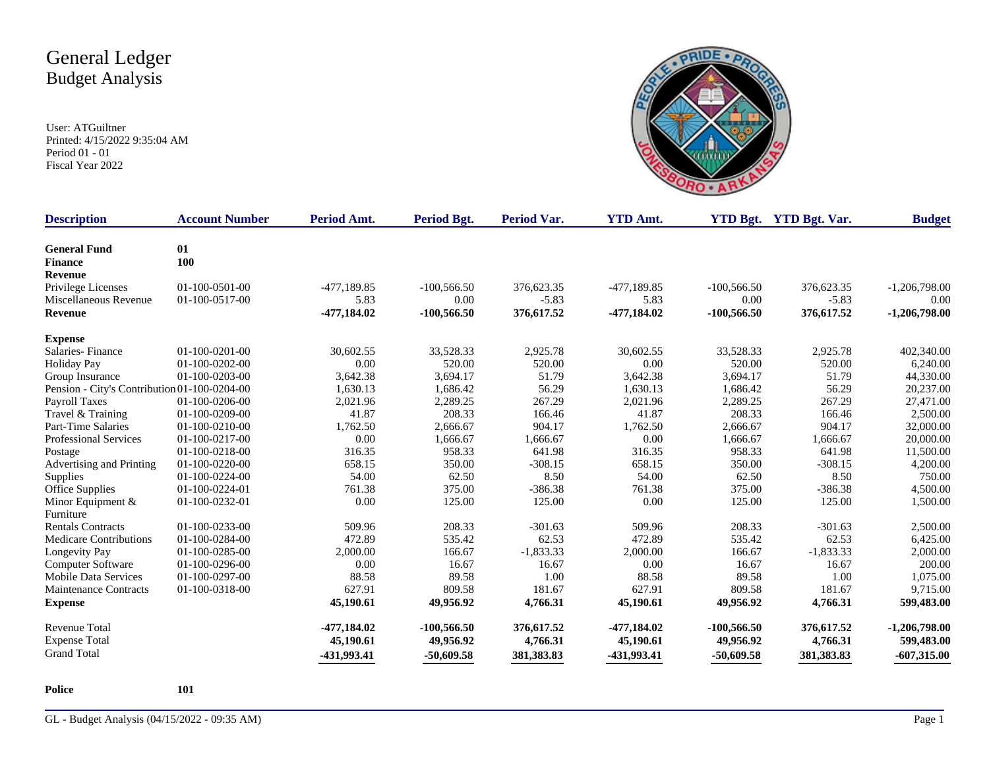User: ATGuiltner Printed: 4/15/2022 9:35:04 AM Period 01 - 01 Fiscal Year 2022



| <b>Description</b>                           | <b>Account Number</b> | Period Amt.   | Period Bgt.   | <b>Period Var.</b> | <b>YTD Amt.</b> |               | <b>YTD Bgt.</b> YTD Bgt. Var. | <b>Budget</b>   |
|----------------------------------------------|-----------------------|---------------|---------------|--------------------|-----------------|---------------|-------------------------------|-----------------|
| <b>General Fund</b>                          | 01                    |               |               |                    |                 |               |                               |                 |
| <b>Finance</b>                               | 100                   |               |               |                    |                 |               |                               |                 |
| <b>Revenue</b>                               |                       |               |               |                    |                 |               |                               |                 |
| Privilege Licenses                           | 01-100-0501-00        | $-477,189.85$ | $-100,566.50$ | 376,623.35         | -477,189.85     | $-100,566.50$ | 376,623.35                    | $-1,206,798.00$ |
| Miscellaneous Revenue                        | 01-100-0517-00        | 5.83          | 0.00          | $-5.83$            | 5.83            | 0.00          | $-5.83$                       | 0.00            |
| <b>Revenue</b>                               |                       | -477,184.02   | $-100,566.50$ | 376,617.52         | -477,184.02     | $-100,566.50$ | 376,617.52                    | $-1,206,798.00$ |
| <b>Expense</b>                               |                       |               |               |                    |                 |               |                               |                 |
| Salaries-Finance                             | $01-100-0201-00$      | 30,602.55     | 33,528.33     | 2,925.78           | 30,602.55       | 33,528.33     | 2,925.78                      | 402,340.00      |
| Holiday Pay                                  | $01-100-0202-00$      | 0.00          | 520.00        | 520.00             | 0.00            | 520.00        | 520.00                        | 6,240.00        |
| Group Insurance                              | $01-100-0203-00$      | 3,642.38      | 3,694.17      | 51.79              | 3,642.38        | 3,694.17      | 51.79                         | 44,330.00       |
| Pension - City's Contribution 01-100-0204-00 |                       | 1,630.13      | 1,686.42      | 56.29              | 1,630.13        | 1,686.42      | 56.29                         | 20,237.00       |
| Payroll Taxes                                | 01-100-0206-00        | 2,021.96      | 2,289.25      | 267.29             | 2,021.96        | 2,289.25      | 267.29                        | 27,471.00       |
| Travel & Training                            | 01-100-0209-00        | 41.87         | 208.33        | 166.46             | 41.87           | 208.33        | 166.46                        | 2,500.00        |
| Part-Time Salaries                           | 01-100-0210-00        | 1,762.50      | 2,666.67      | 904.17             | 1,762.50        | 2,666.67      | 904.17                        | 32,000.00       |
| <b>Professional Services</b>                 | 01-100-0217-00        | 0.00          | 1,666.67      | 1,666.67           | 0.00            | 1,666.67      | 1,666.67                      | 20,000.00       |
| Postage                                      | 01-100-0218-00        | 316.35        | 958.33        | 641.98             | 316.35          | 958.33        | 641.98                        | 11,500.00       |
| Advertising and Printing                     | 01-100-0220-00        | 658.15        | 350.00        | $-308.15$          | 658.15          | 350.00        | $-308.15$                     | 4,200.00        |
| Supplies                                     | 01-100-0224-00        | 54.00         | 62.50         | 8.50               | 54.00           | 62.50         | 8.50                          | 750.00          |
| Office Supplies                              | 01-100-0224-01        | 761.38        | 375.00        | $-386.38$          | 761.38          | 375.00        | $-386.38$                     | 4,500.00        |
| Minor Equipment $&$                          | 01-100-0232-01        | 0.00          | 125.00        | 125.00             | 0.00            | 125.00        | 125.00                        | 1,500.00        |
| Furniture                                    |                       |               |               |                    |                 |               |                               |                 |
| <b>Rentals Contracts</b>                     | 01-100-0233-00        | 509.96        | 208.33        | $-301.63$          | 509.96          | 208.33        | $-301.63$                     | 2,500.00        |
| <b>Medicare Contributions</b>                | 01-100-0284-00        | 472.89        | 535.42        | 62.53              | 472.89          | 535.42        | 62.53                         | 6,425.00        |
| Longevity Pay                                | 01-100-0285-00        | 2,000.00      | 166.67        | $-1,833.33$        | 2,000.00        | 166.67        | $-1,833.33$                   | 2,000.00        |
| Computer Software                            | 01-100-0296-00        | 0.00          | 16.67         | 16.67              | 0.00            | 16.67         | 16.67                         | 200.00          |
| <b>Mobile Data Services</b>                  | 01-100-0297-00        | 88.58         | 89.58         | 1.00               | 88.58           | 89.58         | 1.00                          | 1,075.00        |
| Maintenance Contracts                        | 01-100-0318-00        | 627.91        | 809.58        | 181.67             | 627.91          | 809.58        | 181.67                        | 9,715.00        |
| <b>Expense</b>                               |                       | 45,190.61     | 49,956.92     | 4,766.31           | 45,190.61       | 49,956.92     | 4,766.31                      | 599,483.00      |
| Revenue Total                                |                       | -477,184.02   | $-100,566.50$ | 376,617.52         | -477,184.02     | $-100,566.50$ | 376,617.52                    | $-1,206,798.00$ |
| <b>Expense Total</b>                         |                       | 45,190.61     | 49,956.92     | 4,766.31           | 45,190.61       | 49,956.92     | 4,766.31                      | 599,483.00      |
| <b>Grand Total</b>                           |                       | -431,993.41   | $-50,609.58$  | 381, 383. 83       | -431,993.41     | $-50,609.58$  | 381,383.83                    | $-607,315.00$   |

**Police 101**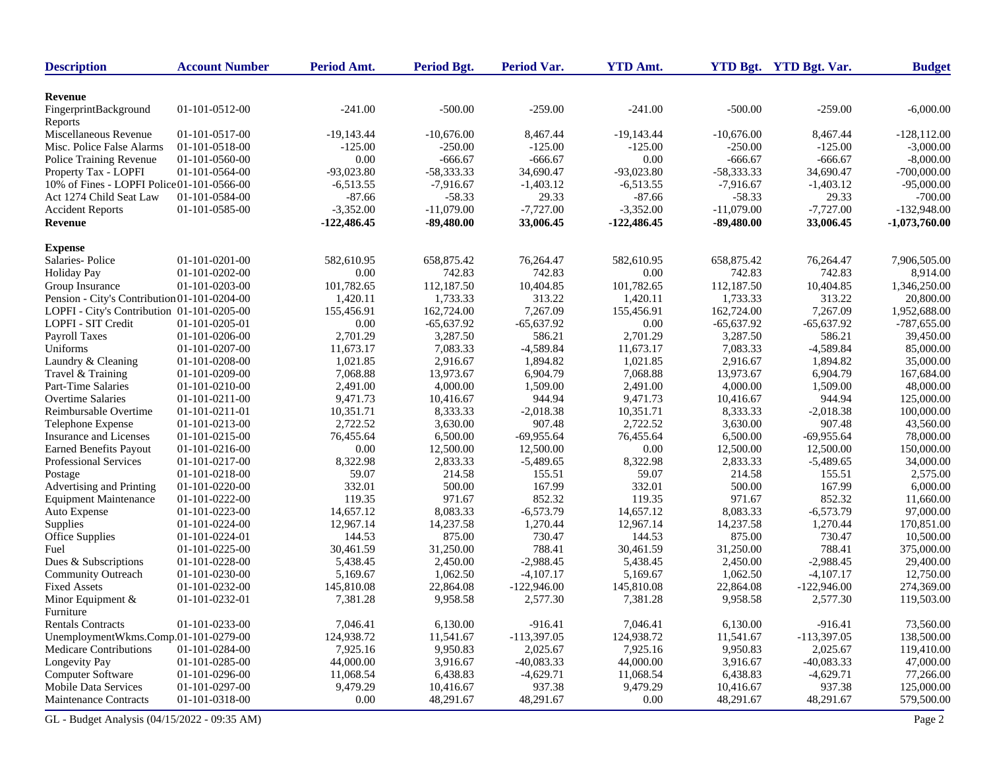| <b>Description</b>                           | <b>Account Number</b> | Period Amt.   | <b>Period Bgt.</b> | Period Var.   | <b>YTD Amt.</b> |              | YTD Bgt. YTD Bgt. Var. | <b>Budget</b>   |
|----------------------------------------------|-----------------------|---------------|--------------------|---------------|-----------------|--------------|------------------------|-----------------|
| Revenue                                      |                       |               |                    |               |                 |              |                        |                 |
| FingerprintBackground                        | 01-101-0512-00        | $-241.00$     | $-500.00$          | $-259.00$     | $-241.00$       | $-500.00$    | $-259.00$              | $-6,000.00$     |
| Reports<br>Miscellaneous Revenue             | 01-101-0517-00        | $-19,143.44$  | $-10.676.00$       | 8,467.44      | $-19,143.44$    | $-10,676.00$ | 8,467.44               | $-128.112.00$   |
| Misc. Police False Alarms                    | 01-101-0518-00        | $-125.00$     | -250.00            | $-125.00$     | $-125.00$       | -250.00      | $-125.00$              | $-3,000.00$     |
| Police Training Revenue                      | 01-101-0560-00        | 0.00          | $-666.67$          | $-666.67$     | 0.00            | $-666.67$    | $-666.67$              | $-8,000.00$     |
| Property Tax - LOPFI                         | 01-101-0564-00        | $-93,023.80$  | $-58,333.33$       | 34,690.47     | $-93,023.80$    | $-58,333.33$ | 34,690.47              | $-700,000.00$   |
| 10% of Fines - LOPFI Police 01-101-0566-00   |                       | $-6,513.55$   | $-7,916.67$        | $-1,403.12$   | $-6,513.55$     | $-7,916.67$  | $-1,403.12$            | $-95,000.00$    |
| Act 1274 Child Seat Law                      | 01-101-0584-00        | $-87.66$      | $-58.33$           | 29.33         | $-87.66$        | $-58.33$     | 29.33                  | $-700.00$       |
| <b>Accident Reports</b>                      | 01-101-0585-00        | $-3,352.00$   | $-11,079.00$       | $-7,727.00$   | $-3,352.00$     | $-11,079.00$ | $-7,727.00$            | $-132,948.00$   |
| Revenue                                      |                       | $-122,486.45$ | $-89,480.00$       | 33,006.45     | $-122,486.45$   | $-89,480.00$ | 33,006.45              | $-1,073,760.00$ |
| <b>Expense</b>                               |                       |               |                    |               |                 |              |                        |                 |
| Salaries-Police                              | 01-101-0201-00        | 582,610.95    | 658,875.42         | 76,264.47     | 582,610.95      | 658,875.42   | 76,264.47              | 7,906,505.00    |
| <b>Holiday Pay</b>                           | 01-101-0202-00        | 0.00          | 742.83             | 742.83        | 0.00            | 742.83       | 742.83                 | 8,914.00        |
| Group Insurance                              | 01-101-0203-00        | 101,782.65    | 112,187.50         | 10,404.85     | 101,782.65      | 112,187.50   | 10,404.85              | 1,346,250.00    |
| Pension - City's Contribution 01-101-0204-00 |                       | 1,420.11      | 1,733.33           | 313.22        | 1,420.11        | 1,733.33     | 313.22                 | 20,800.00       |
| LOPFI - City's Contribution 01-101-0205-00   |                       | 155,456.91    | 162,724.00         | 7,267.09      | 155,456.91      | 162,724.00   | 7,267.09               | 1,952,688.00    |
| LOPFI - SIT Credit                           | 01-101-0205-01        | 0.00          | $-65,637.92$       | $-65,637.92$  | 0.00            | $-65,637.92$ | $-65,637.92$           | $-787,655.00$   |
| Payroll Taxes                                | 01-101-0206-00        | 2,701.29      | 3,287.50           | 586.21        | 2.701.29        | 3,287.50     | 586.21                 | 39,450.00       |
| Uniforms                                     | 01-101-0207-00        | 11,673.17     | 7,083.33           | $-4,589.84$   | 11,673.17       | 7,083.33     | $-4,589.84$            | 85,000.00       |
| Laundry & Cleaning                           | 01-101-0208-00        | 1,021.85      | 2,916.67           | 1,894.82      | 1,021.85        | 2,916.67     | 1,894.82               | 35,000.00       |
| Travel & Training                            | 01-101-0209-00        | 7.068.88      | 13,973.67          | 6,904.79      | 7,068.88        | 13,973.67    | 6,904.79               | 167,684.00      |
| Part-Time Salaries                           | 01-101-0210-00        | 2,491.00      | 4,000.00           | 1,509.00      | 2,491.00        | 4,000.00     | 1,509.00               | 48,000.00       |
| <b>Overtime Salaries</b>                     | $01-101-0211-00$      | 9,471.73      | 10,416.67          | 944.94        | 9,471.73        | 10,416.67    | 944.94                 | 125,000.00      |
| Reimbursable Overtime                        | 01-101-0211-01        | 10,351.71     | 8.333.33           | $-2,018.38$   | 10,351.71       | 8,333.33     | $-2,018.38$            | 100,000.00      |
| Telephone Expense                            | 01-101-0213-00        | 2,722.52      | 3,630.00           | 907.48        | 2,722.52        | 3,630.00     | 907.48                 | 43,560.00       |
| Insurance and Licenses                       | 01-101-0215-00        | 76,455.64     | 6,500.00           | $-69,955.64$  | 76,455.64       | 6,500.00     | $-69,955.64$           | 78,000.00       |
| <b>Earned Benefits Payout</b>                | 01-101-0216-00        | 0.00          | 12,500.00          | 12,500.00     | 0.00            | 12,500.00    | 12,500.00              | 150,000.00      |
| Professional Services                        | 01-101-0217-00        | 8,322.98      | 2,833.33           | $-5,489.65$   | 8,322.98        | 2,833.33     | $-5,489.65$            | 34,000.00       |
| Postage                                      | 01-101-0218-00        | 59.07         | 214.58             | 155.51        | 59.07           | 214.58       | 155.51                 | 2,575.00        |
| Advertising and Printing                     | 01-101-0220-00        | 332.01        | 500.00             | 167.99        | 332.01          | 500.00       | 167.99                 | 6,000.00        |
| <b>Equipment Maintenance</b>                 | 01-101-0222-00        | 119.35        | 971.67             | 852.32        | 119.35          | 971.67       | 852.32                 | 11,660.00       |
| Auto Expense                                 | 01-101-0223-00        | 14,657.12     | 8,083.33           | $-6,573.79$   | 14,657.12       | 8,083.33     | $-6,573.79$            | 97,000.00       |
| Supplies                                     | 01-101-0224-00        | 12,967.14     | 14,237.58          | 1,270.44      | 12,967.14       | 14,237.58    | 1,270.44               | 170,851.00      |
| Office Supplies                              | 01-101-0224-01        | 144.53        | 875.00             | 730.47        | 144.53          | 875.00       | 730.47                 | 10,500.00       |
| Fuel                                         | 01-101-0225-00        | 30,461.59     | 31,250.00          | 788.41        | 30,461.59       | 31,250.00    | 788.41                 | 375,000.00      |
| Dues & Subscriptions                         | 01-101-0228-00        | 5,438.45      | 2,450.00           | $-2,988.45$   | 5,438.45        | 2,450.00     | $-2,988.45$            | 29,400.00       |
| Community Outreach                           | 01-101-0230-00        | 5,169.67      | 1,062.50           | $-4,107.17$   | 5,169.67        | 1,062.50     | $-4,107.17$            | 12,750.00       |
| <b>Fixed Assets</b>                          | 01-101-0232-00        | 145,810.08    | 22,864.08          | $-122,946.00$ | 145,810.08      | 22,864.08    | $-122,946.00$          | 274,369.00      |
| Minor Equipment &<br>Furniture               | 01-101-0232-01        | 7,381.28      | 9,958.58           | 2,577.30      | 7,381.28        | 9,958.58     | 2,577.30               | 119,503.00      |
| <b>Rentals Contracts</b>                     | 01-101-0233-00        | 7,046.41      | 6,130.00           | $-916.41$     | 7,046.41        | 6,130.00     | $-916.41$              | 73,560.00       |
| UnemploymentWkms.Comp.01-101-0279-00         |                       | 124,938.72    | 11,541.67          | $-113,397.05$ | 124,938.72      | 11,541.67    | $-113,397.05$          | 138,500.00      |
| <b>Medicare Contributions</b>                | 01-101-0284-00        | 7,925.16      | 9,950.83           | 2,025.67      | 7,925.16        | 9,950.83     | 2,025.67               | 119,410.00      |
| Longevity Pay                                | 01-101-0285-00        | 44,000.00     | 3,916.67           | $-40,083.33$  | 44,000.00       | 3,916.67     | $-40,083.33$           | 47,000.00       |
| Computer Software                            | 01-101-0296-00        | 11,068.54     | 6,438.83           | $-4,629.71$   | 11,068.54       | 6,438.83     | $-4,629.71$            | 77,266.00       |
| <b>Mobile Data Services</b>                  | 01-101-0297-00        | 9,479.29      | 10,416.67          | 937.38        | 9,479.29        | 10,416.67    | 937.38                 | 125,000.00      |
| <b>Maintenance Contracts</b>                 | 01-101-0318-00        | 0.00          | 48,291.67          | 48,291.67     | 0.00            | 48,291.67    | 48,291.67              | 579,500.00      |
| GL - Budget Analysis (04/15/2022 - 09:35 AM) |                       |               |                    |               |                 |              |                        | Page 2          |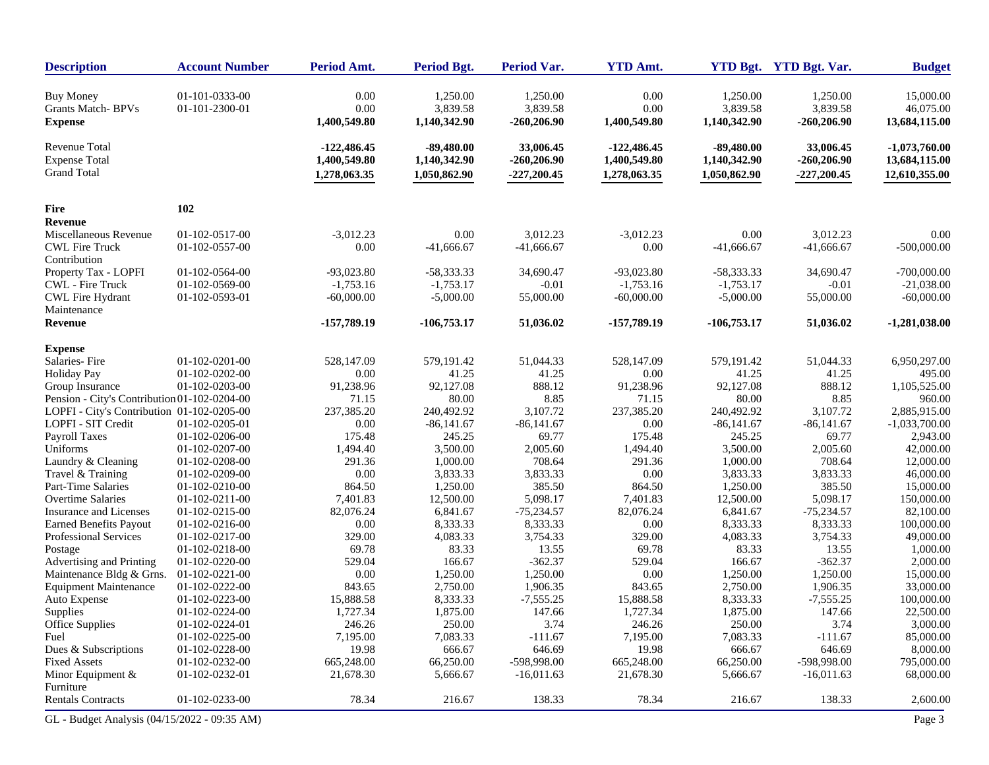| <b>Description</b>                                                 | <b>Account Number</b>            | Period Amt.                                   | <b>Period Bgt.</b>                           | Period Var.                                 | <b>YTD Amt.</b>                               |                                              | YTD Bgt. YTD Bgt. Var.                      | <b>Budget</b>                                     |
|--------------------------------------------------------------------|----------------------------------|-----------------------------------------------|----------------------------------------------|---------------------------------------------|-----------------------------------------------|----------------------------------------------|---------------------------------------------|---------------------------------------------------|
| <b>Buy Money</b><br>Grants Match-BPVs<br><b>Expense</b>            | 01-101-0333-00<br>01-101-2300-01 | 0.00<br>0.00<br>1,400,549.80                  | 1,250.00<br>3,839.58<br>1,140,342.90         | 1,250.00<br>3,839.58<br>$-260,206.90$       | 0.00<br>0.00<br>1,400,549.80                  | 1,250.00<br>3,839.58<br>1,140,342.90         | 1,250.00<br>3,839.58<br>$-260,206.90$       | 15,000.00<br>46,075.00<br>13,684,115.00           |
| <b>Revenue Total</b><br><b>Expense Total</b><br><b>Grand Total</b> |                                  | $-122,486.45$<br>1,400,549.80<br>1,278,063.35 | $-89,480.00$<br>1,140,342.90<br>1,050,862.90 | 33,006.45<br>$-260,206.90$<br>$-227,200.45$ | $-122,486.45$<br>1,400,549.80<br>1,278,063.35 | $-89,480.00$<br>1,140,342.90<br>1,050,862.90 | 33,006.45<br>$-260,206.90$<br>$-227,200.45$ | $-1,073,760.00$<br>13,684,115.00<br>12,610,355.00 |
| <b>Fire</b>                                                        | 102                              |                                               |                                              |                                             |                                               |                                              |                                             |                                                   |
| Revenue                                                            |                                  |                                               |                                              |                                             |                                               |                                              |                                             |                                                   |
| Miscellaneous Revenue                                              | 01-102-0517-00                   | $-3,012.23$                                   | 0.00                                         | 3,012.23                                    | $-3,012.23$                                   | 0.00                                         | 3,012.23                                    | 0.00                                              |
| <b>CWL Fire Truck</b>                                              | 01-102-0557-00                   | 0.00                                          | $-41,666.67$                                 | $-41,666.67$                                | 0.00                                          | $-41,666.67$                                 | $-41,666.67$                                | $-500,000.00$                                     |
| Contribution                                                       |                                  |                                               |                                              |                                             |                                               |                                              |                                             |                                                   |
| Property Tax - LOPFI                                               | 01-102-0564-00                   | $-93,023.80$                                  | -58,333.33                                   | 34,690.47                                   | $-93,023.80$                                  | -58,333.33                                   | 34,690.47                                   | $-700,000.00$                                     |
| CWL - Fire Truck                                                   | 01-102-0569-00                   | $-1,753.16$                                   | $-1,753.17$                                  | $-0.01$                                     | $-1,753.16$                                   | $-1,753.17$                                  | $-0.01$                                     | $-21,038.00$                                      |
| <b>CWL Fire Hydrant</b>                                            | 01-102-0593-01                   | $-60,000.00$                                  | $-5,000.00$                                  | 55,000.00                                   | $-60,000.00$                                  | $-5,000.00$                                  | 55,000.00                                   | $-60,000.00$                                      |
| Maintenance<br>Revenue                                             |                                  | -157,789.19                                   | $-106,753.17$                                | 51,036.02                                   | -157,789.19                                   | $-106,753.17$                                | 51,036.02                                   | $-1,281,038.00$                                   |
| <b>Expense</b>                                                     |                                  |                                               |                                              |                                             |                                               |                                              |                                             |                                                   |
| Salaries-Fire                                                      | $01-102-0201-00$                 | 528,147.09                                    | 579,191.42                                   | 51,044.33                                   | 528,147.09                                    | 579,191.42                                   | 51,044.33                                   | 6,950,297.00                                      |
| <b>Holiday Pay</b>                                                 | 01-102-0202-00                   | 0.00                                          | 41.25                                        | 41.25                                       | 0.00                                          | 41.25                                        | 41.25                                       | 495.00                                            |
| Group Insurance                                                    | 01-102-0203-00                   | 91,238.96                                     | 92,127.08                                    | 888.12                                      | 91,238.96                                     | 92,127.08                                    | 888.12                                      | 1,105,525.00                                      |
| Pension - City's Contribution 01-102-0204-00                       |                                  | 71.15                                         | 80.00                                        | 8.85                                        | 71.15                                         | 80.00                                        | 8.85                                        | 960.00                                            |
| LOPFI - City's Contribution 01-102-0205-00                         |                                  | 237,385.20                                    | 240,492.92                                   | 3,107.72                                    | 237,385.20                                    | 240,492.92                                   | 3,107.72                                    | 2,885,915.00                                      |
| LOPFI - SIT Credit                                                 | 01-102-0205-01                   | 0.00                                          | $-86,141.67$                                 | $-86,141.67$                                | 0.00                                          | $-86,141.67$                                 | $-86,141.67$                                | $-1,033,700.00$                                   |
| Payroll Taxes                                                      | 01-102-0206-00                   | 175.48                                        | 245.25                                       | 69.77                                       | 175.48                                        | 245.25                                       | 69.77                                       | 2,943.00                                          |
| Uniforms                                                           | 01-102-0207-00                   | 1,494.40                                      | 3,500.00                                     | 2,005.60                                    | 1,494.40                                      | 3,500.00                                     | 2,005.60                                    | 42,000.00                                         |
| Laundry & Cleaning                                                 | 01-102-0208-00                   | 291.36                                        | 1,000.00                                     | 708.64                                      | 291.36                                        | 1,000.00                                     | 708.64                                      | 12,000.00                                         |
| Travel & Training                                                  | 01-102-0209-00                   | 0.00                                          | 3,833.33                                     | 3,833.33                                    | 0.00                                          | 3,833.33                                     | 3,833.33                                    | 46,000.00                                         |
| Part-Time Salaries                                                 | 01-102-0210-00                   | 864.50                                        | 1,250.00                                     | 385.50                                      | 864.50                                        | 1,250.00                                     | 385.50                                      | 15,000.00                                         |
| <b>Overtime Salaries</b>                                           | 01-102-0211-00                   | 7,401.83                                      | 12,500.00                                    | 5,098.17                                    | 7,401.83                                      | 12,500.00                                    | 5,098.17                                    | 150,000.00                                        |
| Insurance and Licenses                                             | 01-102-0215-00                   | 82,076.24                                     | 6,841.67                                     | $-75,234.57$                                | 82,076.24                                     | 6,841.67                                     | $-75,234.57$                                | 82,100.00                                         |
| <b>Earned Benefits Payout</b>                                      | 01-102-0216-00                   | 0.00                                          | 8,333.33                                     | 8,333.33                                    | 0.00                                          | 8,333.33                                     | 8,333.33                                    | 100,000.00                                        |
| Professional Services                                              | 01-102-0217-00                   | 329.00                                        | 4,083.33                                     | 3,754.33                                    | 329.00                                        | 4,083.33                                     | 3,754.33                                    | 49,000.00                                         |
| Postage                                                            | 01-102-0218-00                   | 69.78                                         | 83.33                                        | 13.55                                       | 69.78                                         | 83.33                                        | 13.55                                       | 1,000.00                                          |
| Advertising and Printing                                           | 01-102-0220-00                   | 529.04                                        | 166.67                                       | $-362.37$                                   | 529.04                                        | 166.67                                       | $-362.37$                                   | 2,000.00                                          |
| Maintenance Bldg & Grns.                                           | 01-102-0221-00<br>01-102-0222-00 | 0.00                                          | 1,250.00                                     | 1,250.00                                    | 0.00                                          | 1,250.00                                     | 1,250.00                                    | 15,000.00                                         |
| <b>Equipment Maintenance</b><br>Auto Expense                       | 01-102-0223-00                   | 843.65<br>15,888.58                           | 2,750.00<br>8,333.33                         | 1,906.35<br>$-7,555.25$                     | 843.65<br>15,888.58                           | 2,750.00<br>8,333.33                         | 1,906.35<br>$-7,555.25$                     | 33,000.00<br>100,000.00                           |
| Supplies                                                           | 01-102-0224-00                   | 1,727.34                                      | 1,875.00                                     | 147.66                                      | 1,727.34                                      | 1,875.00                                     | 147.66                                      | 22,500.00                                         |
| <b>Office Supplies</b>                                             | 01-102-0224-01                   | 246.26                                        | 250.00                                       | 3.74                                        | 246.26                                        | 250.00                                       | 3.74                                        | 3,000.00                                          |
| Fuel                                                               | 01-102-0225-00                   | 7,195.00                                      | 7,083.33                                     | $-111.67$                                   | 7,195.00                                      | 7,083.33                                     | $-111.67$                                   | 85,000.00                                         |
| Dues & Subscriptions                                               | 01-102-0228-00                   | 19.98                                         | 666.67                                       | 646.69                                      | 19.98                                         | 666.67                                       | 646.69                                      | 8,000.00                                          |
| <b>Fixed Assets</b>                                                | 01-102-0232-00                   | 665,248.00                                    | 66,250.00                                    | -598,998.00                                 | 665,248.00                                    | 66,250.00                                    | -598,998.00                                 | 795,000.00                                        |
| Minor Equipment &                                                  | 01-102-0232-01                   | 21,678.30                                     | 5,666.67                                     | $-16,011.63$                                | 21,678.30                                     | 5,666.67                                     | $-16,011.63$                                | 68,000.00                                         |
| Furniture                                                          |                                  |                                               |                                              |                                             |                                               |                                              |                                             |                                                   |
| <b>Rentals Contracts</b>                                           | 01-102-0233-00                   | 78.34                                         | 216.67                                       | 138.33                                      | 78.34                                         | 216.67                                       | 138.33                                      | 2,600.00                                          |
| GL - Budget Analysis (04/15/2022 - 09:35 AM)                       |                                  |                                               |                                              |                                             |                                               |                                              |                                             | Page 3                                            |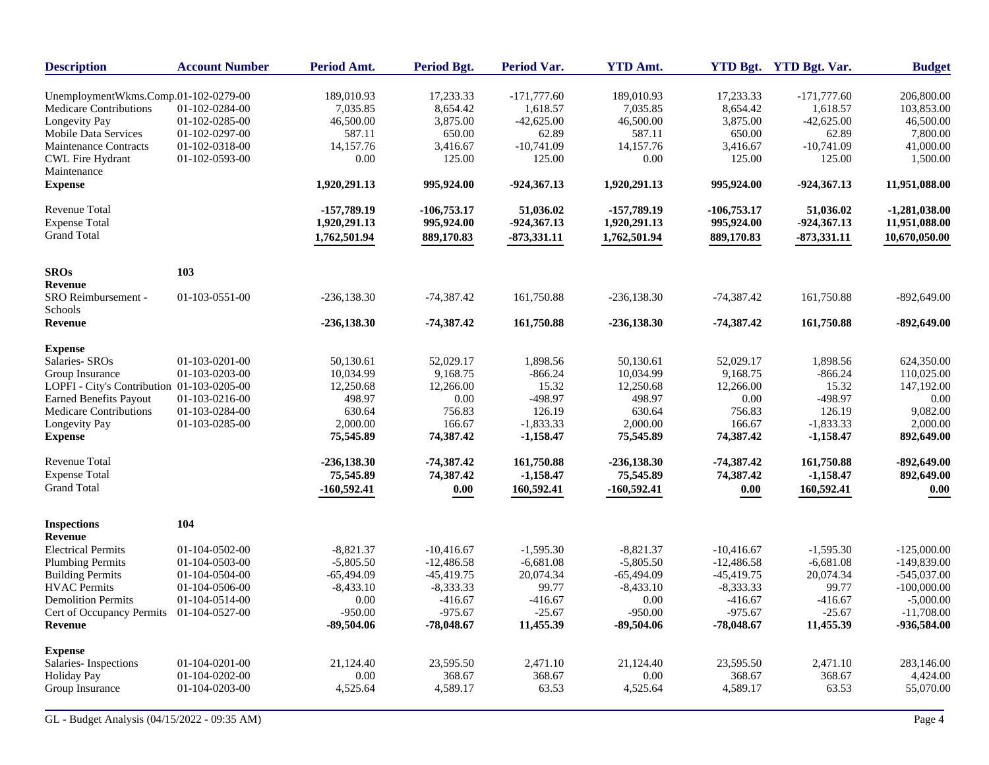| <b>Description</b>                          | <b>Account Number</b> | Period Amt.               | <b>Period Bgt.</b>        | Period Var.                | <b>YTD Amt.</b>         |                           | YTD Bgt. YTD Bgt. Var.   | <b>Budget</b>               |
|---------------------------------------------|-----------------------|---------------------------|---------------------------|----------------------------|-------------------------|---------------------------|--------------------------|-----------------------------|
| UnemploymentWkms.Comp.01-102-0279-00        |                       | 189,010.93                | 17,233.33                 | $-171,777.60$              | 189,010.93              | 17,233.33                 | $-171,777.60$            | 206,800.00                  |
| <b>Medicare Contributions</b>               | 01-102-0284-00        | 7,035.85                  | 8,654.42                  | 1,618.57                   | 7,035.85                | 8,654.42                  | 1,618.57                 | 103,853.00                  |
| Longevity Pay                               | 01-102-0285-00        | 46,500.00                 | 3,875.00                  | $-42,625.00$               | 46,500.00               | 3,875.00                  | $-42,625.00$             | 46,500.00                   |
| <b>Mobile Data Services</b>                 | 01-102-0297-00        | 587.11                    | 650.00                    | 62.89                      | 587.11                  | 650.00                    | 62.89                    | 7,800.00                    |
| <b>Maintenance Contracts</b>                | 01-102-0318-00        | 14,157.76                 | 3,416.67                  | $-10,741.09$               | 14,157.76               | 3,416.67                  | $-10,741.09$             | 41,000.00                   |
| <b>CWL Fire Hydrant</b>                     | 01-102-0593-00        | 0.00                      | 125.00                    | 125.00                     | 0.00                    | 125.00                    | 125.00                   | 1,500.00                    |
| Maintenance                                 |                       |                           |                           |                            |                         |                           |                          |                             |
| <b>Expense</b>                              |                       | 1,920,291.13              | 995,924.00                | $-924,367.13$              | 1,920,291.13            | 995,924.00                | $-924,367.13$            | 11,951,088.00               |
| Revenue Total                               |                       | $-157,789.19$             | $-106,753.17$             | 51,036.02                  | -157,789.19             | $-106,753.17$             | 51.036.02                | $-1,281,038.00$             |
| <b>Expense Total</b>                        |                       | 1,920,291.13              | 995,924.00                | $-924,367.13$              | 1,920,291.13            | 995,924.00                | $-924,367.13$            | 11,951,088.00               |
| <b>Grand Total</b>                          |                       | 1,762,501.94              | 889,170.83                | $-873,331.11$              | 1,762,501.94            | 889,170.83                | $-873,331.11$            | 10,670,050.00               |
| <b>SROs</b>                                 | 103                   |                           |                           |                            |                         |                           |                          |                             |
| Revenue                                     |                       |                           |                           |                            |                         |                           |                          |                             |
| SRO Reimbursement -<br>Schools              | $01-103-0551-00$      | $-236, 138.30$            | $-74,387.42$              | 161,750.88                 | $-236, 138.30$          | $-74,387.42$              | 161,750.88               | $-892,649.00$               |
| <b>Revenue</b>                              |                       | $-236,138.30$             | $-74,387.42$              | 161,750.88                 | $-236,138.30$           | $-74,387.42$              | 161,750.88               | $-892,649.00$               |
| <b>Expense</b>                              |                       |                           |                           |                            |                         |                           |                          |                             |
| Salaries- SROs                              | $01-103-0201-00$      | 50,130.61                 | 52,029.17                 | 1,898.56                   | 50,130.61               | 52,029.17                 | 1,898.56                 | 624,350.00                  |
| Group Insurance                             | 01-103-0203-00        | 10,034.99                 | 9,168.75                  | $-866.24$                  | 10,034.99               | 9,168.75                  | $-866.24$                | 110,025.00                  |
| LOPFI - City's Contribution 01-103-0205-00  |                       | 12,250.68                 | 12,266.00                 | 15.32                      | 12,250.68               | 12,266.00                 | 15.32                    | 147,192.00                  |
| <b>Earned Benefits Payout</b>               | 01-103-0216-00        | 498.97                    | 0.00                      | $-498.97$                  | 498.97                  | 0.00                      | -498.97                  | 0.00                        |
| Medicare Contributions                      | 01-103-0284-00        | 630.64                    | 756.83                    | 126.19                     | 630.64                  | 756.83                    | 126.19                   | 9,082.00                    |
| Longevity Pay<br><b>Expense</b>             | 01-103-0285-00        | 2,000.00<br>75,545.89     | 166.67<br>74,387.42       | $-1,833.33$<br>$-1,158.47$ | 2,000.00<br>75,545.89   | 166.67<br>74,387.42       | $-1,833.33$<br>-1,158.47 | 2,000.00<br>892,649.00      |
|                                             |                       |                           |                           |                            |                         |                           |                          |                             |
| <b>Revenue Total</b>                        |                       | -236,138.30               | $-74,387.42$              | 161,750.88                 | $-236,138.30$           | $-74,387,42$              | 161,750.88               | -892,649.00                 |
| <b>Expense Total</b>                        |                       | 75,545.89                 | 74,387.42                 | $-1,158.47$                | 75,545.89               | 74,387.42                 | $-1,158.47$              | 892,649.00                  |
| <b>Grand Total</b>                          |                       | $-160,592.41$             | 0.00                      | 160,592.41                 | $-160,592.41$           | 0.00                      | 160,592.41               | 0.00                        |
| <b>Inspections</b>                          | 104                   |                           |                           |                            |                         |                           |                          |                             |
| Revenue                                     |                       |                           |                           |                            |                         |                           |                          |                             |
| <b>Electrical Permits</b>                   | 01-104-0502-00        | $-8,821.37$               | $-10,416.67$              | $-1,595.30$                | $-8,821.37$             | $-10.416.67$              | $-1,595.30$              | $-125,000,00$               |
| <b>Plumbing Permits</b>                     | 01-104-0503-00        | $-5,805.50$               | $-12,486.58$              | $-6,681.08$                | $-5,805.50$             | $-12,486.58$              | $-6,681.08$              | $-149,839.00$               |
| <b>Building Permits</b>                     | 01-104-0504-00        | $-65,494.09$              | $-45,419.75$              | 20,074.34                  | $-65,494.09$            | $-45,419.75$              | 20,074.34                | $-545,037.00$               |
| <b>HVAC</b> Permits                         | 01-104-0506-00        | $-8,433.10$               | $-8,333.33$               | 99.77                      | $-8,433.10$             | $-8,333.33$               | 99.77                    | $-100,000.00$               |
| <b>Demolition Permits</b>                   | 01-104-0514-00        | 0.00                      | $-416.67$                 | $-416.67$                  | 0.00                    | $-416.67$                 | $-416.67$                | $-5,000.00$                 |
| Cert of Occupancy Permits<br><b>Revenue</b> | 01-104-0527-00        | $-950.00$<br>$-89,504.06$ | $-975.67$<br>$-78,048.67$ | $-25.67$<br>11,455.39      | $-950.00$<br>-89,504.06 | $-975.67$<br>$-78,048.67$ | $-25.67$<br>11,455.39    | $-11,708.00$<br>-936,584.00 |
| <b>Expense</b>                              |                       |                           |                           |                            |                         |                           |                          |                             |
| Salaries-Inspections                        | 01-104-0201-00        | 21,124.40                 | 23,595.50                 | 2,471.10                   | 21,124.40               | 23,595.50                 | 2,471.10                 | 283,146.00                  |
| <b>Holiday Pay</b>                          | 01-104-0202-00        | 0.00                      | 368.67                    | 368.67                     | 0.00                    | 368.67                    | 368.67                   | 4,424.00                    |
| Group Insurance                             | 01-104-0203-00        | 4,525.64                  | 4,589.17                  | 63.53                      | 4,525.64                | 4,589.17                  | 63.53                    | 55,070.00                   |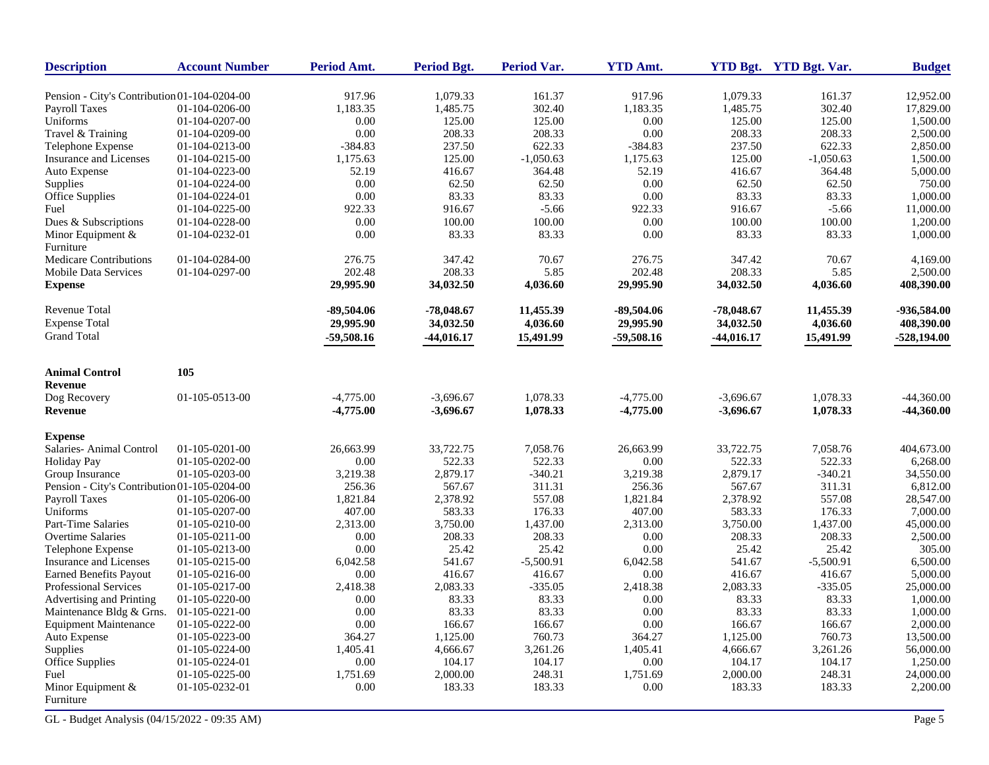| <b>Description</b>                           | <b>Account Number</b> | <b>Period Amt.</b> | Period Bgt.  | <b>Period Var.</b> | <b>YTD Amt.</b> |              | YTD Bgt. YTD Bgt. Var. | <b>Budget</b> |
|----------------------------------------------|-----------------------|--------------------|--------------|--------------------|-----------------|--------------|------------------------|---------------|
| Pension - City's Contribution 01-104-0204-00 |                       | 917.96             | 1,079.33     | 161.37             | 917.96          | 1,079.33     | 161.37                 | 12.952.00     |
| Payroll Taxes                                | 01-104-0206-00        | 1,183.35           | 1,485.75     | 302.40             | 1,183.35        | 1,485.75     | 302.40                 | 17,829.00     |
| Uniforms                                     | 01-104-0207-00        | 0.00               | 125.00       | 125.00             | 0.00            | 125.00       | 125.00                 | 1,500.00      |
| Travel & Training                            | 01-104-0209-00        | 0.00               | 208.33       | 208.33             | 0.00            | 208.33       | 208.33                 | 2,500.00      |
| Telephone Expense                            | 01-104-0213-00        | $-384.83$          | 237.50       | 622.33             | $-384.83$       | 237.50       | 622.33                 | 2,850.00      |
| <b>Insurance and Licenses</b>                | 01-104-0215-00        | 1,175.63           | 125.00       | $-1,050.63$        | 1,175.63        | 125.00       | $-1,050.63$            | 1,500.00      |
| Auto Expense                                 | 01-104-0223-00        | 52.19              | 416.67       | 364.48             | 52.19           | 416.67       | 364.48                 | 5,000.00      |
| <b>Supplies</b>                              | 01-104-0224-00        | 0.00               | 62.50        | 62.50              | 0.00            | 62.50        | 62.50                  | 750.00        |
| Office Supplies                              | 01-104-0224-01        | 0.00               | 83.33        | 83.33              | 0.00            | 83.33        | 83.33                  | 1,000.00      |
| Fuel                                         | 01-104-0225-00        | 922.33             | 916.67       | $-5.66$            | 922.33          | 916.67       | $-5.66$                | 11,000.00     |
|                                              | 01-104-0228-00        | 0.00               | 100.00       | 100.00             | 0.00            | 100.00       | 100.00                 | 1,200.00      |
| Dues & Subscriptions                         | 01-104-0232-01        | 0.00               | 83.33        | 83.33              | 0.00            | 83.33        | 83.33                  | 1,000.00      |
| Minor Equipment &<br>Furniture               |                       |                    |              |                    |                 |              |                        |               |
| Medicare Contributions                       | 01-104-0284-00        | 276.75             | 347.42       | 70.67              | 276.75          | 347.42       | 70.67                  | 4,169.00      |
| <b>Mobile Data Services</b>                  | 01-104-0297-00        | 202.48             | 208.33       | 5.85               | 202.48          | 208.33       | 5.85                   | 2,500.00      |
| <b>Expense</b>                               |                       | 29,995.90          | 34,032.50    | 4,036.60           | 29,995.90       | 34,032.50    | 4,036.60               | 408,390.00    |
| Revenue Total                                |                       | -89,504.06         | $-78,048.67$ | 11,455.39          | $-89,504.06$    | $-78,048,67$ | 11,455.39              | -936,584.00   |
| <b>Expense Total</b>                         |                       | 29,995.90          | 34,032.50    | 4,036.60           | 29,995.90       | 34,032.50    | 4,036.60               | 408,390.00    |
| <b>Grand Total</b>                           |                       | $-59,508.16$       | $-44,016.17$ | 15,491.99          | -59,508.16      | $-44,016.17$ | 15,491.99              | $-528,194.00$ |
|                                              |                       |                    |              |                    |                 |              |                        |               |
| <b>Animal Control</b>                        | 105                   |                    |              |                    |                 |              |                        |               |
| <b>Revenue</b>                               |                       |                    |              |                    |                 |              |                        |               |
| Dog Recovery                                 | 01-105-0513-00        | $-4,775.00$        | $-3,696.67$  | 1,078.33           | $-4,775.00$     | $-3,696.67$  | 1,078.33               | $-44,360.00$  |
| <b>Revenue</b>                               |                       | $-4,775.00$        | $-3,696.67$  | 1,078.33           | $-4,775.00$     | $-3,696.67$  | 1,078.33               | $-44,360.00$  |
| <b>Expense</b>                               |                       |                    |              |                    |                 |              |                        |               |
| Salaries- Animal Control                     | $01-105-0201-00$      | 26,663.99          | 33,722.75    | 7,058.76           | 26,663.99       | 33,722.75    | 7,058.76               | 404,673.00    |
| Holiday Pay                                  | 01-105-0202-00        | 0.00               | 522.33       | 522.33             | 0.00            | 522.33       | 522.33                 | 6,268.00      |
| Group Insurance                              | 01-105-0203-00        | 3,219.38           | 2,879.17     | $-340.21$          | 3,219.38        | 2,879.17     | $-340.21$              | 34,550.00     |
| Pension - City's Contribution 01-105-0204-00 |                       | 256.36             | 567.67       | 311.31             | 256.36          | 567.67       | 311.31                 | 6,812.00      |
| Payroll Taxes                                | 01-105-0206-00        | 1,821.84           | 2,378.92     | 557.08             | 1,821.84        | 2,378.92     | 557.08                 | 28,547.00     |
| Uniforms                                     | 01-105-0207-00        | 407.00             | 583.33       | 176.33             | 407.00          | 583.33       | 176.33                 | 7,000.00      |
| Part-Time Salaries                           | 01-105-0210-00        | 2,313.00           | 3,750.00     | 1,437.00           | 2,313.00        | 3,750.00     | 1,437.00               | 45,000.00     |
| Overtime Salaries                            | 01-105-0211-00        | 0.00               | 208.33       | 208.33             | 0.00            | 208.33       | 208.33                 | 2,500.00      |
| Telephone Expense                            | 01-105-0213-00        | 0.00               | 25.42        | 25.42              | 0.00            | 25.42        | 25.42                  | 305.00        |
| Insurance and Licenses                       | 01-105-0215-00        | 6,042.58           | 541.67       | $-5,500.91$        | 6,042.58        | 541.67       | $-5,500.91$            | 6,500.00      |
| <b>Earned Benefits Payout</b>                | 01-105-0216-00        | 0.00               | 416.67       | 416.67             | 0.00            | 416.67       | 416.67                 | 5,000.00      |
| Professional Services                        | 01-105-0217-00        | 2,418.38           | 2,083.33     | $-335.05$          | 2,418.38        | 2,083.33     | $-335.05$              | 25,000.00     |
| Advertising and Printing                     | 01-105-0220-00        | 0.00               | 83.33        | 83.33              | 0.00            | 83.33        | 83.33                  | 1,000.00      |
| Maintenance Bldg & Grns.                     | $01-105-0221-00$      | 0.00               | 83.33        | 83.33              | 0.00            | 83.33        | 83.33                  | 1,000.00      |
| <b>Equipment Maintenance</b>                 | 01-105-0222-00        | 0.00               | 166.67       | 166.67             | 0.00            | 166.67       | 166.67                 | 2,000.00      |
| Auto Expense                                 | 01-105-0223-00        | 364.27             | 1,125.00     | 760.73             | 364.27          | 1,125.00     | 760.73                 | 13,500.00     |
| Supplies                                     | 01-105-0224-00        | 1,405.41           | 4,666.67     | 3,261.26           | 1,405.41        | 4,666.67     | 3,261.26               | 56,000.00     |
| Office Supplies                              | 01-105-0224-01        | 0.00               | 104.17       | 104.17             | 0.00            | 104.17       | 104.17                 | 1,250.00      |
| Fuel                                         | 01-105-0225-00        | 1,751.69           | 2,000.00     | 248.31             | 1,751.69        | 2,000.00     | 248.31                 | 24,000.00     |
| Minor Equipment $&$<br>Furniture             | 01-105-0232-01        | 0.00               | 183.33       | 183.33             | 0.00            | 183.33       | 183.33                 | 2,200.00      |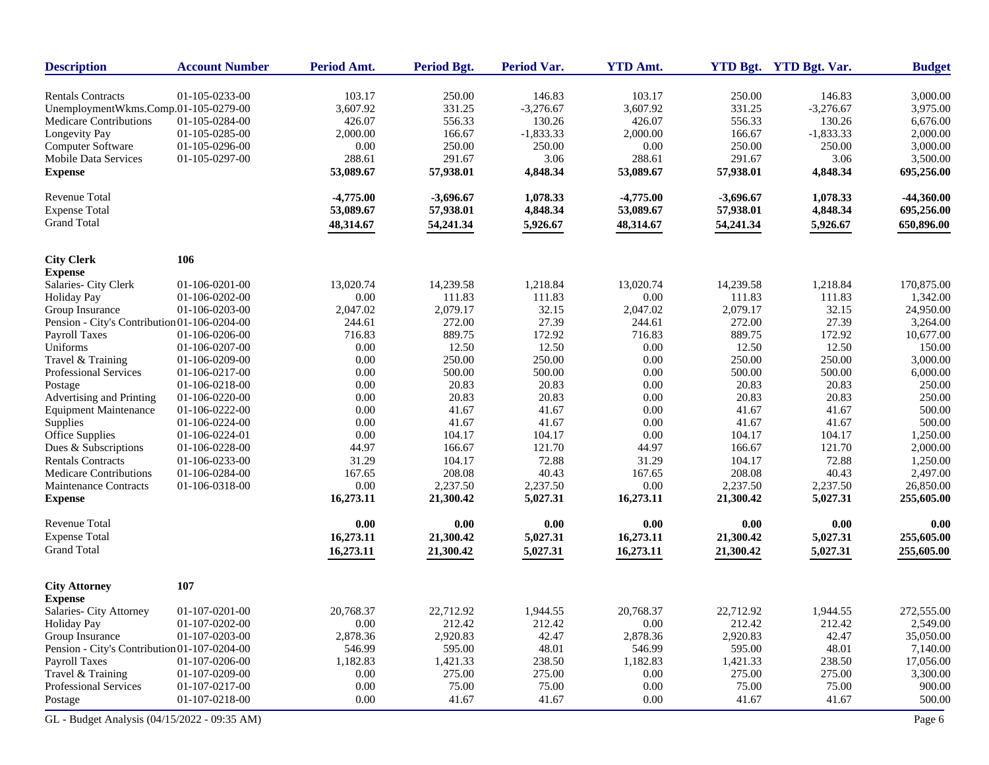| <b>Description</b>                           | <b>Account Number</b> | Period Amt. | <b>Period Bgt.</b> | Period Var. | <b>YTD Amt.</b> |             | YTD Bgt. YTD Bgt. Var. | <b>Budget</b> |
|----------------------------------------------|-----------------------|-------------|--------------------|-------------|-----------------|-------------|------------------------|---------------|
| <b>Rentals Contracts</b>                     | 01-105-0233-00        | 103.17      | 250.00             | 146.83      | 103.17          | 250.00      | 146.83                 | 3,000.00      |
| UnemploymentWkms.Comp.01-105-0279-00         |                       | 3,607.92    | 331.25             | $-3,276.67$ | 3,607.92        | 331.25      | $-3,276.67$            | 3,975.00      |
| Medicare Contributions                       | 01-105-0284-00        | 426.07      | 556.33             | 130.26      | 426.07          | 556.33      | 130.26                 | 6,676.00      |
| Longevity Pay                                | 01-105-0285-00        | 2,000.00    | 166.67             | $-1,833.33$ | 2,000.00        | 166.67      | $-1,833.33$            | 2,000.00      |
| Computer Software                            | 01-105-0296-00        | 0.00        | 250.00             | 250.00      | 0.00            | 250.00      | 250.00                 | 3,000.00      |
| <b>Mobile Data Services</b>                  | 01-105-0297-00        | 288.61      | 291.67             | 3.06        | 288.61          | 291.67      | 3.06                   | 3,500.00      |
| <b>Expense</b>                               |                       | 53,089.67   | 57,938.01          | 4,848.34    | 53,089.67       | 57,938.01   | 4,848.34               | 695,256.00    |
| <b>Revenue Total</b>                         |                       | $-4,775.00$ | $-3,696.67$        | 1,078.33    | $-4,775.00$     | $-3,696.67$ | 1.078.33               | $-44,360.00$  |
| <b>Expense Total</b>                         |                       | 53,089.67   | 57,938.01          | 4,848.34    | 53,089.67       | 57,938.01   | 4,848.34               | 695,256.00    |
| <b>Grand Total</b>                           |                       | 48,314.67   | 54,241.34          | 5,926.67    | 48,314.67       | 54,241.34   | 5,926.67               | 650,896.00    |
| <b>City Clerk</b>                            | 106                   |             |                    |             |                 |             |                        |               |
| <b>Expense</b>                               |                       |             |                    |             |                 |             |                        |               |
| Salaries- City Clerk                         | 01-106-0201-00        | 13,020.74   | 14,239.58          | 1,218.84    | 13,020.74       | 14,239.58   | 1,218.84               | 170,875.00    |
| <b>Holiday Pay</b>                           | 01-106-0202-00        | 0.00        | 111.83             | 111.83      | 0.00            | 111.83      | 111.83                 | 1,342.00      |
| Group Insurance                              | 01-106-0203-00        | 2,047.02    | 2,079.17           | 32.15       | 2,047.02        | 2,079.17    | 32.15                  | 24,950.00     |
| Pension - City's Contribution 01-106-0204-00 |                       | 244.61      | 272.00             | 27.39       | 244.61          | 272.00      | 27.39                  | 3,264.00      |
| Payroll Taxes                                | 01-106-0206-00        | 716.83      | 889.75             | 172.92      | 716.83          | 889.75      | 172.92                 | 10,677.00     |
| Uniforms                                     | 01-106-0207-00        | 0.00        | 12.50              | 12.50       | 0.00            | 12.50       | 12.50                  | 150.00        |
| Travel & Training                            | 01-106-0209-00        | 0.00        | 250.00             | 250.00      | 0.00            | 250.00      | 250.00                 | 3,000.00      |
| Professional Services                        | 01-106-0217-00        | 0.00        | 500.00             | 500.00      | 0.00            | 500.00      | 500.00                 | 6,000.00      |
| Postage                                      | 01-106-0218-00        | 0.00        | 20.83              | 20.83       | 0.00            | 20.83       | 20.83                  | 250.00        |
| Advertising and Printing                     | 01-106-0220-00        | 0.00        | 20.83              | 20.83       | 0.00            | 20.83       | 20.83                  | 250.00        |
| <b>Equipment Maintenance</b>                 | 01-106-0222-00        | 0.00        | 41.67              | 41.67       | 0.00            | 41.67       | 41.67                  | 500.00        |
| Supplies                                     | 01-106-0224-00        | 0.00        | 41.67              | 41.67       | 0.00            | 41.67       | 41.67                  | 500.00        |
| Office Supplies                              | 01-106-0224-01        | 0.00        | 104.17             | 104.17      | 0.00            | 104.17      | 104.17                 | 1,250.00      |
| Dues & Subscriptions                         | 01-106-0228-00        | 44.97       | 166.67             | 121.70      | 44.97           | 166.67      | 121.70                 | 2,000.00      |
| <b>Rentals Contracts</b>                     | 01-106-0233-00        | 31.29       | 104.17             | 72.88       | 31.29           | 104.17      | 72.88                  | 1,250.00      |
| <b>Medicare Contributions</b>                | 01-106-0284-00        | 167.65      | 208.08             | 40.43       | 167.65          | 208.08      | 40.43                  | 2,497.00      |
| Maintenance Contracts                        | 01-106-0318-00        | 0.00        | 2,237.50           | 2,237.50    | 0.00            | 2,237.50    | 2,237.50               | 26,850.00     |
| <b>Expense</b>                               |                       | 16,273.11   | 21,300.42          | 5,027.31    | 16,273.11       | 21,300.42   | 5,027.31               | 255,605.00    |
| <b>Revenue Total</b>                         |                       | 0.00        | 0.00               | 0.00        | 0.00            | 0.00        | 0.00                   | 0.00          |
| <b>Expense Total</b>                         |                       | 16,273.11   | 21,300.42          | 5,027.31    | 16,273.11       | 21,300.42   | 5,027.31               | 255,605.00    |
| <b>Grand Total</b>                           |                       | 16,273.11   | 21,300.42          | 5,027.31    | 16,273.11       | 21,300.42   | 5,027.31               | 255,605.00    |
| <b>City Attorney</b>                         | 107                   |             |                    |             |                 |             |                        |               |
| <b>Expense</b>                               |                       |             |                    |             |                 |             |                        |               |
| Salaries- City Attorney                      | 01-107-0201-00        | 20,768.37   | 22,712.92          | 1,944.55    | 20,768.37       | 22,712.92   | 1,944.55               | 272,555.00    |
| <b>Holiday Pay</b>                           | 01-107-0202-00        | 0.00        | 212.42             | 212.42      | 0.00            | 212.42      | 212.42                 | 2,549.00      |
| Group Insurance                              | 01-107-0203-00        | 2,878.36    | 2,920.83           | 42.47       | 2,878.36        | 2,920.83    | 42.47                  | 35,050.00     |
| Pension - City's Contribution 01-107-0204-00 |                       | 546.99      | 595.00             | 48.01       | 546.99          | 595.00      | 48.01                  | 7,140.00      |
| <b>Payroll Taxes</b>                         | 01-107-0206-00        | 1,182.83    | 1,421.33           | 238.50      | 1,182.83        | 1,421.33    | 238.50                 | 17,056.00     |
| Travel & Training                            | 01-107-0209-00        | 0.00        | 275.00             | 275.00      | 0.00            | 275.00      | 275.00                 | 3,300.00      |
| Professional Services                        | 01-107-0217-00        | 0.00        | 75.00              | 75.00       | 0.00            | 75.00       | 75.00                  | 900.00        |
| Postage                                      | 01-107-0218-00        | 0.00        | 41.67              | 41.67       | 0.00            | 41.67       | 41.67                  | 500.00        |
| GL - Budget Analysis (04/15/2022 - 09:35 AM) |                       |             |                    |             |                 |             |                        | Page 6        |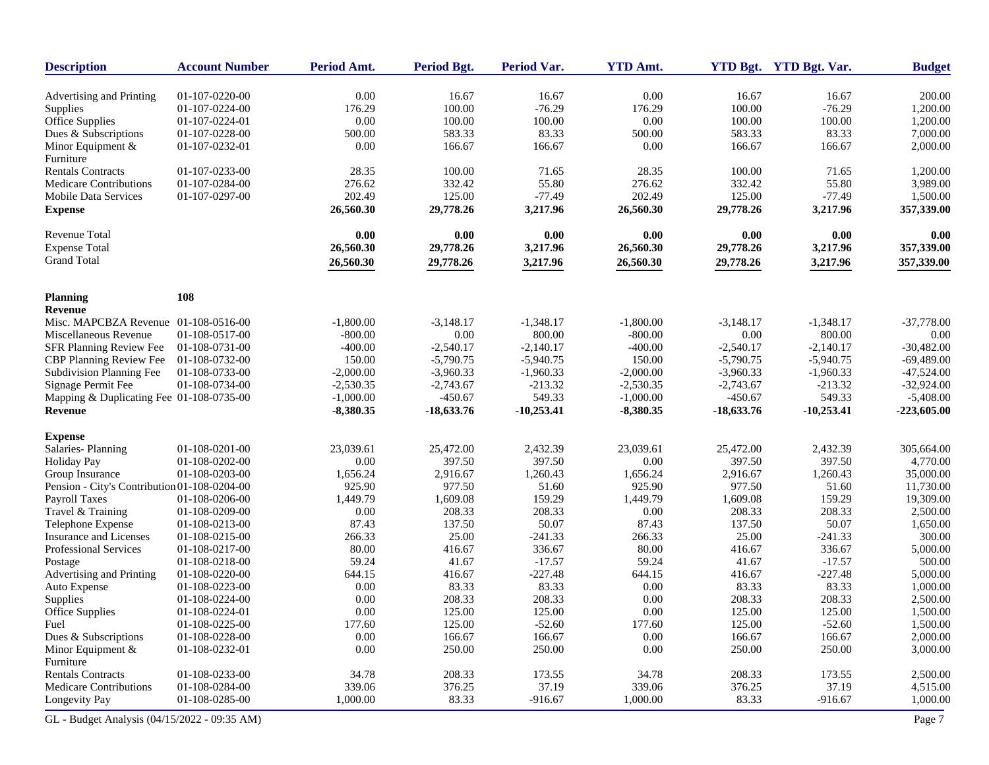| <b>Description</b>                           | <b>Account Number</b>            | Period Amt.    | Period Bgt.      | <b>Period Var.</b> | <b>YTD Amt.</b> |              | YTD Bgt. YTD Bgt. Var. | <b>Budget</b>      |
|----------------------------------------------|----------------------------------|----------------|------------------|--------------------|-----------------|--------------|------------------------|--------------------|
|                                              |                                  |                |                  | 16.67              | 0.00            | 16.67        |                        |                    |
| Advertising and Printing                     | 01-107-0220-00<br>01-107-0224-00 | 0.00<br>176.29 | 16.67<br>100.00  | $-76.29$           | 176.29          | 100.00       | 16.67<br>$-76.29$      | 200.00<br>1,200.00 |
| Supplies<br><b>Office Supplies</b>           | 01-107-0224-01                   | 0.00           | 100.00           | 100.00             | 0.00            | 100.00       | 100.00                 | 1,200.00           |
|                                              |                                  |                |                  | 83.33              | 500.00          | 583.33       | 83.33                  |                    |
| Dues & Subscriptions                         | 01-107-0228-00                   | 500.00         | 583.33<br>166.67 |                    | 0.00            | 166.67       |                        | 7,000.00           |
| Minor Equipment &<br>Furniture               | 01-107-0232-01                   | 0.00           |                  | 166.67             |                 |              | 166.67                 | 2,000.00           |
| <b>Rentals Contracts</b>                     | 01-107-0233-00                   | 28.35          | 100.00           | 71.65              | 28.35           | 100.00       | 71.65                  | 1,200.00           |
| <b>Medicare Contributions</b>                | 01-107-0284-00                   | 276.62         | 332.42           | 55.80              | 276.62          | 332.42       | 55.80                  | 3,989.00           |
| Mobile Data Services                         | 01-107-0297-00                   | 202.49         | 125.00           | $-77.49$           | 202.49          | 125.00       | $-77.49$               | 1,500.00           |
| <b>Expense</b>                               |                                  | 26,560.30      | 29,778.26        | 3,217.96           | 26,560.30       | 29,778.26    | 3,217.96               | 357,339.00         |
| Revenue Total                                |                                  | 0.00           | 0.00             | 0.00               | 0.00            | 0.00         | 0.00                   | 0.00               |
| <b>Expense Total</b>                         |                                  | 26,560.30      | 29,778.26        | 3,217.96           | 26,560.30       | 29,778.26    | 3,217.96               | 357,339.00         |
| <b>Grand Total</b>                           |                                  | 26,560.30      | 29,778.26        | 3,217.96           | 26,560.30       | 29,778.26    | 3,217.96               | 357,339.00         |
| <b>Planning</b>                              | 108                              |                |                  |                    |                 |              |                        |                    |
| <b>Revenue</b>                               |                                  |                |                  |                    |                 |              |                        |                    |
| Misc. MAPCBZA Revenue 01-108-0516-00         |                                  | $-1.800.00$    | $-3,148.17$      | $-1,348.17$        | $-1,800.00$     | $-3,148.17$  | $-1,348.17$            | $-37,778.00$       |
| Miscellaneous Revenue                        | 01-108-0517-00                   | $-800.00$      | 0.00             | 800.00             | $-800.00$       | 0.00         | 800.00                 | 0.00               |
| SFR Planning Review Fee                      | 01-108-0731-00                   | $-400.00$      | $-2,540.17$      | $-2,140.17$        | $-400.00$       | $-2,540.17$  | $-2,140.17$            | $-30,482.00$       |
| CBP Planning Review Fee                      | 01-108-0732-00                   | 150.00         | $-5,790.75$      | $-5,940.75$        | 150.00          | $-5,790.75$  | $-5,940.75$            | $-69,489.00$       |
| Subdivision Planning Fee                     | 01-108-0733-00                   | $-2,000.00$    | $-3,960.33$      | $-1,960.33$        | $-2,000.00$     | $-3,960.33$  | $-1,960.33$            | $-47,524.00$       |
| Signage Permit Fee                           | 01-108-0734-00                   | $-2,530.35$    | $-2,743.67$      | $-213.32$          | $-2,530.35$     | $-2,743.67$  | $-213.32$              | $-32,924.00$       |
| Mapping & Duplicating Fee 01-108-0735-00     |                                  | $-1,000.00$    | $-450.67$        | 549.33             | $-1,000.00$     | $-450.67$    | 549.33                 | $-5,408.00$        |
| <b>Revenue</b>                               |                                  | $-8,380.35$    | $-18,633.76$     | $-10,253.41$       | $-8,380.35$     | $-18,633.76$ | $-10,253.41$           | $-223,605.00$      |
| <b>Expense</b>                               |                                  |                |                  |                    |                 |              |                        |                    |
| Salaries-Planning                            | 01-108-0201-00                   | 23,039.61      | 25,472.00        | 2,432.39           | 23,039.61       | 25,472.00    | 2,432.39               | 305,664.00         |
| <b>Holiday Pay</b>                           | 01-108-0202-00                   | $0.00\,$       | 397.50           | 397.50             | 0.00            | 397.50       | 397.50                 | 4,770.00           |
| Group Insurance                              | 01-108-0203-00                   | 1,656.24       | 2,916.67         | 1,260.43           | 1,656.24        | 2,916.67     | 1,260.43               | 35,000.00          |
| Pension - City's Contribution 01-108-0204-00 |                                  | 925.90         | 977.50           | 51.60              | 925.90          | 977.50       | 51.60                  | 11,730.00          |
| Payroll Taxes                                | 01-108-0206-00                   | 1,449.79       | 1,609.08         | 159.29             | 1,449.79        | 1,609.08     | 159.29                 | 19,309.00          |
| Travel & Training                            | 01-108-0209-00                   | $0.00\,$       | 208.33           | 208.33             | 0.00            | 208.33       | 208.33                 | 2,500.00           |
| Telephone Expense                            | 01-108-0213-00                   | 87.43          | 137.50           | 50.07              | 87.43           | 137.50       | 50.07                  | 1,650.00           |
| Insurance and Licenses                       | 01-108-0215-00                   | 266.33         | 25.00            | $-241.33$          | 266.33          | 25.00        | $-241.33$              | 300.00             |
| Professional Services                        | 01-108-0217-00                   | 80.00          | 416.67           | 336.67             | 80.00           | 416.67       | 336.67                 | 5,000.00           |
| Postage                                      | 01-108-0218-00                   | 59.24          | 41.67            | $-17.57$           | 59.24           | 41.67        | $-17.57$               | 500.00             |
| Advertising and Printing                     | 01-108-0220-00                   | 644.15         | 416.67           | $-227.48$          | 644.15          | 416.67       | $-227.48$              | 5,000.00           |
| Auto Expense                                 | 01-108-0223-00                   | 0.00           | 83.33            | 83.33              | 0.00            | 83.33        | 83.33                  | 1,000.00           |
| Supplies                                     | 01-108-0224-00                   | 0.00           | 208.33           | 208.33             | 0.00            | 208.33       | 208.33                 | 2,500.00           |
| Office Supplies                              | 01-108-0224-01                   | 0.00           | 125.00           | 125.00             | 0.00            | 125.00       | 125.00                 | 1,500.00           |
| Fuel                                         | 01-108-0225-00                   | 177.60         | 125.00           | $-52.60$           | 177.60          | 125.00       | $-52.60$               | 1,500.00           |
| Dues & Subscriptions                         | 01-108-0228-00                   | $0.00\,$       | 166.67           | 166.67             | 0.00            | 166.67       | 166.67                 | 2,000.00           |
| Minor Equipment $&$<br>Furniture             | 01-108-0232-01                   | $0.00\,$       | 250.00           | 250.00             | 0.00            | 250.00       | 250.00                 | 3,000.00           |
| <b>Rentals Contracts</b>                     | 01-108-0233-00                   | 34.78          | 208.33           | 173.55             | 34.78           | 208.33       | 173.55                 | 2,500.00           |
| Medicare Contributions                       | 01-108-0284-00                   | 339.06         | 376.25           | 37.19              | 339.06          | 376.25       | 37.19                  | 4,515.00           |
| Longevity Pay                                | 01-108-0285-00                   | 1,000.00       | 83.33            | $-916.67$          | 1,000.00        | 83.33        | $-916.67$              | 1,000.00           |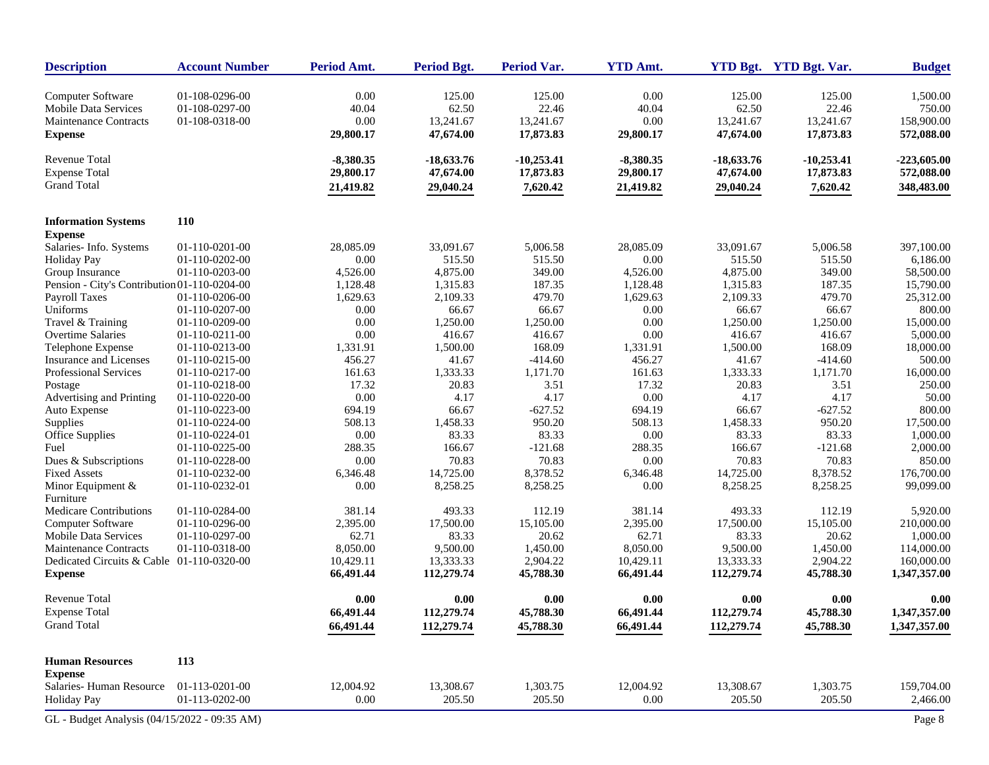| <b>Description</b>                           | <b>Account Number</b> | Period Amt. | <b>Period Bgt.</b> | <b>Period Var.</b> | <b>YTD Amt.</b> |              | YTD Bgt. YTD Bgt. Var. | <b>Budget</b> |
|----------------------------------------------|-----------------------|-------------|--------------------|--------------------|-----------------|--------------|------------------------|---------------|
| Computer Software                            | 01-108-0296-00        | 0.00        | 125.00             | 125.00             | 0.00            | 125.00       | 125.00                 | 1,500.00      |
| Mobile Data Services                         | 01-108-0297-00        | 40.04       | 62.50              | 22.46              | 40.04           | 62.50        | 22.46                  | 750.00        |
| <b>Maintenance Contracts</b>                 | 01-108-0318-00        | 0.00        | 13,241.67          | 13,241.67          | 0.00            | 13,241.67    | 13,241.67              | 158,900.00    |
| <b>Expense</b>                               |                       | 29,800.17   | 47,674.00          | 17,873.83          | 29,800.17       | 47,674.00    | 17,873.83              | 572,088.00    |
| Revenue Total                                |                       | $-8,380.35$ | $-18,633.76$       | $-10,253.41$       | $-8,380.35$     | $-18,633.76$ | $-10,253.41$           | $-223,605.00$ |
| <b>Expense Total</b>                         |                       | 29,800.17   | 47,674.00          | 17,873.83          | 29,800.17       | 47,674.00    | 17,873.83              | 572,088.00    |
| <b>Grand Total</b>                           |                       | 21,419.82   | 29,040.24          | 7,620.42           | 21,419.82       | 29,040.24    | 7,620.42               | 348,483.00    |
| <b>Information Systems</b>                   | <b>110</b>            |             |                    |                    |                 |              |                        |               |
| <b>Expense</b>                               |                       |             |                    |                    |                 |              |                        |               |
| Salaries-Info. Systems                       | 01-110-0201-00        | 28,085.09   | 33,091.67          | 5,006.58           | 28,085.09       | 33,091.67    | 5,006.58               | 397,100.00    |
| <b>Holiday Pay</b>                           | 01-110-0202-00        | 0.00        | 515.50             | 515.50             | 0.00            | 515.50       | 515.50                 | 6,186.00      |
| Group Insurance                              | 01-110-0203-00        | 4,526.00    | 4,875.00           | 349.00             | 4,526.00        | 4,875.00     | 349.00                 | 58,500.00     |
| Pension - City's Contribution 01-110-0204-00 |                       | 1,128.48    | 1,315.83           | 187.35             | 1,128.48        | 1,315.83     | 187.35                 | 15,790.00     |
| Payroll Taxes                                | 01-110-0206-00        | 1,629.63    | 2,109.33           | 479.70             | 1,629.63        | 2,109.33     | 479.70                 | 25,312.00     |
| Uniforms                                     | 01-110-0207-00        | 0.00        | 66.67              | 66.67              | 0.00            | 66.67        | 66.67                  | 800.00        |
| Travel & Training                            | 01-110-0209-00        | 0.00        | 1,250.00           | 1,250.00           | 0.00            | 1,250.00     | 1,250.00               | 15,000.00     |
| <b>Overtime Salaries</b>                     | 01-110-0211-00        | 0.00        | 416.67             | 416.67             | 0.00            | 416.67       | 416.67                 | 5,000.00      |
| Telephone Expense                            | 01-110-0213-00        | 1,331.91    | 1,500.00           | 168.09             | 1,331.91        | 1,500.00     | 168.09                 | 18,000.00     |
| <b>Insurance and Licenses</b>                | 01-110-0215-00        | 456.27      | 41.67              | $-414.60$          | 456.27          | 41.67        | $-414.60$              | 500.00        |
| Professional Services                        | 01-110-0217-00        | 161.63      | 1,333.33           | 1,171.70           | 161.63          | 1,333.33     | 1,171.70               | 16,000.00     |
| Postage                                      | 01-110-0218-00        | 17.32       | 20.83              | 3.51               | 17.32           | 20.83        | 3.51                   | 250.00        |
| Advertising and Printing                     | 01-110-0220-00        | 0.00        | 4.17               | 4.17               | 0.00            | 4.17         | 4.17                   | 50.00         |
| Auto Expense                                 | 01-110-0223-00        | 694.19      | 66.67              | $-627.52$          | 694.19          | 66.67        | $-627.52$              | 800.00        |
| Supplies                                     | 01-110-0224-00        | 508.13      | 1,458.33           | 950.20             | 508.13          | 1,458.33     | 950.20                 | 17,500.00     |
| <b>Office Supplies</b>                       | 01-110-0224-01        | 0.00        | 83.33              | 83.33              | 0.00            | 83.33        | 83.33                  | 1,000.00      |
| Fuel                                         | 01-110-0225-00        | 288.35      | 166.67             | $-121.68$          | 288.35          | 166.67       | $-121.68$              | 2,000.00      |
| Dues & Subscriptions                         | 01-110-0228-00        | $0.00\,$    | 70.83              | 70.83              | 0.00            | 70.83        | 70.83                  | 850.00        |
| <b>Fixed Assets</b>                          | 01-110-0232-00        | 6,346.48    | 14,725.00          | 8,378.52           | 6,346.48        | 14,725.00    | 8,378.52               | 176,700.00    |
| Minor Equipment $&$<br>Furniture             | 01-110-0232-01        | 0.00        | 8,258.25           | 8,258.25           | 0.00            | 8,258.25     | 8,258.25               | 99,099.00     |
| Medicare Contributions                       | 01-110-0284-00        | 381.14      | 493.33             | 112.19             | 381.14          | 493.33       | 112.19                 | 5,920.00      |
| Computer Software                            | 01-110-0296-00        | 2,395.00    | 17,500.00          | 15,105.00          | 2,395.00        | 17,500.00    | 15,105.00              | 210,000.00    |
| <b>Mobile Data Services</b>                  | 01-110-0297-00        | 62.71       | 83.33              | 20.62              | 62.71           | 83.33        | 20.62                  | 1,000.00      |
| <b>Maintenance Contracts</b>                 | 01-110-0318-00        | 8,050.00    | 9,500.00           | 1,450.00           | 8,050.00        | 9,500.00     | 1,450.00               | 114,000.00    |
| Dedicated Circuits & Cable 01-110-0320-00    |                       | 10,429.11   | 13,333.33          | 2,904.22           | 10,429.11       | 13,333.33    | 2,904.22               | 160,000.00    |
| <b>Expense</b>                               |                       | 66,491.44   | 112,279.74         | 45,788.30          | 66,491.44       | 112,279.74   | 45,788.30              | 1,347,357.00  |
| <b>Revenue Total</b>                         |                       | 0.00        | 0.00               | 0.00               | 0.00            | 0.00         | 0.00                   | 0.00          |
| <b>Expense Total</b>                         |                       | 66,491.44   | 112,279.74         | 45,788.30          | 66,491.44       | 112,279.74   | 45,788.30              | 1,347,357.00  |
| <b>Grand Total</b>                           |                       | 66,491.44   | 112,279.74         | 45,788.30          | 66,491.44       | 112,279.74   | 45,788.30              | 1,347,357.00  |
| <b>Human Resources</b>                       | 113                   |             |                    |                    |                 |              |                        |               |
| <b>Expense</b>                               |                       |             |                    |                    |                 |              |                        |               |
| Salaries-Human Resource                      | 01-113-0201-00        | 12,004.92   | 13,308.67          | 1,303.75           | 12,004.92       | 13,308.67    | 1,303.75               | 159,704.00    |
| <b>Holiday Pay</b>                           | 01-113-0202-00        | 0.00        | 205.50             | 205.50             | 0.00            | 205.50       | 205.50                 | 2,466.00      |
| GL - Budget Analysis (04/15/2022 - 09:35 AM) |                       |             |                    |                    |                 |              |                        | Page 8        |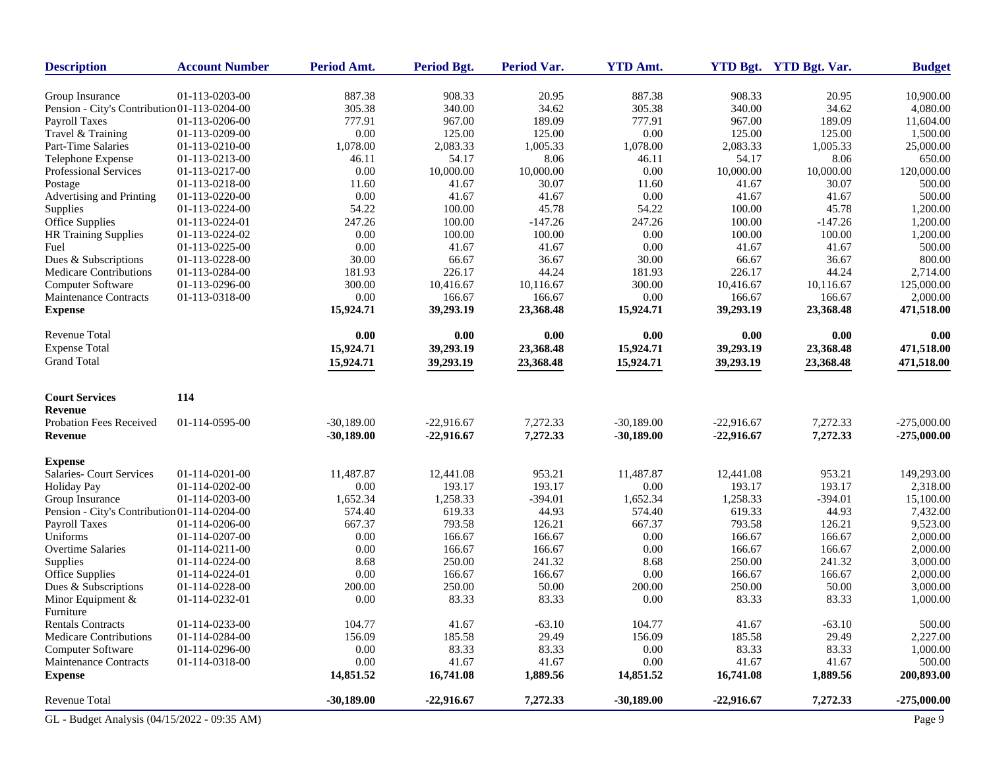| <b>Description</b>                           | <b>Account Number</b> | Period Amt.  | <b>Period Bgt.</b> | <b>Period Var.</b> | <b>YTD Amt.</b> |              | YTD Bgt. YTD Bgt. Var. | <b>Budget</b> |
|----------------------------------------------|-----------------------|--------------|--------------------|--------------------|-----------------|--------------|------------------------|---------------|
| Group Insurance                              | 01-113-0203-00        | 887.38       | 908.33             | 20.95              | 887.38          | 908.33       | 20.95                  | 10,900.00     |
| Pension - City's Contribution 01-113-0204-00 |                       | 305.38       | 340.00             | 34.62              | 305.38          | 340.00       | 34.62                  | 4,080.00      |
| <b>Payroll Taxes</b>                         | 01-113-0206-00        | 777.91       | 967.00             | 189.09             | 777.91          | 967.00       | 189.09                 | 11,604.00     |
| Travel & Training                            | 01-113-0209-00        | 0.00         | 125.00             | 125.00             | 0.00            | 125.00       | 125.00                 | 1,500.00      |
| Part-Time Salaries                           | 01-113-0210-00        | 1,078.00     | 2,083.33           | 1,005.33           | 1,078.00        | 2,083.33     | 1,005.33               | 25,000.00     |
| Telephone Expense                            | 01-113-0213-00        | 46.11        | 54.17              | 8.06               | 46.11           | 54.17        | 8.06                   | 650.00        |
| Professional Services                        | 01-113-0217-00        | 0.00         | 10,000.00          | 10,000.00          | 0.00            | 10,000.00    | 10,000.00              | 120,000.00    |
| Postage                                      | 01-113-0218-00        | 11.60        | 41.67              | 30.07              | 11.60           | 41.67        | 30.07                  | 500.00        |
| Advertising and Printing                     | 01-113-0220-00        | 0.00         | 41.67              | 41.67              | 0.00            | 41.67        | 41.67                  | 500.00        |
| Supplies                                     | 01-113-0224-00        | 54.22        | 100.00             | 45.78              | 54.22           | 100.00       | 45.78                  | 1,200.00      |
| Office Supplies                              | 01-113-0224-01        | 247.26       | 100.00             | $-147.26$          | 247.26          | 100.00       | $-147.26$              | 1,200.00      |
| HR Training Supplies                         | 01-113-0224-02        | 0.00         | 100.00             | 100.00             | 0.00            | 100.00       | 100.00                 | 1,200.00      |
| Fuel                                         | 01-113-0225-00        | 0.00         | 41.67              | 41.67              | 0.00            | 41.67        | 41.67                  | 500.00        |
| Dues & Subscriptions                         | 01-113-0228-00        | 30.00        | 66.67              | 36.67              | 30.00           | 66.67        | 36.67                  | 800.00        |
| Medicare Contributions                       | 01-113-0284-00        | 181.93       | 226.17             | 44.24              | 181.93          | 226.17       | 44.24                  | 2,714.00      |
| Computer Software                            | 01-113-0296-00        | 300.00       | 10,416.67          | 10,116.67          | 300.00          | 10,416.67    | 10,116.67              | 125,000.00    |
| <b>Maintenance Contracts</b>                 | 01-113-0318-00        | 0.00         | 166.67             | 166.67             | 0.00            | 166.67       | 166.67                 | 2,000.00      |
| <b>Expense</b>                               |                       | 15,924.71    | 39,293.19          | 23,368.48          | 15,924.71       | 39,293.19    | 23,368.48              | 471,518.00    |
| <b>Revenue Total</b>                         |                       | 0.00         | 0.00               | $0.00\,$           | 0.00            | 0.00         | 0.00                   | 0.00          |
| <b>Expense Total</b>                         |                       | 15,924.71    | 39,293.19          | 23,368.48          | 15,924.71       | 39,293.19    | 23,368.48              | 471,518.00    |
| <b>Grand Total</b>                           |                       | 15,924.71    | 39,293.19          | 23,368.48          | 15,924.71       | 39,293.19    | 23,368.48              | 471,518.00    |
|                                              |                       |              |                    |                    |                 |              |                        |               |
| <b>Court Services</b><br>Revenue             | 114                   |              |                    |                    |                 |              |                        |               |
| Probation Fees Received                      | 01-114-0595-00        | $-30,189.00$ | $-22,916.67$       | 7,272.33           | $-30,189.00$    | $-22,916.67$ | 7,272.33               | $-275,000.00$ |
| Revenue                                      |                       | $-30,189.00$ | $-22,916.67$       | 7,272.33           | $-30,189.00$    | $-22,916.67$ | 7,272.33               | $-275,000.00$ |
| <b>Expense</b>                               |                       |              |                    |                    |                 |              |                        |               |
| Salaries- Court Services                     | 01-114-0201-00        | 11,487.87    | 12,441.08          | 953.21             | 11,487.87       | 12,441.08    | 953.21                 | 149,293.00    |
| <b>Holiday Pay</b>                           | 01-114-0202-00        | 0.00         | 193.17             | 193.17             | 0.00            | 193.17       | 193.17                 | 2,318.00      |
| Group Insurance                              | 01-114-0203-00        | 1,652.34     | 1,258.33           | $-394.01$          | 1,652.34        | 1,258.33     | $-394.01$              | 15,100.00     |
| Pension - City's Contribution 01-114-0204-00 |                       | 574.40       | 619.33             | 44.93              | 574.40          | 619.33       | 44.93                  | 7,432.00      |
| <b>Payroll Taxes</b>                         | 01-114-0206-00        | 667.37       | 793.58             | 126.21             | 667.37          | 793.58       | 126.21                 | 9,523.00      |
| Uniforms                                     | 01-114-0207-00        | 0.00         | 166.67             | 166.67             | 0.00            | 166.67       | 166.67                 | 2,000.00      |
| <b>Overtime Salaries</b>                     | 01-114-0211-00        | 0.00         | 166.67             | 166.67             | 0.00            | 166.67       | 166.67                 | 2,000.00      |
| Supplies                                     | 01-114-0224-00        | 8.68         | 250.00             | 241.32             | 8.68            | 250.00       | 241.32                 | 3,000.00      |
| Office Supplies                              | 01-114-0224-01        | 0.00         | 166.67             | 166.67             | 0.00            | 166.67       | 166.67                 | 2,000.00      |
| Dues & Subscriptions                         | 01-114-0228-00        | 200.00       | 250.00             | 50.00              | 200.00          | 250.00       | 50.00                  | 3,000.00      |
| Minor Equipment &<br>Furniture               | 01-114-0232-01        | 0.00         | 83.33              | 83.33              | 0.00            | 83.33        | 83.33                  | 1,000.00      |
| <b>Rentals Contracts</b>                     | 01-114-0233-00        | 104.77       | 41.67              | $-63.10$           | 104.77          | 41.67        | $-63.10$               | 500.00        |
| <b>Medicare Contributions</b>                | 01-114-0284-00        | 156.09       | 185.58             | 29.49              | 156.09          | 185.58       | 29.49                  | 2,227.00      |
| Computer Software                            | 01-114-0296-00        | 0.00         | 83.33              | 83.33              | 0.00            | 83.33        | 83.33                  | 1,000.00      |
| <b>Maintenance Contracts</b>                 | 01-114-0318-00        | 0.00         | 41.67              | 41.67              | 0.00            | 41.67        | 41.67                  | 500.00        |
| <b>Expense</b>                               |                       | 14,851.52    | 16,741.08          | 1,889.56           | 14,851.52       | 16,741.08    | 1,889.56               | 200,893.00    |
| <b>Revenue Total</b>                         |                       | $-30,189.00$ | $-22,916.67$       | 7,272.33           | $-30,189.00$    | $-22,916.67$ | 7,272.33               | $-275,000.00$ |
| GL - Budget Analysis (04/15/2022 - 09:35 AM) |                       |              |                    |                    |                 |              |                        | Page 9        |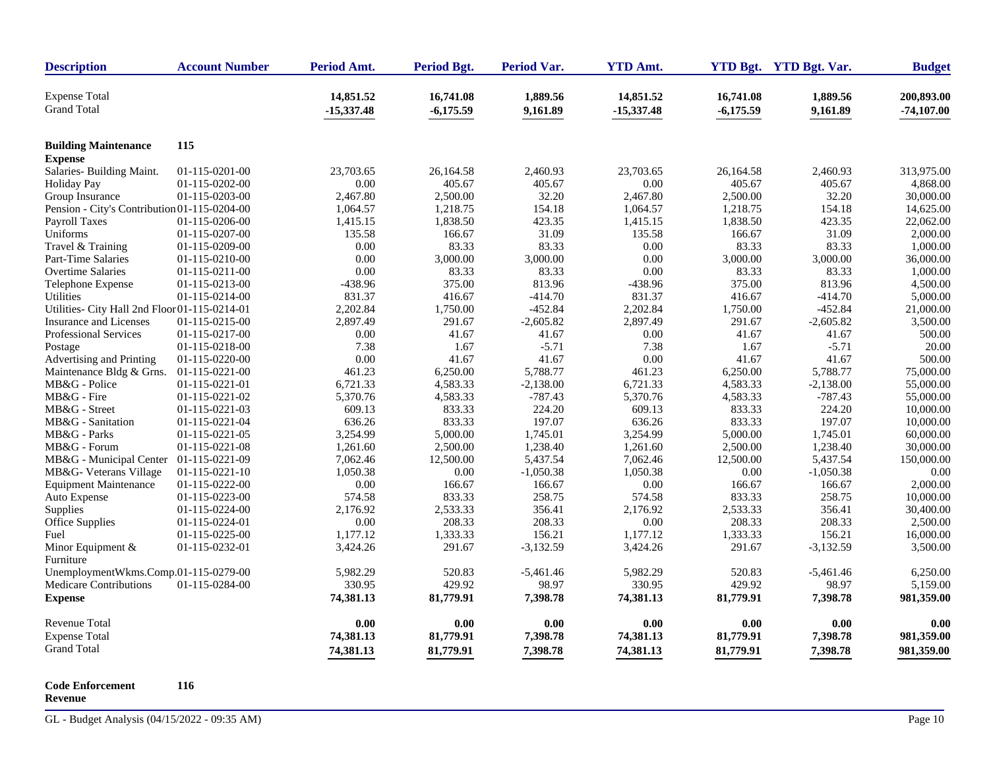| <b>Expense Total</b><br>14,851.52<br>16,741.08<br>1,889.56<br>14,851.52<br>16,741.08<br>1,889.56<br><b>Grand Total</b><br>$-15,337.48$<br>$-6,175.59$<br>$-6,175.59$<br>9,161.89<br>$-15,337.48$<br>9,161.89<br>115<br><b>Building Maintenance</b><br><b>Expense</b><br>Salaries- Building Maint.<br>01-115-0201-00<br>23,703.65<br>2,460.93<br>23,703.65<br>2,460.93<br>26,164.58<br>26,164.58<br>0.00<br>0.00<br>405.67<br><b>Holiday Pay</b><br>01-115-0202-00<br>405.67<br>405.67<br>405.67<br>2,467.80<br>32.20<br>2,467.80<br>2,500.00<br>32.20<br>Group Insurance<br>01-115-0203-00<br>2,500.00<br>Pension - City's Contribution 01-115-0204-00<br>1,218.75<br>154.18<br>1,064.57<br>1,218.75<br>154.18<br>1,064.57<br>1,838.50<br>423.35<br>1,838.50<br>423.35<br>Payroll Taxes<br>01-115-0206-00<br>1,415.15<br>1,415.15<br>Uniforms<br>31.09<br>135.58<br>31.09<br>01-115-0207-00<br>135.58<br>166.67<br>166.67<br>83.33<br>83.33<br>0.00<br>83.33<br>83.33<br>Travel & Training<br>01-115-0209-00<br>0.00<br>0.00<br>3,000.00<br>3,000.00<br>0.00<br>3,000.00<br>3,000.00<br>Part-Time Salaries<br>01-115-0210-00<br><b>Overtime Salaries</b><br>0.00<br>83.33<br>83.33<br>0.00<br>83.33<br>83.33<br>01-115-0211-00<br>813.96<br>01-115-0213-00<br>-438.96<br>375.00<br>813.96<br>-438.96<br>375.00<br>Telephone Expense<br>Utilities<br>01-115-0214-00<br>831.37<br>416.67<br>$-414.70$<br>831.37<br>416.67<br>$-414.70$ |                            |
|--------------------------------------------------------------------------------------------------------------------------------------------------------------------------------------------------------------------------------------------------------------------------------------------------------------------------------------------------------------------------------------------------------------------------------------------------------------------------------------------------------------------------------------------------------------------------------------------------------------------------------------------------------------------------------------------------------------------------------------------------------------------------------------------------------------------------------------------------------------------------------------------------------------------------------------------------------------------------------------------------------------------------------------------------------------------------------------------------------------------------------------------------------------------------------------------------------------------------------------------------------------------------------------------------------------------------------------------------------------------------------------------------------------------------------------|----------------------------|
|                                                                                                                                                                                                                                                                                                                                                                                                                                                                                                                                                                                                                                                                                                                                                                                                                                                                                                                                                                                                                                                                                                                                                                                                                                                                                                                                                                                                                                      | 200,893.00<br>$-74,107.00$ |
|                                                                                                                                                                                                                                                                                                                                                                                                                                                                                                                                                                                                                                                                                                                                                                                                                                                                                                                                                                                                                                                                                                                                                                                                                                                                                                                                                                                                                                      |                            |
|                                                                                                                                                                                                                                                                                                                                                                                                                                                                                                                                                                                                                                                                                                                                                                                                                                                                                                                                                                                                                                                                                                                                                                                                                                                                                                                                                                                                                                      |                            |
|                                                                                                                                                                                                                                                                                                                                                                                                                                                                                                                                                                                                                                                                                                                                                                                                                                                                                                                                                                                                                                                                                                                                                                                                                                                                                                                                                                                                                                      | 313,975.00                 |
|                                                                                                                                                                                                                                                                                                                                                                                                                                                                                                                                                                                                                                                                                                                                                                                                                                                                                                                                                                                                                                                                                                                                                                                                                                                                                                                                                                                                                                      | 4,868.00                   |
|                                                                                                                                                                                                                                                                                                                                                                                                                                                                                                                                                                                                                                                                                                                                                                                                                                                                                                                                                                                                                                                                                                                                                                                                                                                                                                                                                                                                                                      | 30,000.00                  |
|                                                                                                                                                                                                                                                                                                                                                                                                                                                                                                                                                                                                                                                                                                                                                                                                                                                                                                                                                                                                                                                                                                                                                                                                                                                                                                                                                                                                                                      | 14,625.00                  |
|                                                                                                                                                                                                                                                                                                                                                                                                                                                                                                                                                                                                                                                                                                                                                                                                                                                                                                                                                                                                                                                                                                                                                                                                                                                                                                                                                                                                                                      | 22,062.00                  |
|                                                                                                                                                                                                                                                                                                                                                                                                                                                                                                                                                                                                                                                                                                                                                                                                                                                                                                                                                                                                                                                                                                                                                                                                                                                                                                                                                                                                                                      | 2,000.00                   |
|                                                                                                                                                                                                                                                                                                                                                                                                                                                                                                                                                                                                                                                                                                                                                                                                                                                                                                                                                                                                                                                                                                                                                                                                                                                                                                                                                                                                                                      | 1,000.00                   |
|                                                                                                                                                                                                                                                                                                                                                                                                                                                                                                                                                                                                                                                                                                                                                                                                                                                                                                                                                                                                                                                                                                                                                                                                                                                                                                                                                                                                                                      | 36,000.00                  |
|                                                                                                                                                                                                                                                                                                                                                                                                                                                                                                                                                                                                                                                                                                                                                                                                                                                                                                                                                                                                                                                                                                                                                                                                                                                                                                                                                                                                                                      | 1,000.00                   |
|                                                                                                                                                                                                                                                                                                                                                                                                                                                                                                                                                                                                                                                                                                                                                                                                                                                                                                                                                                                                                                                                                                                                                                                                                                                                                                                                                                                                                                      | 4,500.00                   |
|                                                                                                                                                                                                                                                                                                                                                                                                                                                                                                                                                                                                                                                                                                                                                                                                                                                                                                                                                                                                                                                                                                                                                                                                                                                                                                                                                                                                                                      | 5,000.00                   |
| 1,750.00<br>$-452.84$<br>2,202.84<br>$-452.84$<br>Utilities- City Hall 2nd Floor 01-115-0214-01<br>2,202.84<br>1,750.00                                                                                                                                                                                                                                                                                                                                                                                                                                                                                                                                                                                                                                                                                                                                                                                                                                                                                                                                                                                                                                                                                                                                                                                                                                                                                                              | 21,000.00                  |
| $-2,605.82$<br>2,897.49<br><b>Insurance and Licenses</b><br>01-115-0215-00<br>2,897.49<br>291.67<br>291.67<br>$-2,605.82$                                                                                                                                                                                                                                                                                                                                                                                                                                                                                                                                                                                                                                                                                                                                                                                                                                                                                                                                                                                                                                                                                                                                                                                                                                                                                                            | 3,500.00                   |
| <b>Professional Services</b><br>01-115-0217-00<br>0.00<br>41.67<br>41.67<br>0.00<br>41.67<br>41.67                                                                                                                                                                                                                                                                                                                                                                                                                                                                                                                                                                                                                                                                                                                                                                                                                                                                                                                                                                                                                                                                                                                                                                                                                                                                                                                                   | 500.00                     |
| 01-115-0218-00<br>7.38<br>1.67<br>$-5.71$<br>7.38<br>1.67<br>$-5.71$<br>Postage                                                                                                                                                                                                                                                                                                                                                                                                                                                                                                                                                                                                                                                                                                                                                                                                                                                                                                                                                                                                                                                                                                                                                                                                                                                                                                                                                      | 20.00                      |
| 0.00<br>41.67<br>0.00<br>41.67<br>41.67<br>Advertising and Printing<br>01-115-0220-00<br>41.67                                                                                                                                                                                                                                                                                                                                                                                                                                                                                                                                                                                                                                                                                                                                                                                                                                                                                                                                                                                                                                                                                                                                                                                                                                                                                                                                       | 500.00                     |
| 461.23<br>5,788.77<br>6,250.00<br>5,788.77<br>Maintenance Bldg & Grns.<br>01-115-0221-00<br>6,250.00<br>461.23                                                                                                                                                                                                                                                                                                                                                                                                                                                                                                                                                                                                                                                                                                                                                                                                                                                                                                                                                                                                                                                                                                                                                                                                                                                                                                                       | 75,000.00                  |
| MB&G - Police<br>6,721.33<br>4,583.33<br>$-2,138.00$<br>6,721.33<br>4,583.33<br>$-2,138.00$<br>01-115-0221-01                                                                                                                                                                                                                                                                                                                                                                                                                                                                                                                                                                                                                                                                                                                                                                                                                                                                                                                                                                                                                                                                                                                                                                                                                                                                                                                        | 55,000.00                  |
| $-787.43$<br>MB&G - Fire<br>01-115-0221-02<br>5,370.76<br>4,583.33<br>5,370.76<br>4,583.33<br>$-787.43$                                                                                                                                                                                                                                                                                                                                                                                                                                                                                                                                                                                                                                                                                                                                                                                                                                                                                                                                                                                                                                                                                                                                                                                                                                                                                                                              | 55,000.00                  |
| 833.33<br>MB&G - Street<br>01-115-0221-03<br>609.13<br>833.33<br>224.20<br>609.13<br>224.20                                                                                                                                                                                                                                                                                                                                                                                                                                                                                                                                                                                                                                                                                                                                                                                                                                                                                                                                                                                                                                                                                                                                                                                                                                                                                                                                          | 10,000.00                  |
| 636.26<br>833.33<br>197.07<br>636.26<br>833.33<br>197.07<br>MB&G - Sanitation<br>01-115-0221-04                                                                                                                                                                                                                                                                                                                                                                                                                                                                                                                                                                                                                                                                                                                                                                                                                                                                                                                                                                                                                                                                                                                                                                                                                                                                                                                                      | 10,000.00                  |
| 01-115-0221-05<br>3,254.99<br>5,000.00<br>1,745.01<br>3,254.99<br>5,000.00<br>1,745.01<br>MB&G - Parks                                                                                                                                                                                                                                                                                                                                                                                                                                                                                                                                                                                                                                                                                                                                                                                                                                                                                                                                                                                                                                                                                                                                                                                                                                                                                                                               | 60,000.00                  |
| 01-115-0221-08<br>1,261.60<br>2,500.00<br>1,238.40<br>1,261.60<br>2,500.00<br>1,238.40<br>MB&G - Forum                                                                                                                                                                                                                                                                                                                                                                                                                                                                                                                                                                                                                                                                                                                                                                                                                                                                                                                                                                                                                                                                                                                                                                                                                                                                                                                               | 30,000.00                  |
| 12,500.00<br>5,437.54<br>7,062.46<br>12,500.00<br>MB&G - Municipal Center<br>01-115-0221-09<br>7,062.46<br>5,437.54                                                                                                                                                                                                                                                                                                                                                                                                                                                                                                                                                                                                                                                                                                                                                                                                                                                                                                                                                                                                                                                                                                                                                                                                                                                                                                                  | 150,000.00                 |
| 0.00<br>1,050.38<br>0.00<br>MB&G- Veterans Village<br>$01-115-0221-10$<br>1,050.38<br>$-1,050.38$<br>$-1,050.38$                                                                                                                                                                                                                                                                                                                                                                                                                                                                                                                                                                                                                                                                                                                                                                                                                                                                                                                                                                                                                                                                                                                                                                                                                                                                                                                     | 0.00                       |
| <b>Equipment Maintenance</b><br>01-115-0222-00<br>0.00<br>166.67<br>166.67<br>0.00<br>166.67<br>166.67                                                                                                                                                                                                                                                                                                                                                                                                                                                                                                                                                                                                                                                                                                                                                                                                                                                                                                                                                                                                                                                                                                                                                                                                                                                                                                                               | 2,000.00                   |
| 833.33<br>Auto Expense<br>01-115-0223-00<br>574.58<br>833.33<br>258.75<br>574.58<br>258.75                                                                                                                                                                                                                                                                                                                                                                                                                                                                                                                                                                                                                                                                                                                                                                                                                                                                                                                                                                                                                                                                                                                                                                                                                                                                                                                                           | 10,000.00                  |
| 2,176.92<br>2,533.33<br>356.41<br>2,176.92<br>2,533.33<br>356.41<br>Supplies<br>01-115-0224-00                                                                                                                                                                                                                                                                                                                                                                                                                                                                                                                                                                                                                                                                                                                                                                                                                                                                                                                                                                                                                                                                                                                                                                                                                                                                                                                                       | 30,400.00                  |
| 208.33<br>0.00<br>208.33<br>208.33<br>0.00<br>208.33<br>Office Supplies<br>01-115-0224-01                                                                                                                                                                                                                                                                                                                                                                                                                                                                                                                                                                                                                                                                                                                                                                                                                                                                                                                                                                                                                                                                                                                                                                                                                                                                                                                                            | 2,500.00                   |
| 01-115-0225-00<br>1,177.12<br>1,333.33<br>156.21<br>1,177.12<br>1,333.33<br>156.21<br>Fuel                                                                                                                                                                                                                                                                                                                                                                                                                                                                                                                                                                                                                                                                                                                                                                                                                                                                                                                                                                                                                                                                                                                                                                                                                                                                                                                                           | 16,000.00                  |
| 01-115-0232-01<br>3,424.26<br>291.67<br>$-3,132.59$<br>3,424.26<br>291.67<br>$-3,132.59$<br>Minor Equipment &                                                                                                                                                                                                                                                                                                                                                                                                                                                                                                                                                                                                                                                                                                                                                                                                                                                                                                                                                                                                                                                                                                                                                                                                                                                                                                                        | 3,500.00                   |
| Furniture                                                                                                                                                                                                                                                                                                                                                                                                                                                                                                                                                                                                                                                                                                                                                                                                                                                                                                                                                                                                                                                                                                                                                                                                                                                                                                                                                                                                                            |                            |
| UnemploymentWkms.Comp.01-115-0279-00<br>5,982.29<br>520.83<br>5,982.29<br>520.83<br>$-5,461.46$<br>$-5,461.46$                                                                                                                                                                                                                                                                                                                                                                                                                                                                                                                                                                                                                                                                                                                                                                                                                                                                                                                                                                                                                                                                                                                                                                                                                                                                                                                       | 6,250.00                   |
| 330.95<br>429.92<br>98.97<br>330.95<br>429.92<br>98.97<br>Medicare Contributions<br>01-115-0284-00                                                                                                                                                                                                                                                                                                                                                                                                                                                                                                                                                                                                                                                                                                                                                                                                                                                                                                                                                                                                                                                                                                                                                                                                                                                                                                                                   | 5,159.00                   |
| 74,381.13<br>74,381.13<br><b>Expense</b><br>81,779.91<br>7,398.78<br>81,779.91<br>7,398.78                                                                                                                                                                                                                                                                                                                                                                                                                                                                                                                                                                                                                                                                                                                                                                                                                                                                                                                                                                                                                                                                                                                                                                                                                                                                                                                                           | 981,359.00                 |
| 0.00<br>0.00<br>0.00<br>0.00<br>0.00<br>0.00<br><b>Revenue Total</b>                                                                                                                                                                                                                                                                                                                                                                                                                                                                                                                                                                                                                                                                                                                                                                                                                                                                                                                                                                                                                                                                                                                                                                                                                                                                                                                                                                 | 0.00                       |
| <b>Expense Total</b><br>74,381.13<br>81,779.91<br>7,398.78<br>74,381.13<br>81,779.91<br>7,398.78                                                                                                                                                                                                                                                                                                                                                                                                                                                                                                                                                                                                                                                                                                                                                                                                                                                                                                                                                                                                                                                                                                                                                                                                                                                                                                                                     | 981,359.00                 |
| <b>Grand Total</b><br>74,381.13<br>81,779.91<br>7,398.78<br>74,381.13<br>81,779.91<br>7,398.78                                                                                                                                                                                                                                                                                                                                                                                                                                                                                                                                                                                                                                                                                                                                                                                                                                                                                                                                                                                                                                                                                                                                                                                                                                                                                                                                       | 981,359.00                 |

#### **Code Enforcement 116**

#### **Revenue**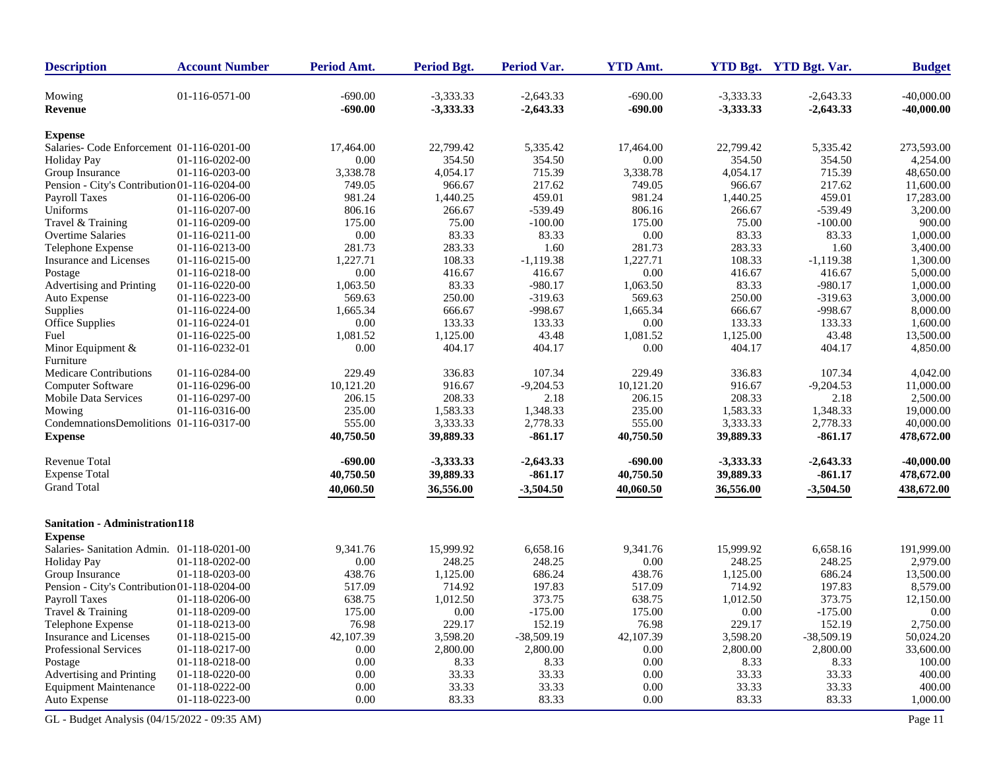| <b>Description</b>                           | <b>Account Number</b> | Period Amt.            | Period Bgt.                | Period Var.                | <b>YTD Amt.</b>        |                            | YTD Bgt. YTD Bgt. Var.     | <b>Budget</b>                |
|----------------------------------------------|-----------------------|------------------------|----------------------------|----------------------------|------------------------|----------------------------|----------------------------|------------------------------|
| Mowing<br><b>Revenue</b>                     | 01-116-0571-00        | $-690.00$<br>$-690.00$ | $-3,333.33$<br>$-3,333.33$ | $-2,643.33$<br>$-2,643.33$ | $-690.00$<br>$-690.00$ | $-3,333.33$<br>$-3,333.33$ | $-2,643.33$<br>$-2,643.33$ | $-40,000.00$<br>$-40,000.00$ |
| <b>Expense</b>                               |                       |                        |                            |                            |                        |                            |                            |                              |
| Salaries- Code Enforcement 01-116-0201-00    |                       | 17,464.00              | 22,799.42                  | 5,335.42                   | 17,464.00              | 22,799.42                  | 5,335.42                   | 273,593.00                   |
| <b>Holiday Pay</b>                           | 01-116-0202-00        | 0.00                   | 354.50                     | 354.50                     | 0.00                   | 354.50                     | 354.50                     | 4,254.00                     |
| Group Insurance                              | 01-116-0203-00        | 3,338.78               | 4,054.17                   | 715.39                     | 3,338.78               | 4,054.17                   | 715.39                     | 48,650.00                    |
| Pension - City's Contribution 01-116-0204-00 |                       | 749.05                 | 966.67                     | 217.62                     | 749.05                 | 966.67                     | 217.62                     | 11,600.00                    |
| Payroll Taxes                                | 01-116-0206-00        | 981.24                 | 1,440.25                   | 459.01                     | 981.24                 | 1,440.25                   | 459.01                     | 17,283.00                    |
| Uniforms                                     | 01-116-0207-00        | 806.16                 | 266.67                     | $-539.49$                  | 806.16                 | 266.67                     | $-539.49$                  | 3,200.00                     |
| Travel & Training                            | 01-116-0209-00        | 175.00                 | 75.00                      | $-100.00$                  | 175.00                 | 75.00                      | $-100.00$                  | 900.00                       |
| Overtime Salaries                            | 01-116-0211-00        | 0.00                   | 83.33                      | 83.33                      | 0.00                   | 83.33                      | 83.33                      | 1,000.00                     |
| Telephone Expense                            | 01-116-0213-00        | 281.73                 | 283.33                     | 1.60                       | 281.73                 | 283.33                     | 1.60                       | 3,400.00                     |
| Insurance and Licenses                       | 01-116-0215-00        | 1,227.71               | 108.33                     | $-1,119.38$                | 1,227.71               | 108.33                     | $-1,119.38$                | 1,300.00                     |
| Postage                                      | 01-116-0218-00        | 0.00                   | 416.67                     | 416.67                     | 0.00                   | 416.67                     | 416.67                     | 5,000.00                     |
| Advertising and Printing                     | 01-116-0220-00        | 1,063.50               | 83.33                      | $-980.17$                  | 1,063.50               | 83.33                      | $-980.17$                  | 1,000.00                     |
| Auto Expense                                 | 01-116-0223-00        | 569.63                 | 250.00                     | $-319.63$                  | 569.63                 | 250.00                     | $-319.63$                  | 3,000.00                     |
| Supplies                                     | 01-116-0224-00        | 1,665.34               | 666.67                     | $-998.67$                  | 1,665.34               | 666.67                     | $-998.67$                  | 8,000.00                     |
| Office Supplies                              | 01-116-0224-01        | 0.00                   | 133.33                     | 133.33                     | 0.00                   | 133.33                     | 133.33                     | 1,600.00                     |
| Fuel                                         | 01-116-0225-00        | 1,081.52               | 1,125.00                   | 43.48                      | 1,081.52               | 1,125.00                   | 43.48                      | 13,500.00                    |
| Minor Equipment &                            | 01-116-0232-01        | 0.00                   | 404.17                     | 404.17                     | 0.00                   | 404.17                     | 404.17                     | 4,850.00                     |
| Furniture                                    |                       |                        |                            |                            |                        |                            |                            |                              |
| Medicare Contributions                       | 01-116-0284-00        | 229.49                 | 336.83                     | 107.34                     | 229.49                 | 336.83                     | 107.34                     | 4,042.00                     |
| Computer Software                            | 01-116-0296-00        | 10,121.20              | 916.67                     | $-9,204.53$                | 10,121.20              | 916.67                     | $-9,204.53$                | 11,000.00                    |
| Mobile Data Services                         | 01-116-0297-00        | 206.15                 | 208.33                     | 2.18                       | 206.15                 | 208.33                     | 2.18                       | 2,500.00                     |
| Mowing                                       | 01-116-0316-00        | 235.00                 | 1,583.33                   | 1,348.33                   | 235.00                 | 1,583.33                   | 1,348.33                   | 19,000.00                    |
| CondemnationsDemolitions 01-116-0317-00      |                       | 555.00                 | 3,333.33                   | 2,778.33                   | 555.00                 | 3,333.33                   | 2,778.33                   | 40,000.00                    |
| <b>Expense</b>                               |                       | 40,750.50              | 39,889.33                  | $-861.17$                  | 40,750.50              | 39,889.33                  | $-861.17$                  | 478,672.00                   |
| <b>Revenue Total</b>                         |                       | $-690.00$              | $-3,333.33$                | $-2,643.33$                | $-690.00$              | $-3,333.33$                | $-2,643.33$                | $-40,000.00$                 |
| <b>Expense Total</b>                         |                       | 40,750.50              | 39,889.33                  | $-861.17$                  | 40,750.50              | 39,889.33                  | $-861.17$                  | 478,672.00                   |
| <b>Grand Total</b>                           |                       | 40,060.50              | 36,556.00                  | $-3,504.50$                | 40,060.50              | 36,556.00                  | $-3,504.50$                | 438,672.00                   |
| <b>Sanitation - Administration118</b>        |                       |                        |                            |                            |                        |                            |                            |                              |
| <b>Expense</b>                               |                       |                        |                            |                            |                        |                            |                            |                              |
| Salaries- Sanitation Admin. 01-118-0201-00   |                       | 9,341.76               | 15,999.92                  | 6,658.16                   | 9,341.76               | 15,999.92                  | 6,658.16                   | 191,999.00                   |
| <b>Holiday Pay</b>                           | 01-118-0202-00        | 0.00                   | 248.25                     | 248.25                     | 0.00                   | 248.25                     | 248.25                     | 2,979.00                     |
| Group Insurance                              | 01-118-0203-00        | 438.76                 | 1,125.00                   | 686.24                     | 438.76                 | 1,125.00                   | 686.24                     | 13,500.00                    |
| Pension - City's Contribution 01-118-0204-00 |                       | 517.09                 | 714.92                     | 197.83                     | 517.09                 | 714.92                     | 197.83                     | 8,579.00                     |
| <b>Payroll Taxes</b>                         | 01-118-0206-00        | 638.75                 | 1,012.50                   | 373.75                     | 638.75                 | 1,012.50                   | 373.75                     | 12,150.00                    |
| Travel & Training                            | 01-118-0209-00        | 175.00                 | 0.00                       | $-175.00$                  | 175.00                 | 0.00                       | $-175.00$                  | 0.00                         |
| Telephone Expense                            | 01-118-0213-00        | 76.98                  | 229.17                     | 152.19                     | 76.98                  | 229.17                     | 152.19                     | 2,750.00                     |
| Insurance and Licenses                       | 01-118-0215-00        | 42,107.39              | 3,598.20                   | $-38,509.19$               | 42,107.39              | 3,598.20                   | $-38,509.19$               | 50,024.20                    |
| Professional Services                        | 01-118-0217-00        | 0.00                   | 2,800.00                   | 2,800.00                   | 0.00                   | 2,800.00                   | 2,800.00                   | 33,600.00                    |
| Postage                                      | 01-118-0218-00        | 0.00                   | 8.33                       | 8.33                       | 0.00                   | 8.33                       | 8.33                       | 100.00                       |
| Advertising and Printing                     | 01-118-0220-00        | 0.00                   | 33.33                      | 33.33                      | 0.00                   | 33.33                      | 33.33                      | 400.00                       |
| <b>Equipment Maintenance</b>                 | 01-118-0222-00        | 0.00                   | 33.33                      | 33.33                      | 0.00                   | 33.33                      | 33.33                      | 400.00                       |
| Auto Expense                                 | 01-118-0223-00        | 0.00                   | 83.33                      | 83.33                      | $0.00\,$               | 83.33                      | 83.33                      | 1,000.00                     |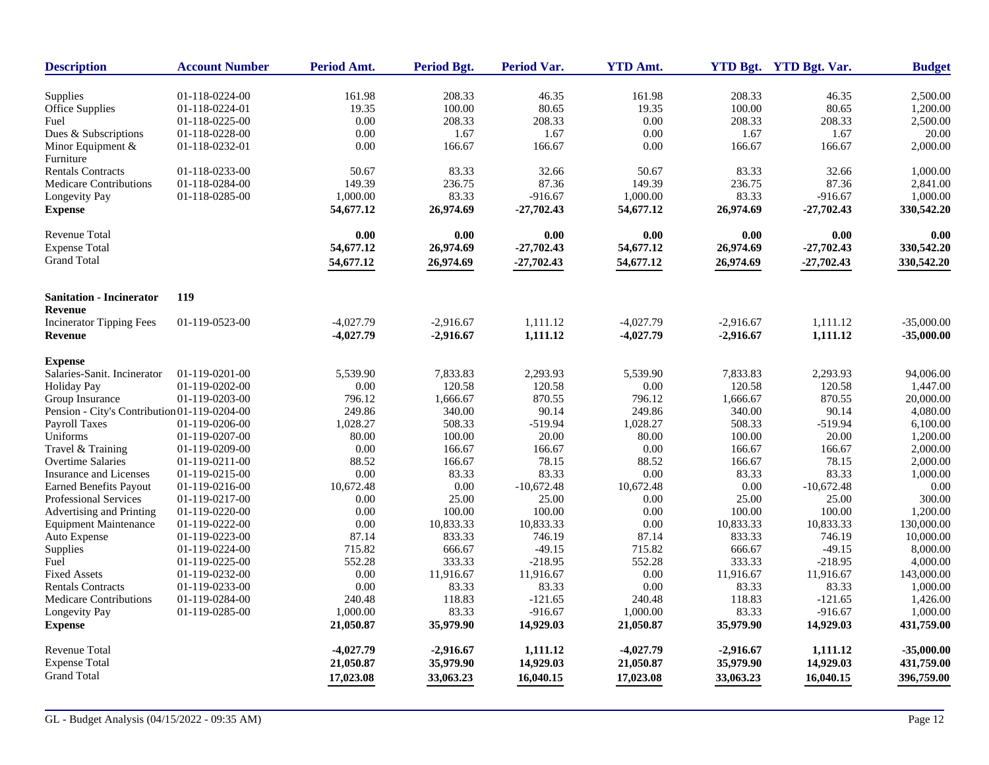| <b>Description</b>                           | <b>Account Number</b>            | Period Amt.     | <b>Period Bgt.</b> | <b>Period Var.</b> | <b>YTD Amt.</b> |             | YTD Bgt. YTD Bgt. Var. | <b>Budget</b>        |
|----------------------------------------------|----------------------------------|-----------------|--------------------|--------------------|-----------------|-------------|------------------------|----------------------|
|                                              |                                  |                 |                    |                    |                 | 208.33      |                        |                      |
| Supplies<br><b>Office Supplies</b>           | 01-118-0224-00<br>01-118-0224-01 | 161.98<br>19.35 | 208.33<br>100.00   | 46.35<br>80.65     | 161.98<br>19.35 | 100.00      | 46.35<br>80.65         | 2,500.00<br>1,200.00 |
| Fuel                                         |                                  | 0.00            |                    |                    | 0.00            |             |                        |                      |
|                                              | 01-118-0225-00                   |                 | 208.33<br>1.67     | 208.33             | 0.00            | 208.33      | 208.33<br>1.67         | 2,500.00<br>20.00    |
| Dues & Subscriptions                         | 01-118-0228-00                   | 0.00            |                    | 1.67               |                 | 1.67        |                        |                      |
| Minor Equipment &<br>Furniture               | 01-118-0232-01                   | 0.00            | 166.67             | 166.67             | 0.00            | 166.67      | 166.67                 | 2,000.00             |
| <b>Rentals Contracts</b>                     | 01-118-0233-00                   | 50.67           | 83.33              | 32.66              | 50.67           | 83.33       | 32.66                  | 1,000.00             |
| <b>Medicare Contributions</b>                | 01-118-0284-00                   | 149.39          | 236.75             | 87.36              | 149.39          | 236.75      | 87.36                  | 2,841.00             |
| Longevity Pay                                | 01-118-0285-00                   | 1,000.00        | 83.33              | $-916.67$          | 1,000.00        | 83.33       | $-916.67$              | 1,000.00             |
| <b>Expense</b>                               |                                  | 54,677.12       | 26,974.69          | $-27,702.43$       | 54,677.12       | 26,974.69   | $-27,702.43$           | 330,542.20           |
| Revenue Total                                |                                  | 0.00            | 0.00               | 0.00               | 0.00            | 0.00        | 0.00                   | 0.00                 |
| <b>Expense Total</b>                         |                                  | 54,677.12       | 26,974.69          | $-27,702.43$       | 54,677.12       | 26,974.69   | $-27,702.43$           | 330,542.20           |
| <b>Grand Total</b>                           |                                  | 54,677.12       | 26,974.69          | $-27,702.43$       | 54,677.12       | 26,974.69   | $-27,702.43$           | 330,542.20           |
|                                              |                                  |                 |                    |                    |                 |             |                        |                      |
| <b>Sanitation - Incinerator</b><br>Revenue   | 119                              |                 |                    |                    |                 |             |                        |                      |
| <b>Incinerator Tipping Fees</b>              | 01-119-0523-00                   | $-4,027.79$     | $-2,916.67$        | 1,111.12           | $-4,027.79$     | $-2,916.67$ | 1,111.12               | $-35,000,00$         |
| <b>Revenue</b>                               |                                  | $-4,027.79$     | $-2,916.67$        | 1,111.12           | $-4,027.79$     | $-2,916.67$ | 1,111.12               | $-35,000.00$         |
| <b>Expense</b>                               |                                  |                 |                    |                    |                 |             |                        |                      |
| Salaries-Sanit. Incinerator                  | 01-119-0201-00                   | 5,539.90        | 7,833.83           | 2,293.93           | 5,539.90        | 7,833.83    | 2,293.93               | 94,006.00            |
| <b>Holiday Pay</b>                           | 01-119-0202-00                   | $0.00\,$        | 120.58             | 120.58             | 0.00            | 120.58      | 120.58                 | 1,447.00             |
| Group Insurance                              | 01-119-0203-00                   | 796.12          | 1,666.67           | 870.55             | 796.12          | 1,666.67    | 870.55                 | 20,000.00            |
| Pension - City's Contribution 01-119-0204-00 |                                  | 249.86          | 340.00             | 90.14              | 249.86          | 340.00      | 90.14                  | 4,080.00             |
| Payroll Taxes                                | 01-119-0206-00                   | 1,028.27        | 508.33             | $-519.94$          | 1,028.27        | 508.33      | $-519.94$              | 6,100.00             |
| Uniforms                                     | 01-119-0207-00                   | 80.00           | 100.00             | 20.00              | 80.00           | 100.00      | 20.00                  | 1,200.00             |
| Travel & Training                            | 01-119-0209-00                   | 0.00            | 166.67             | 166.67             | 0.00            | 166.67      | 166.67                 | 2,000.00             |
| <b>Overtime Salaries</b>                     | 01-119-0211-00                   | 88.52           | 166.67             | 78.15              | 88.52           | 166.67      | 78.15                  | 2,000.00             |
| <b>Insurance and Licenses</b>                | 01-119-0215-00                   | 0.00            | 83.33              | 83.33              | 0.00            | 83.33       | 83.33                  | 1,000.00             |
| <b>Earned Benefits Payout</b>                | 01-119-0216-00                   | 10,672.48       | 0.00               | $-10,672.48$       | 10,672.48       | 0.00        | $-10,672.48$           | 0.00                 |
| <b>Professional Services</b>                 | 01-119-0217-00                   | 0.00            | 25.00              | 25.00              | 0.00            | 25.00       | 25.00                  | 300.00               |
| Advertising and Printing                     | 01-119-0220-00                   | 0.00            | 100.00             | 100.00             | 0.00            | 100.00      | 100.00                 | 1,200.00             |
| <b>Equipment Maintenance</b>                 | 01-119-0222-00                   | 0.00            | 10,833.33          | 10,833.33          | 0.00            | 10,833.33   | 10,833.33              | 130,000.00           |
| Auto Expense                                 | 01-119-0223-00                   | 87.14           | 833.33             | 746.19             | 87.14           | 833.33      | 746.19                 | 10,000.00            |
| Supplies                                     | 01-119-0224-00                   | 715.82          | 666.67             | $-49.15$           | 715.82          | 666.67      | $-49.15$               | 8,000.00             |
| Fuel                                         | 01-119-0225-00                   | 552.28          | 333.33             | $-218.95$          | 552.28          | 333.33      | $-218.95$              | 4,000.00             |
| <b>Fixed Assets</b>                          | 01-119-0232-00                   | 0.00            | 11,916.67          | 11,916.67          | 0.00            | 11,916.67   | 11,916.67              | 143,000.00           |
| <b>Rentals Contracts</b>                     | 01-119-0233-00                   | 0.00            | 83.33              | 83.33              | 0.00            | 83.33       | 83.33                  | 1,000.00             |
| <b>Medicare Contributions</b>                | 01-119-0284-00                   | 240.48          | 118.83             | $-121.65$          | 240.48          | 118.83      | $-121.65$              | 1,426.00             |
| Longevity Pay                                | 01-119-0285-00                   | 1,000.00        | 83.33              | $-916.67$          | 1,000.00        | 83.33       | $-916.67$              | 1,000.00             |
| <b>Expense</b>                               |                                  | 21,050.87       | 35,979.90          | 14,929.03          | 21,050.87       | 35,979.90   | 14,929.03              | 431,759.00           |
| Revenue Total                                |                                  | $-4,027.79$     | $-2,916.67$        | 1,111.12           | $-4,027.79$     | $-2,916.67$ | 1,111.12               | $-35,000.00$         |
| <b>Expense Total</b>                         |                                  | 21,050.87       | 35,979.90          | 14,929.03          | 21,050.87       | 35,979.90   | 14,929.03              | 431,759.00           |
| <b>Grand Total</b>                           |                                  | 17,023.08       | 33,063.23          | 16,040.15          | 17,023.08       | 33,063.23   | 16,040.15              | 396,759.00           |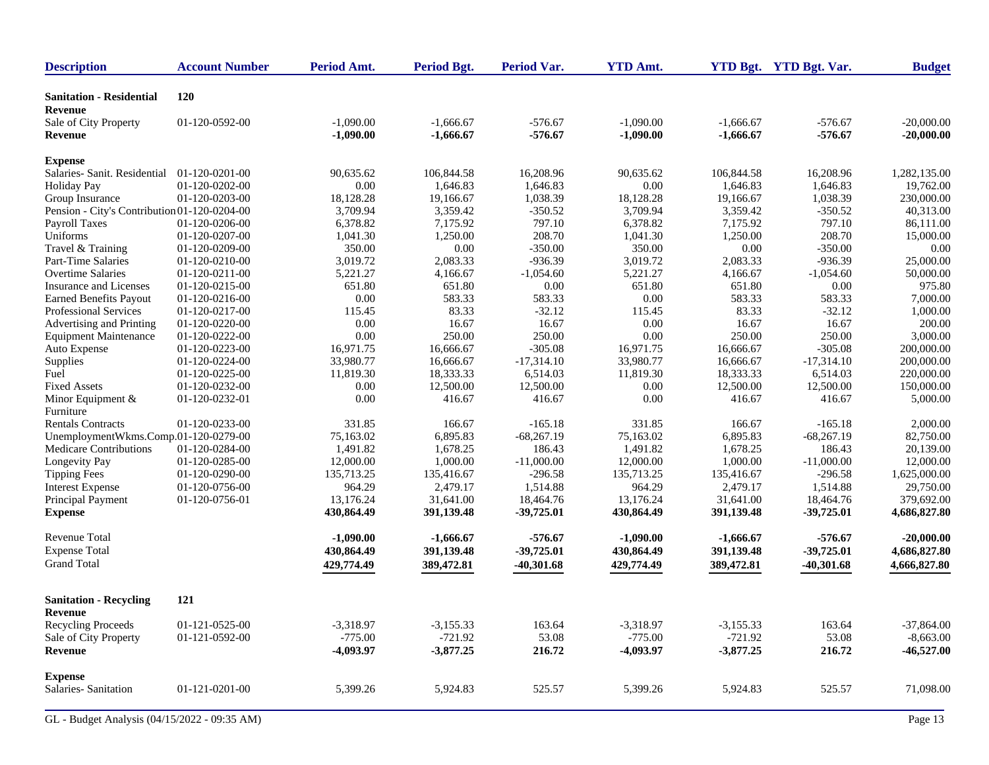| <b>Description</b>                           | <b>Account Number</b> | Period Amt. | <b>Period Bgt.</b> | Period Var.  | <b>YTD Amt.</b> |             | YTD Bgt. YTD Bgt. Var. | <b>Budget</b> |
|----------------------------------------------|-----------------------|-------------|--------------------|--------------|-----------------|-------------|------------------------|---------------|
| <b>Sanitation - Residential</b><br>Revenue   | <b>120</b>            |             |                    |              |                 |             |                        |               |
| Sale of City Property                        | 01-120-0592-00        | $-1,090.00$ | $-1,666.67$        | $-576.67$    | $-1,090.00$     | $-1,666.67$ | $-576.67$              | $-20,000.00$  |
| <b>Revenue</b>                               |                       | $-1,090.00$ | $-1,666.67$        | $-576.67$    | $-1,090.00$     | $-1,666.67$ | $-576.67$              | $-20,000.00$  |
| <b>Expense</b>                               |                       |             |                    |              |                 |             |                        |               |
| Salaries- Sanit. Residential                 | 01-120-0201-00        | 90,635.62   | 106,844.58         | 16,208.96    | 90,635.62       | 106,844.58  | 16,208.96              | 1,282,135.00  |
| <b>Holiday Pay</b>                           | 01-120-0202-00        | $0.00\,$    | 1,646.83           | 1,646.83     | 0.00            | 1,646.83    | 1,646.83               | 19,762.00     |
| Group Insurance                              | 01-120-0203-00        | 18,128.28   | 19,166.67          | 1,038.39     | 18,128.28       | 19,166.67   | 1,038.39               | 230,000.00    |
| Pension - City's Contribution 01-120-0204-00 |                       | 3,709.94    | 3,359.42           | $-350.52$    | 3,709.94        | 3,359.42    | $-350.52$              | 40,313.00     |
| Payroll Taxes                                | 01-120-0206-00        | 6,378.82    | 7,175.92           | 797.10       | 6,378.82        | 7,175.92    | 797.10                 | 86,111.00     |
| Uniforms                                     | 01-120-0207-00        | 1,041.30    | 1,250.00           | 208.70       | 1,041.30        | 1,250.00    | 208.70                 | 15,000.00     |
| Travel & Training                            | 01-120-0209-00        | 350.00      | 0.00               | $-350.00$    | 350.00          | 0.00        | $-350.00$              | 0.00          |
| Part-Time Salaries                           | 01-120-0210-00        | 3,019.72    | 2,083.33           | $-936.39$    | 3,019.72        | 2,083.33    | $-936.39$              | 25,000.00     |
| <b>Overtime Salaries</b>                     | 01-120-0211-00        | 5,221.27    | 4,166.67           | $-1,054.60$  | 5,221.27        | 4,166.67    | $-1,054.60$            | 50,000.00     |
| Insurance and Licenses                       | 01-120-0215-00        | 651.80      | 651.80             | $0.00\,$     | 651.80          | 651.80      | $0.00\,$               | 975.80        |
| <b>Earned Benefits Payout</b>                | 01-120-0216-00        | $0.00\,$    | 583.33             | 583.33       | $0.00\,$        | 583.33      | 583.33                 | 7,000.00      |
| Professional Services                        | 01-120-0217-00        | 115.45      | 83.33              | $-32.12$     | 115.45          | 83.33       | $-32.12$               | 1,000.00      |
| Advertising and Printing                     | 01-120-0220-00        | $0.00\,$    | 16.67              | 16.67        | 0.00            | 16.67       | 16.67                  | 200.00        |
| <b>Equipment Maintenance</b>                 | 01-120-0222-00        | 0.00        | 250.00             | 250.00       | $0.00\,$        | 250.00      | 250.00                 | 3,000.00      |
| Auto Expense                                 | 01-120-0223-00        | 16,971.75   | 16,666.67          | $-305.08$    | 16,971.75       | 16,666.67   | $-305.08$              | 200,000.00    |
| Supplies                                     | 01-120-0224-00        | 33,980.77   | 16,666.67          | $-17,314.10$ | 33,980.77       | 16,666.67   | $-17,314.10$           | 200,000.00    |
| Fuel                                         | 01-120-0225-00        | 11,819.30   | 18,333.33          | 6,514.03     | 11,819.30       | 18,333.33   | 6,514.03               | 220,000.00    |
| <b>Fixed Assets</b>                          | 01-120-0232-00        | 0.00        | 12,500.00          | 12,500.00    | 0.00            | 12,500.00   | 12,500.00              | 150,000.00    |
| Minor Equipment &                            | 01-120-0232-01        | 0.00        | 416.67             | 416.67       | 0.00            | 416.67      | 416.67                 | 5,000.00      |
| Furniture                                    |                       |             |                    |              |                 |             |                        |               |
| <b>Rentals Contracts</b>                     | 01-120-0233-00        | 331.85      | 166.67             | $-165.18$    | 331.85          | 166.67      | $-165.18$              | 2,000.00      |
| UnemploymentWkms.Comp.01-120-0279-00         |                       | 75,163.02   | 6,895.83           | $-68,267.19$ | 75,163.02       | 6,895.83    | $-68,267.19$           | 82,750.00     |
| Medicare Contributions                       | 01-120-0284-00        | 1,491.82    | 1,678.25           | 186.43       | 1,491.82        | 1,678.25    | 186.43                 | 20,139.00     |
| Longevity Pay                                | 01-120-0285-00        | 12,000.00   | 1,000.00           | $-11,000.00$ | 12,000.00       | 1,000.00    | $-11,000.00$           | 12,000.00     |
| <b>Tipping Fees</b>                          | 01-120-0290-00        | 135,713.25  | 135,416.67         | $-296.58$    | 135,713.25      | 135,416.67  | $-296.58$              | 1,625,000.00  |
| <b>Interest Expense</b>                      | 01-120-0756-00        | 964.29      | 2,479.17           | 1,514.88     | 964.29          | 2,479.17    | 1,514.88               | 29,750.00     |
| Principal Payment                            | 01-120-0756-01        | 13,176.24   | 31,641.00          | 18,464.76    | 13,176.24       | 31,641.00   | 18,464.76              | 379,692.00    |
| <b>Expense</b>                               |                       | 430,864.49  | 391,139.48         | $-39,725.01$ | 430,864.49      | 391,139.48  | $-39,725.01$           | 4,686,827.80  |
| Revenue Total                                |                       | $-1,090.00$ | $-1,666.67$        | $-576.67$    | $-1,090.00$     | $-1,666.67$ | $-576.67$              | $-20,000.00$  |
| <b>Expense Total</b>                         |                       | 430,864.49  | 391,139.48         | $-39,725.01$ | 430,864.49      | 391,139.48  | $-39,725.01$           | 4,686,827.80  |
| <b>Grand Total</b>                           |                       | 429,774.49  | 389,472.81         | $-40,301.68$ | 429,774.49      | 389,472.81  | $-40,301.68$           | 4,666,827.80  |
| <b>Sanitation - Recycling</b>                | 121                   |             |                    |              |                 |             |                        |               |
| Revenue                                      |                       |             |                    |              |                 |             |                        |               |
| <b>Recycling Proceeds</b>                    | 01-121-0525-00        | $-3,318.97$ | $-3,155.33$        | 163.64       | $-3,318.97$     | $-3,155.33$ | 163.64                 | $-37,864.00$  |
| Sale of City Property                        | 01-121-0592-00        | $-775.00$   | $-721.92$          | 53.08        | $-775.00$       | $-721.92$   | 53.08                  | $-8,663.00$   |
| Revenue                                      |                       | -4,093.97   | $-3,877.25$        | 216.72       | $-4,093.97$     | $-3,877.25$ | 216.72                 | $-46,527.00$  |
| <b>Expense</b>                               |                       |             |                    |              |                 |             |                        |               |
| Salaries-Sanitation                          | 01-121-0201-00        | 5,399.26    | 5,924.83           | 525.57       | 5,399.26        | 5,924.83    | 525.57                 | 71,098.00     |
| GL - Budget Analysis (04/15/2022 - 09:35 AM) |                       |             |                    |              |                 |             |                        | Page 13       |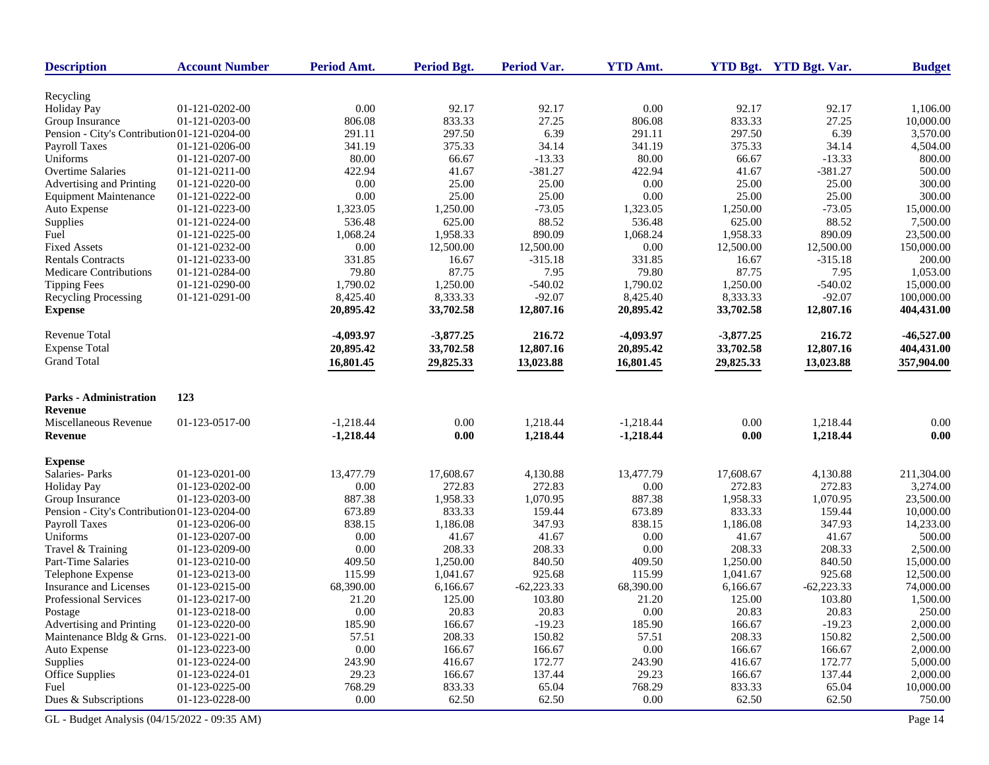| <b>Description</b>                           | <b>Account Number</b> | Period Amt.      | Period Bgt. | Period Var.  | <b>YTD Amt.</b>  |             | YTD Bgt. YTD Bgt. Var. | <b>Budget</b> |
|----------------------------------------------|-----------------------|------------------|-------------|--------------|------------------|-------------|------------------------|---------------|
|                                              |                       |                  |             |              |                  |             |                        |               |
| Recycling                                    | 01-121-0202-00        | 0.00             | 92.17       | 92.17        | 0.00             | 92.17       | 92.17                  |               |
| <b>Holiday Pay</b><br>Group Insurance        | 01-121-0203-00        |                  | 833.33      | 27.25        |                  | 833.33      | 27.25                  | 1,106.00      |
|                                              |                       | 806.08<br>291.11 |             | 6.39         | 806.08<br>291.11 | 297.50      | 6.39                   | 10,000.00     |
| Pension - City's Contribution 01-121-0204-00 |                       |                  | 297.50      |              |                  |             |                        | 3,570.00      |
| <b>Payroll Taxes</b>                         | 01-121-0206-00        | 341.19           | 375.33      | 34.14        | 341.19           | 375.33      | 34.14                  | 4,504.00      |
| Uniforms                                     | 01-121-0207-00        | 80.00            | 66.67       | $-13.33$     | 80.00            | 66.67       | $-13.33$               | 800.00        |
| <b>Overtime Salaries</b>                     | 01-121-0211-00        | 422.94           | 41.67       | $-381.27$    | 422.94           | 41.67       | $-381.27$              | 500.00        |
| Advertising and Printing                     | 01-121-0220-00        | 0.00             | 25.00       | 25.00        | 0.00             | 25.00       | 25.00                  | 300.00        |
| <b>Equipment Maintenance</b>                 | 01-121-0222-00        | 0.00             | 25.00       | 25.00        | 0.00             | 25.00       | 25.00                  | 300.00        |
| Auto Expense                                 | 01-121-0223-00        | 1,323.05         | 1,250.00    | $-73.05$     | 1,323.05         | 1,250.00    | $-73.05$               | 15,000.00     |
| Supplies                                     | 01-121-0224-00        | 536.48           | 625.00      | 88.52        | 536.48           | 625.00      | 88.52                  | 7,500.00      |
| Fuel                                         | 01-121-0225-00        | 1,068.24         | 1,958.33    | 890.09       | 1,068.24         | 1,958.33    | 890.09                 | 23,500.00     |
| <b>Fixed Assets</b>                          | 01-121-0232-00        | 0.00             | 12,500.00   | 12,500.00    | 0.00             | 12,500.00   | 12,500.00              | 150,000.00    |
| <b>Rentals Contracts</b>                     | 01-121-0233-00        | 331.85           | 16.67       | $-315.18$    | 331.85           | 16.67       | $-315.18$              | 200.00        |
| <b>Medicare Contributions</b>                | 01-121-0284-00        | 79.80            | 87.75       | 7.95         | 79.80            | 87.75       | 7.95                   | 1,053.00      |
| <b>Tipping Fees</b>                          | 01-121-0290-00        | 1,790.02         | 1,250.00    | $-540.02$    | 1,790.02         | 1,250.00    | $-540.02$              | 15,000.00     |
| Recycling Processing                         | 01-121-0291-00        | 8,425.40         | 8,333.33    | $-92.07$     | 8,425.40         | 8,333.33    | $-92.07$               | 100,000.00    |
| <b>Expense</b>                               |                       | 20,895.42        | 33,702.58   | 12,807.16    | 20,895.42        | 33,702.58   | 12,807.16              | 404,431.00    |
| <b>Revenue Total</b>                         |                       | $-4,093.97$      | $-3,877.25$ | 216.72       | $-4,093.97$      | $-3,877.25$ | 216.72                 | $-46,527.00$  |
| <b>Expense Total</b>                         |                       | 20,895.42        | 33,702.58   | 12,807.16    | 20,895.42        | 33,702.58   | 12,807.16              | 404,431.00    |
| <b>Grand Total</b>                           |                       | 16,801.45        | 29,825.33   | 13,023.88    | 16,801.45        | 29,825.33   | 13,023.88              | 357,904.00    |
|                                              |                       |                  |             |              |                  |             |                        |               |
| <b>Parks - Administration</b>                | 123                   |                  |             |              |                  |             |                        |               |
| Revenue                                      |                       |                  |             |              |                  |             |                        |               |
| Miscellaneous Revenue                        | 01-123-0517-00        | $-1,218.44$      | 0.00        | 1,218.44     | $-1,218.44$      | 0.00        | 1,218.44               | 0.00          |
| Revenue                                      |                       | $-1,218.44$      | 0.00        | 1,218.44     | $-1,218.44$      | 0.00        | 1,218.44               | 0.00          |
|                                              |                       |                  |             |              |                  |             |                        |               |
| <b>Expense</b>                               |                       |                  |             |              |                  |             |                        |               |
| Salaries-Parks                               | 01-123-0201-00        | 13,477.79        | 17,608.67   | 4,130.88     | 13,477.79        | 17,608.67   | 4,130.88               | 211,304.00    |
| <b>Holiday Pay</b>                           | 01-123-0202-00        | 0.00             | 272.83      | 272.83       | 0.00             | 272.83      | 272.83                 | 3,274.00      |
| Group Insurance                              | 01-123-0203-00        | 887.38           | 1,958.33    | 1,070.95     | 887.38           | 1,958.33    | 1,070.95               | 23,500.00     |
| Pension - City's Contribution 01-123-0204-00 |                       | 673.89           | 833.33      | 159.44       | 673.89           | 833.33      | 159.44                 | 10,000.00     |
| Payroll Taxes                                | 01-123-0206-00        | 838.15           | 1,186.08    | 347.93       | 838.15           | 1,186.08    | 347.93                 | 14,233.00     |
| Uniforms                                     | 01-123-0207-00        | 0.00             | 41.67       | 41.67        | 0.00             | 41.67       | 41.67                  | 500.00        |
| Travel & Training                            | 01-123-0209-00        | 0.00             | 208.33      | 208.33       | 0.00             | 208.33      | 208.33                 | 2,500.00      |
| Part-Time Salaries                           | 01-123-0210-00        | 409.50           | 1,250.00    | 840.50       | 409.50           | 1,250.00    | 840.50                 | 15,000.00     |
| Telephone Expense                            | 01-123-0213-00        | 115.99           | 1,041.67    | 925.68       | 115.99           | 1,041.67    | 925.68                 | 12,500.00     |
| Insurance and Licenses                       | 01-123-0215-00        | 68,390.00        | 6,166.67    | $-62,223.33$ | 68,390.00        | 6,166.67    | $-62,223.33$           | 74,000.00     |
| <b>Professional Services</b>                 | 01-123-0217-00        | 21.20            | 125.00      | 103.80       | 21.20            | 125.00      | 103.80                 | 1,500.00      |
| Postage                                      | 01-123-0218-00        | 0.00             | 20.83       | 20.83        | 0.00             | 20.83       | 20.83                  | 250.00        |
| Advertising and Printing                     | 01-123-0220-00        | 185.90           | 166.67      | $-19.23$     | 185.90           | 166.67      | $-19.23$               | 2,000.00      |
| Maintenance Bldg & Grns.                     | 01-123-0221-00        | 57.51            | 208.33      | 150.82       | 57.51            | 208.33      | 150.82                 | 2,500.00      |
| Auto Expense                                 | 01-123-0223-00        | $0.00\,$         | 166.67      | 166.67       | 0.00             | 166.67      | 166.67                 | 2,000.00      |
| Supplies                                     | 01-123-0224-00        | 243.90           | 416.67      | 172.77       | 243.90           | 416.67      | 172.77                 | 5,000.00      |
| Office Supplies                              | 01-123-0224-01        | 29.23            | 166.67      | 137.44       | 29.23            | 166.67      | 137.44                 | 2,000.00      |
| Fuel                                         | 01-123-0225-00        | 768.29           | 833.33      | 65.04        | 768.29           | 833.33      | 65.04                  | 10,000.00     |
| Dues & Subscriptions                         | 01-123-0228-00        | $0.00\,$         | 62.50       | 62.50        | 0.00             | 62.50       | 62.50                  | 750.00        |
| GL - Budget Analysis (04/15/2022 - 09:35 AM) |                       |                  |             |              |                  |             |                        | Page 14       |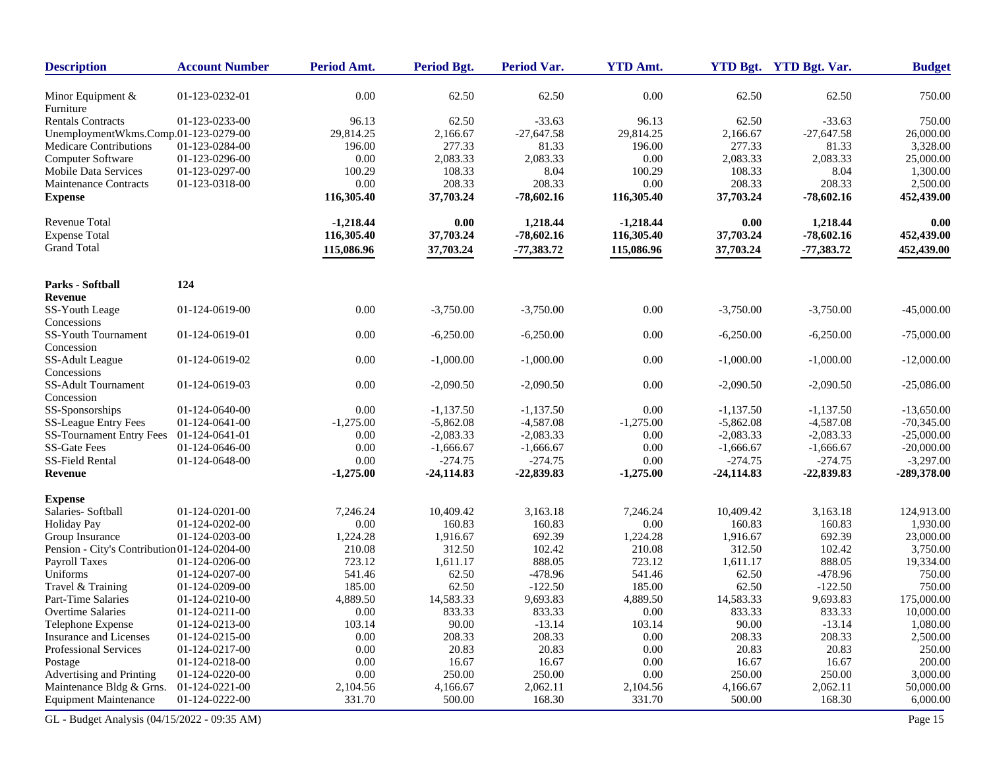| <b>Description</b>                           | <b>Account Number</b> | Period Amt. | Period Bgt.  | <b>Period Var.</b> | <b>YTD Amt.</b> |              | YTD Bgt. YTD Bgt. Var. | <b>Budget</b> |
|----------------------------------------------|-----------------------|-------------|--------------|--------------------|-----------------|--------------|------------------------|---------------|
| Minor Equipment &<br>Furniture               | 01-123-0232-01        | $0.00\,$    | 62.50        | 62.50              | 0.00            | 62.50        | 62.50                  | 750.00        |
| <b>Rentals Contracts</b>                     | 01-123-0233-00        | 96.13       | 62.50        | $-33.63$           | 96.13           | 62.50        | $-33.63$               | 750.00        |
| UnemploymentWkms.Comp.01-123-0279-00         |                       | 29,814.25   | 2,166.67     | $-27,647.58$       | 29,814.25       | 2,166.67     | $-27,647.58$           | 26,000.00     |
| <b>Medicare Contributions</b>                | 01-123-0284-00        | 196.00      | 277.33       | 81.33              | 196.00          | 277.33       | 81.33                  | 3,328.00      |
| Computer Software                            | 01-123-0296-00        | 0.00        | 2,083.33     | 2,083.33           | 0.00            | 2,083.33     | 2,083.33               | 25,000.00     |
| <b>Mobile Data Services</b>                  | 01-123-0297-00        | 100.29      | 108.33       | 8.04               | 100.29          | 108.33       | 8.04                   | 1,300.00      |
| <b>Maintenance Contracts</b>                 | 01-123-0318-00        | 0.00        | 208.33       | 208.33             | 0.00            | 208.33       | 208.33                 | 2,500.00      |
| <b>Expense</b>                               |                       | 116,305.40  | 37,703.24    | $-78,602.16$       | 116,305.40      | 37,703.24    | $-78,602.16$           | 452,439.00    |
| Revenue Total                                |                       | $-1,218.44$ | 0.00         | 1,218.44           | $-1,218.44$     | 0.00         | 1,218.44               | 0.00          |
| <b>Expense Total</b>                         |                       | 116,305.40  | 37,703.24    | $-78,602.16$       | 116,305.40      | 37,703.24    | $-78,602.16$           | 452,439.00    |
| <b>Grand Total</b>                           |                       | 115,086.96  | 37,703.24    | $-77,383.72$       | 115,086.96      | 37,703.24    | $-77,383.72$           | 452,439.00    |
| Parks - Softball                             | 124                   |             |              |                    |                 |              |                        |               |
| <b>Revenue</b>                               |                       |             |              |                    |                 |              |                        |               |
| SS-Youth Leage<br>Concessions                | 01-124-0619-00        | $0.00\,$    | $-3,750.00$  | $-3,750.00$        | 0.00            | $-3,750.00$  | $-3,750.00$            | $-45,000.00$  |
| SS-Youth Tournament<br>Concession            | 01-124-0619-01        | 0.00        | $-6,250.00$  | $-6,250.00$        | 0.00            | $-6,250.00$  | $-6,250.00$            | $-75,000.00$  |
| SS-Adult League<br>Concessions               | 01-124-0619-02        | 0.00        | $-1,000.00$  | $-1,000.00$        | 0.00            | $-1,000.00$  | $-1,000.00$            | $-12,000.00$  |
| <b>SS-Adult Tournament</b><br>Concession     | 01-124-0619-03        | 0.00        | $-2,090.50$  | $-2,090.50$        | 0.00            | $-2,090.50$  | $-2,090.50$            | $-25,086.00$  |
| SS-Sponsorships                              | 01-124-0640-00        | 0.00        | $-1,137.50$  | $-1,137.50$        | 0.00            | $-1,137.50$  | $-1,137.50$            | $-13,650.00$  |
| <b>SS-League Entry Fees</b>                  | 01-124-0641-00        | $-1,275.00$ | $-5,862.08$  | $-4,587.08$        | $-1,275.00$     | $-5,862.08$  | $-4,587.08$            | $-70,345.00$  |
| <b>SS-Tournament Entry Fees</b>              | 01-124-0641-01        | 0.00        | $-2,083.33$  | $-2,083.33$        | 0.00            | $-2,083.33$  | $-2,083.33$            | $-25,000.00$  |
| <b>SS-Gate Fees</b>                          | 01-124-0646-00        | 0.00        | $-1,666.67$  | $-1,666.67$        | 0.00            | $-1,666.67$  | $-1,666.67$            | $-20,000.00$  |
| SS-Field Rental                              | 01-124-0648-00        | 0.00        | $-274.75$    | $-274.75$          | 0.00            | $-274.75$    | $-274.75$              | $-3,297.00$   |
| Revenue                                      |                       | $-1,275.00$ | $-24,114.83$ | -22,839.83         | $-1,275.00$     | $-24,114.83$ | $-22,839.83$           | -289,378.00   |
| <b>Expense</b>                               |                       |             |              |                    |                 |              |                        |               |
| Salaries-Softball                            | 01-124-0201-00        | 7,246.24    | 10,409.42    | 3,163.18           | 7,246.24        | 10,409.42    | 3,163.18               | 124,913.00    |
| <b>Holiday Pay</b>                           | 01-124-0202-00        | 0.00        | 160.83       | 160.83             | 0.00            | 160.83       | 160.83                 | 1,930.00      |
| Group Insurance                              | 01-124-0203-00        | 1,224.28    | 1,916.67     | 692.39             | 1,224.28        | 1,916.67     | 692.39                 | 23,000.00     |
| Pension - City's Contribution 01-124-0204-00 |                       | 210.08      | 312.50       | 102.42             | 210.08          | 312.50       | 102.42                 | 3,750.00      |
| Payroll Taxes                                | 01-124-0206-00        | 723.12      | 1,611.17     | 888.05             | 723.12          | 1,611.17     | 888.05                 | 19,334.00     |
| Uniforms                                     | 01-124-0207-00        | 541.46      | 62.50        | $-478.96$          | 541.46          | 62.50        | $-478.96$              | 750.00        |
| Travel & Training                            | 01-124-0209-00        | 185.00      | 62.50        | $-122.50$          | 185.00          | 62.50        | $-122.50$              | 750.00        |
| Part-Time Salaries                           | 01-124-0210-00        | 4,889.50    | 14,583.33    | 9,693.83           | 4,889.50        | 14,583.33    | 9,693.83               | 175,000.00    |
| Overtime Salaries                            | 01-124-0211-00        | 0.00        | 833.33       | 833.33             | 0.00            | 833.33       | 833.33                 | 10,000.00     |
| Telephone Expense                            | 01-124-0213-00        | 103.14      | 90.00        | $-13.14$           | 103.14          | 90.00        | $-13.14$               | 1,080.00      |
| Insurance and Licenses                       | 01-124-0215-00        | $0.00\,$    | 208.33       | 208.33             | 0.00            | 208.33       | 208.33                 | 2,500.00      |
| Professional Services                        | 01-124-0217-00        | 0.00        | 20.83        | 20.83              | 0.00            | 20.83        | 20.83                  | 250.00        |
| Postage                                      | 01-124-0218-00        | $0.00\,$    | 16.67        | 16.67              | 0.00            | 16.67        | 16.67                  | 200.00        |
| Advertising and Printing                     | 01-124-0220-00        | $0.00\,$    | 250.00       | 250.00             | 0.00            | 250.00       | 250.00                 | 3,000.00      |
| Maintenance Bldg & Grns.                     | 01-124-0221-00        | 2,104.56    | 4,166.67     | 2,062.11           | 2,104.56        | 4,166.67     | 2,062.11               | 50,000.00     |
| <b>Equipment Maintenance</b>                 | 01-124-0222-00        | 331.70      | 500.00       | 168.30             | 331.70          | 500.00       | 168.30                 | 6,000.00      |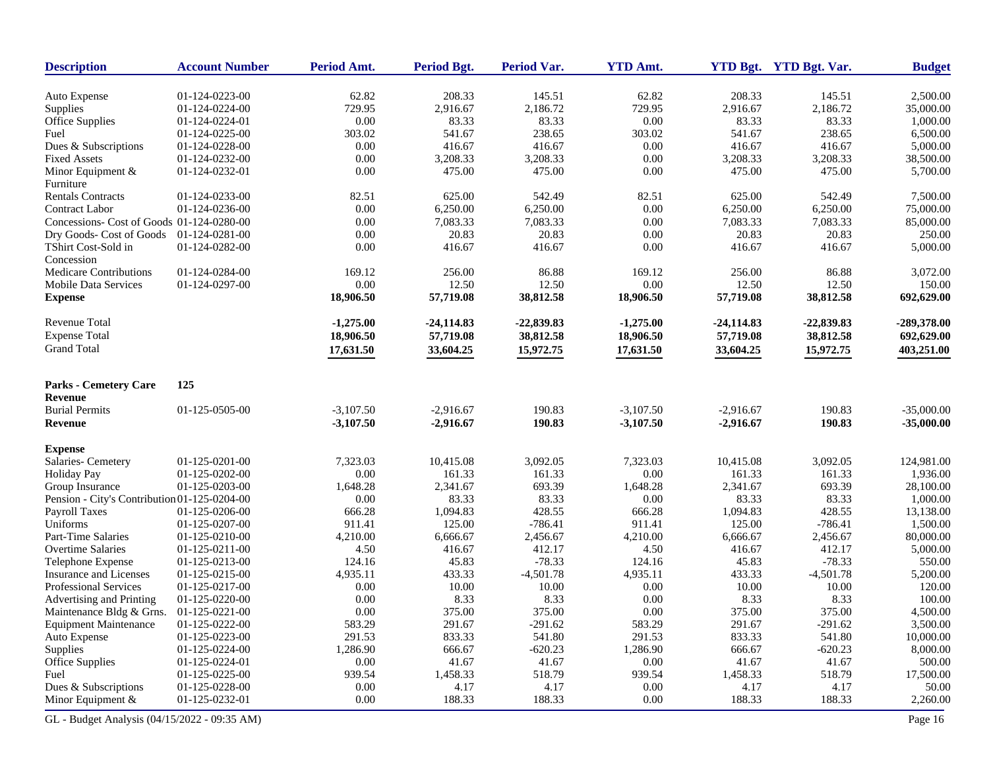| <b>Description</b>                           | <b>Account Number</b> | Period Amt.                | <b>Period Bgt.</b> | Period Var.      | <b>YTD Amt.</b> |              | YTD Bgt. YTD Bgt. Var. | <b>Budget</b> |
|----------------------------------------------|-----------------------|----------------------------|--------------------|------------------|-----------------|--------------|------------------------|---------------|
| Auto Expense                                 | 01-124-0223-00        | 62.82                      | 208.33             | 145.51           | 62.82           | 208.33       | 145.51                 | 2,500.00      |
| Supplies                                     | 01-124-0224-00        | 729.95                     | 2,916.67           | 2,186.72         | 729.95          | 2,916.67     | 2,186.72               | 35,000.00     |
| Office Supplies                              | 01-124-0224-01        | 0.00                       | 83.33              | 83.33            | 0.00            | 83.33        | 83.33                  | 1,000.00      |
| Fuel                                         | 01-124-0225-00        | 303.02                     | 541.67             | 238.65           | 303.02          | 541.67       | 238.65                 | 6,500.00      |
| Dues & Subscriptions                         | 01-124-0228-00        | 0.00                       | 416.67             | 416.67           | 0.00            | 416.67       | 416.67                 | 5,000.00      |
| <b>Fixed Assets</b>                          | 01-124-0232-00        | 0.00                       | 3,208.33           | 3,208.33         | 0.00            | 3,208.33     | 3,208.33               | 38,500.00     |
| Minor Equipment $&$                          | 01-124-0232-01        | 0.00                       | 475.00             | 475.00           | 0.00            | 475.00       | 475.00                 | 5,700.00      |
| Furniture                                    |                       |                            |                    |                  |                 |              |                        |               |
| <b>Rentals Contracts</b>                     | 01-124-0233-00        | 82.51                      | 625.00             | 542.49           | 82.51           | 625.00       | 542.49                 | 7,500.00      |
| <b>Contract Labor</b>                        | 01-124-0236-00        | 0.00                       | 6,250.00           | 6,250.00         | 0.00            | 6,250.00     | 6,250.00               | 75,000.00     |
| Concessions- Cost of Goods 01-124-0280-00    |                       | 0.00                       | 7,083.33           | 7,083.33         | 0.00            | 7,083.33     | 7,083.33               | 85,000.00     |
| Dry Goods- Cost of Goods                     | 01-124-0281-00        | 0.00                       | 20.83              | 20.83            | 0.00            | 20.83        | 20.83                  | 250.00        |
| TShirt Cost-Sold in<br>Concession            | 01-124-0282-00        | 0.00                       | 416.67             | 416.67           | 0.00            | 416.67       | 416.67                 | 5,000.00      |
| <b>Medicare Contributions</b>                | 01-124-0284-00        | 169.12                     | 256.00             | 86.88            | 169.12          | 256.00       | 86.88                  | 3,072.00      |
| <b>Mobile Data Services</b>                  | 01-124-0297-00        | 0.00                       | 12.50              | 12.50            | 0.00            | 12.50        | 12.50                  | 150.00        |
| <b>Expense</b>                               |                       | 18,906.50                  | 57,719.08          | 38,812.58        | 18,906.50       | 57,719.08    | 38,812.58              | 692,629.00    |
| Revenue Total                                |                       | $-1,275.00$                | $-24,114.83$       | $-22,839.83$     | $-1,275.00$     | $-24,114.83$ | $-22,839.83$           | -289,378.00   |
| <b>Expense Total</b>                         |                       | 18,906.50                  | 57,719.08          | 38,812.58        | 18,906.50       | 57,719.08    | 38,812.58              | 692,629.00    |
| <b>Grand Total</b>                           |                       | 17,631.50                  | 33,604.25          | 15,972.75        | 17,631.50       | 33,604.25    | 15,972.75              | 403,251.00    |
|                                              |                       |                            |                    |                  |                 |              |                        |               |
| Parks - Cemetery Care<br>Revenue             | 125                   |                            |                    |                  |                 |              |                        |               |
| <b>Burial Permits</b>                        |                       |                            |                    |                  |                 |              |                        |               |
|                                              | 01-125-0505-00        | $-3,107.50$<br>$-3,107.50$ | $-2,916.67$        | 190.83<br>190.83 | $-3,107.50$     | $-2,916.67$  | 190.83<br>190.83       | $-35,000.00$  |
| Revenue                                      |                       |                            | $-2,916.67$        |                  | $-3,107.50$     | $-2,916.67$  |                        | $-35,000.00$  |
| <b>Expense</b>                               |                       |                            |                    |                  |                 |              |                        |               |
| Salaries-Cemetery                            | 01-125-0201-00        | 7,323.03                   | 10,415.08          | 3,092.05         | 7,323.03        | 10,415.08    | 3,092.05               | 124,981.00    |
| <b>Holiday Pay</b>                           | 01-125-0202-00        | 0.00                       | 161.33             | 161.33           | 0.00            | 161.33       | 161.33                 | 1,936.00      |
| Group Insurance                              | 01-125-0203-00        | 1,648.28                   | 2,341.67           | 693.39           | 1,648.28        | 2,341.67     | 693.39                 | 28,100.00     |
| Pension - City's Contribution 01-125-0204-00 |                       | 0.00                       | 83.33              | 83.33            | 0.00            | 83.33        | 83.33                  | 1,000.00      |
| Payroll Taxes                                | 01-125-0206-00        | 666.28                     | 1,094.83           | 428.55           | 666.28          | 1,094.83     | 428.55                 | 13,138.00     |
| Uniforms                                     | 01-125-0207-00        | 911.41                     | 125.00             | $-786.41$        | 911.41          | 125.00       | $-786.41$              | 1,500.00      |
| Part-Time Salaries                           | 01-125-0210-00        | 4,210.00                   | 6,666.67           | 2,456.67         | 4,210.00        | 6,666.67     | 2,456.67               | 80,000.00     |
| <b>Overtime Salaries</b>                     | 01-125-0211-00        | 4.50                       | 416.67             | 412.17           | 4.50            | 416.67       | 412.17                 | 5,000.00      |
| Telephone Expense                            | 01-125-0213-00        | 124.16                     | 45.83              | $-78.33$         | 124.16          | 45.83        | $-78.33$               | 550.00        |
| <b>Insurance and Licenses</b>                | 01-125-0215-00        | 4,935.11                   | 433.33             | $-4,501.78$      | 4,935.11        | 433.33       | $-4,501.78$            | 5,200.00      |
| <b>Professional Services</b>                 | 01-125-0217-00        | 0.00                       | 10.00              | 10.00            | 0.00            | 10.00        | 10.00                  | 120.00        |
| Advertising and Printing                     | 01-125-0220-00        | 0.00                       | 8.33               | 8.33             | 0.00            | 8.33         | 8.33                   | 100.00        |
| Maintenance Bldg & Grns.                     | $01-125-0221-00$      | 0.00                       | 375.00             | 375.00           | 0.00            | 375.00       | 375.00                 | 4,500.00      |
| <b>Equipment Maintenance</b>                 | 01-125-0222-00        | 583.29                     | 291.67             | $-291.62$        | 583.29          | 291.67       | $-291.62$              | 3,500.00      |
| Auto Expense                                 | 01-125-0223-00        | 291.53                     | 833.33             | 541.80           | 291.53          | 833.33       | 541.80                 | 10,000.00     |
| Supplies                                     | 01-125-0224-00        | 1,286.90                   | 666.67             | $-620.23$        | 1,286.90        | 666.67       | $-620.23$              | 8,000.00      |
| <b>Office Supplies</b>                       | 01-125-0224-01        | 0.00                       | 41.67              | 41.67            | 0.00            | 41.67        | 41.67                  | 500.00        |
| Fuel                                         | 01-125-0225-00        | 939.54                     | 1,458.33           | 518.79           | 939.54          | 1,458.33     | 518.79                 | 17,500.00     |
| Dues & Subscriptions                         | 01-125-0228-00        | 0.00                       | 4.17               | 4.17             | $0.00\,$        | 4.17         | 4.17                   | 50.00         |
| Minor Equipment &                            | 01-125-0232-01        | 0.00                       | 188.33             | 188.33           | 0.00            | 188.33       | 188.33                 | 2,260.00      |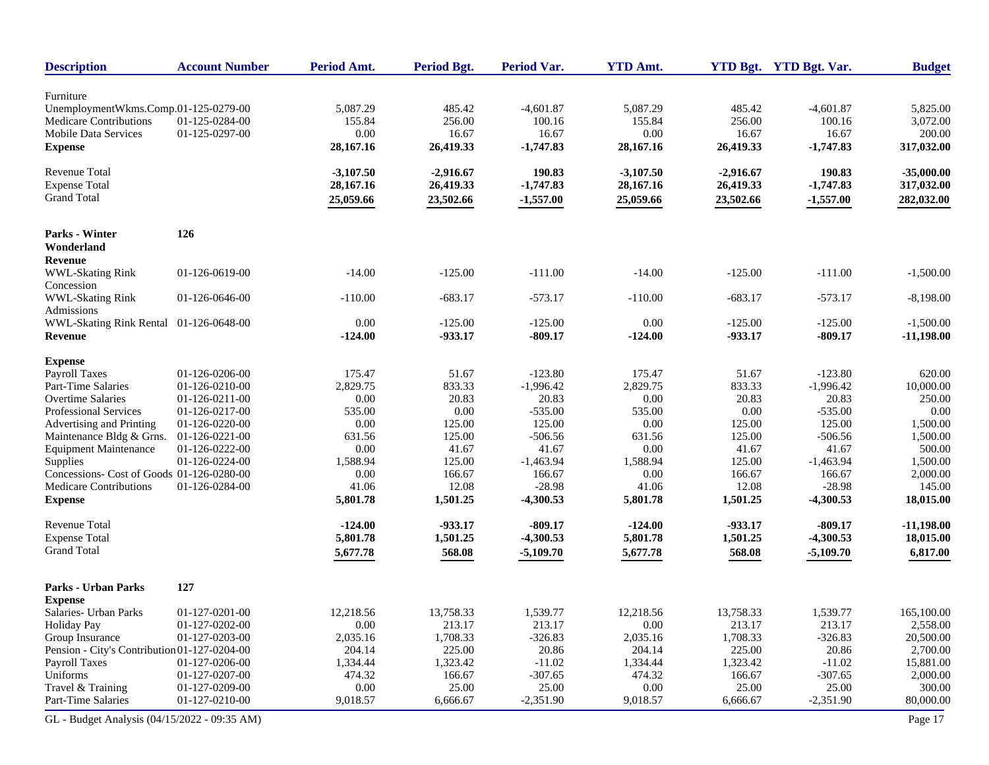| <b>Description</b>                           | <b>Account Number</b> | Period Amt. | Period Bgt. | <b>Period Var.</b> | <b>YTD Amt.</b> |             | YTD Bgt. YTD Bgt. Var. | <b>Budget</b> |
|----------------------------------------------|-----------------------|-------------|-------------|--------------------|-----------------|-------------|------------------------|---------------|
| Furniture                                    |                       |             |             |                    |                 |             |                        |               |
| UnemploymentWkms.Comp.01-125-0279-00         |                       | 5,087.29    | 485.42      | $-4,601.87$        | 5,087.29        | 485.42      | $-4,601.87$            | 5,825.00      |
| Medicare Contributions                       | 01-125-0284-00        | 155.84      | 256.00      | 100.16             | 155.84          | 256.00      | 100.16                 | 3,072.00      |
| <b>Mobile Data Services</b>                  | 01-125-0297-00        | 0.00        | 16.67       | 16.67              | 0.00            | 16.67       | 16.67                  | 200.00        |
| <b>Expense</b>                               |                       | 28,167.16   | 26,419.33   | $-1,747.83$        | 28,167.16       | 26,419.33   | $-1,747.83$            | 317,032.00    |
|                                              |                       |             |             |                    |                 |             |                        |               |
| <b>Revenue Total</b>                         |                       | $-3,107.50$ | $-2,916.67$ | 190.83             | $-3,107.50$     | $-2,916.67$ | 190.83                 | $-35,000.00$  |
| <b>Expense Total</b>                         |                       | 28,167.16   | 26,419.33   | $-1,747.83$        | 28,167.16       | 26,419.33   | $-1,747.83$            | 317,032.00    |
| <b>Grand Total</b>                           |                       | 25,059.66   | 23,502.66   | $-1,557.00$        | 25,059.66       | 23,502.66   | $-1,557.00$            | 282,032.00    |
| <b>Parks - Winter</b>                        | 126                   |             |             |                    |                 |             |                        |               |
| Wonderland                                   |                       |             |             |                    |                 |             |                        |               |
|                                              |                       |             |             |                    |                 |             |                        |               |
| Revenue                                      |                       | $-14.00$    |             | $-111.00$          | $-14.00$        |             |                        |               |
| <b>WWL-Skating Rink</b><br>Concession        | 01-126-0619-00        |             | $-125.00$   |                    |                 | $-125.00$   | $-111.00$              | $-1,500.00$   |
|                                              |                       | $-110.00$   |             |                    |                 |             | $-573.17$              |               |
| <b>WWL-Skating Rink</b><br>Admissions        | 01-126-0646-00        |             | $-683.17$   | $-573.17$          | $-110.00$       | $-683.17$   |                        | $-8,198.00$   |
| WWL-Skating Rink Rental                      | 01-126-0648-00        | 0.00        | $-125.00$   | $-125.00$          | 0.00            | $-125.00$   | $-125.00$              | $-1,500.00$   |
| <b>Revenue</b>                               |                       | $-124.00$   | $-933.17$   | $-809.17$          | $-124.00$       | -933.17     | $-809.17$              | $-11,198.00$  |
|                                              |                       |             |             |                    |                 |             |                        |               |
| <b>Expense</b>                               |                       |             |             |                    |                 |             |                        |               |
| <b>Payroll Taxes</b>                         | 01-126-0206-00        | 175.47      | 51.67       | $-123.80$          | 175.47          | 51.67       | $-123.80$              | 620.00        |
| Part-Time Salaries                           | 01-126-0210-00        | 2,829.75    | 833.33      | $-1,996.42$        | 2,829.75        | 833.33      | $-1,996.42$            | 10,000.00     |
| <b>Overtime Salaries</b>                     | 01-126-0211-00        | 0.00        | 20.83       | 20.83              | 0.00            | 20.83       | 20.83                  | 250.00        |
| <b>Professional Services</b>                 | 01-126-0217-00        | 535.00      | 0.00        | $-535.00$          | 535.00          | 0.00        | $-535.00$              | 0.00          |
| Advertising and Printing                     | 01-126-0220-00        | 0.00        | 125.00      | 125.00             | 0.00            | 125.00      | 125.00                 | 1,500.00      |
| Maintenance Bldg & Grns.                     | 01-126-0221-00        | 631.56      | 125.00      | $-506.56$          | 631.56          | 125.00      | $-506.56$              | 1,500.00      |
| <b>Equipment Maintenance</b>                 | 01-126-0222-00        | 0.00        | 41.67       | 41.67              | 0.00            | 41.67       | 41.67                  | 500.00        |
| Supplies                                     | 01-126-0224-00        | 1,588.94    | 125.00      | $-1,463.94$        | 1,588.94        | 125.00      | $-1,463.94$            | 1,500.00      |
| Concessions- Cost of Goods 01-126-0280-00    |                       | 0.00        | 166.67      | 166.67             | 0.00            | 166.67      | 166.67                 | 2,000.00      |
| Medicare Contributions                       | 01-126-0284-00        | 41.06       | 12.08       | $-28.98$           | 41.06           | 12.08       | $-28.98$               | 145.00        |
| <b>Expense</b>                               |                       | 5,801.78    | 1,501.25    | $-4,300.53$        | 5,801.78        | 1,501.25    | $-4,300.53$            | 18,015.00     |
| <b>Revenue Total</b>                         |                       | $-124.00$   | -933.17     | $-809.17$          | $-124.00$       | -933.17     | $-809.17$              | $-11,198.00$  |
| <b>Expense Total</b>                         |                       | 5,801.78    | 1,501.25    | $-4,300.53$        | 5,801.78        | 1,501.25    | $-4,300.53$            | 18,015.00     |
| <b>Grand Total</b>                           |                       | 5,677.78    | 568.08      | $-5,109.70$        | 5,677.78        | 568.08      | $-5,109.70$            | 6,817.00      |
|                                              |                       |             |             |                    |                 |             |                        |               |
| <b>Parks - Urban Parks</b>                   | 127                   |             |             |                    |                 |             |                        |               |
| <b>Expense</b>                               |                       |             |             |                    |                 |             |                        |               |
| Salaries- Urban Parks                        | 01-127-0201-00        | 12,218.56   | 13,758.33   | 1,539.77           | 12,218.56       | 13,758.33   | 1,539.77               | 165,100.00    |
| <b>Holiday Pay</b>                           | 01-127-0202-00        | 0.00        | 213.17      | 213.17             | $0.00\,$        | 213.17      | 213.17                 | 2,558.00      |
| Group Insurance                              | 01-127-0203-00        | 2,035.16    | 1,708.33    | $-326.83$          | 2,035.16        | 1,708.33    | $-326.83$              | 20,500.00     |
| Pension - City's Contribution 01-127-0204-00 |                       | 204.14      | 225.00      | 20.86              | 204.14          | 225.00      | 20.86                  | 2,700.00      |
| Payroll Taxes                                | 01-127-0206-00        | 1,334.44    | 1,323.42    | $-11.02$           | 1,334.44        | 1,323.42    | $-11.02$               | 15,881.00     |
| Uniforms                                     | 01-127-0207-00        | 474.32      | 166.67      | $-307.65$          | 474.32          | 166.67      | $-307.65$              | 2,000.00      |
| Travel & Training                            | 01-127-0209-00        | 0.00        | 25.00       | 25.00              | $0.00\,$        | 25.00       | 25.00                  | 300.00        |
| Part-Time Salaries                           | 01-127-0210-00        | 9,018.57    | 6,666.67    | $-2,351.90$        | 9,018.57        | 6,666.67    | $-2,351.90$            | 80,000.00     |
| GL - Budget Analysis (04/15/2022 - 09:35 AM) |                       |             |             |                    |                 |             |                        | Page 17       |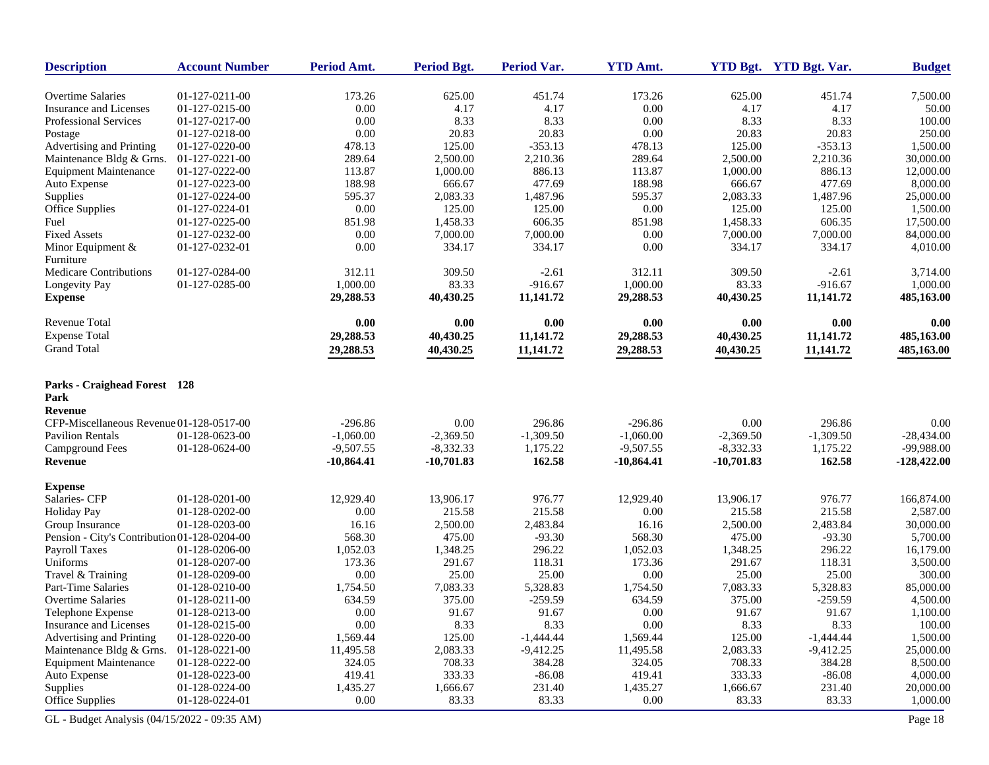| <b>Description</b>                           | <b>Account Number</b> | <b>Period Amt.</b> | <b>Period Bgt.</b> | Period Var. | <b>YTD Amt.</b> |             | YTD Bgt. YTD Bgt. Var. | <b>Budget</b> |
|----------------------------------------------|-----------------------|--------------------|--------------------|-------------|-----------------|-------------|------------------------|---------------|
| <b>Overtime Salaries</b>                     | 01-127-0211-00        | 173.26             | 625.00             | 451.74      | 173.26          | 625.00      | 451.74                 | 7,500.00      |
| Insurance and Licenses                       | 01-127-0215-00        | 0.00               | 4.17               | 4.17        | 0.00            | 4.17        | 4.17                   | 50.00         |
| <b>Professional Services</b>                 | 01-127-0217-00        | 0.00               | 8.33               | 8.33        | 0.00            | 8.33        | 8.33                   | 100.00        |
| Postage                                      | 01-127-0218-00        | 0.00               | 20.83              | 20.83       | 0.00            | 20.83       | 20.83                  | 250.00        |
| Advertising and Printing                     | 01-127-0220-00        | 478.13             | 125.00             | $-353.13$   | 478.13          | 125.00      | $-353.13$              | 1,500.00      |
| Maintenance Bldg & Grns.                     | 01-127-0221-00        | 289.64             | 2,500.00           | 2,210.36    | 289.64          | 2,500.00    | 2,210.36               | 30,000.00     |
| <b>Equipment Maintenance</b>                 | 01-127-0222-00        | 113.87             | 1,000.00           | 886.13      | 113.87          | 1,000.00    | 886.13                 | 12,000.00     |
| Auto Expense                                 | 01-127-0223-00        | 188.98             | 666.67             | 477.69      | 188.98          | 666.67      | 477.69                 | 8,000.00      |
| Supplies                                     | 01-127-0224-00        | 595.37             | 2,083.33           | 1,487.96    | 595.37          | 2,083.33    | 1,487.96               | 25,000.00     |
| Office Supplies                              | 01-127-0224-01        | 0.00               | 125.00             | 125.00      | 0.00            | 125.00      | 125.00                 | 1,500.00      |
| Fuel                                         | 01-127-0225-00        | 851.98             | 1,458.33           | 606.35      | 851.98          | 1,458.33    | 606.35                 | 17,500.00     |
| <b>Fixed Assets</b>                          | 01-127-0232-00        | 0.00               | 7,000.00           | 7,000.00    | 0.00            | 7,000.00    | 7,000.00               | 84,000.00     |
| Minor Equipment &                            | 01-127-0232-01        | 0.00               | 334.17             | 334.17      | 0.00            | 334.17      | 334.17                 | 4,010.00      |
| Furniture                                    |                       |                    |                    |             |                 |             |                        |               |
| <b>Medicare Contributions</b>                | 01-127-0284-00        | 312.11             | 309.50             | $-2.61$     | 312.11          | 309.50      | $-2.61$                | 3,714.00      |
| Longevity Pay                                | 01-127-0285-00        | 1,000.00           | 83.33              | $-916.67$   | 1,000.00        | 83.33       | $-916.67$              | 1,000.00      |
| <b>Expense</b>                               |                       | 29,288.53          | 40,430.25          | 11,141.72   | 29,288.53       | 40,430.25   | 11,141.72              | 485,163.00    |
|                                              |                       |                    |                    |             |                 |             |                        |               |
| <b>Revenue Total</b>                         |                       | 0.00               | 0.00               | 0.00        | 0.00            | 0.00        | 0.00                   | 0.00          |
| <b>Expense Total</b>                         |                       | 29,288.53          | 40,430.25          | 11,141.72   | 29,288.53       | 40,430.25   | 11,141.72              | 485,163.00    |
| <b>Grand Total</b>                           |                       | 29,288.53          | 40,430.25          | 11,141.72   | 29,288.53       | 40,430.25   | 11,141.72              | 485,163.00    |
| Parks - Craighead Forest 128<br>Park         |                       |                    |                    |             |                 |             |                        |               |
| Revenue                                      |                       |                    |                    |             |                 |             |                        |               |
| CFP-Miscellaneous Revenue 01-128-0517-00     |                       | $-296.86$          | 0.00               | 296.86      | $-296.86$       | 0.00        | 296.86                 | 0.00          |
| <b>Pavilion Rentals</b>                      | 01-128-0623-00        | $-1,060.00$        | $-2,369.50$        | $-1,309.50$ | $-1,060.00$     | $-2,369.50$ | $-1,309.50$            | $-28,434.00$  |
| <b>Campground Fees</b>                       | 01-128-0624-00        | $-9,507.55$        | $-8,332.33$        | 1,175.22    | $-9,507.55$     | $-8,332.33$ | 1,175.22               | -99,988.00    |
| <b>Revenue</b>                               |                       | -10,864.41         | $-10,701.83$       | 162.58      | $-10,864.41$    | -10,701.83  | 162.58                 | $-128,422.00$ |
| <b>Expense</b>                               |                       |                    |                    |             |                 |             |                        |               |
| Salaries- CFP                                | 01-128-0201-00        | 12,929.40          | 13,906.17          | 976.77      | 12,929.40       | 13,906.17   | 976.77                 | 166,874.00    |
| <b>Holiday Pay</b>                           | 01-128-0202-00        | 0.00               | 215.58             | 215.58      | 0.00            | 215.58      | 215.58                 | 2,587.00      |
| Group Insurance                              | 01-128-0203-00        | 16.16              | 2,500.00           | 2,483.84    | 16.16           | 2,500.00    | 2,483.84               | 30,000.00     |
| Pension - City's Contribution 01-128-0204-00 |                       | 568.30             | 475.00             | $-93.30$    | 568.30          | 475.00      | $-93.30$               | 5,700.00      |
| Payroll Taxes                                | 01-128-0206-00        | 1,052.03           | 1,348.25           | 296.22      | 1,052.03        | 1,348.25    | 296.22                 | 16,179.00     |
| Uniforms                                     | 01-128-0207-00        | 173.36             | 291.67             | 118.31      | 173.36          | 291.67      | 118.31                 | 3,500.00      |
| Travel & Training                            | 01-128-0209-00        | 0.00               | 25.00              | 25.00       | 0.00            | 25.00       | 25.00                  | 300.00        |
| Part-Time Salaries                           | 01-128-0210-00        | 1,754.50           | 7,083.33           | 5,328.83    | 1,754.50        | 7,083.33    | 5,328.83               | 85,000.00     |
| <b>Overtime Salaries</b>                     | 01-128-0211-00        | 634.59             | 375.00             | $-259.59$   | 634.59          | 375.00      | $-259.59$              | 4,500.00      |
| Telephone Expense                            | 01-128-0213-00        | 0.00               | 91.67              | 91.67       | 0.00            | 91.67       | 91.67                  | 1,100.00      |
| Insurance and Licenses                       | 01-128-0215-00        | 0.00               | 8.33               | 8.33        | 0.00            | 8.33        | 8.33                   | 100.00        |
| Advertising and Printing                     | 01-128-0220-00        | 1,569.44           | 125.00             | $-1,444.44$ | 1,569.44        | 125.00      | $-1,444.44$            | 1,500.00      |
| Maintenance Bldg & Grns.                     | 01-128-0221-00        | 11,495.58          | 2,083.33           | $-9,412.25$ | 11,495.58       | 2,083.33    | $-9,412.25$            | 25,000.00     |
| <b>Equipment Maintenance</b>                 | 01-128-0222-00        | 324.05             | 708.33             | 384.28      | 324.05          | 708.33      | 384.28                 | 8,500.00      |
| Auto Expense                                 | 01-128-0223-00        | 419.41             | 333.33             | $-86.08$    | 419.41          | 333.33      | $-86.08$               | 4,000.00      |
| Supplies                                     | 01-128-0224-00        | 1,435.27           | 1,666.67           | 231.40      | 1,435.27        | 1,666.67    | 231.40                 | 20,000.00     |
| Office Supplies                              | 01-128-0224-01        | 0.00               | 83.33              | 83.33       | 0.00            | 83.33       | 83.33                  | 1,000.00      |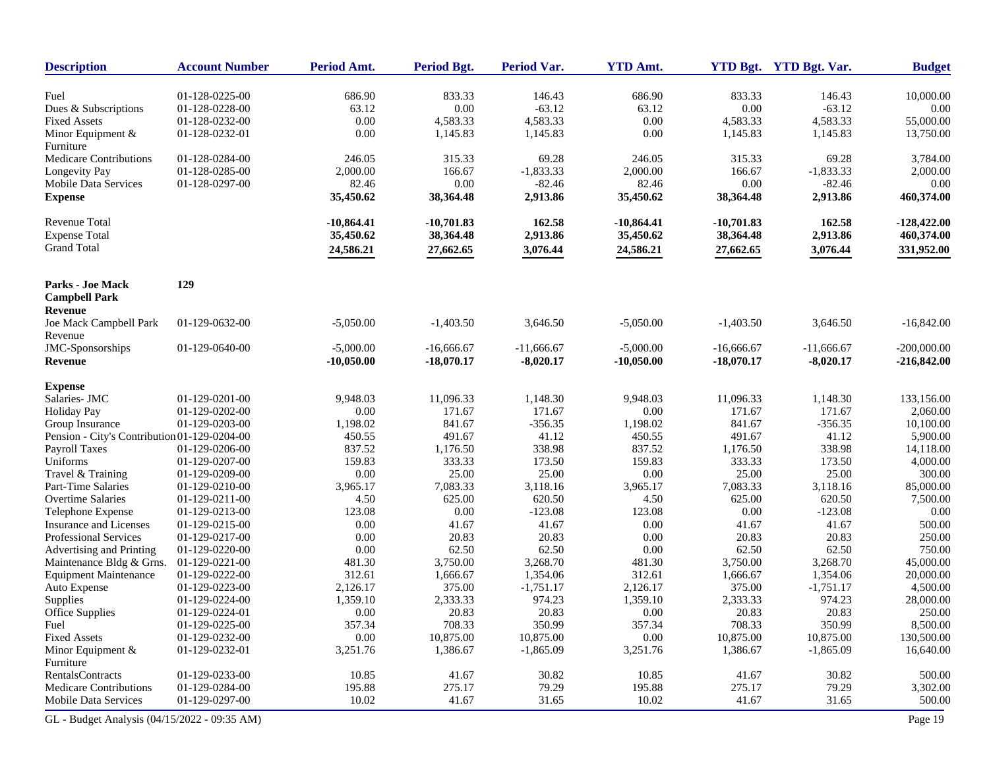| <b>Description</b>                              | <b>Account Number</b> | Period Amt.  | <b>Period Bgt.</b> | Period Var.  | <b>YTD Amt.</b> |              | YTD Bgt. YTD Bgt. Var. | <b>Budget</b> |
|-------------------------------------------------|-----------------------|--------------|--------------------|--------------|-----------------|--------------|------------------------|---------------|
| Fuel                                            | 01-128-0225-00        | 686.90       | 833.33             | 146.43       | 686.90          | 833.33       | 146.43                 | 10,000.00     |
| Dues & Subscriptions                            | 01-128-0228-00        | 63.12        | 0.00               | $-63.12$     | 63.12           | $0.00\,$     | $-63.12$               | $0.00\,$      |
| <b>Fixed Assets</b>                             | 01-128-0232-00        | $0.00\,$     | 4,583.33           | 4,583.33     | 0.00            | 4,583.33     | 4,583.33               | 55,000.00     |
| Minor Equipment &                               | 01-128-0232-01        | 0.00         | 1,145.83           | 1,145.83     | 0.00            | 1,145.83     | 1,145.83               | 13,750.00     |
| Furniture                                       |                       |              |                    |              |                 |              |                        |               |
| <b>Medicare Contributions</b>                   | 01-128-0284-00        | 246.05       | 315.33             | 69.28        | 246.05          | 315.33       | 69.28                  | 3,784.00      |
| Longevity Pay                                   | 01-128-0285-00        | 2,000.00     | 166.67             | $-1,833.33$  | 2,000.00        | 166.67       | $-1,833.33$            | 2,000.00      |
| Mobile Data Services                            | 01-128-0297-00        | 82.46        | $0.00\,$           | $-82.46$     | 82.46           | $0.00\,$     | $-82.46$               | 0.00          |
| <b>Expense</b>                                  |                       | 35,450.62    | 38,364.48          | 2,913.86     | 35,450.62       | 38,364.48    | 2,913.86               | 460,374.00    |
| <b>Revenue Total</b>                            |                       | $-10,864.41$ | $-10,701.83$       | 162.58       | $-10,864.41$    | $-10,701.83$ | 162.58                 | $-128,422.00$ |
| <b>Expense Total</b>                            |                       | 35,450.62    | 38,364.48          | 2,913.86     | 35,450.62       | 38,364.48    | 2,913.86               | 460,374.00    |
| <b>Grand Total</b>                              |                       |              | 27,662.65          | 3,076.44     |                 | 27,662.65    |                        | 331,952.00    |
|                                                 |                       | 24,586.21    |                    |              | 24,586.21       |              | 3,076.44               |               |
| <b>Parks - Joe Mack</b><br><b>Campbell Park</b> | 129                   |              |                    |              |                 |              |                        |               |
| <b>Revenue</b>                                  |                       |              |                    |              |                 |              |                        |               |
| Joe Mack Campbell Park<br>Revenue               | 01-129-0632-00        | $-5,050.00$  | $-1,403.50$        | 3,646.50     | $-5,050.00$     | $-1,403.50$  | 3,646.50               | $-16,842.00$  |
| JMC-Sponsorships                                | 01-129-0640-00        | $-5,000.00$  | $-16,666.67$       | $-11,666.67$ | $-5,000.00$     | $-16,666.67$ | $-11,666.67$           | $-200,000.00$ |
| <b>Revenue</b>                                  |                       | $-10,050.00$ | $-18,070.17$       | $-8,020.17$  | $-10,050.00$    | $-18,070.17$ | $-8,020.17$            | $-216,842.00$ |
| <b>Expense</b>                                  |                       |              |                    |              |                 |              |                        |               |
| Salaries- JMC                                   | 01-129-0201-00        | 9,948.03     | 11,096.33          | 1,148.30     | 9,948.03        | 11,096.33    | 1,148.30               | 133,156.00    |
| <b>Holiday Pay</b>                              | 01-129-0202-00        | 0.00         | 171.67             | 171.67       | 0.00            | 171.67       | 171.67                 | 2,060.00      |
| Group Insurance                                 | 01-129-0203-00        | 1,198.02     | 841.67             | $-356.35$    | 1,198.02        | 841.67       | $-356.35$              | 10,100.00     |
| Pension - City's Contribution 01-129-0204-00    |                       | 450.55       | 491.67             | 41.12        | 450.55          | 491.67       | 41.12                  | 5,900.00      |
| <b>Payroll Taxes</b>                            | 01-129-0206-00        | 837.52       | 1,176.50           | 338.98       | 837.52          | 1,176.50     | 338.98                 | 14,118.00     |
| Uniforms                                        | 01-129-0207-00        | 159.83       | 333.33             | 173.50       | 159.83          | 333.33       | 173.50                 | 4,000.00      |
| Travel & Training                               | 01-129-0209-00        | $0.00\,$     | 25.00              | 25.00        | 0.00            | 25.00        | 25.00                  | 300.00        |
| Part-Time Salaries                              | 01-129-0210-00        | 3,965.17     | 7,083.33           | 3,118.16     | 3,965.17        | 7,083.33     | 3,118.16               | 85,000.00     |
| Overtime Salaries                               | 01-129-0211-00        | 4.50         | 625.00             | 620.50       | 4.50            | 625.00       | 620.50                 | 7,500.00      |
| Telephone Expense                               | 01-129-0213-00        | 123.08       | $0.00\,$           | $-123.08$    | 123.08          | $0.00\,$     | $-123.08$              | 0.00          |
| Insurance and Licenses                          | 01-129-0215-00        | 0.00         | 41.67              | 41.67        | 0.00            | 41.67        | 41.67                  | 500.00        |
| Professional Services                           | 01-129-0217-00        | 0.00         | 20.83              | 20.83        | 0.00            | 20.83        | 20.83                  | 250.00        |
| Advertising and Printing                        | 01-129-0220-00        | 0.00         | 62.50              | 62.50        | 0.00            | 62.50        | 62.50                  | 750.00        |
| Maintenance Bldg & Grns.                        | 01-129-0221-00        | 481.30       | 3,750.00           | 3,268.70     | 481.30          | 3,750.00     | 3,268.70               | 45,000.00     |
| <b>Equipment Maintenance</b>                    | 01-129-0222-00        | 312.61       | 1,666.67           | 1,354.06     | 312.61          | 1,666.67     | 1,354.06               | 20,000.00     |
| Auto Expense                                    | 01-129-0223-00        | 2,126.17     | 375.00             | $-1,751.17$  | 2,126.17        | 375.00       | $-1,751.17$            | 4,500.00      |
| Supplies                                        | 01-129-0224-00        | 1,359.10     | 2,333.33           | 974.23       | 1,359.10        | 2,333.33     | 974.23                 | 28,000.00     |
| Office Supplies                                 | 01-129-0224-01        | 0.00         | 20.83              | 20.83        | 0.00            | 20.83        | 20.83                  | 250.00        |
| Fuel                                            | 01-129-0225-00        | 357.34       | 708.33             | 350.99       | 357.34          | 708.33       | 350.99                 | 8,500.00      |
| <b>Fixed Assets</b>                             | 01-129-0232-00        | $0.00\,$     | 10,875.00          | 10,875.00    | 0.00            | 10,875.00    | 10,875.00              | 130,500.00    |
| Minor Equipment &<br>Furniture                  | 01-129-0232-01        | 3,251.76     | 1,386.67           | $-1,865.09$  | 3,251.76        | 1,386.67     | $-1,865.09$            | 16,640.00     |
| <b>RentalsContracts</b>                         | 01-129-0233-00        | 10.85        | 41.67              | 30.82        | 10.85           | 41.67        | 30.82                  | 500.00        |
| <b>Medicare Contributions</b>                   | 01-129-0284-00        | 195.88       | 275.17             | 79.29        | 195.88          | 275.17       | 79.29                  | 3,302.00      |
| <b>Mobile Data Services</b>                     | 01-129-0297-00        | 10.02        | 41.67              | 31.65        | 10.02           | 41.67        | 31.65                  | 500.00        |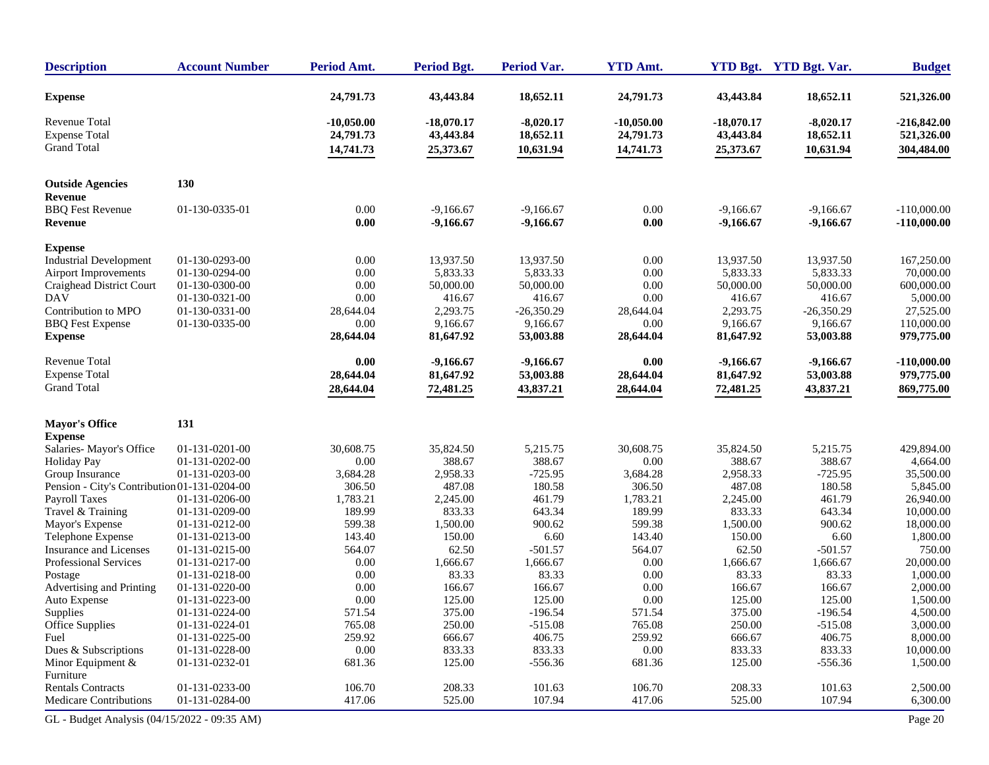| <b>Description</b>                                                                | <b>Account Number</b>                              | Period Amt.                            | <b>Period Bgt.</b>                          | <b>Period Var.</b>                              | <b>YTD Amt.</b>                        |                                             | YTD Bgt. YTD Bgt. Var.                          | <b>Budget</b>                                     |
|-----------------------------------------------------------------------------------|----------------------------------------------------|----------------------------------------|---------------------------------------------|-------------------------------------------------|----------------------------------------|---------------------------------------------|-------------------------------------------------|---------------------------------------------------|
| <b>Expense</b>                                                                    |                                                    | 24,791.73                              | 43,443.84                                   | 18,652.11                                       | 24,791.73                              | 43,443.84                                   | 18,652.11                                       | 521,326.00                                        |
| <b>Revenue Total</b><br><b>Expense Total</b><br><b>Grand Total</b>                |                                                    | $-10,050.00$<br>24,791.73<br>14,741.73 | $-18,070.17$<br>43,443.84<br>25,373.67      | $-8,020.17$<br>18,652.11<br>10,631.94           | $-10,050.00$<br>24,791.73<br>14,741.73 | $-18,070.17$<br>43,443.84<br>25,373.67      | $-8,020.17$<br>18,652.11<br>10,631.94           | $-216,842.00$<br>521,326.00<br>304,484.00         |
|                                                                                   |                                                    |                                        |                                             |                                                 |                                        |                                             |                                                 |                                                   |
| <b>Outside Agencies</b><br>Revenue                                                | 130                                                |                                        |                                             |                                                 |                                        |                                             |                                                 |                                                   |
| <b>BBQ</b> Fest Revenue<br>Revenue                                                | 01-130-0335-01                                     | 0.00<br>0.00                           | $-9.166.67$<br>$-9,166.67$                  | $-9.166.67$<br>$-9,166.67$                      | 0.00<br>0.00                           | $-9,166.67$<br>$-9,166.67$                  | $-9,166.67$<br>$-9,166.67$                      | $-110,000.00$<br>$-110,000.00$                    |
| <b>Expense</b>                                                                    |                                                    |                                        |                                             |                                                 |                                        |                                             |                                                 |                                                   |
| <b>Industrial Development</b><br>Airport Improvements<br>Craighead District Court | 01-130-0293-00<br>01-130-0294-00<br>01-130-0300-00 | 0.00<br>0.00<br>0.00                   | 13,937.50<br>5,833.33<br>50,000.00          | 13,937.50<br>5,833.33<br>50,000.00              | 0.00<br>0.00<br>0.00                   | 13,937.50<br>5,833.33<br>50,000.00          | 13,937.50<br>5,833.33<br>50,000.00              | 167,250.00<br>70,000.00<br>600,000.00             |
| <b>DAV</b><br>Contribution to MPO<br><b>BBQ</b> Fest Expense<br><b>Expense</b>    | 01-130-0321-00<br>01-130-0331-00<br>01-130-0335-00 | 0.00<br>28,644.04<br>0.00<br>28,644.04 | 416.67<br>2,293.75<br>9,166.67<br>81,647.92 | 416.67<br>$-26,350.29$<br>9,166.67<br>53,003.88 | 0.00<br>28,644.04<br>0.00<br>28,644.04 | 416.67<br>2,293.75<br>9,166.67<br>81,647.92 | 416.67<br>$-26,350.29$<br>9,166.67<br>53,003.88 | 5,000.00<br>27,525.00<br>110,000.00<br>979,775.00 |
|                                                                                   |                                                    |                                        |                                             |                                                 |                                        |                                             |                                                 |                                                   |
| Revenue Total<br><b>Expense Total</b>                                             |                                                    | 0.00<br>28,644.04                      | $-9,166.67$<br>81,647.92                    | $-9,166.67$<br>53,003.88                        | 0.00<br>28,644.04                      | $-9,166.67$<br>81,647.92                    | $-9,166.67$<br>53,003.88                        | $-110,000.00$<br>979,775.00                       |
| <b>Grand Total</b>                                                                |                                                    | 28,644.04                              | 72,481.25                                   | 43,837.21                                       | 28,644.04                              | 72,481.25                                   | 43,837.21                                       | 869,775.00                                        |
| <b>Mayor's Office</b>                                                             | 131                                                |                                        |                                             |                                                 |                                        |                                             |                                                 |                                                   |
| <b>Expense</b><br>Salaries-Mayor's Office                                         | 01-131-0201-00                                     | 30,608.75                              | 35,824.50                                   | 5,215.75                                        | 30,608.75                              | 35,824.50                                   | 5,215.75                                        | 429,894.00                                        |
| <b>Holiday Pay</b>                                                                | 01-131-0202-00                                     | 0.00                                   | 388.67                                      | 388.67                                          | 0.00                                   | 388.67                                      | 388.67                                          | 4,664.00                                          |
| Group Insurance                                                                   | 01-131-0203-00                                     | 3,684.28                               | 2,958.33                                    | $-725.95$                                       | 3,684.28                               | 2,958.33                                    | $-725.95$                                       | 35,500.00                                         |
| Pension - City's Contribution 01-131-0204-00                                      |                                                    | 306.50                                 | 487.08                                      | 180.58                                          | 306.50                                 | 487.08                                      | 180.58                                          | 5,845.00                                          |
| Payroll Taxes                                                                     | 01-131-0206-00                                     | 1,783.21                               | 2,245.00                                    | 461.79                                          | 1,783.21                               | 2,245.00                                    | 461.79                                          | 26,940.00                                         |
| Travel & Training                                                                 | 01-131-0209-00                                     | 189.99                                 | 833.33                                      | 643.34                                          | 189.99                                 | 833.33                                      | 643.34                                          | 10,000.00                                         |
| Mayor's Expense                                                                   | 01-131-0212-00                                     | 599.38                                 | 1,500.00                                    | 900.62                                          | 599.38                                 | 1,500.00                                    | 900.62                                          | 18,000.00                                         |
| Telephone Expense                                                                 | 01-131-0213-00                                     | 143.40                                 | 150.00                                      | 6.60                                            | 143.40                                 | 150.00                                      | 6.60                                            | 1,800.00                                          |
| Insurance and Licenses                                                            | 01-131-0215-00                                     | 564.07                                 | 62.50                                       | $-501.57$                                       | 564.07                                 | 62.50                                       | $-501.57$                                       | 750.00                                            |
| Professional Services                                                             | 01-131-0217-00                                     | 0.00                                   | 1,666.67                                    | 1,666.67                                        | 0.00                                   | 1,666.67                                    | 1,666.67                                        | 20,000.00                                         |
| Postage                                                                           | 01-131-0218-00                                     | 0.00                                   | 83.33                                       | 83.33                                           | 0.00                                   | 83.33                                       | 83.33                                           | 1,000.00                                          |
| Advertising and Printing                                                          | 01-131-0220-00                                     | 0.00                                   | 166.67                                      | 166.67                                          | 0.00                                   | 166.67                                      | 166.67                                          | 2,000.00                                          |
| Auto Expense                                                                      | 01-131-0223-00                                     | 0.00                                   | 125.00                                      | 125.00                                          | 0.00                                   | 125.00                                      | 125.00                                          | 1,500.00                                          |
| Supplies                                                                          | 01-131-0224-00                                     | 571.54                                 | 375.00                                      | $-196.54$                                       | 571.54                                 | 375.00                                      | $-196.54$                                       | 4,500.00                                          |
| <b>Office Supplies</b>                                                            | 01-131-0224-01                                     | 765.08                                 | 250.00                                      | $-515.08$                                       | 765.08                                 | 250.00                                      | $-515.08$                                       | 3,000.00                                          |
| Fuel                                                                              | 01-131-0225-00                                     | 259.92                                 | 666.67                                      | 406.75                                          | 259.92                                 | 666.67                                      | 406.75                                          | 8,000.00                                          |
| Dues & Subscriptions                                                              | 01-131-0228-00                                     | 0.00                                   | 833.33<br>125.00                            | 833.33                                          | 0.00                                   | 833.33                                      | 833.33                                          | 10,000.00                                         |
| Minor Equipment &<br>Furniture                                                    | 01-131-0232-01                                     | 681.36                                 |                                             | $-556.36$                                       | 681.36                                 | 125.00                                      | $-556.36$                                       | 1,500.00                                          |
| <b>Rentals Contracts</b>                                                          | 01-131-0233-00                                     | 106.70                                 | 208.33                                      | 101.63                                          | 106.70                                 | 208.33                                      | 101.63                                          | 2,500.00                                          |
| <b>Medicare Contributions</b>                                                     | 01-131-0284-00                                     | 417.06                                 | 525.00                                      | 107.94                                          | 417.06                                 | 525.00                                      | 107.94                                          | 6,300.00                                          |
|                                                                                   |                                                    |                                        |                                             |                                                 |                                        |                                             |                                                 |                                                   |
| GL - Budget Analysis (04/15/2022 - 09:35 AM)                                      |                                                    |                                        |                                             |                                                 |                                        |                                             |                                                 | Page 20                                           |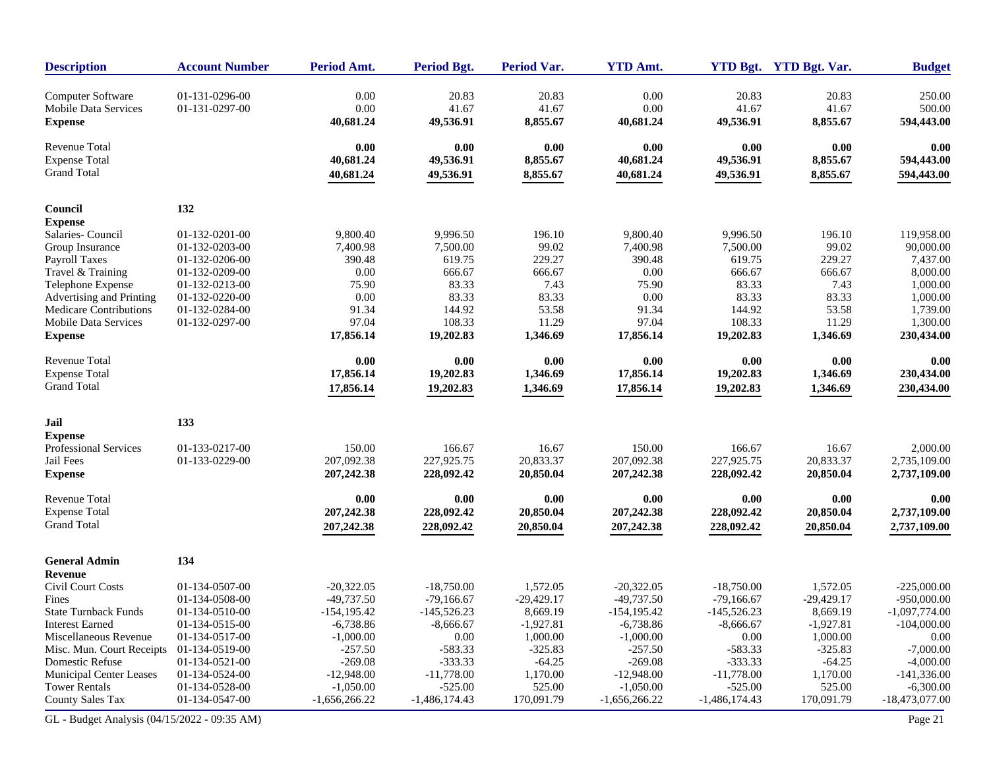| <b>Description</b>                        | <b>Account Number</b>            | Period Amt.     | <b>Period Bgt.</b> | <b>Period Var.</b> | <b>YTD Amt.</b> |                 | YTD Bgt. YTD Bgt. Var. | <b>Budget</b>    |
|-------------------------------------------|----------------------------------|-----------------|--------------------|--------------------|-----------------|-----------------|------------------------|------------------|
| Computer Software<br>Mobile Data Services | 01-131-0296-00<br>01-131-0297-00 | 0.00<br>0.00    | 20.83<br>41.67     | 20.83<br>41.67     | 0.00<br>0.00    | 20.83<br>41.67  | 20.83<br>41.67         | 250.00<br>500.00 |
| <b>Expense</b>                            |                                  | 40,681.24       | 49,536.91          | 8,855.67           | 40,681.24       | 49,536.91       | 8,855.67               | 594,443.00       |
| Revenue Total                             |                                  | 0.00            | 0.00               | $0.00\,$           | 0.00            | 0.00            | 0.00                   | 0.00             |
| <b>Expense Total</b>                      |                                  | 40,681.24       | 49,536.91          | 8,855.67           | 40,681.24       | 49,536.91       | 8,855.67               | 594,443.00       |
| <b>Grand Total</b>                        |                                  | 40,681.24       | 49,536.91          | 8,855.67           | 40,681.24       | 49,536.91       | 8,855.67               | 594,443.00       |
| Council                                   | 132                              |                 |                    |                    |                 |                 |                        |                  |
| <b>Expense</b>                            |                                  |                 |                    |                    |                 |                 |                        |                  |
| Salaries-Council                          | 01-132-0201-00                   | 9,800.40        | 9,996.50           | 196.10             | 9.800.40        | 9.996.50        | 196.10                 | 119,958.00       |
| Group Insurance                           | 01-132-0203-00                   | 7,400.98        | 7,500.00           | 99.02              | 7,400.98        | 7,500.00        | 99.02                  | 90,000.00        |
| Payroll Taxes                             | 01-132-0206-00                   | 390.48          | 619.75             | 229.27             | 390.48          | 619.75          | 229.27                 | 7,437.00         |
| Travel & Training                         | 01-132-0209-00                   | 0.00            | 666.67             | 666.67             | 0.00            | 666.67          | 666.67                 | 8,000.00         |
| Telephone Expense                         | 01-132-0213-00                   | 75.90           | 83.33              | 7.43               | 75.90           | 83.33           | 7.43                   | 1,000.00         |
| Advertising and Printing                  | 01-132-0220-00                   | 0.00            | 83.33              | 83.33              | 0.00            | 83.33           | 83.33                  | 1,000.00         |
| Medicare Contributions                    | 01-132-0284-00                   | 91.34           | 144.92             | 53.58              | 91.34           | 144.92          | 53.58                  | 1.739.00         |
| <b>Mobile Data Services</b>               | 01-132-0297-00                   | 97.04           | 108.33             | 11.29              | 97.04           | 108.33          | 11.29                  | 1,300.00         |
| <b>Expense</b>                            |                                  | 17,856.14       | 19,202.83          | 1,346.69           | 17,856.14       | 19,202.83       | 1,346.69               | 230,434.00       |
| <b>Revenue Total</b>                      |                                  | 0.00            | 0.00               | $0.00\,$           | 0.00            | 0.00            | 0.00                   | 0.00             |
| <b>Expense Total</b>                      |                                  | 17,856.14       | 19,202.83          | 1,346.69           | 17,856.14       | 19,202.83       | 1,346.69               | 230,434.00       |
| <b>Grand Total</b>                        |                                  | 17,856.14       | 19,202.83          | 1,346.69           | 17,856.14       | 19,202.83       | 1,346.69               | 230,434.00       |
| Jail                                      | 133                              |                 |                    |                    |                 |                 |                        |                  |
| <b>Expense</b>                            |                                  |                 |                    |                    |                 |                 |                        |                  |
| Professional Services                     | 01-133-0217-00                   | 150.00          | 166.67             | 16.67              | 150.00          | 166.67          | 16.67                  | 2,000.00         |
| Jail Fees                                 | 01-133-0229-00                   | 207,092.38      | 227,925.75         | 20,833.37          | 207,092.38      | 227,925.75      | 20,833.37              | 2,735,109.00     |
| <b>Expense</b>                            |                                  | 207,242.38      | 228,092.42         | 20,850.04          | 207,242.38      | 228,092.42      | 20,850.04              | 2,737,109.00     |
| Revenue Total                             |                                  | 0.00            | 0.00               | 0.00               | 0.00            | 0.00            | 0.00                   | 0.00             |
| <b>Expense Total</b>                      |                                  | 207,242.38      | 228,092.42         | 20,850.04          | 207,242.38      | 228,092.42      | 20,850.04              | 2,737,109.00     |
| <b>Grand Total</b>                        |                                  | 207,242.38      | 228,092.42         | 20,850.04          | 207,242.38      | 228,092.42      | 20,850.04              | 2,737,109.00     |
| <b>General Admin</b>                      | 134                              |                 |                    |                    |                 |                 |                        |                  |
| Revenue                                   |                                  |                 |                    |                    |                 |                 |                        |                  |
| Civil Court Costs                         | 01-134-0507-00                   | $-20,322.05$    | $-18,750.00$       | 1,572.05           | $-20,322.05$    | $-18,750.00$    | 1,572.05               | $-225,000.00$    |
| Fines                                     | 01-134-0508-00                   | $-49,737.50$    | $-79.166.67$       | $-29,429.17$       | $-49,737.50$    | $-79,166.67$    | $-29,429.17$           | $-950,000.00$    |
| <b>State Turnback Funds</b>               | 01-134-0510-00                   | $-154, 195.42$  | $-145,526.23$      | 8,669.19           | $-154, 195.42$  | $-145,526.23$   | 8,669.19               | $-1,097,774.00$  |
| <b>Interest Earned</b>                    | 01-134-0515-00                   | $-6,738.86$     | $-8,666.67$        | $-1,927.81$        | $-6,738.86$     | $-8,666.67$     | $-1,927.81$            | $-104,000.00$    |
| Miscellaneous Revenue                     | 01-134-0517-00                   | $-1,000.00$     | 0.00               | 1,000.00           | $-1,000.00$     | 0.00            | 1,000.00               | 0.00             |
| Misc. Mun. Court Receipts                 | 01-134-0519-00                   | $-257.50$       | $-583.33$          | $-325.83$          | $-257.50$       | $-583.33$       | $-325.83$              | $-7,000.00$      |
| Domestic Refuse                           | 01-134-0521-00                   | $-269.08$       | $-333.33$          | $-64.25$           | $-269.08$       | $-333.33$       | $-64.25$               | $-4,000.00$      |
| <b>Municipal Center Leases</b>            | 01-134-0524-00                   | $-12,948.00$    | $-11,778.00$       | 1,170.00           | $-12,948.00$    | $-11,778.00$    | 1,170.00               | $-141,336.00$    |
| <b>Tower Rentals</b>                      | 01-134-0528-00                   | $-1,050.00$     | $-525.00$          | 525.00             | $-1,050.00$     | $-525.00$       | 525.00                 | $-6,300.00$      |
| <b>County Sales Tax</b>                   | 01-134-0547-00                   | $-1,656,266.22$ | $-1,486,174.43$    | 170,091.79         | $-1,656,266.22$ | $-1,486,174.43$ | 170,091.79             | $-18,473,077.00$ |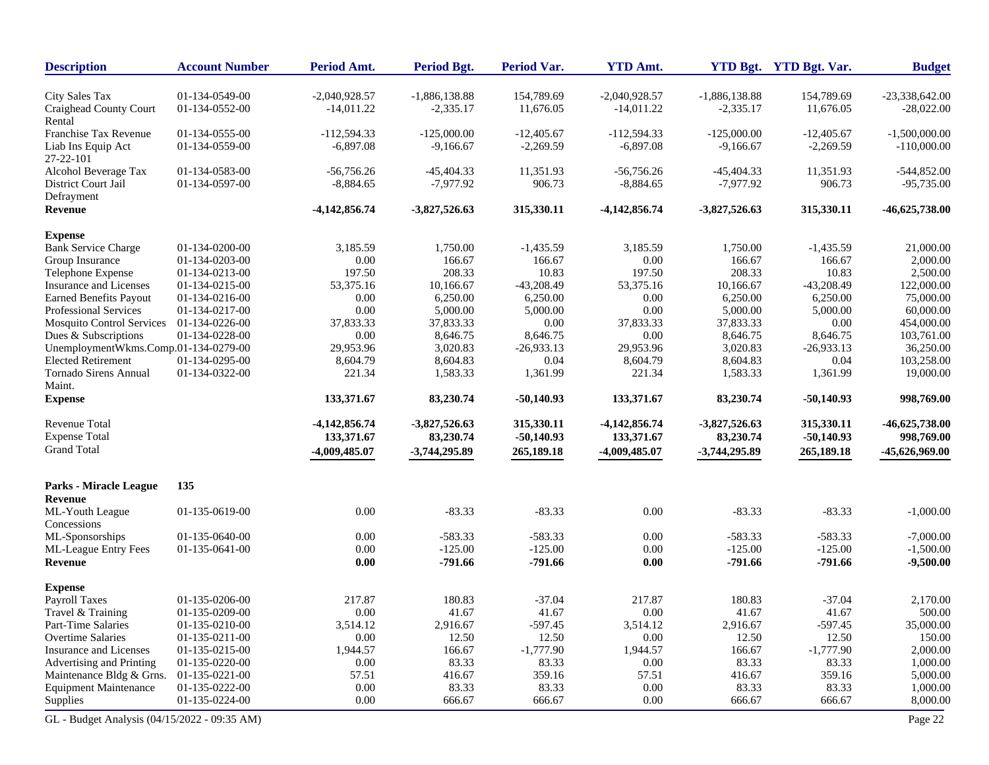| <b>Description</b>                           | <b>Account Number</b> | Period Amt.     | <b>Period Bgt.</b> | <b>Period Var.</b> | <b>YTD Amt.</b> |                 | YTD Bgt. YTD Bgt. Var. | <b>Budget</b>    |
|----------------------------------------------|-----------------------|-----------------|--------------------|--------------------|-----------------|-----------------|------------------------|------------------|
| City Sales Tax                               | 01-134-0549-00        | $-2,040,928.57$ | $-1,886,138.88$    | 154,789.69         | $-2,040,928.57$ | $-1,886,138.88$ | 154,789.69             | $-23,338,642.00$ |
| Craighead County Court<br>Rental             | 01-134-0552-00        | $-14,011.22$    | $-2,335.17$        | 11,676.05          | $-14,011.22$    | $-2,335.17$     | 11,676.05              | $-28,022.00$     |
| Franchise Tax Revenue                        | 01-134-0555-00        | $-112.594.33$   | $-125,000.00$      | $-12,405.67$       | $-112,594.33$   | $-125,000.00$   | $-12,405.67$           | $-1,500,000.00$  |
| Liab Ins Equip Act<br>27-22-101              | 01-134-0559-00        | $-6,897.08$     | $-9,166.67$        | $-2,269.59$        | $-6,897.08$     | $-9,166.67$     | $-2,269.59$            | $-110,000.00$    |
| Alcohol Beverage Tax                         | 01-134-0583-00        | $-56,756.26$    | $-45,404.33$       | 11,351.93          | $-56,756.26$    | $-45,404.33$    | 11,351.93              | $-544,852.00$    |
| District Court Jail<br>Defrayment            | 01-134-0597-00        | $-8,884.65$     | $-7,977.92$        | 906.73             | $-8,884.65$     | $-7,977.92$     | 906.73                 | $-95,735.00$     |
| Revenue                                      |                       | $-4,142,856.74$ | $-3,827,526.63$    | 315,330.11         | $-4,142,856.74$ | $-3,827,526.63$ | 315,330.11             | $-46,625,738.00$ |
| <b>Expense</b>                               |                       |                 |                    |                    |                 |                 |                        |                  |
| <b>Bank Service Charge</b>                   | 01-134-0200-00        | 3,185.59        | 1,750.00           | $-1,435.59$        | 3,185.59        | 1,750.00        | $-1,435.59$            | 21,000.00        |
| Group Insurance                              | 01-134-0203-00        | 0.00            | 166.67             | 166.67             | 0.00            | 166.67          | 166.67                 | 2,000.00         |
| Telephone Expense                            | 01-134-0213-00        | 197.50          | 208.33             | 10.83              | 197.50          | 208.33          | 10.83                  | 2,500.00         |
| Insurance and Licenses                       | 01-134-0215-00        | 53,375.16       | 10,166.67          | $-43,208.49$       | 53,375.16       | 10,166.67       | $-43,208.49$           | 122,000.00       |
| <b>Earned Benefits Payout</b>                | 01-134-0216-00        | 0.00            | 6,250.00           | 6,250.00           | 0.00            | 6,250.00        | 6,250.00               | 75,000.00        |
| Professional Services                        | 01-134-0217-00        | 0.00            | 5,000.00           | 5,000.00           | 0.00            | 5,000.00        | 5,000.00               | 60,000.00        |
| <b>Mosquito Control Services</b>             | 01-134-0226-00        | 37,833.33       | 37,833.33          | 0.00               | 37,833.33       | 37,833.33       | 0.00                   | 454,000.00       |
| Dues & Subscriptions                         | 01-134-0228-00        | 0.00            | 8,646.75           | 8,646.75           | 0.00            | 8,646.75        | 8,646.75               | 103,761.00       |
| UnemploymentWkms.Comp.01-134-0279-00         |                       | 29,953.96       | 3,020.83           | $-26,933.13$       | 29,953.96       | 3,020.83        | $-26,933.13$           | 36,250.00        |
| <b>Elected Retirement</b>                    | 01-134-0295-00        | 8,604.79        | 8,604.83           | 0.04               | 8,604.79        | 8,604.83        | 0.04                   | 103,258.00       |
| <b>Tornado Sirens Annual</b>                 | 01-134-0322-00        | 221.34          | 1,583.33           | 1,361.99           | 221.34          | 1,583.33        | 1,361.99               | 19,000.00        |
| Maint.<br><b>Expense</b>                     |                       | 133,371.67      | 83,230.74          | $-50,140.93$       | 133,371.67      | 83,230.74       | $-50,140.93$           | 998,769.00       |
|                                              |                       |                 |                    |                    |                 |                 |                        |                  |
| <b>Revenue Total</b>                         |                       | $-4,142,856.74$ | $-3,827,526.63$    | 315,330.11         | $-4,142,856.74$ | $-3,827,526.63$ | 315,330.11             | $-46,625,738.00$ |
| <b>Expense Total</b>                         |                       | 133,371.67      | 83,230.74          | $-50,140.93$       | 133,371.67      | 83,230.74       | $-50,140.93$           | 998,769.00       |
| <b>Grand Total</b>                           |                       | -4,009,485.07   | $-3,744,295.89$    | 265,189.18         | $-4,009,485.07$ | -3,744,295.89   | 265,189.18             | -45,626,969.00   |
| Parks - Miracle League<br>Revenue            | 135                   |                 |                    |                    |                 |                 |                        |                  |
| ML-Youth League<br>Concessions               | 01-135-0619-00        | 0.00            | $-83.33$           | $-83.33$           | 0.00            | $-83.33$        | $-83.33$               | $-1,000.00$      |
| ML-Sponsorships                              | 01-135-0640-00        | 0.00            | $-583.33$          | $-583.33$          | 0.00            | $-583.33$       | $-583.33$              | $-7,000.00$      |
| ML-League Entry Fees                         | 01-135-0641-00        | 0.00            | $-125.00$          | $-125.00$          | 0.00            | $-125.00$       | $-125.00$              | $-1,500.00$      |
| Revenue                                      |                       | 0.00            | $-791.66$          | $-791.66$          | 0.00            | $-791.66$       | $-791.66$              | $-9,500.00$      |
| <b>Expense</b>                               |                       |                 |                    |                    |                 |                 |                        |                  |
| <b>Payroll Taxes</b>                         | 01-135-0206-00        | 217.87          | 180.83             | $-37.04$           | 217.87          | 180.83          | $-37.04$               | 2,170.00         |
| Travel & Training                            | 01-135-0209-00        | 0.00            | 41.67              | 41.67              | 0.00            | 41.67           | 41.67                  | 500.00           |
| Part-Time Salaries                           | 01-135-0210-00        | 3,514.12        | 2,916.67           | $-597.45$          | 3,514.12        | 2,916.67        | $-597.45$              | 35,000.00        |
| <b>Overtime Salaries</b>                     | 01-135-0211-00        | 0.00            | 12.50              | 12.50              | 0.00            | 12.50           | 12.50                  | 150.00           |
| Insurance and Licenses                       | 01-135-0215-00        | 1,944.57        | 166.67             | $-1,777.90$        | 1,944.57        | 166.67          | $-1,777.90$            | 2,000.00         |
| Advertising and Printing                     | 01-135-0220-00        | 0.00            | 83.33              | 83.33              | 0.00            | 83.33           | 83.33                  | 1,000.00         |
|                                              | 01-135-0221-00        | 57.51           | 416.67             | 359.16             | 57.51           | 416.67          | 359.16                 |                  |
| Maintenance Bldg & Grns.                     | 01-135-0222-00        |                 |                    |                    |                 |                 |                        | 5,000.00         |
| <b>Equipment Maintenance</b>                 |                       | 0.00            | 83.33              | 83.33              | 0.00            | 83.33           | 83.33                  | 1,000.00         |
| Supplies                                     | 01-135-0224-00        | 0.00            | 666.67             | 666.67             | 0.00            | 666.67          | 666.67                 | 8,000.00         |
| GL - Budget Analysis (04/15/2022 - 09:35 AM) |                       |                 |                    |                    |                 |                 |                        | Page 22          |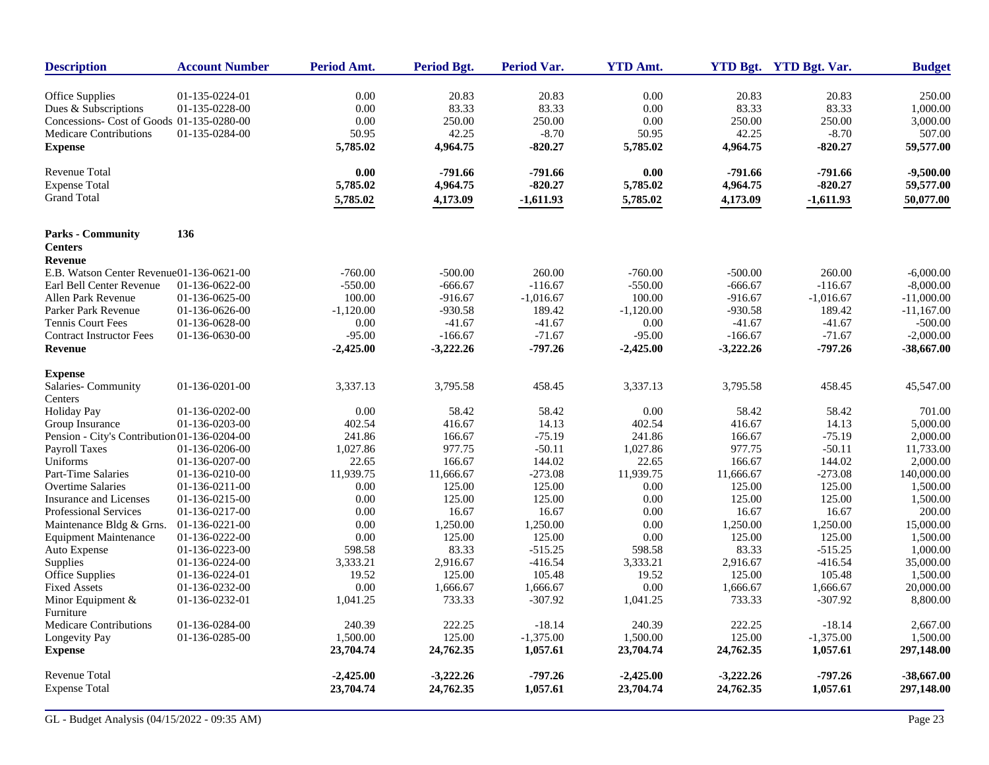| <b>Description</b>                           | <b>Account Number</b> | Period Amt. | <b>Period Bgt.</b> | <b>Period Var.</b> | <b>YTD Amt.</b> |             | YTD Bgt. YTD Bgt. Var. | <b>Budget</b> |
|----------------------------------------------|-----------------------|-------------|--------------------|--------------------|-----------------|-------------|------------------------|---------------|
| Office Supplies                              | 01-135-0224-01        | 0.00        | 20.83              | 20.83              | 0.00            | 20.83       | 20.83                  | 250.00        |
| Dues & Subscriptions                         | 01-135-0228-00        | 0.00        | 83.33              | 83.33              | 0.00            | 83.33       | 83.33                  | 1,000.00      |
| Concessions- Cost of Goods 01-135-0280-00    |                       | 0.00        | 250.00             | 250.00             | 0.00            | 250.00      | 250.00                 | 3,000.00      |
| <b>Medicare Contributions</b>                | 01-135-0284-00        | 50.95       | 42.25              | $-8.70$            | 50.95           | 42.25       | $-8.70$                | 507.00        |
| <b>Expense</b>                               |                       | 5,785.02    | 4,964.75           | $-820.27$          | 5,785.02        | 4,964.75    | $-820.27$              | 59,577.00     |
| Revenue Total                                |                       | 0.00        | $-791.66$          | $-791.66$          | 0.00            | $-791.66$   | $-791.66$              | $-9,500.00$   |
| <b>Expense Total</b>                         |                       | 5,785.02    | 4,964.75           | $-820.27$          | 5,785.02        | 4,964.75    | $-820.27$              | 59,577.00     |
| <b>Grand Total</b>                           |                       | 5,785.02    | 4,173.09           | $-1,611.93$        | 5,785.02        | 4,173.09    | $-1,611.93$            | 50,077.00     |
| <b>Parks - Community</b>                     | 136                   |             |                    |                    |                 |             |                        |               |
| <b>Centers</b><br><b>Revenue</b>             |                       |             |                    |                    |                 |             |                        |               |
| E.B. Watson Center Revenue01-136-0621-00     |                       | $-760.00$   | $-500.00$          | 260.00             | $-760.00$       | $-500.00$   | 260.00                 | $-6,000.00$   |
| Earl Bell Center Revenue                     | 01-136-0622-00        | $-550.00$   | $-666.67$          | $-116.67$          | $-550.00$       | $-666.67$   | $-116.67$              | $-8,000.00$   |
| Allen Park Revenue                           | 01-136-0625-00        | 100.00      | $-916.67$          | $-1,016.67$        | 100.00          | $-916.67$   | $-1,016.67$            | $-11,000.00$  |
| Parker Park Revenue                          | 01-136-0626-00        | $-1,120.00$ | $-930.58$          | 189.42             | $-1,120.00$     | $-930.58$   | 189.42                 | $-11,167.00$  |
| <b>Tennis Court Fees</b>                     | 01-136-0628-00        | 0.00        | $-41.67$           | $-41.67$           | 0.00            | $-41.67$    | $-41.67$               | $-500.00$     |
| <b>Contract Instructor Fees</b>              | 01-136-0630-00        | $-95.00$    | $-166.67$          | $-71.67$           | $-95.00$        | $-166.67$   | $-71.67$               | $-2,000.00$   |
| Revenue                                      |                       | $-2,425.00$ | $-3,222.26$        | $-797.26$          | $-2,425.00$     | $-3,222.26$ | $-797.26$              | $-38,667.00$  |
| <b>Expense</b>                               |                       |             |                    |                    |                 |             |                        |               |
| Salaries-Community                           | 01-136-0201-00        | 3,337.13    | 3,795.58           | 458.45             | 3,337.13        | 3,795.58    | 458.45                 | 45,547.00     |
| Centers                                      |                       |             |                    |                    |                 |             |                        |               |
| <b>Holiday Pay</b>                           | 01-136-0202-00        | 0.00        | 58.42              | 58.42              | 0.00            | 58.42       | 58.42                  | 701.00        |
| Group Insurance                              | 01-136-0203-00        | 402.54      | 416.67             | 14.13              | 402.54          | 416.67      | 14.13                  | 5,000.00      |
| Pension - City's Contribution 01-136-0204-00 |                       | 241.86      | 166.67             | $-75.19$           | 241.86          | 166.67      | $-75.19$               | 2,000.00      |
| Payroll Taxes                                | 01-136-0206-00        | 1,027.86    | 977.75             | $-50.11$           | 1,027.86        | 977.75      | $-50.11$               | 11,733.00     |
| Uniforms                                     | 01-136-0207-00        | 22.65       | 166.67             | 144.02             | 22.65           | 166.67      | 144.02                 | 2,000.00      |
| Part-Time Salaries                           | 01-136-0210-00        | 11,939.75   | 11,666.67          | $-273.08$          | 11,939.75       | 11,666.67   | $-273.08$              | 140,000.00    |
| Overtime Salaries                            | 01-136-0211-00        | 0.00        | 125.00             | 125.00             | 0.00            | 125.00      | 125.00                 | 1,500.00      |
| Insurance and Licenses                       | 01-136-0215-00        | 0.00        | 125.00             | 125.00             | 0.00            | 125.00      | 125.00                 | 1,500.00      |
| <b>Professional Services</b>                 | 01-136-0217-00        | 0.00        | 16.67              | 16.67              | 0.00            | 16.67       | 16.67                  | 200.00        |
| Maintenance Bldg & Grns.                     | 01-136-0221-00        | 0.00        | 1,250.00           | 1,250.00           | 0.00            | 1,250.00    | 1,250.00               | 15,000.00     |
| <b>Equipment Maintenance</b>                 | 01-136-0222-00        | 0.00        | 125.00             | 125.00             | 0.00            | 125.00      | 125.00                 | 1,500.00      |
| Auto Expense                                 | 01-136-0223-00        | 598.58      | 83.33              | $-515.25$          | 598.58          | 83.33       | $-515.25$              | 1,000.00      |
| Supplies                                     | 01-136-0224-00        | 3,333.21    | 2,916.67           | $-416.54$          | 3,333.21        | 2,916.67    | $-416.54$              | 35,000.00     |
| Office Supplies                              | 01-136-0224-01        | 19.52       | 125.00             | 105.48             | 19.52           | 125.00      | 105.48                 | 1,500.00      |
| <b>Fixed Assets</b>                          | 01-136-0232-00        | 0.00        | 1,666.67           | 1,666.67           | 0.00            | 1,666.67    | 1,666.67               | 20,000.00     |
| Minor Equipment $&$<br>Furniture             | 01-136-0232-01        | 1,041.25    | 733.33             | $-307.92$          | 1,041.25        | 733.33      | $-307.92$              | 8,800.00      |
| <b>Medicare Contributions</b>                | 01-136-0284-00        | 240.39      | 222.25             | $-18.14$           | 240.39          | 222.25      | $-18.14$               | 2,667.00      |
| Longevity Pay                                | 01-136-0285-00        | 1,500.00    | 125.00             | $-1,375.00$        | 1,500.00        | 125.00      | $-1,375.00$            | 1,500.00      |
| <b>Expense</b>                               |                       | 23,704.74   | 24,762.35          | 1,057.61           | 23,704.74       | 24,762.35   | 1,057.61               | 297,148.00    |
| <b>Revenue Total</b>                         |                       | $-2,425.00$ | $-3,222.26$        | $-797.26$          | $-2,425.00$     | $-3,222.26$ | $-797.26$              | $-38,667.00$  |
| <b>Expense Total</b>                         |                       | 23,704.74   | 24,762.35          | 1,057.61           | 23,704.74       | 24,762.35   | 1,057.61               | 297,148.00    |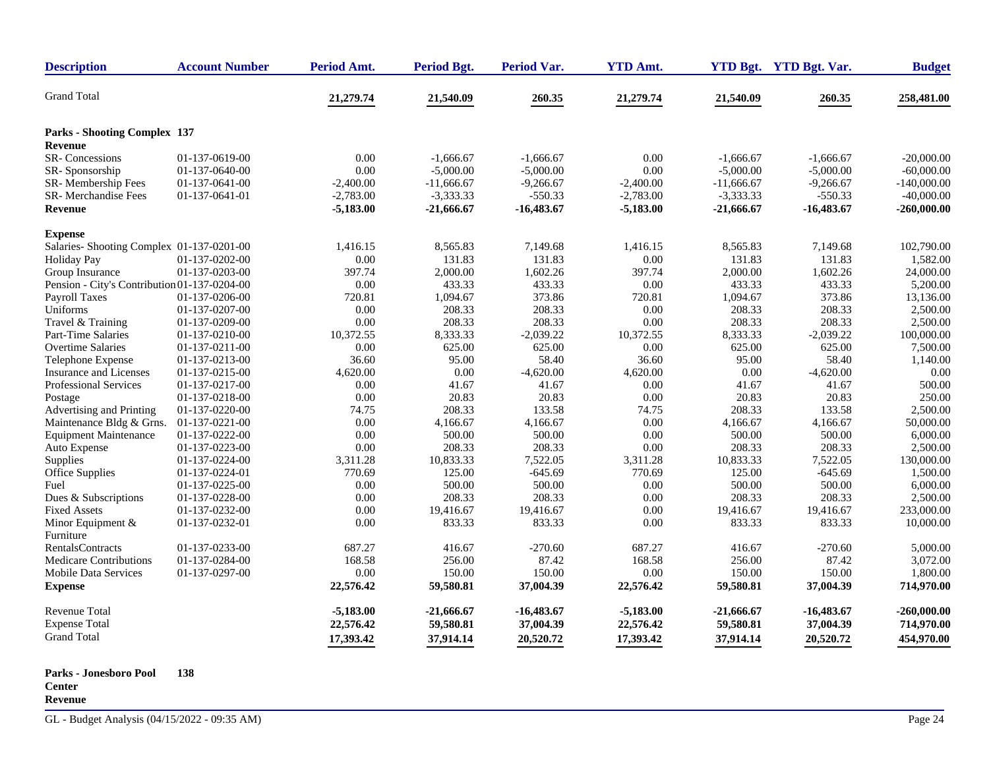| <b>Description</b>                           | <b>Account Number</b>            | Period Amt.                | Period Bgt.                 | <b>Period Var.</b>        | <b>YTD Amt.</b>            |                             | YTD Bgt. YTD Bgt. Var.  | <b>Budget</b>                 |
|----------------------------------------------|----------------------------------|----------------------------|-----------------------------|---------------------------|----------------------------|-----------------------------|-------------------------|-------------------------------|
| <b>Grand Total</b>                           |                                  | 21,279.74                  | 21,540.09                   | 260.35                    | 21,279.74                  | 21,540.09                   | 260.35                  | 258,481.00                    |
| <b>Parks - Shooting Complex 137</b>          |                                  |                            |                             |                           |                            |                             |                         |                               |
| Revenue                                      |                                  |                            |                             |                           |                            |                             |                         |                               |
| <b>SR-Concessions</b>                        | 01-137-0619-00                   | 0.00                       | $-1,666.67$                 | $-1,666.67$               | 0.00                       | $-1,666.67$                 | $-1,666.67$             | $-20,000,00$                  |
| SR-Sponsorship                               | 01-137-0640-00                   | 0.00                       | $-5,000.00$                 | $-5,000.00$               | 0.00                       | $-5,000.00$                 | $-5,000.00$             | $-60,000.00$                  |
| SR-Membership Fees                           | 01-137-0641-00                   | $-2,400.00$                | $-11,666.67$                | $-9,266.67$               | $-2,400.00$                | $-11,666.67$                | $-9,266.67$             | $-140,000.00$                 |
| SR-Merchandise Fees<br><b>Revenue</b>        | 01-137-0641-01                   | $-2,783.00$<br>$-5,183.00$ | $-3,333.33$<br>$-21,666.67$ | $-550.33$<br>$-16,483.67$ | $-2,783.00$<br>$-5,183.00$ | $-3,333.33$<br>$-21,666.67$ | -550.33<br>$-16,483.67$ | $-40,000.00$<br>$-260,000.00$ |
|                                              |                                  |                            |                             |                           |                            |                             |                         |                               |
| <b>Expense</b>                               |                                  |                            |                             |                           |                            |                             |                         |                               |
| Salaries- Shooting Complex 01-137-0201-00    |                                  | 1,416.15                   | 8,565.83                    | 7,149.68                  | 1,416.15                   | 8,565.83                    | 7,149.68                | 102,790.00                    |
| <b>Holiday Pay</b>                           | 01-137-0202-00                   | $0.00\,$                   | 131.83                      | 131.83                    | 0.00                       | 131.83                      | 131.83                  | 1,582.00                      |
| Group Insurance                              | 01-137-0203-00                   | 397.74                     | 2,000.00                    | 1,602.26                  | 397.74                     | 2,000.00                    | 1,602.26                | 24,000.00                     |
| Pension - City's Contribution 01-137-0204-00 |                                  | $0.00\,$                   | 433.33                      | 433.33                    | 0.00                       | 433.33                      | 433.33                  | 5,200.00                      |
| Payroll Taxes                                | 01-137-0206-00                   | 720.81                     | 1,094.67                    | 373.86                    | 720.81                     | 1,094.67                    | 373.86                  | 13,136.00                     |
| Uniforms                                     | 01-137-0207-00                   | 0.00                       | 208.33                      | 208.33                    | 0.00                       | 208.33                      | 208.33                  | 2,500.00                      |
| Travel & Training                            | 01-137-0209-00                   | 0.00                       | 208.33                      | 208.33                    | 0.00                       | 208.33                      | 208.33                  | 2,500.00                      |
| Part-Time Salaries                           | 01-137-0210-00                   | 10.372.55                  | 8,333.33                    | $-2,039.22$               | 10.372.55                  | 8,333.33                    | $-2.039.22$             | 100,000.00                    |
| <b>Overtime Salaries</b>                     | 01-137-0211-00                   | 0.00                       | 625.00                      | 625.00                    | 0.00                       | 625.00                      | 625.00                  | 7,500.00                      |
| Telephone Expense                            | 01-137-0213-00                   | 36.60                      | 95.00                       | 58.40                     | 36.60                      | 95.00                       | 58.40                   | 1,140.00                      |
| <b>Insurance and Licenses</b>                | 01-137-0215-00                   | 4,620.00                   | 0.00<br>41.67               | $-4,620.00$<br>41.67      | 4,620.00<br>0.00           | 0.00<br>41.67               | $-4,620.00$             | 0.00<br>500.00                |
| Professional Services                        | 01-137-0217-00<br>01-137-0218-00 | 0.00<br>0.00               | 20.83                       | 20.83                     | 0.00                       | 20.83                       | 41.67<br>20.83          | 250.00                        |
| Postage<br>Advertising and Printing          | 01-137-0220-00                   | 74.75                      | 208.33                      | 133.58                    | 74.75                      | 208.33                      | 133.58                  | 2,500.00                      |
| Maintenance Bldg & Grns.                     | 01-137-0221-00                   | 0.00                       | 4,166.67                    | 4,166.67                  | 0.00                       | 4,166.67                    | 4,166.67                | 50,000.00                     |
| <b>Equipment Maintenance</b>                 | 01-137-0222-00                   | 0.00                       | 500.00                      | 500.00                    | 0.00                       | 500.00                      | 500.00                  | 6,000.00                      |
| Auto Expense                                 | 01-137-0223-00                   | 0.00                       | 208.33                      | 208.33                    | 0.00                       | 208.33                      | 208.33                  | 2,500.00                      |
| Supplies                                     | 01-137-0224-00                   | 3,311.28                   | 10,833.33                   | 7,522.05                  | 3,311.28                   | 10,833.33                   | 7,522.05                | 130,000.00                    |
| Office Supplies                              | 01-137-0224-01                   | 770.69                     | 125.00                      | $-645.69$                 | 770.69                     | 125.00                      | $-645.69$               | 1,500.00                      |
| Fuel                                         | 01-137-0225-00                   | 0.00                       | 500.00                      | 500.00                    | 0.00                       | 500.00                      | 500.00                  | 6,000.00                      |
| Dues & Subscriptions                         | 01-137-0228-00                   | 0.00                       | 208.33                      | 208.33                    | 0.00                       | 208.33                      | 208.33                  | 2,500.00                      |
| <b>Fixed Assets</b>                          | 01-137-0232-00                   | 0.00                       | 19,416.67                   | 19,416.67                 | 0.00                       | 19,416.67                   | 19,416.67               | 233,000.00                    |
| Minor Equipment &                            | 01-137-0232-01                   | 0.00                       | 833.33                      | 833.33                    | 0.00                       | 833.33                      | 833.33                  | 10,000.00                     |
| Furniture                                    |                                  |                            |                             |                           |                            |                             |                         |                               |
| <b>RentalsContracts</b>                      | 01-137-0233-00                   | 687.27                     | 416.67                      | $-270.60$                 | 687.27                     | 416.67                      | $-270.60$               | 5,000.00                      |
| <b>Medicare Contributions</b>                | 01-137-0284-00                   | 168.58                     | 256.00                      | 87.42                     | 168.58                     | 256.00                      | 87.42                   | 3,072.00                      |
| <b>Mobile Data Services</b>                  | 01-137-0297-00                   | 0.00                       | 150.00                      | 150.00                    | 0.00                       | 150.00                      | 150.00                  | 1,800.00                      |
| <b>Expense</b>                               |                                  | 22,576.42                  | 59,580.81                   | 37,004.39                 | 22,576.42                  | 59,580.81                   | 37,004.39               | 714,970.00                    |
| <b>Revenue Total</b>                         |                                  | $-5,183.00$                | $-21,666.67$                | $-16,483.67$              | $-5,183.00$                | $-21,666.67$                | -16,483.67              | $-260,000.00$                 |
| <b>Expense Total</b>                         |                                  | 22,576.42                  | 59,580.81                   | 37,004.39                 | 22,576.42                  | 59,580.81                   | 37,004.39               | 714,970.00                    |
| <b>Grand Total</b>                           |                                  |                            |                             |                           |                            |                             |                         |                               |
|                                              |                                  | 17,393.42                  | 37,914.14                   | 20,520.72                 | 17,393.42                  | 37,914.14                   | 20,520.72               | 454,970.00                    |

**Parks - Jonesboro Pool Center 138 Revenue**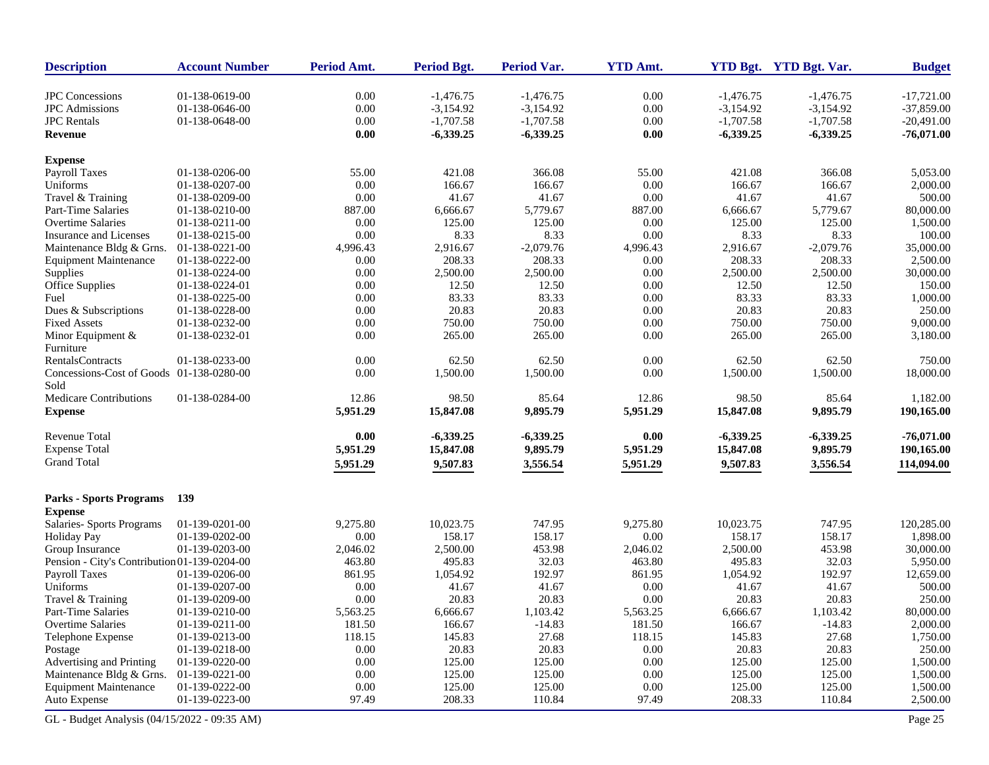| <b>JPC</b> Concessions<br>0.00<br>0.00<br>$-17,721.00$<br>01-138-0619-00<br>$-1,476.75$<br>$-1,476.75$<br>$-1,476.75$<br>$-1,476.75$<br>$0.00\,$<br>$-3,154.92$<br>0.00<br>$-3,154.92$<br>$-37,859.00$<br><b>JPC</b> Admissions<br>01-138-0646-00<br>$-3,154.92$<br>$-3,154.92$<br><b>JPC</b> Rentals<br>01-138-0648-00<br>0.00<br>$-1,707.58$<br>$-1,707.58$<br>0.00<br>$-1,707.58$<br>$-1,707.58$<br>$-20,491.00$<br>0.00<br>$-6,339.25$<br>$-6,339.25$<br>0.00<br>$-6,339.25$<br>$-6,339.25$<br>$-76,071.00$<br><b>Revenue</b><br><b>Expense</b><br>55.00<br>Payroll Taxes<br>01-138-0206-00<br>55.00<br>421.08<br>366.08<br>421.08<br>366.08<br>5,053.00<br>Uniforms<br>0.00<br>166.67<br>2,000.00<br>01-138-0207-00<br>0.00<br>166.67<br>166.67<br>166.67<br>0.00<br>0.00<br>41.67<br>41.67<br>500.00<br>Travel & Training<br>01-138-0209-00<br>41.67<br>41.67<br>5,779.67<br>80,000.00<br><b>Part-Time Salaries</b><br>01-138-0210-00<br>887.00<br>6,666.67<br>887.00<br>6,666.67<br>5,779.67<br>125.00<br>125.00<br>01-138-0211-00<br>0.00<br>125.00<br>0.00<br>125.00<br>1,500.00<br>Overtime Salaries<br>01-138-0215-00<br>0.00<br>8.33<br>8.33<br>0.00<br>8.33<br>8.33<br>100.00<br>Insurance and Licenses<br>$-2,079.76$<br>$-2,079.76$<br>35,000.00<br>Maintenance Bldg & Grns.<br>01-138-0221-00<br>4,996.43<br>2,916.67<br>4,996.43<br>2,916.67<br>208.33<br>208.33<br>208.33<br>2,500.00<br><b>Equipment Maintenance</b><br>01-138-0222-00<br>0.00<br>208.33<br>0.00<br>0.00<br>2,500.00<br>2,500.00<br>0.00<br>2,500.00<br>2,500.00<br>30,000.00<br>01-138-0224-00<br>01-138-0224-01<br>0.00<br>12.50<br>12.50<br>0.00<br>12.50<br>12.50<br>150.00<br>83.33<br>01-138-0225-00<br>0.00<br>83.33<br>83.33<br>0.00<br>83.33<br>1,000.00<br>Fuel<br>20.83<br>20.83<br>250.00<br>01-138-0228-00<br>20.83<br>0.00<br>20.83<br>Dues & Subscriptions<br>0.00<br>01-138-0232-00<br>750.00<br>750.00<br>0.00<br>750.00<br>750.00<br>9,000.00<br><b>Fixed Assets</b><br>0.00<br>265.00<br>01-138-0232-01<br>0.00<br>265.00<br>265.00<br>0.00<br>265.00<br>3,180.00<br>Minor Equipment $&$<br>Furniture<br>0.00<br>62.50<br>62.50<br>0.00<br>62.50<br>62.50<br>750.00<br>RentalsContracts<br>01-138-0233-00<br>0.00<br>Concessions-Cost of Goods 01-138-0280-00<br>0.00<br>1,500.00<br>1,500.00<br>1,500.00<br>1,500.00<br>18,000.00<br>Sold<br>12.86<br>Medicare Contributions<br>01-138-0284-00<br>12.86<br>98.50<br>85.64<br>98.50<br>85.64<br>1,182.00<br>5,951.29<br>9,895.79<br>5,951.29<br>15,847.08<br>9,895.79<br><b>Expense</b><br>15,847.08<br>190,165.00<br>$-76,071.00$<br>Revenue Total<br>0.00<br>$-6,339.25$<br>$-6,339.25$<br>0.00<br>$-6,339.25$<br>$-6,339.25$<br><b>Expense Total</b><br>5,951.29<br>15,847.08<br>9,895.79<br>5,951.29<br>15,847.08<br>9,895.79<br>190,165.00<br><b>Grand Total</b><br>5,951.29<br>9,507.83<br>3,556.54<br>9,507.83<br>114,094.00<br>5,951.29<br>3,556.54<br><b>Parks - Sports Programs</b><br>139<br><b>Expense</b><br>Salaries- Sports Programs<br>01-139-0201-00<br>9,275.80<br>10,023.75<br>747.95<br>9,275.80<br>10,023.75<br>747.95<br>120,285.00<br>01-139-0202-00<br>0.00<br>158.17<br>158.17<br>0.00<br>158.17<br>158.17<br>1,898.00<br><b>Holiday Pay</b><br>2,046.02<br>2,500.00<br>453.98<br>2,046.02<br>2,500.00<br>453.98<br>30,000.00<br>Group Insurance<br>01-139-0203-00<br>32.03<br>Pension - City's Contribution 01-139-0204-00<br>463.80<br>495.83<br>32.03<br>463.80<br>495.83<br>5,950.00<br>192.97<br>192.97<br>12,659.00<br>Payroll Taxes<br>861.95<br>1,054.92<br>861.95<br>1,054.92<br>01-139-0206-00<br>500.00<br>Uniforms<br>01-139-0207-00<br>0.00<br>41.67<br>41.67<br>0.00<br>41.67<br>41.67<br>0.00<br>250.00<br>0.00<br>20.83<br>20.83<br>20.83<br>20.83<br>Travel & Training<br>01-139-0209-00<br>1,103.42<br>1,103.42<br>80,000.00<br>Part-Time Salaries<br>01-139-0210-00<br>5,563.25<br>6,666.67<br>5,563.25<br>6,666.67<br>181.50<br>166.67<br>$-14.83$<br>181.50<br>166.67<br>$-14.83$<br>2,000.00<br>Overtime Salaries<br>01-139-0211-00<br>27.68<br>1,750.00<br>01-139-0213-00<br>118.15<br>145.83<br>118.15<br>145.83<br>27.68<br>Telephone Expense<br>01-139-0218-00<br>0.00<br>20.83<br>20.83<br>0.00<br>20.83<br>20.83<br>250.00<br>Postage<br>Advertising and Printing<br>125.00<br>125.00<br>0.00<br>125.00<br>125.00<br>1,500.00<br>01-139-0220-00<br>0.00<br>125.00<br>125.00<br>0.00<br>125.00<br>125.00<br>Maintenance Bldg & Grns.<br>01-139-0221-00<br>0.00<br>1,500.00<br>125.00<br>0.00<br>125.00<br><b>Equipment Maintenance</b><br>01-139-0222-00<br>0.00<br>125.00<br>125.00<br>1,500.00<br>Auto Expense<br>01-139-0223-00<br>97.49<br>208.33<br>110.84<br>97.49<br>208.33<br>110.84<br>2,500.00 | <b>Description</b> | <b>Account Number</b> | <b>Period Amt.</b> | <b>Period Bgt.</b> | Period Var. | <b>YTD Amt.</b> | YTD Bgt. YTD Bgt. Var. | <b>Budget</b> |
|--------------------------------------------------------------------------------------------------------------------------------------------------------------------------------------------------------------------------------------------------------------------------------------------------------------------------------------------------------------------------------------------------------------------------------------------------------------------------------------------------------------------------------------------------------------------------------------------------------------------------------------------------------------------------------------------------------------------------------------------------------------------------------------------------------------------------------------------------------------------------------------------------------------------------------------------------------------------------------------------------------------------------------------------------------------------------------------------------------------------------------------------------------------------------------------------------------------------------------------------------------------------------------------------------------------------------------------------------------------------------------------------------------------------------------------------------------------------------------------------------------------------------------------------------------------------------------------------------------------------------------------------------------------------------------------------------------------------------------------------------------------------------------------------------------------------------------------------------------------------------------------------------------------------------------------------------------------------------------------------------------------------------------------------------------------------------------------------------------------------------------------------------------------------------------------------------------------------------------------------------------------------------------------------------------------------------------------------------------------------------------------------------------------------------------------------------------------------------------------------------------------------------------------------------------------------------------------------------------------------------------------------------------------------------------------------------------------------------------------------------------------------------------------------------------------------------------------------------------------------------------------------------------------------------------------------------------------------------------------------------------------------------------------------------------------------------------------------------------------------------------------------------------------------------------------------------------------------------------------------------------------------------------------------------------------------------------------------------------------------------------------------------------------------------------------------------------------------------------------------------------------------------------------------------------------------------------------------------------------------------------------------------------------------------------------------------------------------------------------------------------------------------------------------------------------------------------------------------------------------------------------------------------------------------------------------------------------------------------------------------------------------------------------------------------------------------------------------------------------------------------------------------------------------------------------------------------------------------------------------------------------------------------------------------------------------------------------------------------------------------------------------------------------------------------------------------------------------------------------------------------------------------------------------------------------------------------------------------------------------------------------------------------------------------------------------------------------------|--------------------|-----------------------|--------------------|--------------------|-------------|-----------------|------------------------|---------------|
|                                                                                                                                                                                                                                                                                                                                                                                                                                                                                                                                                                                                                                                                                                                                                                                                                                                                                                                                                                                                                                                                                                                                                                                                                                                                                                                                                                                                                                                                                                                                                                                                                                                                                                                                                                                                                                                                                                                                                                                                                                                                                                                                                                                                                                                                                                                                                                                                                                                                                                                                                                                                                                                                                                                                                                                                                                                                                                                                                                                                                                                                                                                                                                                                                                                                                                                                                                                                                                                                                                                                                                                                                                                                                                                                                                                                                                                                                                                                                                                                                                                                                                                                                                                                                                                                                                                                                                                                                                                                                                                                                                                                                                                                                                                    |                    |                       |                    |                    |             |                 |                        |               |
|                                                                                                                                                                                                                                                                                                                                                                                                                                                                                                                                                                                                                                                                                                                                                                                                                                                                                                                                                                                                                                                                                                                                                                                                                                                                                                                                                                                                                                                                                                                                                                                                                                                                                                                                                                                                                                                                                                                                                                                                                                                                                                                                                                                                                                                                                                                                                                                                                                                                                                                                                                                                                                                                                                                                                                                                                                                                                                                                                                                                                                                                                                                                                                                                                                                                                                                                                                                                                                                                                                                                                                                                                                                                                                                                                                                                                                                                                                                                                                                                                                                                                                                                                                                                                                                                                                                                                                                                                                                                                                                                                                                                                                                                                                                    |                    |                       |                    |                    |             |                 |                        |               |
|                                                                                                                                                                                                                                                                                                                                                                                                                                                                                                                                                                                                                                                                                                                                                                                                                                                                                                                                                                                                                                                                                                                                                                                                                                                                                                                                                                                                                                                                                                                                                                                                                                                                                                                                                                                                                                                                                                                                                                                                                                                                                                                                                                                                                                                                                                                                                                                                                                                                                                                                                                                                                                                                                                                                                                                                                                                                                                                                                                                                                                                                                                                                                                                                                                                                                                                                                                                                                                                                                                                                                                                                                                                                                                                                                                                                                                                                                                                                                                                                                                                                                                                                                                                                                                                                                                                                                                                                                                                                                                                                                                                                                                                                                                                    |                    |                       |                    |                    |             |                 |                        |               |
|                                                                                                                                                                                                                                                                                                                                                                                                                                                                                                                                                                                                                                                                                                                                                                                                                                                                                                                                                                                                                                                                                                                                                                                                                                                                                                                                                                                                                                                                                                                                                                                                                                                                                                                                                                                                                                                                                                                                                                                                                                                                                                                                                                                                                                                                                                                                                                                                                                                                                                                                                                                                                                                                                                                                                                                                                                                                                                                                                                                                                                                                                                                                                                                                                                                                                                                                                                                                                                                                                                                                                                                                                                                                                                                                                                                                                                                                                                                                                                                                                                                                                                                                                                                                                                                                                                                                                                                                                                                                                                                                                                                                                                                                                                                    |                    |                       |                    |                    |             |                 |                        |               |
|                                                                                                                                                                                                                                                                                                                                                                                                                                                                                                                                                                                                                                                                                                                                                                                                                                                                                                                                                                                                                                                                                                                                                                                                                                                                                                                                                                                                                                                                                                                                                                                                                                                                                                                                                                                                                                                                                                                                                                                                                                                                                                                                                                                                                                                                                                                                                                                                                                                                                                                                                                                                                                                                                                                                                                                                                                                                                                                                                                                                                                                                                                                                                                                                                                                                                                                                                                                                                                                                                                                                                                                                                                                                                                                                                                                                                                                                                                                                                                                                                                                                                                                                                                                                                                                                                                                                                                                                                                                                                                                                                                                                                                                                                                                    |                    |                       |                    |                    |             |                 |                        |               |
|                                                                                                                                                                                                                                                                                                                                                                                                                                                                                                                                                                                                                                                                                                                                                                                                                                                                                                                                                                                                                                                                                                                                                                                                                                                                                                                                                                                                                                                                                                                                                                                                                                                                                                                                                                                                                                                                                                                                                                                                                                                                                                                                                                                                                                                                                                                                                                                                                                                                                                                                                                                                                                                                                                                                                                                                                                                                                                                                                                                                                                                                                                                                                                                                                                                                                                                                                                                                                                                                                                                                                                                                                                                                                                                                                                                                                                                                                                                                                                                                                                                                                                                                                                                                                                                                                                                                                                                                                                                                                                                                                                                                                                                                                                                    |                    |                       |                    |                    |             |                 |                        |               |
|                                                                                                                                                                                                                                                                                                                                                                                                                                                                                                                                                                                                                                                                                                                                                                                                                                                                                                                                                                                                                                                                                                                                                                                                                                                                                                                                                                                                                                                                                                                                                                                                                                                                                                                                                                                                                                                                                                                                                                                                                                                                                                                                                                                                                                                                                                                                                                                                                                                                                                                                                                                                                                                                                                                                                                                                                                                                                                                                                                                                                                                                                                                                                                                                                                                                                                                                                                                                                                                                                                                                                                                                                                                                                                                                                                                                                                                                                                                                                                                                                                                                                                                                                                                                                                                                                                                                                                                                                                                                                                                                                                                                                                                                                                                    |                    |                       |                    |                    |             |                 |                        |               |
|                                                                                                                                                                                                                                                                                                                                                                                                                                                                                                                                                                                                                                                                                                                                                                                                                                                                                                                                                                                                                                                                                                                                                                                                                                                                                                                                                                                                                                                                                                                                                                                                                                                                                                                                                                                                                                                                                                                                                                                                                                                                                                                                                                                                                                                                                                                                                                                                                                                                                                                                                                                                                                                                                                                                                                                                                                                                                                                                                                                                                                                                                                                                                                                                                                                                                                                                                                                                                                                                                                                                                                                                                                                                                                                                                                                                                                                                                                                                                                                                                                                                                                                                                                                                                                                                                                                                                                                                                                                                                                                                                                                                                                                                                                                    |                    |                       |                    |                    |             |                 |                        |               |
|                                                                                                                                                                                                                                                                                                                                                                                                                                                                                                                                                                                                                                                                                                                                                                                                                                                                                                                                                                                                                                                                                                                                                                                                                                                                                                                                                                                                                                                                                                                                                                                                                                                                                                                                                                                                                                                                                                                                                                                                                                                                                                                                                                                                                                                                                                                                                                                                                                                                                                                                                                                                                                                                                                                                                                                                                                                                                                                                                                                                                                                                                                                                                                                                                                                                                                                                                                                                                                                                                                                                                                                                                                                                                                                                                                                                                                                                                                                                                                                                                                                                                                                                                                                                                                                                                                                                                                                                                                                                                                                                                                                                                                                                                                                    |                    |                       |                    |                    |             |                 |                        |               |
|                                                                                                                                                                                                                                                                                                                                                                                                                                                                                                                                                                                                                                                                                                                                                                                                                                                                                                                                                                                                                                                                                                                                                                                                                                                                                                                                                                                                                                                                                                                                                                                                                                                                                                                                                                                                                                                                                                                                                                                                                                                                                                                                                                                                                                                                                                                                                                                                                                                                                                                                                                                                                                                                                                                                                                                                                                                                                                                                                                                                                                                                                                                                                                                                                                                                                                                                                                                                                                                                                                                                                                                                                                                                                                                                                                                                                                                                                                                                                                                                                                                                                                                                                                                                                                                                                                                                                                                                                                                                                                                                                                                                                                                                                                                    |                    |                       |                    |                    |             |                 |                        |               |
|                                                                                                                                                                                                                                                                                                                                                                                                                                                                                                                                                                                                                                                                                                                                                                                                                                                                                                                                                                                                                                                                                                                                                                                                                                                                                                                                                                                                                                                                                                                                                                                                                                                                                                                                                                                                                                                                                                                                                                                                                                                                                                                                                                                                                                                                                                                                                                                                                                                                                                                                                                                                                                                                                                                                                                                                                                                                                                                                                                                                                                                                                                                                                                                                                                                                                                                                                                                                                                                                                                                                                                                                                                                                                                                                                                                                                                                                                                                                                                                                                                                                                                                                                                                                                                                                                                                                                                                                                                                                                                                                                                                                                                                                                                                    |                    |                       |                    |                    |             |                 |                        |               |
|                                                                                                                                                                                                                                                                                                                                                                                                                                                                                                                                                                                                                                                                                                                                                                                                                                                                                                                                                                                                                                                                                                                                                                                                                                                                                                                                                                                                                                                                                                                                                                                                                                                                                                                                                                                                                                                                                                                                                                                                                                                                                                                                                                                                                                                                                                                                                                                                                                                                                                                                                                                                                                                                                                                                                                                                                                                                                                                                                                                                                                                                                                                                                                                                                                                                                                                                                                                                                                                                                                                                                                                                                                                                                                                                                                                                                                                                                                                                                                                                                                                                                                                                                                                                                                                                                                                                                                                                                                                                                                                                                                                                                                                                                                                    |                    |                       |                    |                    |             |                 |                        |               |
|                                                                                                                                                                                                                                                                                                                                                                                                                                                                                                                                                                                                                                                                                                                                                                                                                                                                                                                                                                                                                                                                                                                                                                                                                                                                                                                                                                                                                                                                                                                                                                                                                                                                                                                                                                                                                                                                                                                                                                                                                                                                                                                                                                                                                                                                                                                                                                                                                                                                                                                                                                                                                                                                                                                                                                                                                                                                                                                                                                                                                                                                                                                                                                                                                                                                                                                                                                                                                                                                                                                                                                                                                                                                                                                                                                                                                                                                                                                                                                                                                                                                                                                                                                                                                                                                                                                                                                                                                                                                                                                                                                                                                                                                                                                    |                    |                       |                    |                    |             |                 |                        |               |
|                                                                                                                                                                                                                                                                                                                                                                                                                                                                                                                                                                                                                                                                                                                                                                                                                                                                                                                                                                                                                                                                                                                                                                                                                                                                                                                                                                                                                                                                                                                                                                                                                                                                                                                                                                                                                                                                                                                                                                                                                                                                                                                                                                                                                                                                                                                                                                                                                                                                                                                                                                                                                                                                                                                                                                                                                                                                                                                                                                                                                                                                                                                                                                                                                                                                                                                                                                                                                                                                                                                                                                                                                                                                                                                                                                                                                                                                                                                                                                                                                                                                                                                                                                                                                                                                                                                                                                                                                                                                                                                                                                                                                                                                                                                    | Supplies           |                       |                    |                    |             |                 |                        |               |
|                                                                                                                                                                                                                                                                                                                                                                                                                                                                                                                                                                                                                                                                                                                                                                                                                                                                                                                                                                                                                                                                                                                                                                                                                                                                                                                                                                                                                                                                                                                                                                                                                                                                                                                                                                                                                                                                                                                                                                                                                                                                                                                                                                                                                                                                                                                                                                                                                                                                                                                                                                                                                                                                                                                                                                                                                                                                                                                                                                                                                                                                                                                                                                                                                                                                                                                                                                                                                                                                                                                                                                                                                                                                                                                                                                                                                                                                                                                                                                                                                                                                                                                                                                                                                                                                                                                                                                                                                                                                                                                                                                                                                                                                                                                    | Office Supplies    |                       |                    |                    |             |                 |                        |               |
|                                                                                                                                                                                                                                                                                                                                                                                                                                                                                                                                                                                                                                                                                                                                                                                                                                                                                                                                                                                                                                                                                                                                                                                                                                                                                                                                                                                                                                                                                                                                                                                                                                                                                                                                                                                                                                                                                                                                                                                                                                                                                                                                                                                                                                                                                                                                                                                                                                                                                                                                                                                                                                                                                                                                                                                                                                                                                                                                                                                                                                                                                                                                                                                                                                                                                                                                                                                                                                                                                                                                                                                                                                                                                                                                                                                                                                                                                                                                                                                                                                                                                                                                                                                                                                                                                                                                                                                                                                                                                                                                                                                                                                                                                                                    |                    |                       |                    |                    |             |                 |                        |               |
|                                                                                                                                                                                                                                                                                                                                                                                                                                                                                                                                                                                                                                                                                                                                                                                                                                                                                                                                                                                                                                                                                                                                                                                                                                                                                                                                                                                                                                                                                                                                                                                                                                                                                                                                                                                                                                                                                                                                                                                                                                                                                                                                                                                                                                                                                                                                                                                                                                                                                                                                                                                                                                                                                                                                                                                                                                                                                                                                                                                                                                                                                                                                                                                                                                                                                                                                                                                                                                                                                                                                                                                                                                                                                                                                                                                                                                                                                                                                                                                                                                                                                                                                                                                                                                                                                                                                                                                                                                                                                                                                                                                                                                                                                                                    |                    |                       |                    |                    |             |                 |                        |               |
|                                                                                                                                                                                                                                                                                                                                                                                                                                                                                                                                                                                                                                                                                                                                                                                                                                                                                                                                                                                                                                                                                                                                                                                                                                                                                                                                                                                                                                                                                                                                                                                                                                                                                                                                                                                                                                                                                                                                                                                                                                                                                                                                                                                                                                                                                                                                                                                                                                                                                                                                                                                                                                                                                                                                                                                                                                                                                                                                                                                                                                                                                                                                                                                                                                                                                                                                                                                                                                                                                                                                                                                                                                                                                                                                                                                                                                                                                                                                                                                                                                                                                                                                                                                                                                                                                                                                                                                                                                                                                                                                                                                                                                                                                                                    |                    |                       |                    |                    |             |                 |                        |               |
|                                                                                                                                                                                                                                                                                                                                                                                                                                                                                                                                                                                                                                                                                                                                                                                                                                                                                                                                                                                                                                                                                                                                                                                                                                                                                                                                                                                                                                                                                                                                                                                                                                                                                                                                                                                                                                                                                                                                                                                                                                                                                                                                                                                                                                                                                                                                                                                                                                                                                                                                                                                                                                                                                                                                                                                                                                                                                                                                                                                                                                                                                                                                                                                                                                                                                                                                                                                                                                                                                                                                                                                                                                                                                                                                                                                                                                                                                                                                                                                                                                                                                                                                                                                                                                                                                                                                                                                                                                                                                                                                                                                                                                                                                                                    |                    |                       |                    |                    |             |                 |                        |               |
|                                                                                                                                                                                                                                                                                                                                                                                                                                                                                                                                                                                                                                                                                                                                                                                                                                                                                                                                                                                                                                                                                                                                                                                                                                                                                                                                                                                                                                                                                                                                                                                                                                                                                                                                                                                                                                                                                                                                                                                                                                                                                                                                                                                                                                                                                                                                                                                                                                                                                                                                                                                                                                                                                                                                                                                                                                                                                                                                                                                                                                                                                                                                                                                                                                                                                                                                                                                                                                                                                                                                                                                                                                                                                                                                                                                                                                                                                                                                                                                                                                                                                                                                                                                                                                                                                                                                                                                                                                                                                                                                                                                                                                                                                                                    |                    |                       |                    |                    |             |                 |                        |               |
|                                                                                                                                                                                                                                                                                                                                                                                                                                                                                                                                                                                                                                                                                                                                                                                                                                                                                                                                                                                                                                                                                                                                                                                                                                                                                                                                                                                                                                                                                                                                                                                                                                                                                                                                                                                                                                                                                                                                                                                                                                                                                                                                                                                                                                                                                                                                                                                                                                                                                                                                                                                                                                                                                                                                                                                                                                                                                                                                                                                                                                                                                                                                                                                                                                                                                                                                                                                                                                                                                                                                                                                                                                                                                                                                                                                                                                                                                                                                                                                                                                                                                                                                                                                                                                                                                                                                                                                                                                                                                                                                                                                                                                                                                                                    |                    |                       |                    |                    |             |                 |                        |               |
|                                                                                                                                                                                                                                                                                                                                                                                                                                                                                                                                                                                                                                                                                                                                                                                                                                                                                                                                                                                                                                                                                                                                                                                                                                                                                                                                                                                                                                                                                                                                                                                                                                                                                                                                                                                                                                                                                                                                                                                                                                                                                                                                                                                                                                                                                                                                                                                                                                                                                                                                                                                                                                                                                                                                                                                                                                                                                                                                                                                                                                                                                                                                                                                                                                                                                                                                                                                                                                                                                                                                                                                                                                                                                                                                                                                                                                                                                                                                                                                                                                                                                                                                                                                                                                                                                                                                                                                                                                                                                                                                                                                                                                                                                                                    |                    |                       |                    |                    |             |                 |                        |               |
|                                                                                                                                                                                                                                                                                                                                                                                                                                                                                                                                                                                                                                                                                                                                                                                                                                                                                                                                                                                                                                                                                                                                                                                                                                                                                                                                                                                                                                                                                                                                                                                                                                                                                                                                                                                                                                                                                                                                                                                                                                                                                                                                                                                                                                                                                                                                                                                                                                                                                                                                                                                                                                                                                                                                                                                                                                                                                                                                                                                                                                                                                                                                                                                                                                                                                                                                                                                                                                                                                                                                                                                                                                                                                                                                                                                                                                                                                                                                                                                                                                                                                                                                                                                                                                                                                                                                                                                                                                                                                                                                                                                                                                                                                                                    |                    |                       |                    |                    |             |                 |                        |               |
|                                                                                                                                                                                                                                                                                                                                                                                                                                                                                                                                                                                                                                                                                                                                                                                                                                                                                                                                                                                                                                                                                                                                                                                                                                                                                                                                                                                                                                                                                                                                                                                                                                                                                                                                                                                                                                                                                                                                                                                                                                                                                                                                                                                                                                                                                                                                                                                                                                                                                                                                                                                                                                                                                                                                                                                                                                                                                                                                                                                                                                                                                                                                                                                                                                                                                                                                                                                                                                                                                                                                                                                                                                                                                                                                                                                                                                                                                                                                                                                                                                                                                                                                                                                                                                                                                                                                                                                                                                                                                                                                                                                                                                                                                                                    |                    |                       |                    |                    |             |                 |                        |               |
|                                                                                                                                                                                                                                                                                                                                                                                                                                                                                                                                                                                                                                                                                                                                                                                                                                                                                                                                                                                                                                                                                                                                                                                                                                                                                                                                                                                                                                                                                                                                                                                                                                                                                                                                                                                                                                                                                                                                                                                                                                                                                                                                                                                                                                                                                                                                                                                                                                                                                                                                                                                                                                                                                                                                                                                                                                                                                                                                                                                                                                                                                                                                                                                                                                                                                                                                                                                                                                                                                                                                                                                                                                                                                                                                                                                                                                                                                                                                                                                                                                                                                                                                                                                                                                                                                                                                                                                                                                                                                                                                                                                                                                                                                                                    |                    |                       |                    |                    |             |                 |                        |               |
|                                                                                                                                                                                                                                                                                                                                                                                                                                                                                                                                                                                                                                                                                                                                                                                                                                                                                                                                                                                                                                                                                                                                                                                                                                                                                                                                                                                                                                                                                                                                                                                                                                                                                                                                                                                                                                                                                                                                                                                                                                                                                                                                                                                                                                                                                                                                                                                                                                                                                                                                                                                                                                                                                                                                                                                                                                                                                                                                                                                                                                                                                                                                                                                                                                                                                                                                                                                                                                                                                                                                                                                                                                                                                                                                                                                                                                                                                                                                                                                                                                                                                                                                                                                                                                                                                                                                                                                                                                                                                                                                                                                                                                                                                                                    |                    |                       |                    |                    |             |                 |                        |               |
|                                                                                                                                                                                                                                                                                                                                                                                                                                                                                                                                                                                                                                                                                                                                                                                                                                                                                                                                                                                                                                                                                                                                                                                                                                                                                                                                                                                                                                                                                                                                                                                                                                                                                                                                                                                                                                                                                                                                                                                                                                                                                                                                                                                                                                                                                                                                                                                                                                                                                                                                                                                                                                                                                                                                                                                                                                                                                                                                                                                                                                                                                                                                                                                                                                                                                                                                                                                                                                                                                                                                                                                                                                                                                                                                                                                                                                                                                                                                                                                                                                                                                                                                                                                                                                                                                                                                                                                                                                                                                                                                                                                                                                                                                                                    |                    |                       |                    |                    |             |                 |                        |               |
|                                                                                                                                                                                                                                                                                                                                                                                                                                                                                                                                                                                                                                                                                                                                                                                                                                                                                                                                                                                                                                                                                                                                                                                                                                                                                                                                                                                                                                                                                                                                                                                                                                                                                                                                                                                                                                                                                                                                                                                                                                                                                                                                                                                                                                                                                                                                                                                                                                                                                                                                                                                                                                                                                                                                                                                                                                                                                                                                                                                                                                                                                                                                                                                                                                                                                                                                                                                                                                                                                                                                                                                                                                                                                                                                                                                                                                                                                                                                                                                                                                                                                                                                                                                                                                                                                                                                                                                                                                                                                                                                                                                                                                                                                                                    |                    |                       |                    |                    |             |                 |                        |               |
|                                                                                                                                                                                                                                                                                                                                                                                                                                                                                                                                                                                                                                                                                                                                                                                                                                                                                                                                                                                                                                                                                                                                                                                                                                                                                                                                                                                                                                                                                                                                                                                                                                                                                                                                                                                                                                                                                                                                                                                                                                                                                                                                                                                                                                                                                                                                                                                                                                                                                                                                                                                                                                                                                                                                                                                                                                                                                                                                                                                                                                                                                                                                                                                                                                                                                                                                                                                                                                                                                                                                                                                                                                                                                                                                                                                                                                                                                                                                                                                                                                                                                                                                                                                                                                                                                                                                                                                                                                                                                                                                                                                                                                                                                                                    |                    |                       |                    |                    |             |                 |                        |               |
|                                                                                                                                                                                                                                                                                                                                                                                                                                                                                                                                                                                                                                                                                                                                                                                                                                                                                                                                                                                                                                                                                                                                                                                                                                                                                                                                                                                                                                                                                                                                                                                                                                                                                                                                                                                                                                                                                                                                                                                                                                                                                                                                                                                                                                                                                                                                                                                                                                                                                                                                                                                                                                                                                                                                                                                                                                                                                                                                                                                                                                                                                                                                                                                                                                                                                                                                                                                                                                                                                                                                                                                                                                                                                                                                                                                                                                                                                                                                                                                                                                                                                                                                                                                                                                                                                                                                                                                                                                                                                                                                                                                                                                                                                                                    |                    |                       |                    |                    |             |                 |                        |               |
|                                                                                                                                                                                                                                                                                                                                                                                                                                                                                                                                                                                                                                                                                                                                                                                                                                                                                                                                                                                                                                                                                                                                                                                                                                                                                                                                                                                                                                                                                                                                                                                                                                                                                                                                                                                                                                                                                                                                                                                                                                                                                                                                                                                                                                                                                                                                                                                                                                                                                                                                                                                                                                                                                                                                                                                                                                                                                                                                                                                                                                                                                                                                                                                                                                                                                                                                                                                                                                                                                                                                                                                                                                                                                                                                                                                                                                                                                                                                                                                                                                                                                                                                                                                                                                                                                                                                                                                                                                                                                                                                                                                                                                                                                                                    |                    |                       |                    |                    |             |                 |                        |               |
|                                                                                                                                                                                                                                                                                                                                                                                                                                                                                                                                                                                                                                                                                                                                                                                                                                                                                                                                                                                                                                                                                                                                                                                                                                                                                                                                                                                                                                                                                                                                                                                                                                                                                                                                                                                                                                                                                                                                                                                                                                                                                                                                                                                                                                                                                                                                                                                                                                                                                                                                                                                                                                                                                                                                                                                                                                                                                                                                                                                                                                                                                                                                                                                                                                                                                                                                                                                                                                                                                                                                                                                                                                                                                                                                                                                                                                                                                                                                                                                                                                                                                                                                                                                                                                                                                                                                                                                                                                                                                                                                                                                                                                                                                                                    |                    |                       |                    |                    |             |                 |                        |               |
|                                                                                                                                                                                                                                                                                                                                                                                                                                                                                                                                                                                                                                                                                                                                                                                                                                                                                                                                                                                                                                                                                                                                                                                                                                                                                                                                                                                                                                                                                                                                                                                                                                                                                                                                                                                                                                                                                                                                                                                                                                                                                                                                                                                                                                                                                                                                                                                                                                                                                                                                                                                                                                                                                                                                                                                                                                                                                                                                                                                                                                                                                                                                                                                                                                                                                                                                                                                                                                                                                                                                                                                                                                                                                                                                                                                                                                                                                                                                                                                                                                                                                                                                                                                                                                                                                                                                                                                                                                                                                                                                                                                                                                                                                                                    |                    |                       |                    |                    |             |                 |                        |               |
|                                                                                                                                                                                                                                                                                                                                                                                                                                                                                                                                                                                                                                                                                                                                                                                                                                                                                                                                                                                                                                                                                                                                                                                                                                                                                                                                                                                                                                                                                                                                                                                                                                                                                                                                                                                                                                                                                                                                                                                                                                                                                                                                                                                                                                                                                                                                                                                                                                                                                                                                                                                                                                                                                                                                                                                                                                                                                                                                                                                                                                                                                                                                                                                                                                                                                                                                                                                                                                                                                                                                                                                                                                                                                                                                                                                                                                                                                                                                                                                                                                                                                                                                                                                                                                                                                                                                                                                                                                                                                                                                                                                                                                                                                                                    |                    |                       |                    |                    |             |                 |                        |               |
|                                                                                                                                                                                                                                                                                                                                                                                                                                                                                                                                                                                                                                                                                                                                                                                                                                                                                                                                                                                                                                                                                                                                                                                                                                                                                                                                                                                                                                                                                                                                                                                                                                                                                                                                                                                                                                                                                                                                                                                                                                                                                                                                                                                                                                                                                                                                                                                                                                                                                                                                                                                                                                                                                                                                                                                                                                                                                                                                                                                                                                                                                                                                                                                                                                                                                                                                                                                                                                                                                                                                                                                                                                                                                                                                                                                                                                                                                                                                                                                                                                                                                                                                                                                                                                                                                                                                                                                                                                                                                                                                                                                                                                                                                                                    |                    |                       |                    |                    |             |                 |                        |               |
|                                                                                                                                                                                                                                                                                                                                                                                                                                                                                                                                                                                                                                                                                                                                                                                                                                                                                                                                                                                                                                                                                                                                                                                                                                                                                                                                                                                                                                                                                                                                                                                                                                                                                                                                                                                                                                                                                                                                                                                                                                                                                                                                                                                                                                                                                                                                                                                                                                                                                                                                                                                                                                                                                                                                                                                                                                                                                                                                                                                                                                                                                                                                                                                                                                                                                                                                                                                                                                                                                                                                                                                                                                                                                                                                                                                                                                                                                                                                                                                                                                                                                                                                                                                                                                                                                                                                                                                                                                                                                                                                                                                                                                                                                                                    |                    |                       |                    |                    |             |                 |                        |               |
|                                                                                                                                                                                                                                                                                                                                                                                                                                                                                                                                                                                                                                                                                                                                                                                                                                                                                                                                                                                                                                                                                                                                                                                                                                                                                                                                                                                                                                                                                                                                                                                                                                                                                                                                                                                                                                                                                                                                                                                                                                                                                                                                                                                                                                                                                                                                                                                                                                                                                                                                                                                                                                                                                                                                                                                                                                                                                                                                                                                                                                                                                                                                                                                                                                                                                                                                                                                                                                                                                                                                                                                                                                                                                                                                                                                                                                                                                                                                                                                                                                                                                                                                                                                                                                                                                                                                                                                                                                                                                                                                                                                                                                                                                                                    |                    |                       |                    |                    |             |                 |                        |               |
|                                                                                                                                                                                                                                                                                                                                                                                                                                                                                                                                                                                                                                                                                                                                                                                                                                                                                                                                                                                                                                                                                                                                                                                                                                                                                                                                                                                                                                                                                                                                                                                                                                                                                                                                                                                                                                                                                                                                                                                                                                                                                                                                                                                                                                                                                                                                                                                                                                                                                                                                                                                                                                                                                                                                                                                                                                                                                                                                                                                                                                                                                                                                                                                                                                                                                                                                                                                                                                                                                                                                                                                                                                                                                                                                                                                                                                                                                                                                                                                                                                                                                                                                                                                                                                                                                                                                                                                                                                                                                                                                                                                                                                                                                                                    |                    |                       |                    |                    |             |                 |                        |               |
|                                                                                                                                                                                                                                                                                                                                                                                                                                                                                                                                                                                                                                                                                                                                                                                                                                                                                                                                                                                                                                                                                                                                                                                                                                                                                                                                                                                                                                                                                                                                                                                                                                                                                                                                                                                                                                                                                                                                                                                                                                                                                                                                                                                                                                                                                                                                                                                                                                                                                                                                                                                                                                                                                                                                                                                                                                                                                                                                                                                                                                                                                                                                                                                                                                                                                                                                                                                                                                                                                                                                                                                                                                                                                                                                                                                                                                                                                                                                                                                                                                                                                                                                                                                                                                                                                                                                                                                                                                                                                                                                                                                                                                                                                                                    |                    |                       |                    |                    |             |                 |                        |               |
|                                                                                                                                                                                                                                                                                                                                                                                                                                                                                                                                                                                                                                                                                                                                                                                                                                                                                                                                                                                                                                                                                                                                                                                                                                                                                                                                                                                                                                                                                                                                                                                                                                                                                                                                                                                                                                                                                                                                                                                                                                                                                                                                                                                                                                                                                                                                                                                                                                                                                                                                                                                                                                                                                                                                                                                                                                                                                                                                                                                                                                                                                                                                                                                                                                                                                                                                                                                                                                                                                                                                                                                                                                                                                                                                                                                                                                                                                                                                                                                                                                                                                                                                                                                                                                                                                                                                                                                                                                                                                                                                                                                                                                                                                                                    |                    |                       |                    |                    |             |                 |                        |               |
|                                                                                                                                                                                                                                                                                                                                                                                                                                                                                                                                                                                                                                                                                                                                                                                                                                                                                                                                                                                                                                                                                                                                                                                                                                                                                                                                                                                                                                                                                                                                                                                                                                                                                                                                                                                                                                                                                                                                                                                                                                                                                                                                                                                                                                                                                                                                                                                                                                                                                                                                                                                                                                                                                                                                                                                                                                                                                                                                                                                                                                                                                                                                                                                                                                                                                                                                                                                                                                                                                                                                                                                                                                                                                                                                                                                                                                                                                                                                                                                                                                                                                                                                                                                                                                                                                                                                                                                                                                                                                                                                                                                                                                                                                                                    |                    |                       |                    |                    |             |                 |                        |               |
|                                                                                                                                                                                                                                                                                                                                                                                                                                                                                                                                                                                                                                                                                                                                                                                                                                                                                                                                                                                                                                                                                                                                                                                                                                                                                                                                                                                                                                                                                                                                                                                                                                                                                                                                                                                                                                                                                                                                                                                                                                                                                                                                                                                                                                                                                                                                                                                                                                                                                                                                                                                                                                                                                                                                                                                                                                                                                                                                                                                                                                                                                                                                                                                                                                                                                                                                                                                                                                                                                                                                                                                                                                                                                                                                                                                                                                                                                                                                                                                                                                                                                                                                                                                                                                                                                                                                                                                                                                                                                                                                                                                                                                                                                                                    |                    |                       |                    |                    |             |                 |                        |               |
|                                                                                                                                                                                                                                                                                                                                                                                                                                                                                                                                                                                                                                                                                                                                                                                                                                                                                                                                                                                                                                                                                                                                                                                                                                                                                                                                                                                                                                                                                                                                                                                                                                                                                                                                                                                                                                                                                                                                                                                                                                                                                                                                                                                                                                                                                                                                                                                                                                                                                                                                                                                                                                                                                                                                                                                                                                                                                                                                                                                                                                                                                                                                                                                                                                                                                                                                                                                                                                                                                                                                                                                                                                                                                                                                                                                                                                                                                                                                                                                                                                                                                                                                                                                                                                                                                                                                                                                                                                                                                                                                                                                                                                                                                                                    |                    |                       |                    |                    |             |                 |                        |               |
|                                                                                                                                                                                                                                                                                                                                                                                                                                                                                                                                                                                                                                                                                                                                                                                                                                                                                                                                                                                                                                                                                                                                                                                                                                                                                                                                                                                                                                                                                                                                                                                                                                                                                                                                                                                                                                                                                                                                                                                                                                                                                                                                                                                                                                                                                                                                                                                                                                                                                                                                                                                                                                                                                                                                                                                                                                                                                                                                                                                                                                                                                                                                                                                                                                                                                                                                                                                                                                                                                                                                                                                                                                                                                                                                                                                                                                                                                                                                                                                                                                                                                                                                                                                                                                                                                                                                                                                                                                                                                                                                                                                                                                                                                                                    |                    |                       |                    |                    |             |                 |                        |               |
|                                                                                                                                                                                                                                                                                                                                                                                                                                                                                                                                                                                                                                                                                                                                                                                                                                                                                                                                                                                                                                                                                                                                                                                                                                                                                                                                                                                                                                                                                                                                                                                                                                                                                                                                                                                                                                                                                                                                                                                                                                                                                                                                                                                                                                                                                                                                                                                                                                                                                                                                                                                                                                                                                                                                                                                                                                                                                                                                                                                                                                                                                                                                                                                                                                                                                                                                                                                                                                                                                                                                                                                                                                                                                                                                                                                                                                                                                                                                                                                                                                                                                                                                                                                                                                                                                                                                                                                                                                                                                                                                                                                                                                                                                                                    |                    |                       |                    |                    |             |                 |                        |               |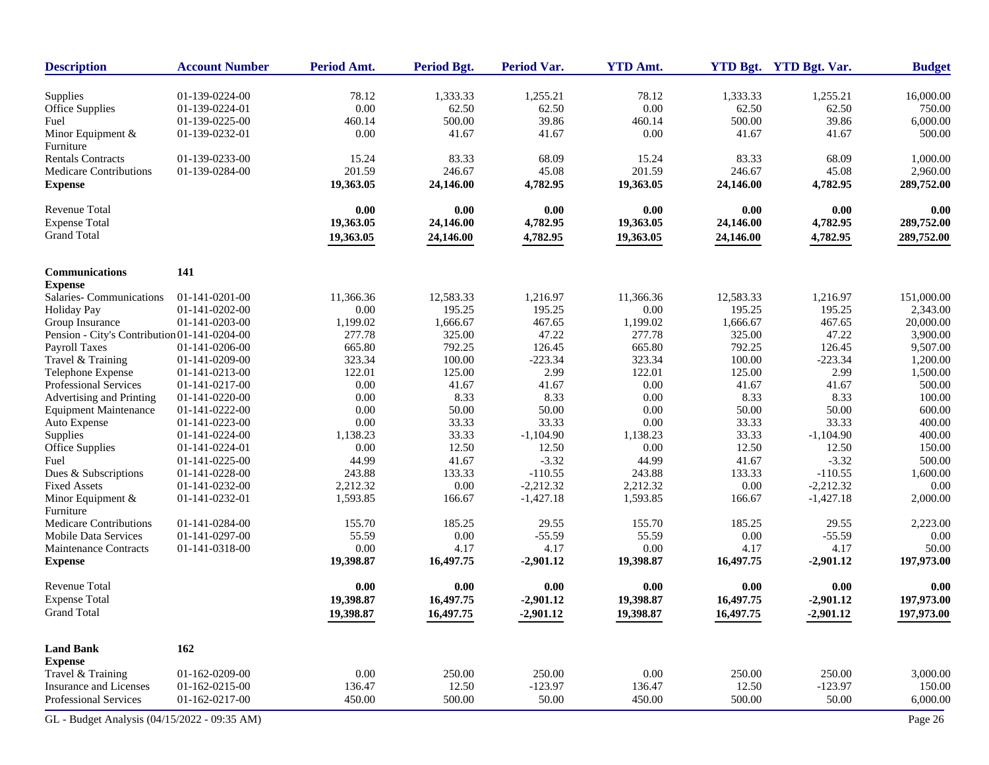| <b>Description</b>                           | <b>Account Number</b> | Period Amt. | <b>Period Bgt.</b> | Period Var. | <b>YTD Amt.</b> |           | YTD Bgt. YTD Bgt. Var. | <b>Budget</b> |
|----------------------------------------------|-----------------------|-------------|--------------------|-------------|-----------------|-----------|------------------------|---------------|
| Supplies                                     | 01-139-0224-00        | 78.12       | 1,333.33           | 1,255.21    | 78.12           | 1,333.33  | 1,255.21               | 16,000.00     |
| Office Supplies                              | 01-139-0224-01        | 0.00        | 62.50              | 62.50       | 0.00            | 62.50     | 62.50                  | 750.00        |
| Fuel                                         | 01-139-0225-00        | 460.14      | 500.00             | 39.86       | 460.14          | 500.00    | 39.86                  | 6,000.00      |
| Minor Equipment $\&$                         | 01-139-0232-01        | 0.00        | 41.67              | 41.67       | 0.00            | 41.67     | 41.67                  | 500.00        |
| Furniture                                    |                       |             |                    |             |                 |           |                        |               |
| <b>Rentals Contracts</b>                     | 01-139-0233-00        | 15.24       | 83.33              | 68.09       | 15.24           | 83.33     | 68.09                  | 1,000.00      |
| Medicare Contributions                       | 01-139-0284-00        | 201.59      | 246.67             | 45.08       | 201.59          | 246.67    | 45.08                  | 2,960.00      |
| <b>Expense</b>                               |                       | 19,363.05   | 24,146.00          | 4,782.95    | 19,363.05       | 24,146.00 | 4,782.95               | 289,752.00    |
| <b>Revenue Total</b>                         |                       | 0.00        | 0.00               | 0.00        | 0.00            | 0.00      | 0.00                   | 0.00          |
| <b>Expense Total</b>                         |                       | 19,363.05   | 24,146.00          | 4,782.95    | 19,363.05       | 24,146.00 | 4,782.95               | 289,752.00    |
| <b>Grand Total</b>                           |                       | 19,363.05   | 24,146.00          | 4,782.95    | 19,363.05       | 24,146.00 | 4,782.95               | 289,752.00    |
| Communications                               | 141                   |             |                    |             |                 |           |                        |               |
| <b>Expense</b>                               |                       |             |                    |             |                 |           |                        |               |
| Salaries-Communications                      | 01-141-0201-00        | 11,366.36   | 12,583.33          | 1,216.97    | 11,366.36       | 12,583.33 | 1,216.97               | 151,000.00    |
| <b>Holiday Pay</b>                           | 01-141-0202-00        | 0.00        | 195.25             | 195.25      | 0.00            | 195.25    | 195.25                 | 2,343.00      |
| Group Insurance                              | 01-141-0203-00        | 1,199.02    | 1,666.67           | 467.65      | 1,199.02        | 1,666.67  | 467.65                 | 20,000.00     |
| Pension - City's Contribution 01-141-0204-00 |                       | 277.78      | 325.00             | 47.22       | 277.78          | 325.00    | 47.22                  | 3,900.00      |
| <b>Payroll Taxes</b>                         | 01-141-0206-00        | 665.80      | 792.25             | 126.45      | 665.80          | 792.25    | 126.45                 | 9,507.00      |
| Travel & Training                            | 01-141-0209-00        | 323.34      | 100.00             | $-223.34$   | 323.34          | 100.00    | $-223.34$              | 1,200.00      |
| Telephone Expense                            | 01-141-0213-00        | 122.01      | 125.00             | 2.99        | 122.01          | 125.00    | 2.99                   | 1,500.00      |
| Professional Services                        | 01-141-0217-00        | 0.00        | 41.67              | 41.67       | 0.00            | 41.67     | 41.67                  | 500.00        |
| Advertising and Printing                     | 01-141-0220-00        | 0.00        | 8.33               | 8.33        | 0.00            | 8.33      | 8.33                   | 100.00        |
| <b>Equipment Maintenance</b>                 | 01-141-0222-00        | 0.00        | 50.00              | 50.00       | 0.00            | 50.00     | 50.00                  | 600.00        |
| Auto Expense                                 | 01-141-0223-00        | 0.00        | 33.33              | 33.33       | 0.00            | 33.33     | 33.33                  | 400.00        |
| Supplies                                     | 01-141-0224-00        | 1,138.23    | 33.33              | $-1,104.90$ | 1,138.23        | 33.33     | $-1,104.90$            | 400.00        |
| Office Supplies                              | 01-141-0224-01        | 0.00        | 12.50              | 12.50       | 0.00            | 12.50     | 12.50                  | 150.00        |
| Fuel                                         | 01-141-0225-00        | 44.99       | 41.67              | $-3.32$     | 44.99           | 41.67     | $-3.32$                | 500.00        |
| Dues & Subscriptions                         | 01-141-0228-00        | 243.88      | 133.33             | $-110.55$   | 243.88          | 133.33    | $-110.55$              | 1,600.00      |
| <b>Fixed Assets</b>                          | 01-141-0232-00        | 2,212.32    | 0.00               | $-2,212.32$ | 2,212.32        | 0.00      | $-2,212.32$            | 0.00          |
| Minor Equipment &<br>Furniture               | 01-141-0232-01        | 1,593.85    | 166.67             | $-1,427.18$ | 1,593.85        | 166.67    | $-1,427.18$            | 2,000.00      |
| <b>Medicare Contributions</b>                | 01-141-0284-00        | 155.70      | 185.25             | 29.55       | 155.70          | 185.25    | 29.55                  | 2,223.00      |
| <b>Mobile Data Services</b>                  | 01-141-0297-00        | 55.59       | 0.00               | $-55.59$    | 55.59           | 0.00      | $-55.59$               | 0.00          |
| Maintenance Contracts                        | 01-141-0318-00        | 0.00        | 4.17               | 4.17        | 0.00            | 4.17      | 4.17                   | 50.00         |
| <b>Expense</b>                               |                       | 19,398.87   | 16,497.75          | $-2,901.12$ | 19,398.87       | 16,497.75 | $-2,901.12$            | 197,973.00    |
| Revenue Total                                |                       | 0.00        | 0.00               | $0.00\,$    | 0.00            | 0.00      | 0.00                   | 0.00          |
| <b>Expense Total</b>                         |                       | 19,398.87   | 16,497.75          | $-2,901.12$ | 19,398.87       | 16,497.75 | $-2,901.12$            | 197,973.00    |
| <b>Grand Total</b>                           |                       | 19,398.87   | 16,497.75          | $-2,901.12$ | 19,398.87       | 16,497.75 | $-2,901.12$            | 197,973.00    |
| <b>Land Bank</b>                             | 162                   |             |                    |             |                 |           |                        |               |
| <b>Expense</b>                               |                       |             |                    |             |                 |           |                        |               |
| Travel & Training                            | 01-162-0209-00        | 0.00        | 250.00             | 250.00      | 0.00            | 250.00    | 250.00                 | 3,000.00      |
| Insurance and Licenses                       | 01-162-0215-00        | 136.47      | 12.50              | $-123.97$   | 136.47          | 12.50     | $-123.97$              | 150.00        |
| Professional Services                        | 01-162-0217-00        | 450.00      | 500.00             | 50.00       | 450.00          | 500.00    | 50.00                  | 6,000.00      |
| GL - Budget Analysis (04/15/2022 - 09:35 AM) |                       |             |                    |             |                 |           |                        | Page 26       |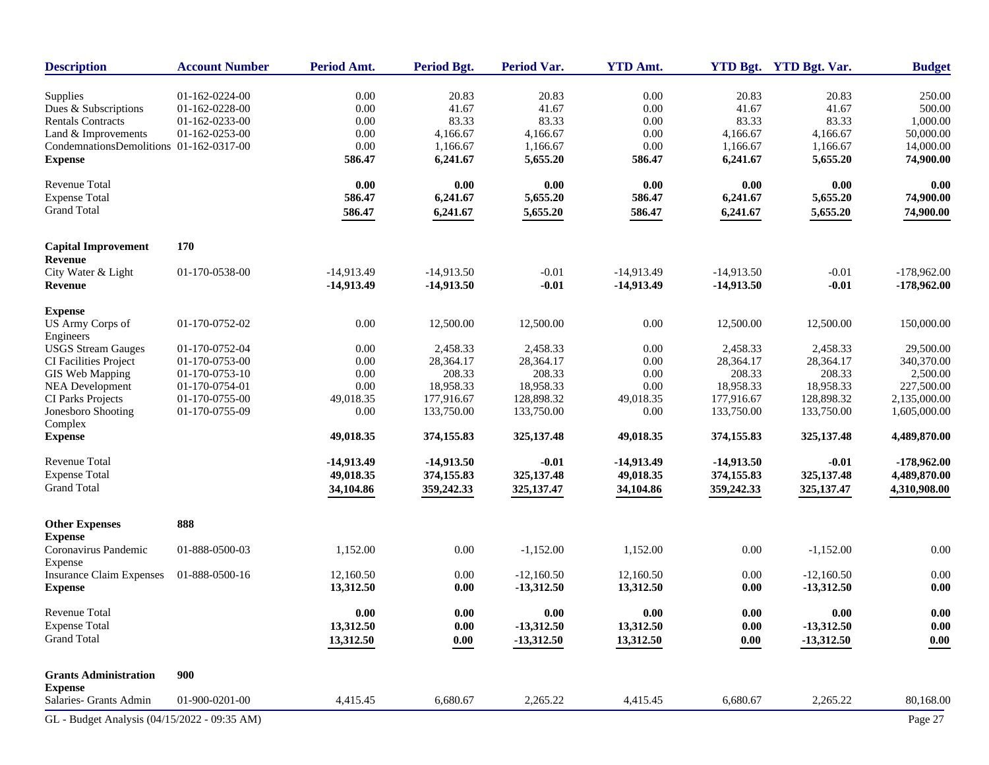| <b>Description</b>                           | <b>Account Number</b> | Period Amt.  | <b>Period Bgt.</b> | <b>Period Var.</b> | <b>YTD Amt.</b> |                     | YTD Bgt. YTD Bgt. Var. | <b>Budget</b> |
|----------------------------------------------|-----------------------|--------------|--------------------|--------------------|-----------------|---------------------|------------------------|---------------|
| Supplies                                     | 01-162-0224-00        | 0.00         | 20.83              | 20.83              | 0.00            | 20.83               | 20.83                  | 250.00        |
| Dues & Subscriptions                         | 01-162-0228-00        | 0.00         | 41.67              | 41.67              | 0.00            | 41.67               | 41.67                  | 500.00        |
| <b>Rentals Contracts</b>                     | 01-162-0233-00        | 0.00         | 83.33              | 83.33              | 0.00            | 83.33               | 83.33                  | 1,000.00      |
| Land & Improvements                          | 01-162-0253-00        | 0.00         | 4,166.67           | 4,166.67           | 0.00            | 4,166.67            | 4,166.67               | 50,000.00     |
| CondemnationsDemolitions 01-162-0317-00      |                       | $0.00\,$     | 1,166.67           | 1,166.67           | 0.00            | 1,166.67            | 1,166.67               | 14,000.00     |
| <b>Expense</b>                               |                       | 586.47       | 6,241.67           | 5,655.20           | 586.47          | 6,241.67            | 5,655.20               | 74,900.00     |
| <b>Revenue Total</b>                         |                       | 0.00         | 0.00               | 0.00               | 0.00            | 0.00                | 0.00                   | 0.00          |
| <b>Expense Total</b>                         |                       | 586.47       | 6,241.67           | 5,655.20           | 586.47          | 6,241.67            | 5,655.20               | 74,900.00     |
| <b>Grand Total</b>                           |                       | 586.47       | 6,241.67           | 5,655.20           | 586.47          | 6,241.67            | 5,655.20               | 74,900.00     |
| <b>Capital Improvement</b>                   | 170                   |              |                    |                    |                 |                     |                        |               |
| Revenue                                      |                       |              |                    |                    |                 |                     |                        |               |
| City Water & Light                           | 01-170-0538-00        | $-14,913.49$ | $-14,913.50$       | $-0.01$            | $-14,913.49$    | $-14,913.50$        | $-0.01$                | $-178,962.00$ |
| Revenue                                      |                       | $-14,913.49$ | $-14,913.50$       | $-0.01$            | $-14,913.49$    | $-14,913.50$        | $-0.01$                | $-178,962.00$ |
| <b>Expense</b>                               |                       |              |                    |                    |                 |                     |                        |               |
| <b>US Army Corps of</b><br>Engineers         | 01-170-0752-02        | $0.00\,$     | 12,500.00          | 12,500.00          | 0.00            | 12,500.00           | 12,500.00              | 150,000.00    |
| <b>USGS Stream Gauges</b>                    | 01-170-0752-04        | 0.00         | 2,458.33           | 2,458.33           | 0.00            | 2,458.33            | 2,458.33               | 29,500.00     |
| CI Facilities Project                        | 01-170-0753-00        | 0.00         | 28,364.17          | 28,364.17          | 0.00            | 28,364.17           | 28,364.17              | 340,370.00    |
| GIS Web Mapping                              | 01-170-0753-10        | 0.00         | 208.33             | 208.33             | 0.00            | 208.33              | 208.33                 | 2,500.00      |
| <b>NEA Development</b>                       | 01-170-0754-01        | 0.00         | 18,958.33          | 18,958.33          | 0.00            | 18,958.33           | 18,958.33              | 227,500.00    |
| CI Parks Projects                            | 01-170-0755-00        | 49,018.35    | 177,916.67         | 128,898.32         | 49,018.35       | 177,916.67          | 128,898.32             | 2,135,000.00  |
| Jonesboro Shooting                           | 01-170-0755-09        | 0.00         | 133,750.00         | 133,750.00         | 0.00            | 133,750.00          | 133,750.00             | 1,605,000.00  |
| Complex                                      |                       |              |                    |                    |                 |                     |                        |               |
| <b>Expense</b>                               |                       | 49,018.35    | 374,155.83         | 325, 137. 48       | 49,018.35       | 374,155.83          | 325, 137. 48           | 4,489,870.00  |
| <b>Revenue Total</b>                         |                       | $-14,913.49$ | $-14,913.50$       | $-0.01$            | $-14,913,49$    | $-14,913.50$        | $-0.01$                | $-178,962.00$ |
| <b>Expense Total</b>                         |                       | 49,018.35    | 374,155.83         | 325, 137. 48       | 49,018.35       | 374,155.83          | 325, 137. 48           | 4,489,870.00  |
| <b>Grand Total</b>                           |                       | 34,104.86    | 359,242.33         | 325, 137. 47       | 34,104.86       | 359,242.33          | 325, 137. 47           | 4,310,908.00  |
| <b>Other Expenses</b>                        | 888                   |              |                    |                    |                 |                     |                        |               |
| <b>Expense</b>                               |                       |              |                    |                    |                 |                     |                        |               |
| Coronavirus Pandemic<br>Expense              | 01-888-0500-03        | 1,152.00     | 0.00               | $-1,152.00$        | 1,152.00        | 0.00                | $-1,152.00$            | $0.00\,$      |
| <b>Insurance Claim Expenses</b>              | 01-888-0500-16        | 12,160.50    | 0.00               | $-12,160.50$       | 12,160.50       | 0.00                | $-12,160.50$           | $0.00\,$      |
| <b>Expense</b>                               |                       | 13,312.50    | 0.00               | $-13,312.50$       | 13,312.50       | 0.00                | $-13,312.50$           | 0.00          |
| <b>Revenue Total</b>                         |                       | 0.00         | 0.00               | 0.00               | 0.00            | 0.00                | 0.00                   | 0.00          |
| <b>Expense Total</b>                         |                       | 13,312.50    | 0.00               | $-13,312.50$       | 13,312.50       | $\boldsymbol{0.00}$ | $-13,312.50$           | 0.00          |
| <b>Grand Total</b>                           |                       | 13,312.50    | 0.00               | $-13,312.50$       | 13,312.50       | 0.00                | $-13,312.50$           | 0.00          |
| <b>Grants Administration</b>                 | 900                   |              |                    |                    |                 |                     |                        |               |
| <b>Expense</b>                               |                       |              |                    |                    |                 |                     |                        |               |
| Salaries- Grants Admin                       | 01-900-0201-00        | 4,415.45     | 6,680.67           | 2,265.22           | 4,415.45        | 6,680.67            | 2,265.22               | 80,168.00     |
| GL - Budget Analysis (04/15/2022 - 09:35 AM) |                       |              |                    |                    |                 |                     |                        | Page 27       |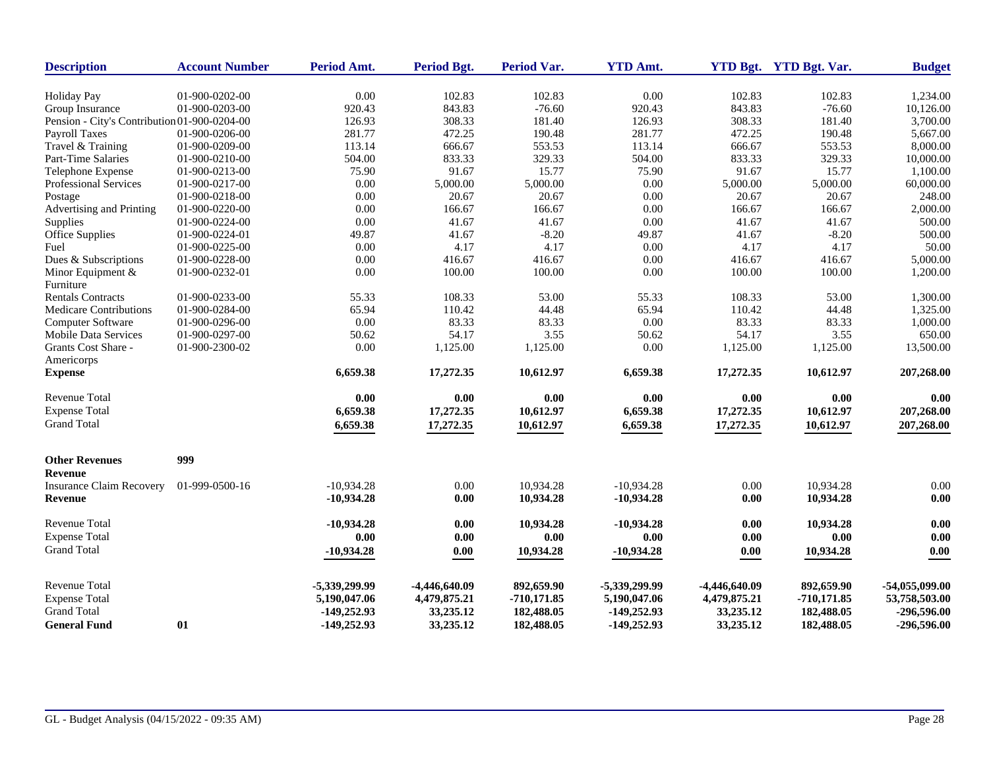| <b>Description</b>                           | <b>Account Number</b> | Period Amt.   | <b>Period Bgt.</b> | Period Var.   | <b>YTD Amt.</b> |               | YTD Bgt. YTD Bgt. Var. | <b>Budget</b>  |
|----------------------------------------------|-----------------------|---------------|--------------------|---------------|-----------------|---------------|------------------------|----------------|
| <b>Holiday Pay</b>                           | 01-900-0202-00        | 0.00          | 102.83             | 102.83        | 0.00            | 102.83        | 102.83                 | 1,234.00       |
| Group Insurance                              | 01-900-0203-00        | 920.43        | 843.83             | $-76.60$      | 920.43          | 843.83        | $-76.60$               | 10,126.00      |
| Pension - City's Contribution 01-900-0204-00 |                       | 126.93        | 308.33             | 181.40        | 126.93          | 308.33        | 181.40                 | 3,700.00       |
| <b>Payroll Taxes</b>                         | 01-900-0206-00        | 281.77        | 472.25             | 190.48        | 281.77          | 472.25        | 190.48                 | 5,667.00       |
| Travel & Training                            | 01-900-0209-00        | 113.14        | 666.67             | 553.53        | 113.14          | 666.67        | 553.53                 | 8,000.00       |
| Part-Time Salaries                           | 01-900-0210-00        | 504.00        | 833.33             | 329.33        | 504.00          | 833.33        | 329.33                 | 10,000.00      |
| Telephone Expense                            | 01-900-0213-00        | 75.90         | 91.67              | 15.77         | 75.90           | 91.67         | 15.77                  | 1,100.00       |
| Professional Services                        | 01-900-0217-00        | 0.00          | 5,000.00           | 5,000.00      | 0.00            | 5,000.00      | 5,000.00               | 60,000.00      |
| Postage                                      | 01-900-0218-00        | 0.00          | 20.67              | 20.67         | 0.00            | 20.67         | 20.67                  | 248.00         |
| Advertising and Printing                     | 01-900-0220-00        | 0.00          | 166.67             | 166.67        | 0.00            | 166.67        | 166.67                 | 2,000.00       |
| Supplies                                     | 01-900-0224-00        | 0.00          | 41.67              | 41.67         | 0.00            | 41.67         | 41.67                  | 500.00         |
| <b>Office Supplies</b>                       | 01-900-0224-01        | 49.87         | 41.67              | $-8.20$       | 49.87           | 41.67         | $-8.20$                | 500.00         |
| Fuel                                         | 01-900-0225-00        | $0.00\,$      | 4.17               | 4.17          | 0.00            | 4.17          | 4.17                   | 50.00          |
| Dues & Subscriptions                         | 01-900-0228-00        | 0.00          | 416.67             | 416.67        | 0.00            | 416.67        | 416.67                 | 5,000.00       |
| Minor Equipment &<br>Furniture               | 01-900-0232-01        | $0.00\,$      | 100.00             | 100.00        | 0.00            | 100.00        | 100.00                 | 1,200.00       |
| <b>Rentals Contracts</b>                     | 01-900-0233-00        | 55.33         | 108.33             | 53.00         | 55.33           | 108.33        | 53.00                  | 1,300.00       |
| Medicare Contributions                       | 01-900-0284-00        | 65.94         | 110.42             | 44.48         | 65.94           | 110.42        | 44.48                  | 1,325.00       |
| Computer Software                            | 01-900-0296-00        | 0.00          | 83.33              | 83.33         | 0.00            | 83.33         | 83.33                  | 1,000.00       |
| <b>Mobile Data Services</b>                  | 01-900-0297-00        | 50.62         | 54.17              | 3.55          | 50.62           | 54.17         | 3.55                   | 650.00         |
| Grants Cost Share -<br>Americorps            | 01-900-2300-02        | 0.00          | 1,125.00           | 1,125.00      | 0.00            | 1,125.00      | 1,125.00               | 13,500.00      |
| <b>Expense</b>                               |                       | 6,659.38      | 17,272.35          | 10,612.97     | 6,659.38        | 17,272.35     | 10,612.97              | 207,268.00     |
| Revenue Total                                |                       | 0.00          | 0.00               | $0.00\,$      | 0.00            | 0.00          | 0.00                   | 0.00           |
| <b>Expense Total</b>                         |                       | 6,659.38      | 17,272.35          | 10,612.97     | 6,659.38        | 17,272.35     | 10,612.97              | 207,268.00     |
| <b>Grand Total</b>                           |                       | 6,659.38      | 17,272.35          | 10,612.97     | 6,659.38        | 17,272.35     | 10,612.97              | 207,268.00     |
| <b>Other Revenues</b>                        | 999                   |               |                    |               |                 |               |                        |                |
| <b>Revenue</b>                               |                       |               |                    |               |                 |               |                        |                |
| <b>Insurance Claim Recovery</b>              | 01-999-0500-16        | $-10,934.28$  | 0.00               | 10,934.28     | $-10,934.28$    | 0.00          | 10,934.28              | 0.00           |
| <b>Revenue</b>                               |                       | $-10,934.28$  | 0.00               | 10,934.28     | $-10,934.28$    | 0.00          | 10,934.28              | 0.00           |
| <b>Revenue Total</b>                         |                       | $-10,934.28$  | 0.00               | 10,934.28     | $-10,934.28$    | 0.00          | 10,934.28              | 0.00           |
| <b>Expense Total</b>                         |                       | 0.00          | 0.00               | 0.00          | 0.00            | 0.00          | 0.00                   | 0.00           |
| <b>Grand Total</b>                           |                       | $-10,934.28$  | 0.00               | 10,934.28     | $-10,934.28$    | $0.00\,$      | 10,934.28              | $0.00\,$       |
| Revenue Total                                |                       | -5,339,299.99 | $-4,446,640.09$    | 892,659.90    | -5,339,299.99   | -4,446,640.09 | 892,659.90             | -54,055,099.00 |
| <b>Expense Total</b>                         |                       | 5,190,047.06  | 4,479,875.21       | $-710,171.85$ | 5,190,047.06    | 4,479,875.21  | $-710,171.85$          | 53,758,503.00  |
| <b>Grand Total</b>                           |                       | -149,252.93   | 33,235.12          | 182,488.05    | $-149,252.93$   | 33,235.12     | 182,488.05             | -296,596.00    |
| <b>General Fund</b>                          | 01                    | $-149,252.93$ | 33,235.12          | 182,488.05    | $-149.252.93$   | 33,235.12     | 182,488.05             | $-296,596.00$  |
|                                              |                       |               |                    |               |                 |               |                        |                |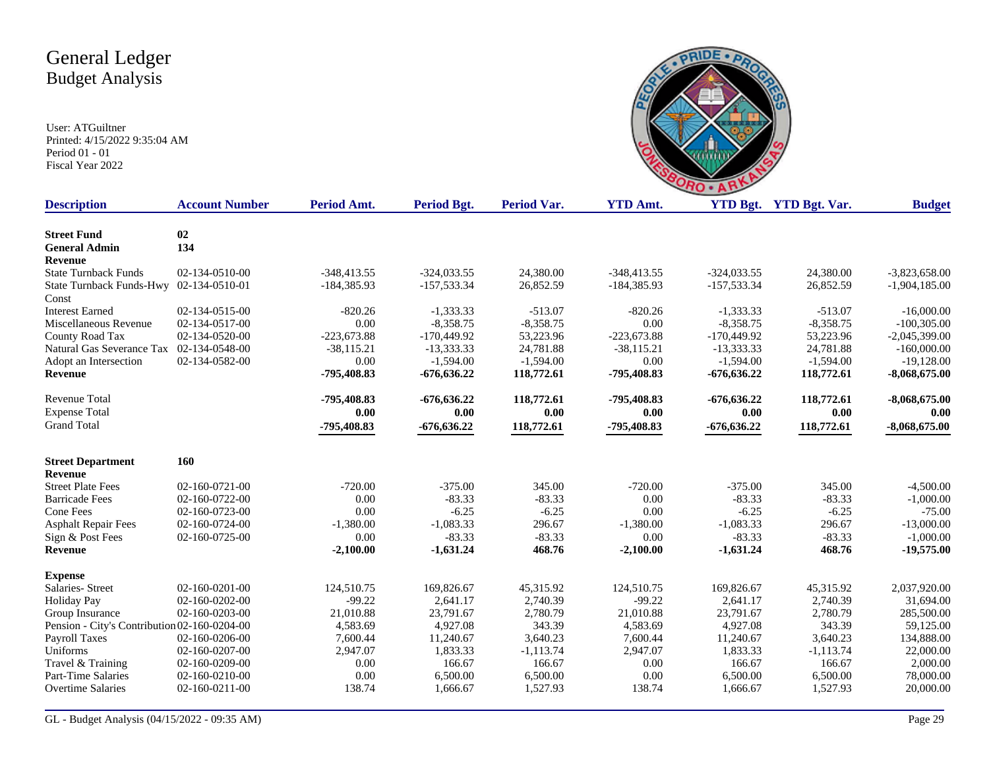

| <b>Description</b>                           | <b>Account Number</b> | Period Amt.   | Period Bgt.   | <b>Period Var.</b> | <b>YTD Amt.</b> |               | YTD Bgt. YTD Bgt. Var. | <b>Budget</b>   |
|----------------------------------------------|-----------------------|---------------|---------------|--------------------|-----------------|---------------|------------------------|-----------------|
| <b>Street Fund</b>                           | 02                    |               |               |                    |                 |               |                        |                 |
| <b>General Admin</b>                         | 134                   |               |               |                    |                 |               |                        |                 |
| <b>Revenue</b>                               |                       |               |               |                    |                 |               |                        |                 |
| <b>State Turnback Funds</b>                  | 02-134-0510-00        | $-348,413.55$ | $-324,033.55$ | 24,380.00          | $-348,413.55$   | $-324,033.55$ | 24,380.00              | $-3,823,658.00$ |
| State Turnback Funds-Hwy 02-134-0510-01      |                       | $-184,385.93$ | $-157,533.34$ | 26,852.59          | $-184,385.93$   | $-157,533.34$ | 26,852.59              | $-1,904,185.00$ |
| Const                                        |                       |               |               |                    |                 |               |                        |                 |
| <b>Interest Earned</b>                       | 02-134-0515-00        | $-820.26$     | $-1,333.33$   | $-513.07$          | $-820.26$       | $-1,333.33$   | $-513.07$              | $-16,000.00$    |
| Miscellaneous Revenue                        | 02-134-0517-00        | 0.00          | $-8,358.75$   | $-8,358.75$        | 0.00            | $-8,358.75$   | $-8,358.75$            | $-100,305.00$   |
| County Road Tax                              | 02-134-0520-00        | $-223,673.88$ | $-170,449.92$ | 53,223.96          | $-223,673.88$   | $-170,449.92$ | 53,223.96              | $-2,045,399.00$ |
| Natural Gas Severance Tax                    | 02-134-0548-00        | $-38,115.21$  | $-13,333.33$  | 24,781.88          | $-38,115.21$    | $-13,333.33$  | 24,781.88              | $-160,000.00$   |
| Adopt an Intersection                        | 02-134-0582-00        | 0.00          | $-1,594.00$   | $-1,594.00$        | 0.00            | $-1,594.00$   | $-1,594.00$            | $-19,128.00$    |
| Revenue                                      |                       | -795,408.83   | $-676,636.22$ | 118,772.61         | -795,408.83     | $-676,636.22$ | 118,772.61             | $-8,068,675.00$ |
| Revenue Total                                |                       | -795,408.83   | $-676,636.22$ | 118,772.61         | -795,408.83     | $-676,636.22$ | 118,772.61             | $-8,068,675.00$ |
| <b>Expense Total</b>                         |                       | 0.00          | 0.00          | 0.00               | 0.00            | 0.00          | 0.00                   | 0.00            |
| <b>Grand Total</b>                           |                       | -795,408.83   | $-676,636.22$ | 118,772.61         | -795,408.83     | $-676,636.22$ | 118,772.61             | $-8,068,675.00$ |
| <b>Street Department</b>                     | 160                   |               |               |                    |                 |               |                        |                 |
| <b>Revenue</b>                               |                       |               |               |                    |                 |               |                        |                 |
| <b>Street Plate Fees</b>                     | 02-160-0721-00        | $-720.00$     | $-375.00$     | 345.00             | $-720.00$       | $-375.00$     | 345.00                 | $-4,500.00$     |
| <b>Barricade Fees</b>                        | 02-160-0722-00        | 0.00          | $-83.33$      | $-83.33$           | 0.00            | $-83.33$      | $-83.33$               | $-1,000.00$     |
| Cone Fees                                    | 02-160-0723-00        | 0.00          | $-6.25$       | $-6.25$            | 0.00            | $-6.25$       | $-6.25$                | $-75.00$        |
| <b>Asphalt Repair Fees</b>                   | 02-160-0724-00        | $-1,380.00$   | $-1,083.33$   | 296.67             | $-1,380.00$     | $-1,083.33$   | 296.67                 | $-13,000.00$    |
| Sign & Post Fees                             | 02-160-0725-00        | 0.00          | $-83.33$      | $-83.33$           | 0.00            | $-83.33$      | $-83.33$               | $-1,000.00$     |
| Revenue                                      |                       | $-2,100.00$   | $-1,631.24$   | 468.76             | $-2,100.00$     | $-1,631.24$   | 468.76                 | $-19,575.00$    |
| <b>Expense</b>                               |                       |               |               |                    |                 |               |                        |                 |
| Salaries- Street                             | 02-160-0201-00        | 124,510.75    | 169,826.67    | 45,315.92          | 124,510.75      | 169,826.67    | 45,315.92              | 2,037,920.00    |
| <b>Holiday Pay</b>                           | 02-160-0202-00        | $-99.22$      | 2,641.17      | 2,740.39           | $-99.22$        | 2,641.17      | 2,740.39               | 31,694.00       |
| Group Insurance                              | 02-160-0203-00        | 21,010.88     | 23,791.67     | 2,780.79           | 21,010.88       | 23,791.67     | 2,780.79               | 285,500.00      |
| Pension - City's Contribution 02-160-0204-00 |                       | 4,583.69      | 4,927.08      | 343.39             | 4,583.69        | 4,927.08      | 343.39                 | 59,125.00       |
| Payroll Taxes                                | 02-160-0206-00        | 7,600.44      | 11,240.67     | 3,640.23           | 7,600.44        | 11,240.67     | 3,640.23               | 134,888.00      |
| Uniforms                                     | 02-160-0207-00        | 2,947.07      | 1,833.33      | $-1, 113.74$       | 2,947.07        | 1,833.33      | $-1,113.74$            | 22,000.00       |
| Travel & Training                            | 02-160-0209-00        | 0.00          | 166.67        | 166.67             | 0.00            | 166.67        | 166.67                 | 2,000.00        |
| <b>Part-Time Salaries</b>                    | 02-160-0210-00        | 0.00          | 6,500.00      | 6,500.00           | 0.00            | 6,500.00      | 6,500.00               | 78,000.00       |
| <b>Overtime Salaries</b>                     | 02-160-0211-00        | 138.74        | 1,666.67      | 1,527.93           | 138.74          | 1,666.67      | 1,527.93               | 20,000.00       |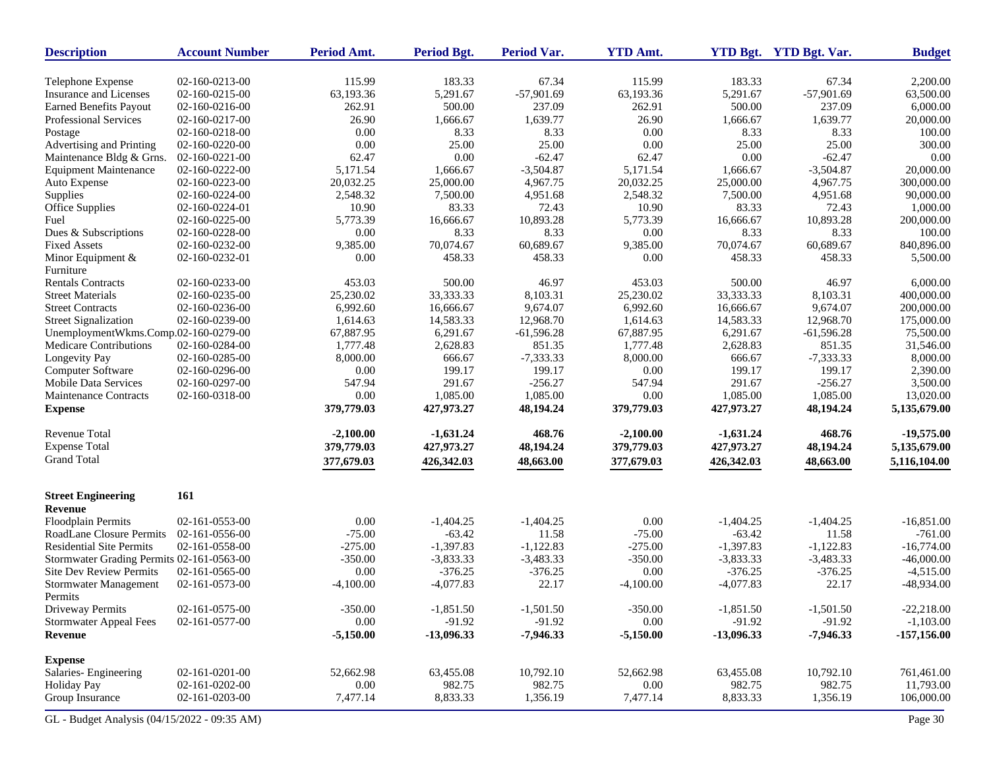| <b>Description</b>                        | <b>Account Number</b> | Period Amt. | <b>Period Bgt.</b> | <b>Period Var.</b> | <b>YTD Amt.</b> |              | YTD Bgt. YTD Bgt. Var. | <b>Budget</b> |
|-------------------------------------------|-----------------------|-------------|--------------------|--------------------|-----------------|--------------|------------------------|---------------|
| Telephone Expense                         | 02-160-0213-00        | 115.99      | 183.33             | 67.34              | 115.99          | 183.33       | 67.34                  | 2,200.00      |
| Insurance and Licenses                    | 02-160-0215-00        | 63,193.36   | 5,291.67           | $-57,901.69$       | 63,193.36       | 5,291.67     | $-57,901.69$           | 63,500.00     |
| <b>Earned Benefits Payout</b>             | 02-160-0216-00        | 262.91      | 500.00             | 237.09             | 262.91          | 500.00       | 237.09                 | 6,000.00      |
| Professional Services                     | 02-160-0217-00        | 26.90       | 1,666.67           | 1,639.77           | 26.90           | 1,666.67     | 1,639.77               | 20,000.00     |
| Postage                                   | 02-160-0218-00        | 0.00        | 8.33               | 8.33               | 0.00            | 8.33         | 8.33                   | 100.00        |
| Advertising and Printing                  | 02-160-0220-00        | 0.00        | 25.00              | 25.00              | 0.00            | 25.00        | 25.00                  | 300.00        |
| Maintenance Bldg & Grns.                  | 02-160-0221-00        | 62.47       | 0.00               | $-62.47$           | 62.47           | 0.00         | $-62.47$               | 0.00          |
| <b>Equipment Maintenance</b>              | 02-160-0222-00        | 5,171.54    | 1,666.67           | $-3,504.87$        | 5,171.54        | 1,666.67     | $-3,504.87$            | 20,000.00     |
| Auto Expense                              | 02-160-0223-00        | 20,032.25   | 25,000.00          | 4,967.75           | 20,032.25       | 25,000.00    | 4,967.75               | 300,000.00    |
| Supplies                                  | 02-160-0224-00        | 2,548.32    | 7,500.00           | 4,951.68           | 2,548.32        | 7,500.00     | 4,951.68               | 90,000.00     |
| Office Supplies                           | 02-160-0224-01        | 10.90       | 83.33              | 72.43              | 10.90           | 83.33        | 72.43                  | 1,000.00      |
| Fuel                                      | 02-160-0225-00        | 5,773.39    | 16,666.67          | 10,893.28          | 5,773.39        | 16,666.67    | 10,893.28              | 200,000.00    |
| Dues & Subscriptions                      | 02-160-0228-00        | 0.00        | 8.33               | 8.33               | 0.00            | 8.33         | 8.33                   | 100.00        |
| <b>Fixed Assets</b>                       | 02-160-0232-00        | 9,385.00    | 70,074.67          | 60,689.67          | 9,385.00        | 70,074.67    | 60,689.67              | 840,896.00    |
| Minor Equipment $&$                       | 02-160-0232-01        | 0.00        | 458.33             | 458.33             | 0.00            | 458.33       | 458.33                 | 5,500.00      |
| Furniture                                 |                       |             |                    |                    |                 |              |                        |               |
| <b>Rentals Contracts</b>                  | 02-160-0233-00        | 453.03      | 500.00             | 46.97              | 453.03          | 500.00       | 46.97                  | 6,000.00      |
| <b>Street Materials</b>                   | 02-160-0235-00        | 25,230.02   | 33, 333. 33        | 8,103.31           | 25,230.02       | 33,333.33    | 8,103.31               | 400,000.00    |
| <b>Street Contracts</b>                   | 02-160-0236-00        | 6,992.60    | 16,666.67          | 9,674.07           | 6,992.60        | 16,666.67    | 9,674.07               | 200,000.00    |
| <b>Street Signalization</b>               | 02-160-0239-00        | 1,614.63    | 14,583.33          | 12,968.70          | 1,614.63        | 14,583.33    | 12,968.70              | 175,000.00    |
| UnemploymentWkms.Comp.02-160-0279-00      |                       | 67,887.95   | 6,291.67           | $-61,596.28$       | 67,887.95       | 6,291.67     | $-61,596.28$           | 75,500.00     |
| Medicare Contributions                    | 02-160-0284-00        | 1,777.48    | 2,628.83           | 851.35             | 1,777.48        | 2,628.83     | 851.35                 | 31,546.00     |
| Longevity Pay                             | 02-160-0285-00        | 8,000.00    | 666.67             | $-7,333.33$        | 8,000.00        | 666.67       | $-7,333.33$            | 8,000.00      |
| Computer Software                         | 02-160-0296-00        | 0.00        | 199.17             | 199.17             | 0.00            | 199.17       | 199.17                 | 2,390.00      |
| <b>Mobile Data Services</b>               | 02-160-0297-00        | 547.94      | 291.67             | $-256.27$          | 547.94          | 291.67       | $-256.27$              | 3,500.00      |
| <b>Maintenance Contracts</b>              | 02-160-0318-00        | 0.00        | 1,085.00           | 1,085.00           | 0.00            | 1,085.00     | 1.085.00               | 13,020.00     |
| <b>Expense</b>                            |                       | 379,779.03  | 427,973.27         | 48,194.24          | 379,779.03      | 427,973.27   | 48,194.24              | 5,135,679.00  |
| <b>Revenue Total</b>                      |                       | $-2,100.00$ | $-1,631.24$        | 468.76             | $-2,100.00$     | $-1,631.24$  | 468.76                 | $-19,575.00$  |
| <b>Expense Total</b>                      |                       | 379,779.03  | 427,973.27         | 48,194.24          | 379,779.03      | 427,973.27   | 48,194.24              | 5,135,679.00  |
| <b>Grand Total</b>                        |                       | 377,679.03  | 426,342.03         | 48,663.00          | 377,679.03      | 426,342.03   | 48,663.00              | 5,116,104.00  |
| <b>Street Engineering</b>                 | 161                   |             |                    |                    |                 |              |                        |               |
| <b>Revenue</b>                            |                       |             |                    |                    |                 |              |                        |               |
| Floodplain Permits                        | 02-161-0553-00        | 0.00        | $-1,404.25$        | $-1,404.25$        | 0.00            | $-1,404.25$  | $-1,404.25$            | $-16,851.00$  |
| <b>RoadLane Closure Permits</b>           | 02-161-0556-00        | $-75.00$    | $-63.42$           | 11.58              | $-75.00$        | $-63.42$     | 11.58                  | $-761.00$     |
| <b>Residential Site Permits</b>           | 02-161-0558-00        | $-275.00$   | $-1,397.83$        | $-1,122.83$        | $-275.00$       | $-1,397.83$  | $-1,122.83$            | $-16,774.00$  |
| Stormwater Grading Permits 02-161-0563-00 |                       | $-350.00$   | $-3,833.33$        | $-3,483.33$        | $-350.00$       | $-3,833.33$  | $-3,483.33$            | $-46,000.00$  |
| <b>Site Dev Review Permits</b>            | 02-161-0565-00        | 0.00        | $-376.25$          | $-376.25$          | 0.00            | $-376.25$    | $-376.25$              | $-4,515.00$   |
| <b>Stormwater Management</b><br>Permits   | 02-161-0573-00        | $-4,100.00$ | $-4,077.83$        | 22.17              | $-4,100.00$     | $-4,077.83$  | 22.17                  | $-48,934.00$  |
| Driveway Permits                          | 02-161-0575-00        | $-350.00$   | $-1,851.50$        | $-1,501.50$        | $-350.00$       | $-1,851.50$  | $-1,501.50$            | $-22,218.00$  |
| <b>Stormwater Appeal Fees</b>             | 02-161-0577-00        | $0.00\,$    | $-91.92$           | $-91.92$           | 0.00            | $-91.92$     | $-91.92$               | $-1,103.00$   |
| <b>Revenue</b>                            |                       | $-5,150.00$ | $-13,096.33$       | $-7,946.33$        | $-5,150.00$     | $-13,096.33$ | $-7,946.33$            | $-157,156.00$ |
| <b>Expense</b>                            |                       |             |                    |                    |                 |              |                        |               |
| Salaries-Engineering                      | 02-161-0201-00        | 52,662.98   | 63,455.08          | 10,792.10          | 52,662.98       | 63,455.08    | 10,792.10              | 761,461.00    |
| Holiday Pay                               | 02-161-0202-00        | 0.00        | 982.75             | 982.75             | 0.00            | 982.75       | 982.75                 | 11,793.00     |
| Group Insurance                           | 02-161-0203-00        | 7,477.14    | 8,833.33           | 1,356.19           | 7,477.14        | 8,833.33     | 1,356.19               | 106,000.00    |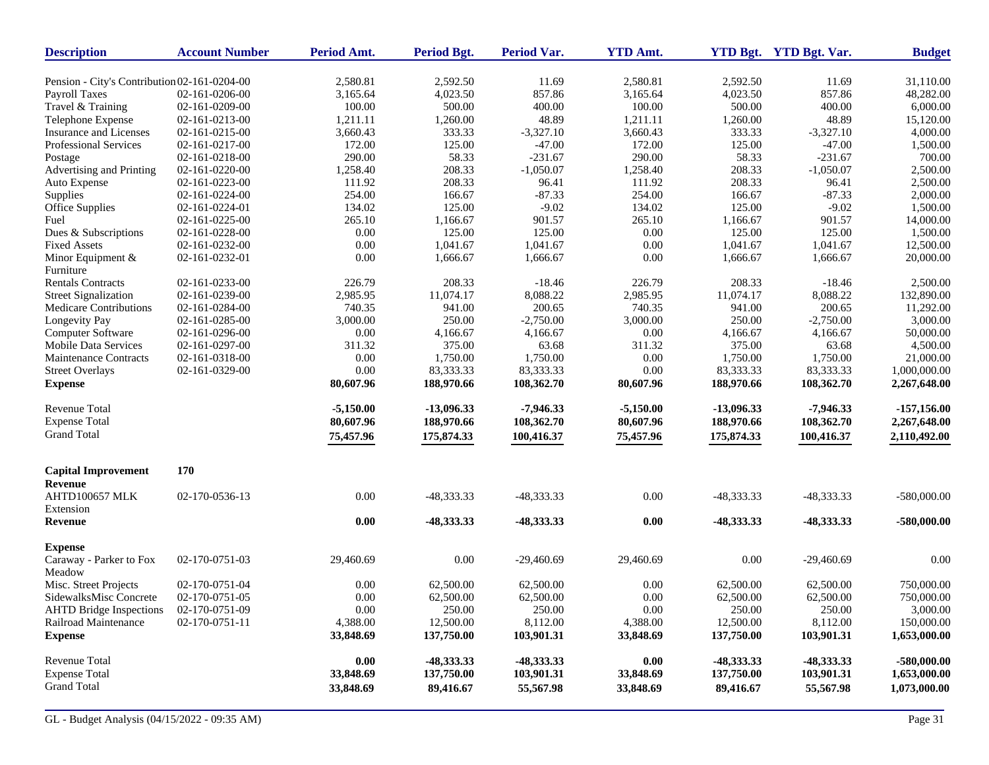| <b>Description</b>                           | <b>Account Number</b> | Period Amt. | <b>Period Bgt.</b> | <b>Period Var.</b> | <b>YTD Amt.</b> |              | YTD Bgt. YTD Bgt. Var. | <b>Budget</b> |
|----------------------------------------------|-----------------------|-------------|--------------------|--------------------|-----------------|--------------|------------------------|---------------|
| Pension - City's Contribution 02-161-0204-00 |                       | 2,580.81    | 2,592.50           | 11.69              | 2,580.81        | 2,592.50     | 11.69                  | 31,110.00     |
| Payroll Taxes                                | 02-161-0206-00        | 3,165.64    | 4,023.50           | 857.86             | 3,165.64        | 4,023.50     | 857.86                 | 48,282.00     |
| Travel & Training                            | 02-161-0209-00        | 100.00      | 500.00             | 400.00             | 100.00          | 500.00       | 400.00                 | 6,000.00      |
| Telephone Expense                            | 02-161-0213-00        | 1,211.11    | 1,260.00           | 48.89              | 1,211.11        | 1,260.00     | 48.89                  | 15,120.00     |
| Insurance and Licenses                       | 02-161-0215-00        | 3,660.43    | 333.33             | $-3,327.10$        | 3,660.43        | 333.33       | $-3,327.10$            | 4,000.00      |
| Professional Services                        | 02-161-0217-00        | 172.00      | 125.00             | $-47.00$           | 172.00          | 125.00       | $-47.00$               | 1,500.00      |
| Postage                                      | 02-161-0218-00        | 290.00      | 58.33              | $-231.67$          | 290.00          | 58.33        | $-231.67$              | 700.00        |
| Advertising and Printing                     | 02-161-0220-00        | 1,258.40    | 208.33             | $-1,050.07$        | 1,258.40        | 208.33       | $-1,050.07$            | 2,500.00      |
| Auto Expense                                 | 02-161-0223-00        | 111.92      | 208.33             | 96.41              | 111.92          | 208.33       | 96.41                  | 2,500.00      |
| Supplies                                     | 02-161-0224-00        | 254.00      | 166.67             | $-87.33$           | 254.00          | 166.67       | $-87.33$               | 2,000.00      |
| Office Supplies                              | 02-161-0224-01        | 134.02      | 125.00             | $-9.02$            | 134.02          | 125.00       | $-9.02$                |               |
|                                              |                       |             |                    |                    |                 |              |                        | 1,500.00      |
| Fuel                                         | 02-161-0225-00        | 265.10      | 1,166.67           | 901.57             | 265.10          | 1,166.67     | 901.57                 | 14,000.00     |
| Dues & Subscriptions                         | 02-161-0228-00        | 0.00        | 125.00             | 125.00             | 0.00            | 125.00       | 125.00                 | 1,500.00      |
| <b>Fixed Assets</b>                          | 02-161-0232-00        | 0.00        | 1,041.67           | 1,041.67           | 0.00            | 1,041.67     | 1,041.67               | 12,500.00     |
| Minor Equipment &                            | 02-161-0232-01        | 0.00        | 1,666.67           | 1,666.67           | 0.00            | 1,666.67     | 1,666.67               | 20,000.00     |
| Furniture                                    |                       |             |                    |                    |                 |              |                        |               |
| <b>Rentals Contracts</b>                     | 02-161-0233-00        | 226.79      | 208.33             | $-18.46$           | 226.79          | 208.33       | $-18.46$               | 2,500.00      |
| <b>Street Signalization</b>                  | 02-161-0239-00        | 2,985.95    | 11,074.17          | 8,088.22           | 2,985.95        | 11,074.17    | 8,088.22               | 132,890.00    |
| Medicare Contributions                       | 02-161-0284-00        | 740.35      | 941.00             | 200.65             | 740.35          | 941.00       | 200.65                 | 11,292.00     |
| Longevity Pay                                | 02-161-0285-00        | 3,000.00    | 250.00             | $-2,750.00$        | 3,000.00        | 250.00       | $-2,750.00$            | 3,000.00      |
| Computer Software                            | 02-161-0296-00        | $0.00\,$    | 4,166.67           | 4,166.67           | 0.00            | 4,166.67     | 4,166.67               | 50,000.00     |
| <b>Mobile Data Services</b>                  | 02-161-0297-00        | 311.32      | 375.00             | 63.68              | 311.32          | 375.00       | 63.68                  | 4,500.00      |
| Maintenance Contracts                        | 02-161-0318-00        | $0.00\,$    | 1,750.00           | 1,750.00           | 0.00            | 1,750.00     | 1,750.00               | 21,000.00     |
| <b>Street Overlays</b>                       | 02-161-0329-00        | 0.00        | 83,333.33          | 83,333.33          | 0.00            | 83,333.33    | 83,333.33              | 1,000,000.00  |
| <b>Expense</b>                               |                       | 80,607.96   | 188,970.66         | 108,362.70         | 80,607.96       | 188,970.66   | 108,362.70             | 2,267,648.00  |
| <b>Revenue Total</b>                         |                       | $-5,150.00$ | $-13,096.33$       | $-7,946.33$        | $-5,150.00$     | $-13,096.33$ | $-7,946.33$            | $-157,156.00$ |
| <b>Expense Total</b>                         |                       | 80,607.96   | 188,970.66         | 108,362.70         | 80,607.96       | 188,970.66   | 108,362.70             | 2,267,648.00  |
| <b>Grand Total</b>                           |                       | 75,457.96   | 175,874.33         | 100,416.37         | 75,457.96       | 175,874.33   | 100,416.37             | 2,110,492.00  |
| <b>Capital Improvement</b>                   | 170                   |             |                    |                    |                 |              |                        |               |
| Revenue                                      |                       |             |                    |                    |                 |              |                        |               |
| <b>AHTD100657 MLK</b><br>Extension           | 02-170-0536-13        | 0.00        | -48,333.33         | -48,333.33         | 0.00            | -48,333.33   | -48,333.33             | $-580,000.00$ |
| Revenue                                      |                       | 0.00        | -48,333.33         | -48,333.33         | 0.00            | -48,333.33   | -48,333.33             | $-580,000.00$ |
| <b>Expense</b>                               |                       |             |                    |                    |                 |              |                        |               |
| Caraway - Parker to Fox                      | 02-170-0751-03        | 29,460.69   | 0.00               | $-29,460.69$       | 29,460.69       | 0.00         | $-29,460.69$           | 0.00          |
| Meadow                                       |                       |             |                    |                    |                 |              |                        |               |
| Misc. Street Projects                        | 02-170-0751-04        | 0.00        | 62,500.00          | 62,500.00          | 0.00            | 62,500.00    | 62,500.00              | 750,000.00    |
| SidewalksMisc Concrete                       | 02-170-0751-05        | 0.00        | 62,500.00          | 62,500.00          | 0.00            | 62,500.00    | 62,500.00              | 750,000.00    |
| <b>AHTD Bridge Inspections</b>               | 02-170-0751-09        | $0.00\,$    | 250.00             | 250.00             | 0.00            | 250.00       | 250.00                 | 3,000.00      |
| Railroad Maintenance                         | 02-170-0751-11        | 4,388.00    | 12,500.00          | 8,112.00           | 4,388.00        | 12,500.00    | 8,112.00               | 150,000.00    |
| <b>Expense</b>                               |                       | 33,848.69   | 137,750.00         | 103,901.31         | 33,848.69       | 137,750.00   | 103,901.31             | 1,653,000.00  |
| Revenue Total                                |                       | 0.00        | -48,333.33         | -48,333.33         | 0.00            | -48,333.33   | -48,333.33             | $-580,000.00$ |
| <b>Expense Total</b>                         |                       | 33,848.69   | 137,750.00         | 103,901.31         | 33,848.69       | 137,750.00   | 103,901.31             | 1,653,000.00  |
| <b>Grand Total</b>                           |                       | 33,848.69   | 89,416.67          | 55,567.98          | 33,848.69       | 89,416.67    | 55,567.98              | 1,073,000.00  |
|                                              |                       |             |                    |                    |                 |              |                        |               |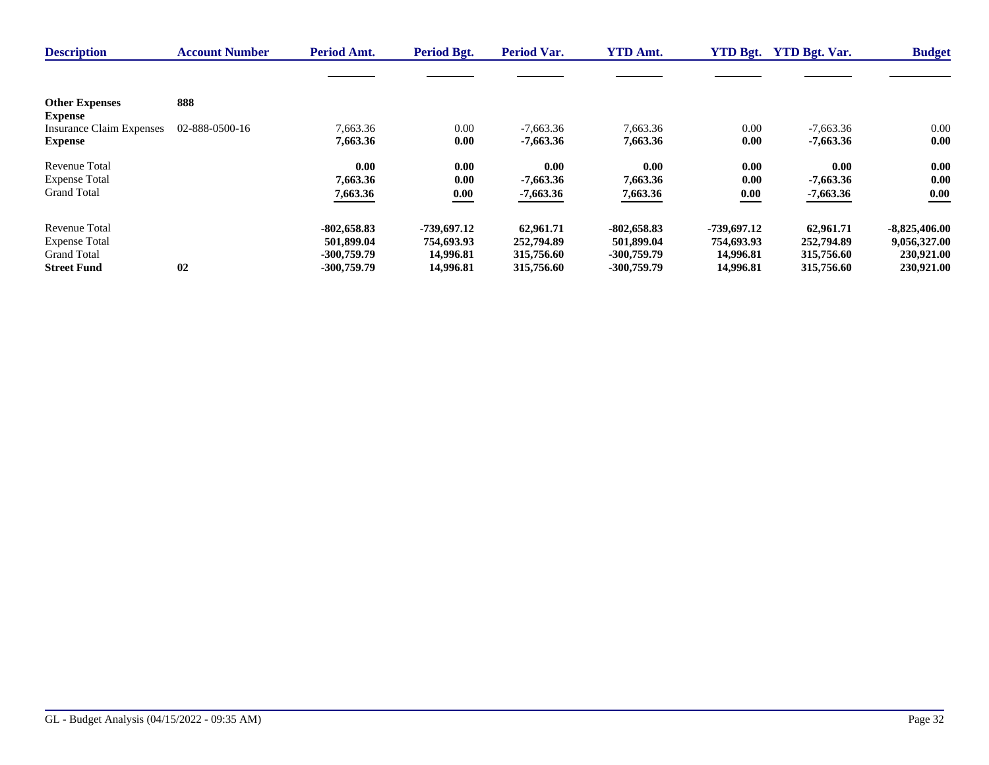| <b>Description</b>                      | <b>Account Number</b> | Period Amt.   | Period Bgt. | <b>Period Var.</b> | <b>YTD Amt.</b> | <b>YTD Bgt.</b> | <b>YTD Bgt. Var.</b> | <b>Budget</b>   |
|-----------------------------------------|-----------------------|---------------|-------------|--------------------|-----------------|-----------------|----------------------|-----------------|
|                                         |                       |               |             |                    |                 |                 |                      |                 |
| <b>Other Expenses</b><br><b>Expense</b> | 888                   |               |             |                    |                 |                 |                      |                 |
| <b>Insurance Claim Expenses</b>         | 02-888-0500-16        | 7.663.36      | 0.00        | $-7,663.36$        | 7,663.36        | 0.00            | $-7.663.36$          | $0.00\,$        |
| <b>Expense</b>                          |                       | 7,663.36      | 0.00        | $-7,663.36$        | 7,663.36        | 0.00            | $-7,663.36$          | 0.00            |
| <b>Revenue Total</b>                    |                       | 0.00          | 0.00        | 0.00               | 0.00            | 0.00            | 0.00                 | 0.00            |
| <b>Expense Total</b>                    |                       | 7.663.36      | 0.00        | $-7.663.36$        | 7,663.36        | 0.00            | $-7,663.36$          | 0.00            |
| <b>Grand Total</b>                      |                       | 7,663.36      | 0.00        | $-7,663.36$        | 7,663.36        | 0.00            | $-7,663.36$          | 0.00            |
| <b>Revenue Total</b>                    |                       | $-802,658.83$ | -739,697.12 | 62,961.71          | $-802,658.83$   | -739,697.12     | 62,961.71            | $-8,825,406.00$ |
| <b>Expense Total</b>                    |                       | 501,899.04    | 754,693.93  | 252,794.89         | 501,899.04      | 754,693.93      | 252,794.89           | 9,056,327.00    |
| <b>Grand Total</b>                      |                       | $-300,759.79$ | 14,996.81   | 315,756.60         | $-300,759.79$   | 14,996.81       | 315,756.60           | 230,921.00      |
| <b>Street Fund</b>                      | 02                    | $-300,759.79$ | 14,996.81   | 315,756.60         | $-300,759.79$   | 14,996.81       | 315,756.60           | 230,921.00      |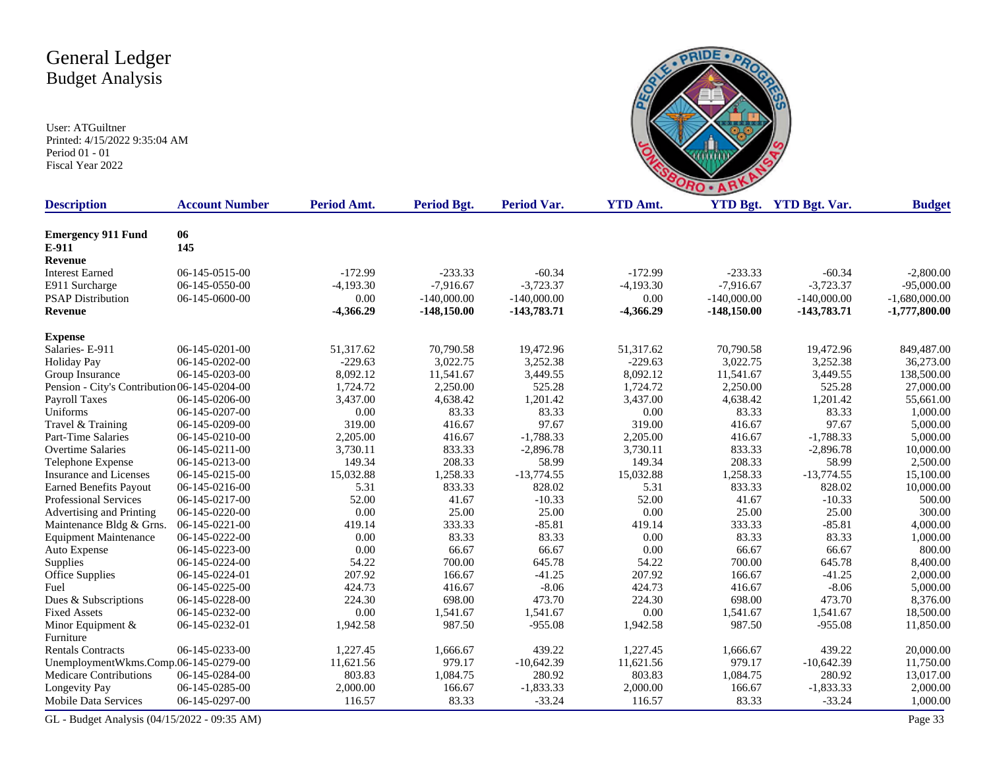User: ATGuiltner Printed: 4/15/2022 9:35:04 AM Period 01 - 01 Fiscal Year 2022



| <b>Description</b>                           | <b>Account Number</b> | Period Amt. | <b>Period Bgt.</b> | <b>Period Var.</b> | <b>YTD Amt.</b> |               | YTD Bgt. YTD Bgt. Var. | <b>Budget</b>   |
|----------------------------------------------|-----------------------|-------------|--------------------|--------------------|-----------------|---------------|------------------------|-----------------|
|                                              |                       |             |                    |                    |                 |               |                        |                 |
| <b>Emergency 911 Fund</b>                    | 06<br>145             |             |                    |                    |                 |               |                        |                 |
| E-911                                        |                       |             |                    |                    |                 |               |                        |                 |
| Revenue                                      |                       | $-172.99$   |                    | $-60.34$           | $-172.99$       | $-233.33$     |                        |                 |
| <b>Interest Earned</b>                       | 06-145-0515-00        |             | $-233.33$          |                    |                 |               | $-60.34$               | $-2,800.00$     |
| E911 Surcharge                               | 06-145-0550-00        | $-4,193.30$ | $-7,916.67$        | $-3,723.37$        | $-4,193.30$     | $-7,916.67$   | $-3,723.37$            | $-95,000.00$    |
| <b>PSAP Distribution</b>                     | 06-145-0600-00        | 0.00        | $-140,000.00$      | $-140,000.00$      | 0.00            | $-140,000.00$ | $-140,000.00$          | $-1,680,000.00$ |
| <b>Revenue</b>                               |                       | $-4,366.29$ | $-148,150.00$      | $-143,783.71$      | $-4,366.29$     | $-148,150.00$ | $-143,783.71$          | $-1,777,800.00$ |
| <b>Expense</b>                               |                       |             |                    |                    |                 |               |                        |                 |
| Salaries-E-911                               | 06-145-0201-00        | 51,317.62   | 70,790.58          | 19,472.96          | 51,317.62       | 70,790.58     | 19,472.96              | 849,487.00      |
| <b>Holiday Pay</b>                           | 06-145-0202-00        | $-229.63$   | 3,022.75           | 3,252.38           | $-229.63$       | 3,022.75      | 3,252.38               | 36,273.00       |
| Group Insurance                              | 06-145-0203-00        | 8,092.12    | 11,541.67          | 3,449.55           | 8,092.12        | 11,541.67     | 3,449.55               | 138,500.00      |
| Pension - City's Contribution 06-145-0204-00 |                       | 1,724.72    | 2,250.00           | 525.28             | 1,724.72        | 2,250.00      | 525.28                 | 27,000.00       |
| Payroll Taxes                                | 06-145-0206-00        | 3,437.00    | 4,638.42           | 1,201.42           | 3,437.00        | 4,638.42      | 1,201.42               | 55,661.00       |
| Uniforms                                     | 06-145-0207-00        | 0.00        | 83.33              | 83.33              | 0.00            | 83.33         | 83.33                  | 1,000.00        |
| Travel & Training                            | 06-145-0209-00        | 319.00      | 416.67             | 97.67              | 319.00          | 416.67        | 97.67                  | 5,000.00        |
| Part-Time Salaries                           | 06-145-0210-00        | 2,205.00    | 416.67             | $-1,788.33$        | 2,205.00        | 416.67        | $-1,788.33$            | 5,000.00        |
| <b>Overtime Salaries</b>                     | 06-145-0211-00        | 3,730.11    | 833.33             | $-2,896.78$        | 3,730.11        | 833.33        | $-2,896.78$            | 10,000.00       |
| Telephone Expense                            | 06-145-0213-00        | 149.34      | 208.33             | 58.99              | 149.34          | 208.33        | 58.99                  | 2,500.00        |
| <b>Insurance and Licenses</b>                | 06-145-0215-00        | 15,032.88   | 1,258.33           | $-13,774.55$       | 15,032.88       | 1,258.33      | $-13,774.55$           | 15,100.00       |
| <b>Earned Benefits Payout</b>                | 06-145-0216-00        | 5.31        | 833.33             | 828.02             | 5.31            | 833.33        | 828.02                 | 10,000.00       |
| <b>Professional Services</b>                 | 06-145-0217-00        | 52.00       | 41.67              | $-10.33$           | 52.00           | 41.67         | $-10.33$               | 500.00          |
| Advertising and Printing                     | 06-145-0220-00        | 0.00        | 25.00              | 25.00              | 0.00            | 25.00         | 25.00                  | 300.00          |
| Maintenance Bldg & Grns.                     | 06-145-0221-00        | 419.14      | 333.33             | $-85.81$           | 419.14          | 333.33        | $-85.81$               | 4,000.00        |
| <b>Equipment Maintenance</b>                 | 06-145-0222-00        | 0.00        | 83.33              | 83.33              | 0.00            | 83.33         | 83.33                  | 1,000.00        |
| Auto Expense                                 | 06-145-0223-00        | 0.00        | 66.67              | 66.67              | 0.00            | 66.67         | 66.67                  | 800.00          |
| Supplies                                     | 06-145-0224-00        | 54.22       | 700.00             | 645.78             | 54.22           | 700.00        | 645.78                 | 8,400.00        |
| Office Supplies                              | 06-145-0224-01        | 207.92      | 166.67             | $-41.25$           | 207.92          | 166.67        | $-41.25$               | 2,000.00        |
| Fuel                                         | 06-145-0225-00        | 424.73      | 416.67             | $-8.06$            | 424.73          | 416.67        | $-8.06$                | 5,000.00        |
| Dues & Subscriptions                         | 06-145-0228-00        | 224.30      | 698.00             | 473.70             | 224.30          | 698.00        | 473.70                 | 8,376.00        |
| <b>Fixed Assets</b>                          | 06-145-0232-00        | 0.00        | 1,541.67           | 1,541.67           | 0.00            | 1,541.67      | 1,541.67               | 18,500.00       |
| Minor Equipment $&$                          | 06-145-0232-01        | 1,942.58    | 987.50             | $-955.08$          | 1,942.58        | 987.50        | $-955.08$              | 11,850.00       |
| Furniture                                    |                       |             |                    |                    |                 |               |                        |                 |
| <b>Rentals Contracts</b>                     | 06-145-0233-00        | 1,227.45    | 1,666.67           | 439.22             | 1,227.45        | 1,666.67      | 439.22                 | 20,000.00       |
| UnemploymentWkms.Comp.06-145-0279-00         |                       | 11,621.56   | 979.17             | $-10,642.39$       | 11,621.56       | 979.17        | $-10,642.39$           | 11,750.00       |
| <b>Medicare Contributions</b>                | 06-145-0284-00        | 803.83      | 1,084.75           | 280.92             | 803.83          | 1,084.75      | 280.92                 | 13,017.00       |
| Longevity Pay                                | 06-145-0285-00        | 2,000.00    | 166.67             | $-1,833.33$        | 2,000.00        | 166.67        | $-1,833.33$            | 2,000.00        |
| <b>Mobile Data Services</b>                  | 06-145-0297-00        | 116.57      | 83.33              | $-33.24$           | 116.57          | 83.33         | $-33.24$               | 1,000.00        |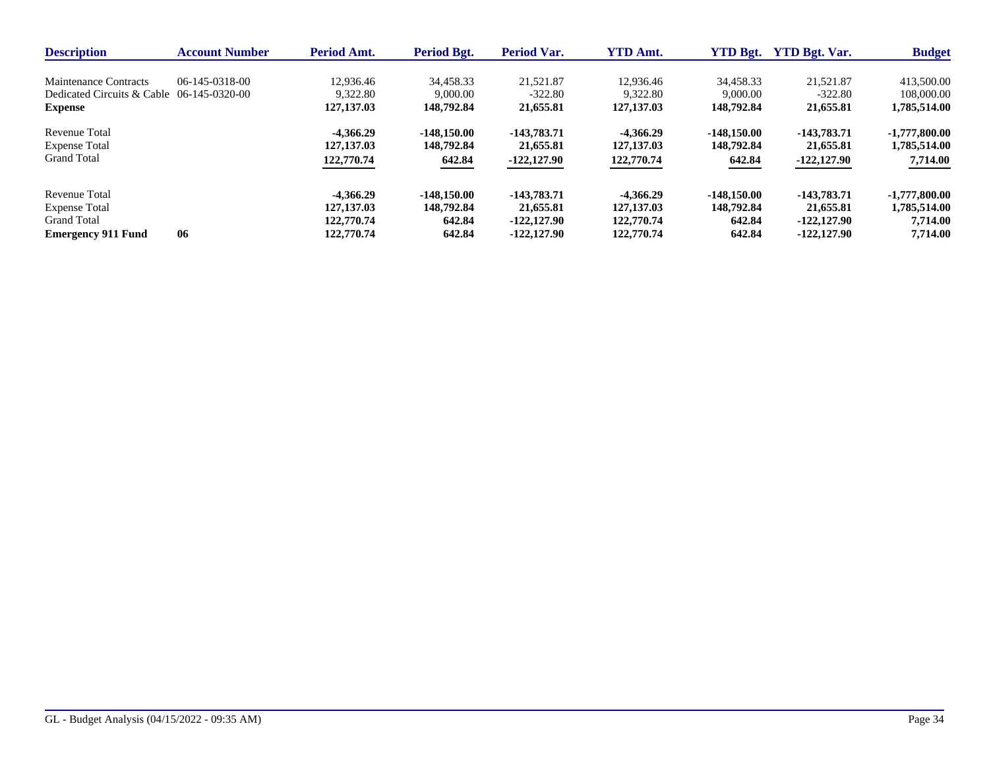| <b>Description</b>                                            | <b>Account Number</b> | <b>Period Amt.</b>       | <b>Period Bgt.</b>     | <b>Period Var.</b>     | <b>YTD Amt.</b>          | <b>YTD Bgt.</b>        | <b>YTD Bgt. Var.</b>   | <b>Budget</b>              |
|---------------------------------------------------------------|-----------------------|--------------------------|------------------------|------------------------|--------------------------|------------------------|------------------------|----------------------------|
| Maintenance Contracts                                         | 06-145-0318-00        | 12.936.46                | 34.458.33              | 21,521.87              | 12.936.46                | 34.458.33              | 21.521.87              | 413,500.00                 |
| Dedicated Circuits & Cable $06-145-0320-00$<br><b>Expense</b> |                       | 9.322.80<br>127, 137, 03 | 9,000.00<br>148.792.84 | $-322.80$<br>21,655.81 | 9.322.80<br>127, 137. 03 | 9,000.00<br>148,792.84 | $-322.80$<br>21,655.81 | 108,000.00<br>1,785,514.00 |
| Revenue Total                                                 |                       | -4.366.29                | $-148.150.00$          | $-143,783,71$          | $-4.366.29$              | $-148.150.00$          | $-143,783,71$          | $-1,777,800.00$            |
| <b>Expense Total</b>                                          |                       | 127, 137, 03             | 148,792.84             | 21,655.81              | 127, 137, 03             | 148,792.84             | 21,655.81              | 1,785,514.00               |
| <b>Grand Total</b>                                            |                       | 122,770.74               | 642.84                 | $-122,127.90$          | 122,770.74               | 642.84                 | $-122,127.90$          | 7,714.00                   |
| Revenue Total                                                 |                       | $-4.366.29$              | $-148.150.00$          | -143,783.71            | $-4.366.29$              | $-148.150.00$          | -143,783,71            | $-1,777,800.00$            |
| <b>Expense Total</b>                                          |                       | 127, 137, 03             | 148,792.84             | 21,655.81              | 127, 137, 03             | 148,792.84             | 21,655.81              | 1,785,514.00               |
| <b>Grand Total</b>                                            |                       | 122,770.74               | 642.84                 | $-122.127.90$          | 122,770.74               | 642.84                 | $-122.127.90$          | 7,714.00                   |
| <b>Emergency 911 Fund</b>                                     | 06                    | 122,770.74               | 642.84                 | $-122.127.90$          | 122,770.74               | 642.84                 | $-122.127.90$          | 7,714.00                   |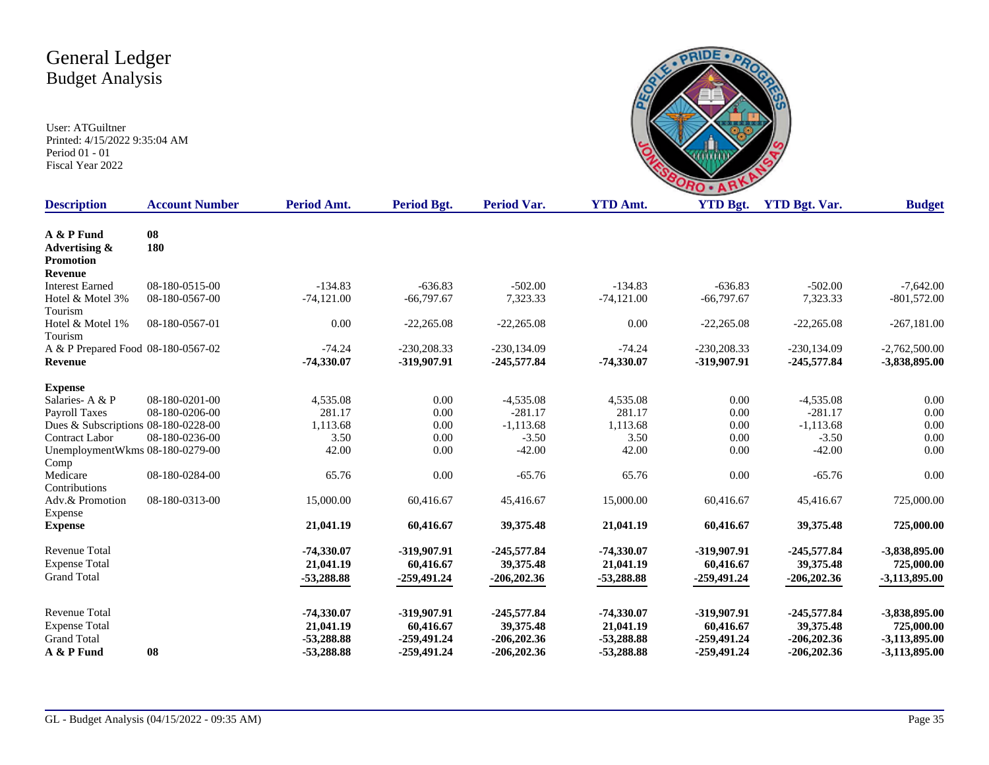

| <b>Description</b>                              | <b>Account Number</b> | Period Amt.  | Period Bgt.   | Period Var.    | <b>YTD Amt.</b> | <b>YTD Bgt.</b> | <b>YTD Bgt. Var.</b> | <b>Budget</b>   |
|-------------------------------------------------|-----------------------|--------------|---------------|----------------|-----------------|-----------------|----------------------|-----------------|
| A & P Fund<br>Advertising &<br><b>Promotion</b> | 08<br>180             |              |               |                |                 |                 |                      |                 |
| <b>Revenue</b>                                  |                       |              |               |                |                 |                 |                      |                 |
| <b>Interest Earned</b>                          | 08-180-0515-00        | $-134.83$    | $-636.83$     | $-502.00$      | $-134.83$       | $-636.83$       | $-502.00$            | $-7,642.00$     |
| Hotel & Motel 3%<br>Tourism                     | 08-180-0567-00        | $-74,121.00$ | $-66,797.67$  | 7,323.33       | $-74,121.00$    | $-66,797.67$    | 7,323.33             | $-801,572.00$   |
| Hotel & Motel 1%<br>Tourism                     | 08-180-0567-01        | 0.00         | $-22,265.08$  | $-22,265.08$   | 0.00            | $-22,265.08$    | $-22,265.08$         | $-267,181.00$   |
| A & P Prepared Food 08-180-0567-02              |                       | $-74.24$     | $-230,208.33$ | $-230, 134.09$ | $-74.24$        | $-230,208.33$   | $-230, 134.09$       | $-2,762,500.00$ |
| <b>Revenue</b>                                  |                       | $-74,330.07$ | -319,907.91   | $-245,577.84$  | $-74,330.07$    | -319,907.91     | $-245,577.84$        | -3,838,895.00   |
| <b>Expense</b>                                  |                       |              |               |                |                 |                 |                      |                 |
| Salaries-A & P                                  | 08-180-0201-00        | 4,535.08     | 0.00          | $-4,535.08$    | 4,535.08        | 0.00            | $-4,535.08$          | 0.00            |
| Payroll Taxes                                   | 08-180-0206-00        | 281.17       | 0.00          | $-281.17$      | 281.17          | 0.00            | $-281.17$            | 0.00            |
| Dues & Subscriptions 08-180-0228-00             |                       | 1,113.68     | 0.00          | $-1,113.68$    | 1,113.68        | 0.00            | $-1,113.68$          | 0.00            |
| <b>Contract Labor</b>                           | 08-180-0236-00        | 3.50         | 0.00          | $-3.50$        | 3.50            | 0.00            | $-3.50$              | 0.00            |
| UnemploymentWkms 08-180-0279-00<br>Comp         |                       | 42.00        | 0.00          | $-42.00$       | 42.00           | 0.00            | $-42.00$             | 0.00            |
| Medicare<br>Contributions                       | 08-180-0284-00        | 65.76        | 0.00          | $-65.76$       | 65.76           | 0.00            | $-65.76$             | 0.00            |
| Adv.& Promotion<br>Expense                      | 08-180-0313-00        | 15,000.00    | 60,416.67     | 45,416.67      | 15,000.00       | 60,416.67       | 45,416.67            | 725,000.00      |
| <b>Expense</b>                                  |                       | 21,041.19    | 60,416.67     | 39,375.48      | 21,041.19       | 60,416.67       | 39,375.48            | 725,000.00      |
| <b>Revenue Total</b>                            |                       | -74,330.07   | -319,907.91   | $-245,577.84$  | $-74,330.07$    | -319,907.91     | $-245,577.84$        | -3,838,895.00   |
| <b>Expense Total</b>                            |                       | 21,041.19    | 60,416.67     | 39,375.48      | 21,041.19       | 60,416.67       | 39,375.48            | 725,000.00      |
| <b>Grand Total</b>                              |                       | $-53,288.88$ | $-259,491,24$ | $-206,202.36$  | -53,288.88      | $-259,491,24$   | $-206,202.36$        | -3,113,895.00   |
| <b>Revenue Total</b>                            |                       | -74,330.07   | -319,907.91   | $-245,577.84$  | $-74,330.07$    | -319,907.91     | $-245,577.84$        | -3,838,895.00   |
| <b>Expense Total</b>                            |                       | 21,041.19    | 60,416.67     | 39,375.48      | 21,041.19       | 60,416.67       | 39,375.48            | 725,000.00      |
| <b>Grand Total</b>                              |                       | $-53,288.88$ | -259,491.24   | $-206,202.36$  | $-53,288.88$    | -259,491.24     | $-206,202.36$        | -3,113,895.00   |
| A & P Fund                                      | 08                    | $-53,288,88$ | $-259,491,24$ | $-206,202.36$  | -53,288.88      | $-259.491.24$   | $-206,202,36$        | -3,113,895.00   |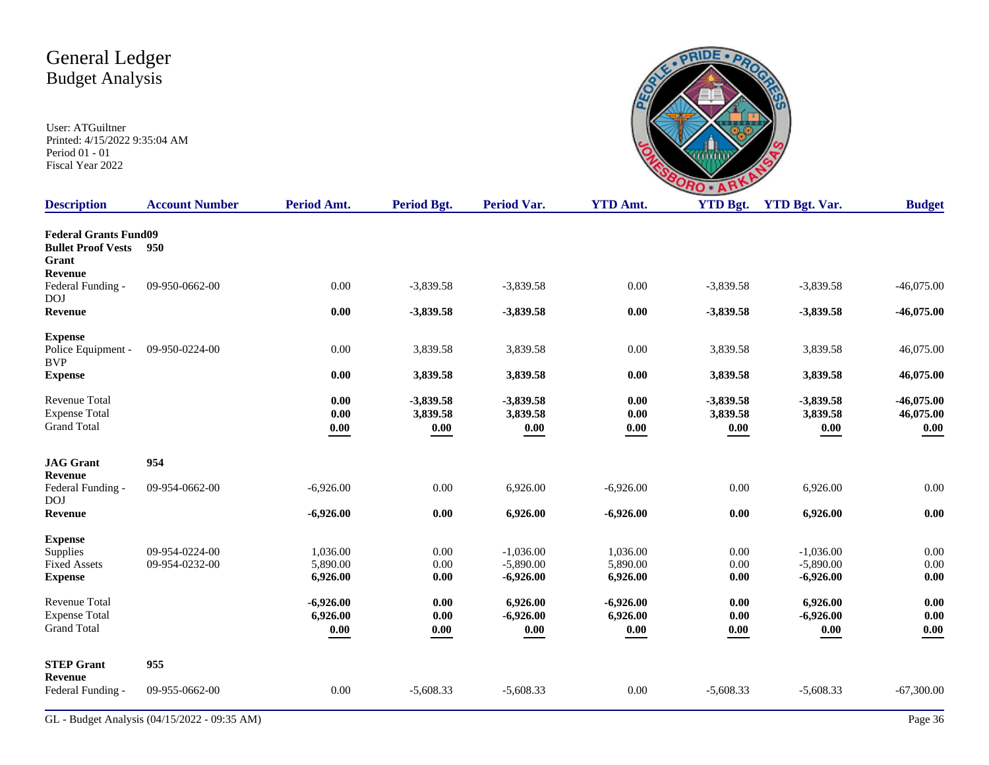| ۸ | $\sqrt{7}$<br>n<br>n | <b>WITH T</b> |
|---|----------------------|---------------|

| <b>Description</b>                                                 | <b>Account Number</b> | Period Amt.              | Period Bgt.                         | <b>Period Var.</b>              | <b>YTD Amt.</b>          | <b>YTD Bgt.</b>                 | <b>YTD Bgt. Var.</b>                           | <b>Budget</b>                     |
|--------------------------------------------------------------------|-----------------------|--------------------------|-------------------------------------|---------------------------------|--------------------------|---------------------------------|------------------------------------------------|-----------------------------------|
| <b>Federal Grants Fund09</b><br><b>Bullet Proof Vests</b><br>Grant | 950                   |                          |                                     |                                 |                          |                                 |                                                |                                   |
| Revenue<br>Federal Funding -<br>DOJ                                | 09-950-0662-00        | 0.00                     | $-3,839.58$                         | $-3,839.58$                     | 0.00                     | $-3,839.58$                     | $-3,839.58$                                    | $-46,075.00$                      |
| Revenue                                                            |                       | 0.00                     | $-3,839.58$                         | $-3,839.58$                     | 0.00                     | $-3,839.58$                     | $-3,839.58$                                    | $-46,075.00$                      |
| <b>Expense</b><br>Police Equipment -<br><b>BVP</b>                 | 09-950-0224-00        | 0.00                     | 3,839.58                            | 3,839.58                        | $0.00\,$                 | 3,839.58                        | 3,839.58                                       | 46,075.00                         |
| <b>Expense</b>                                                     |                       | 0.00                     | 3,839.58                            | 3,839.58                        | 0.00                     | 3,839.58                        | 3,839.58                                       | 46,075.00                         |
| <b>Revenue Total</b><br><b>Expense Total</b><br><b>Grand Total</b> |                       | 0.00<br>0.00<br>$0.00\,$ | $-3,839.58$<br>3,839.58<br>$0.00\,$ | $-3,839.58$<br>3,839.58<br>0.00 | 0.00<br>$0.00\,$<br>0.00 | $-3,839.58$<br>3,839.58<br>0.00 | $-3,839.58$<br>3,839.58<br>$\boldsymbol{0.00}$ | $-46,075.00$<br>46,075.00<br>0.00 |
|                                                                    |                       |                          |                                     |                                 |                          |                                 |                                                |                                   |
| <b>JAG</b> Grant<br>Revenue                                        | 954                   |                          |                                     |                                 |                          |                                 |                                                |                                   |
| Federal Funding -<br><b>DOJ</b>                                    | 09-954-0662-00        | $-6,926.00$              | 0.00                                | 6,926.00                        | $-6,926.00$              | 0.00                            | 6,926.00                                       | 0.00                              |
| Revenue                                                            |                       | $-6,926.00$              | 0.00                                | 6,926.00                        | $-6,926.00$              | $0.00\,$                        | 6,926.00                                       | 0.00                              |
| <b>Expense</b><br>Supplies                                         | 09-954-0224-00        | 1,036.00                 | 0.00                                | $-1,036.00$                     | 1.036.00                 | 0.00                            | $-1.036.00$                                    | 0.00                              |
| <b>Fixed Assets</b><br><b>Expense</b>                              | 09-954-0232-00        | 5,890.00<br>6,926.00     | 0.00<br>0.00                        | $-5,890.00$<br>$-6,926.00$      | 5,890.00<br>6,926.00     | 0.00<br>0.00                    | $-5,890.00$<br>$-6,926.00$                     | 0.00<br>0.00                      |
| Revenue Total<br><b>Expense Total</b>                              |                       | $-6,926.00$<br>6,926.00  | 0.00<br>0.00                        | 6,926.00<br>$-6,926.00$         | $-6,926.00$<br>6,926.00  | 0.00<br>0.00                    | 6,926.00<br>$-6,926.00$                        | 0.00<br>0.00                      |
| <b>Grand Total</b>                                                 |                       | 0.00                     | $0.00\,$                            | 0.00                            | 0.00                     | 0.00                            | $0.00\,$                                       | 0.00                              |
| <b>STEP Grant</b><br>Revenue                                       | 955                   |                          |                                     |                                 |                          |                                 |                                                |                                   |
| Federal Funding -                                                  | 09-955-0662-00        | 0.00                     | $-5,608.33$                         | $-5,608.33$                     | 0.00                     | $-5,608.33$                     | $-5,608.33$                                    | $-67,300.00$                      |
|                                                                    |                       |                          |                                     |                                 |                          |                                 |                                                |                                   |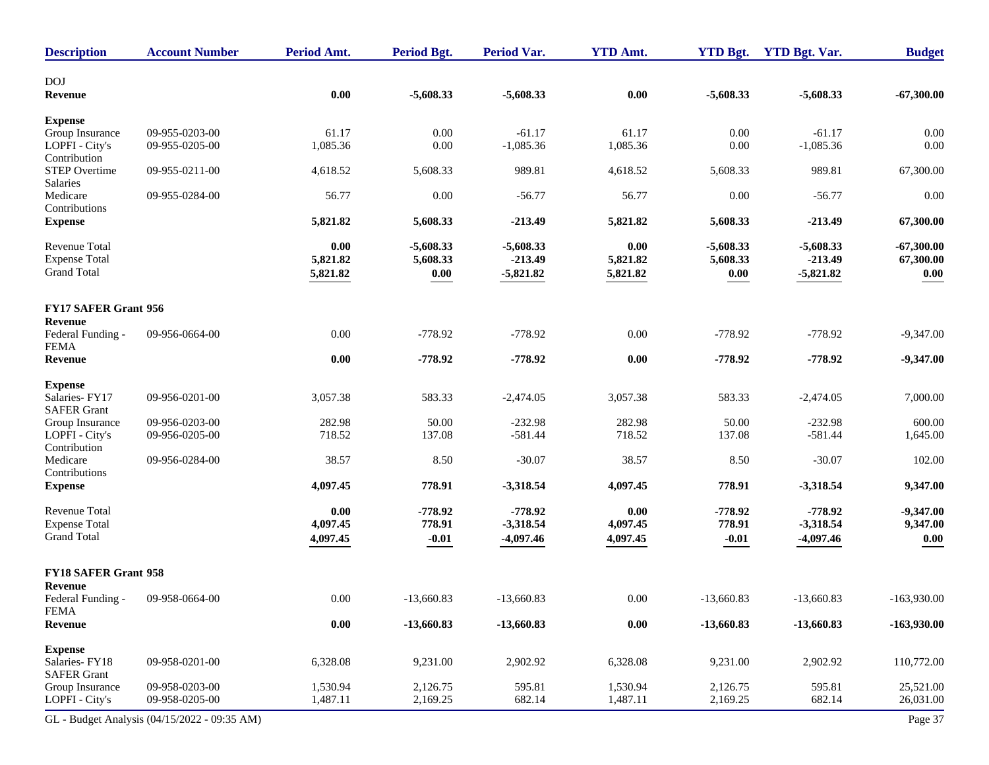| <b>Description</b>                                                 | <b>Account Number</b>                        | Period Amt.                  | <b>Period Bgt.</b>                             | <b>Period Var.</b>                      | <b>YTD Amt.</b>              | <b>YTD Bgt.</b>                                | <b>YTD Bgt. Var.</b>                    | <b>Budget</b>                     |
|--------------------------------------------------------------------|----------------------------------------------|------------------------------|------------------------------------------------|-----------------------------------------|------------------------------|------------------------------------------------|-----------------------------------------|-----------------------------------|
| <b>DOJ</b><br>Revenue                                              |                                              | 0.00                         | $-5,608.33$                                    | $-5,608.33$                             | 0.00                         | $-5,608.33$                                    | $-5,608.33$                             | $-67,300.00$                      |
| <b>Expense</b>                                                     |                                              |                              |                                                |                                         |                              |                                                |                                         |                                   |
| Group Insurance<br>LOPFI - City's<br>Contribution                  | 09-955-0203-00<br>09-955-0205-00             | 61.17<br>1,085.36            | 0.00<br>0.00                                   | $-61.17$<br>$-1,085.36$                 | 61.17<br>1,085.36            | 0.00<br>0.00                                   | $-61.17$<br>$-1,085.36$                 | 0.00<br>0.00                      |
| <b>STEP Overtime</b><br>Salaries                                   | 09-955-0211-00                               | 4,618.52                     | 5,608.33                                       | 989.81                                  | 4,618.52                     | 5,608.33                                       | 989.81                                  | 67,300.00                         |
| Medicare<br>Contributions                                          | 09-955-0284-00                               | 56.77                        | 0.00                                           | $-56.77$                                | 56.77                        | 0.00                                           | $-56.77$                                | 0.00                              |
| <b>Expense</b>                                                     |                                              | 5,821.82                     | 5,608.33                                       | $-213.49$                               | 5,821.82                     | 5,608.33                                       | $-213.49$                               | 67,300.00                         |
| <b>Revenue Total</b><br><b>Expense Total</b><br><b>Grand Total</b> |                                              | 0.00<br>5,821.82<br>5,821.82 | $-5,608.33$<br>5,608.33<br>$\boldsymbol{0.00}$ | $-5,608.33$<br>$-213.49$<br>$-5,821.82$ | 0.00<br>5,821.82<br>5,821.82 | $-5,608.33$<br>5,608.33<br>$\boldsymbol{0.00}$ | $-5,608.33$<br>$-213.49$<br>$-5,821.82$ | $-67,300.00$<br>67,300.00<br>0.00 |
| <b>FY17 SAFER Grant 956</b>                                        |                                              |                              |                                                |                                         |                              |                                                |                                         |                                   |
| Revenue<br>Federal Funding -<br><b>FEMA</b>                        | 09-956-0664-00                               | 0.00                         | $-778.92$                                      | $-778.92$                               | 0.00                         | $-778.92$                                      | $-778.92$                               | $-9,347.00$                       |
| Revenue                                                            |                                              | 0.00                         | $-778.92$                                      | $-778.92$                               | 0.00                         | $-778.92$                                      | $-778.92$                               | $-9,347.00$                       |
| <b>Expense</b><br>Salaries-FY17<br><b>SAFER Grant</b>              | 09-956-0201-00                               | 3,057.38                     | 583.33                                         | $-2,474.05$                             | 3,057.38                     | 583.33                                         | $-2,474.05$                             | 7,000.00                          |
| Group Insurance                                                    | 09-956-0203-00                               | 282.98                       | 50.00                                          | $-232.98$                               | 282.98                       | 50.00                                          | $-232.98$                               | 600.00                            |
| LOPFI - City's<br>Contribution                                     | 09-956-0205-00                               | 718.52                       | 137.08                                         | $-581.44$                               | 718.52                       | 137.08                                         | $-581.44$                               | 1,645.00                          |
| Medicare<br>Contributions                                          | 09-956-0284-00                               | 38.57                        | 8.50                                           | $-30.07$                                | 38.57                        | 8.50                                           | $-30.07$                                | 102.00                            |
| <b>Expense</b>                                                     |                                              | 4,097.45                     | 778.91                                         | $-3,318.54$                             | 4,097.45                     | 778.91                                         | $-3,318.54$                             | 9,347.00                          |
| <b>Revenue Total</b><br><b>Expense Total</b><br><b>Grand Total</b> |                                              | 0.00<br>4,097.45<br>4,097.45 | $-778.92$<br>778.91<br>$-0.01$                 | $-778.92$<br>$-3,318.54$<br>$-4,097.46$ | 0.00<br>4,097.45<br>4,097.45 | $-778.92$<br>778.91<br>$-0.01$                 | $-778.92$<br>$-3,318.54$<br>$-4,097.46$ | $-9,347.00$<br>9,347.00<br>0.00   |
| <b>FY18 SAFER Grant 958</b>                                        |                                              |                              |                                                |                                         |                              |                                                |                                         |                                   |
| <b>Revenue</b><br>Federal Funding -                                | 09-958-0664-00                               | 0.00                         | $-13,660.83$                                   | $-13,660.83$                            | 0.00                         | $-13,660.83$                                   | $-13,660.83$                            | $-163,930.00$                     |
| <b>FEMA</b><br><b>Revenue</b>                                      |                                              | $0.00\,$                     | $-13,660.83$                                   | $-13,660.83$                            | $0.00\,$                     | $-13,660.83$                                   | $-13,660.83$                            | $-163,930.00$                     |
| <b>Expense</b><br>Salaries-FY18<br><b>SAFER Grant</b>              | 09-958-0201-00                               | 6,328.08                     | 9,231.00                                       | 2,902.92                                | 6,328.08                     | 9,231.00                                       | 2,902.92                                | 110,772.00                        |
| Group Insurance<br>LOPFI - City's                                  | 09-958-0203-00<br>09-958-0205-00             | 1,530.94<br>1,487.11         | 2,126.75<br>2,169.25                           | 595.81<br>682.14                        | 1,530.94<br>1,487.11         | 2,126.75<br>2,169.25                           | 595.81<br>682.14                        | 25,521.00<br>26,031.00            |
|                                                                    | GL - Budget Analysis (04/15/2022 - 09:35 AM) |                              |                                                |                                         |                              |                                                |                                         | Page 37                           |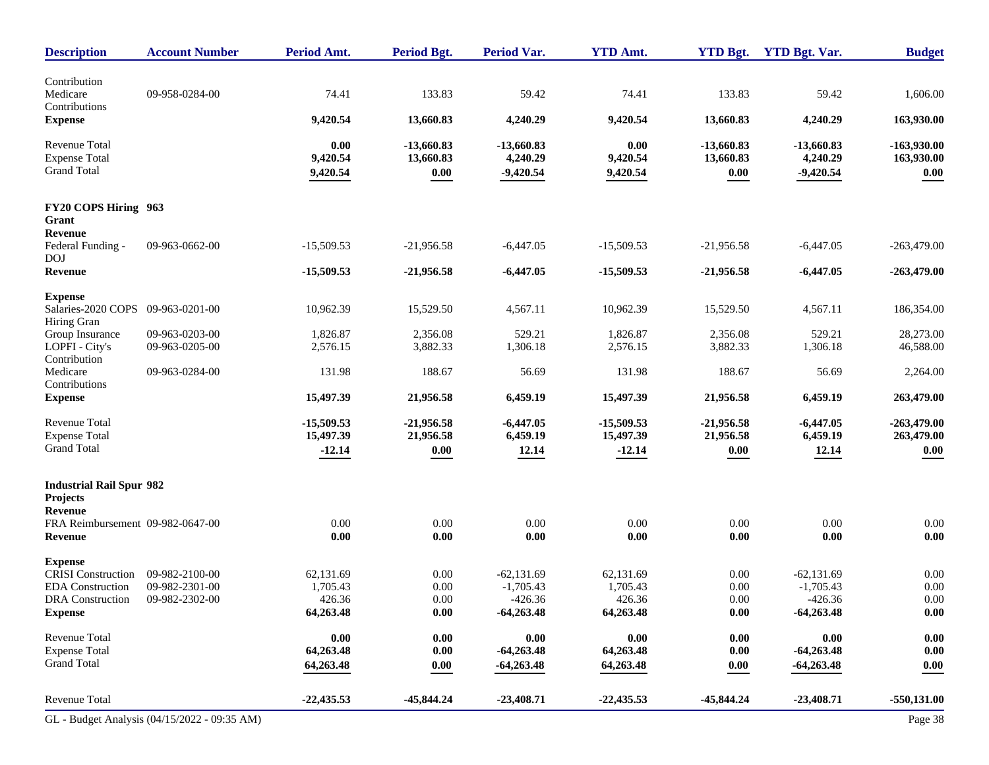| <b>Description</b>                                  | <b>Account Number</b>                        | <b>Period Amt.</b>    | Period Bgt.          | <b>Period Var.</b>       | <b>YTD Amt.</b>       | <b>YTD Bgt.</b>      | <b>YTD Bgt. Var.</b>     | <b>Budget</b>      |
|-----------------------------------------------------|----------------------------------------------|-----------------------|----------------------|--------------------------|-----------------------|----------------------|--------------------------|--------------------|
| Contribution                                        |                                              |                       |                      |                          |                       |                      |                          |                    |
| Medicare<br>Contributions                           | 09-958-0284-00                               | 74.41                 | 133.83               | 59.42                    | 74.41                 | 133.83               | 59.42                    | 1,606.00           |
| <b>Expense</b>                                      |                                              | 9,420.54              | 13,660.83            | 4,240.29                 | 9,420.54              | 13,660.83            | 4,240.29                 | 163,930.00         |
| <b>Revenue Total</b>                                |                                              | 0.00                  | $-13,660.83$         | $-13,660.83$             | 0.00                  | $-13,660.83$         | $-13,660.83$             | $-163,930.00$      |
| <b>Expense Total</b><br><b>Grand Total</b>          |                                              | 9,420.54<br>9,420.54  | 13,660.83<br>0.00    | 4,240.29<br>$-9,420.54$  | 9,420.54<br>9,420.54  | 13,660.83<br>0.00    | 4,240.29<br>$-9,420.54$  | 163,930.00<br>0.00 |
| FY20 COPS Hiring 963                                |                                              |                       |                      |                          |                       |                      |                          |                    |
| Grant<br>Revenue                                    |                                              |                       |                      |                          |                       |                      |                          |                    |
| Federal Funding -<br><b>DOJ</b>                     | 09-963-0662-00                               | $-15,509.53$          | $-21,956.58$         | $-6,447.05$              | $-15,509.53$          | $-21,956.58$         | $-6,447.05$              | $-263,479.00$      |
| Revenue                                             |                                              | $-15,509.53$          | $-21,956.58$         | $-6,447.05$              | $-15,509.53$          | $-21,956.58$         | $-6,447.05$              | $-263,479.00$      |
| <b>Expense</b><br>Salaries-2020 COPS 09-963-0201-00 |                                              | 10,962.39             | 15,529.50            | 4,567.11                 | 10,962.39             | 15,529.50            | 4,567.11                 | 186,354.00         |
| Hiring Gran                                         |                                              |                       |                      |                          |                       |                      |                          |                    |
| Group Insurance                                     | 09-963-0203-00                               | 1,826.87              | 2,356.08<br>3,882.33 | 529.21                   | 1,826.87              | 2,356.08<br>3,882.33 | 529.21                   | 28,273.00          |
| LOPFI - City's<br>Contribution                      | 09-963-0205-00                               | 2,576.15              |                      | 1,306.18                 | 2,576.15              |                      | 1,306.18                 | 46,588.00          |
| Medicare<br>Contributions                           | 09-963-0284-00                               | 131.98                | 188.67               | 56.69                    | 131.98                | 188.67               | 56.69                    | 2,264.00           |
| <b>Expense</b>                                      |                                              | 15,497.39             | 21,956.58            | 6,459.19                 | 15,497.39             | 21,956.58            | 6,459.19                 | 263,479.00         |
| Revenue Total                                       |                                              | $-15,509.53$          | $-21,956.58$         | $-6,447.05$              | $-15,509.53$          | $-21,956.58$         | $-6,447.05$              | $-263,479.00$      |
| <b>Expense Total</b><br><b>Grand Total</b>          |                                              | 15,497.39<br>$-12.14$ | 21,956.58<br>0.00    | 6,459.19<br>12.14        | 15,497.39<br>$-12.14$ | 21,956.58<br>0.00    | 6,459.19<br>12.14        | 263,479.00<br>0.00 |
|                                                     |                                              |                       |                      |                          |                       |                      |                          |                    |
| <b>Industrial Rail Spur 982</b><br>Projects         |                                              |                       |                      |                          |                       |                      |                          |                    |
| <b>Revenue</b>                                      |                                              |                       |                      |                          |                       |                      |                          |                    |
| FRA Reimbursement 09-982-0647-00<br>Revenue         |                                              | 0.00<br>0.00          | 0.00<br>0.00         | 0.00<br>$0.00\,$         | 0.00<br>0.00          | 0.00<br>$0.00\,$     | 0.00<br>$0.00\,$         | 0.00<br>0.00       |
| <b>Expense</b>                                      |                                              |                       |                      |                          |                       |                      |                          |                    |
| <b>CRISI</b> Construction                           | 09-982-2100-00                               | 62,131.69             | 0.00                 | $-62,131.69$             | 62,131.69             | 0.00                 | $-62,131.69$             | 0.00               |
| <b>EDA</b> Construction<br>DRA Construction         | 09-982-2301-00<br>09-982-2302-00             | 1,705.43<br>426.36    | 0.00<br>0.00         | $-1,705.43$<br>$-426.36$ | 1,705.43<br>426.36    | 0.00<br>0.00         | $-1,705.43$<br>$-426.36$ | 0.00<br>$0.00\,$   |
| <b>Expense</b>                                      |                                              | 64,263.48             | 0.00                 | $-64,263.48$             | 64,263.48             | 0.00                 | $-64,263.48$             | 0.00               |
| <b>Revenue Total</b>                                |                                              | 0.00                  | 0.00                 | $0.00\,$                 | $0.00\,$              | 0.00                 | $0.00\,$                 | $0.00\,$           |
| <b>Expense Total</b>                                |                                              | 64,263.48             | 0.00                 | $-64,263.48$             | 64,263.48             | 0.00                 | $-64,263.48$             | 0.00               |
| <b>Grand Total</b>                                  |                                              | 64,263.48             | 0.00                 | $-64,263.48$             | 64,263.48             | 0.00                 | $-64,263.48$             | 0.00               |
| Revenue Total                                       |                                              | $-22,435.53$          | $-45,844.24$         | $-23,408.71$             | $-22,435.53$          | $-45,844.24$         | $-23,408.71$             | $-550,131.00$      |
|                                                     | GL - Budget Analysis (04/15/2022 - 09:35 AM) |                       |                      |                          |                       |                      |                          | Page 38            |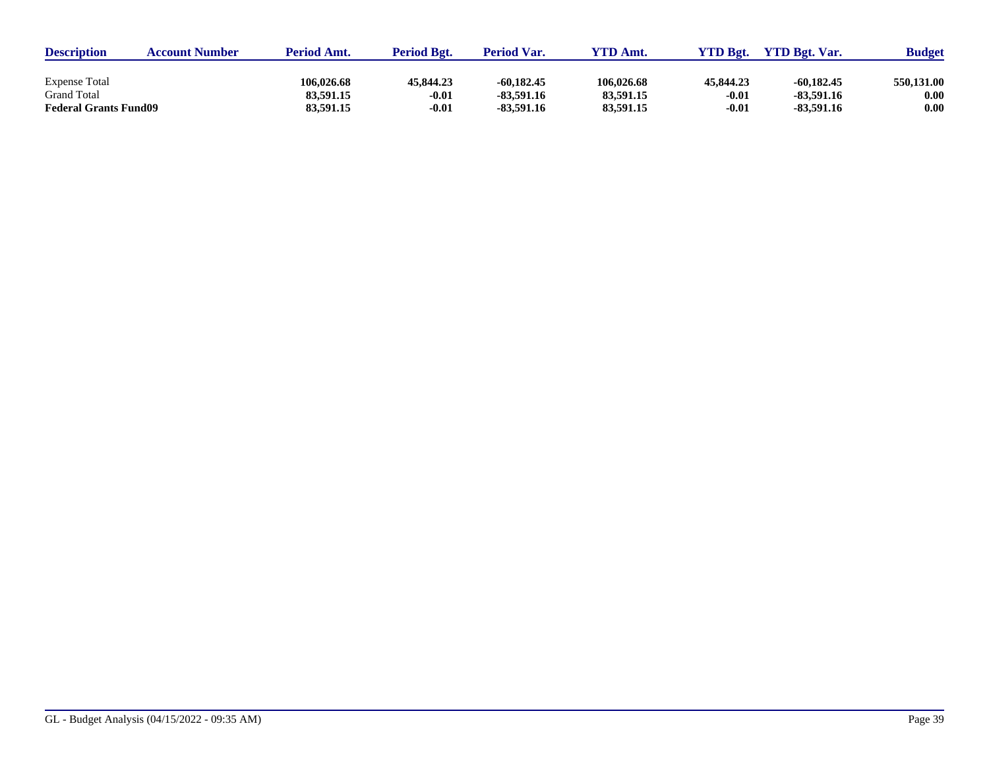| <b>Description</b>           | <b>Account Number</b> | <b>Period Amt.</b> | <b>Period Bgt.</b> | <b>Period Var.</b> | <b>YTD Amt.</b> | VTD Bgt.  | <b>YTD Bgt. Var.</b> | <b>Budget</b> |
|------------------------------|-----------------------|--------------------|--------------------|--------------------|-----------------|-----------|----------------------|---------------|
|                              |                       |                    |                    |                    |                 |           |                      |               |
| <b>Expense Total</b>         |                       | 106.026.68         | 45.844.23          | $-60.182.45$       | 106,026.68      | 45,844.23 | $-60.182.45$         | 550,131.00    |
| <b>Grand Total</b>           |                       | 83,591.15          | $-0.01$            | -83.591.16         | 83,591.15       | $-0.01$   | $-83.591.16$         | 0.00          |
| <b>Federal Grants Fund09</b> |                       | 83,591.15          | $-0.01$            | -83,591.16         | 83,591.15       | $-0.01$   | $-83.591.16$         | 0.00          |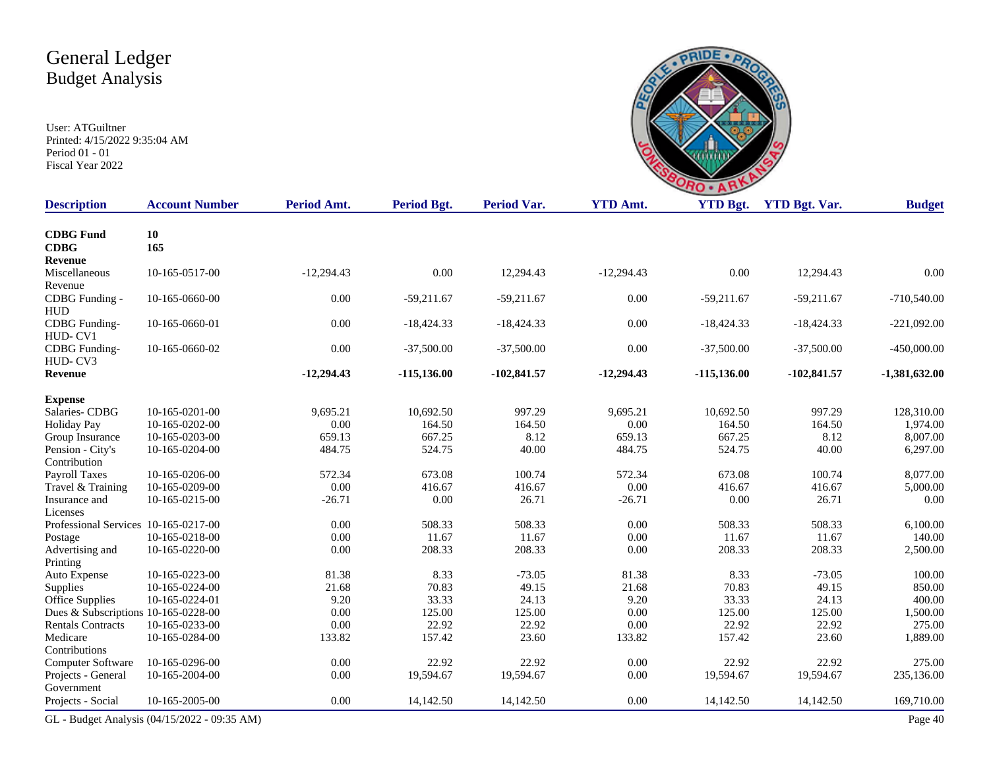

| <b>Description</b>                   | <b>Account Number</b>                        | <b>Period Amt.</b> | Period Bgt.   | <b>Period Var.</b> | <b>YTD Amt.</b> | <b>YTD Bgt.</b> | <b>YTD Bgt. Var.</b> | <b>Budget</b>   |
|--------------------------------------|----------------------------------------------|--------------------|---------------|--------------------|-----------------|-----------------|----------------------|-----------------|
| <b>CDBG</b> Fund                     | 10                                           |                    |               |                    |                 |                 |                      |                 |
| <b>CDBG</b>                          | 165                                          |                    |               |                    |                 |                 |                      |                 |
| Revenue                              |                                              |                    |               |                    |                 |                 |                      |                 |
| Miscellaneous                        | 10-165-0517-00                               | $-12,294.43$       | $0.00\,$      | 12,294.43          | $-12,294.43$    | 0.00            | 12,294.43            | 0.00            |
| Revenue                              |                                              |                    |               |                    |                 |                 |                      |                 |
| CDBG Funding -                       | 10-165-0660-00                               | 0.00               | $-59,211.67$  | $-59,211.67$       | 0.00            | $-59,211.67$    | $-59,211.67$         | $-710,540.00$   |
| <b>HUD</b>                           |                                              |                    |               |                    |                 |                 |                      |                 |
| CDBG Funding-                        | 10-165-0660-01                               | 0.00               | $-18,424.33$  | $-18,424.33$       | 0.00            | $-18,424.33$    | $-18,424.33$         | $-221,092.00$   |
| HUD-CV1                              |                                              |                    |               |                    |                 |                 |                      |                 |
| <b>CDBG</b> Funding-                 | 10-165-0660-02                               | 0.00               | $-37,500.00$  | $-37,500.00$       | 0.00            | $-37,500.00$    | $-37,500.00$         | $-450,000.00$   |
| HUD-CV3                              |                                              |                    |               |                    |                 |                 |                      |                 |
| Revenue                              |                                              | $-12,294.43$       | $-115,136.00$ | $-102,841.57$      | $-12,294.43$    | $-115,136.00$   | $-102,841.57$        | $-1,381,632.00$ |
| <b>Expense</b>                       |                                              |                    |               |                    |                 |                 |                      |                 |
| Salaries-CDBG                        | 10-165-0201-00                               | 9,695.21           | 10,692.50     | 997.29             | 9,695.21        | 10,692.50       | 997.29               | 128,310.00      |
| <b>Holiday Pay</b>                   | 10-165-0202-00                               | 0.00               | 164.50        | 164.50             | 0.00            | 164.50          | 164.50               | 1,974.00        |
| Group Insurance                      | 10-165-0203-00                               | 659.13             | 667.25        | 8.12               | 659.13          | 667.25          | 8.12                 | 8,007.00        |
| Pension - City's                     | 10-165-0204-00                               | 484.75             | 524.75        | 40.00              | 484.75          | 524.75          | 40.00                | 6,297.00        |
| Contribution                         |                                              |                    |               |                    |                 |                 |                      |                 |
| Payroll Taxes                        | 10-165-0206-00                               | 572.34             | 673.08        | 100.74             | 572.34          | 673.08          | 100.74               | 8,077.00        |
| Travel & Training                    | 10-165-0209-00                               | 0.00               | 416.67        | 416.67             | $0.00\,$        | 416.67          | 416.67               | 5,000.00        |
| Insurance and                        | 10-165-0215-00                               | $-26.71$           | 0.00          | 26.71              | $-26.71$        | 0.00            | 26.71                | 0.00            |
| Licenses                             |                                              |                    |               |                    |                 |                 |                      |                 |
| Professional Services 10-165-0217-00 |                                              | 0.00               | 508.33        | 508.33             | 0.00            | 508.33          | 508.33               | 6,100.00        |
| Postage                              | 10-165-0218-00                               | 0.00               | 11.67         | 11.67              | 0.00            | 11.67           | 11.67                | 140.00          |
| Advertising and                      | 10-165-0220-00                               | 0.00               | 208.33        | 208.33             | 0.00            | 208.33          | 208.33               | 2,500.00        |
| Printing                             |                                              |                    |               |                    |                 |                 |                      |                 |
| Auto Expense                         | 10-165-0223-00                               | 81.38              | 8.33          | $-73.05$           | 81.38           | 8.33            | $-73.05$             | 100.00          |
| Supplies                             | 10-165-0224-00                               | 21.68              | 70.83         | 49.15              | 21.68           | 70.83           | 49.15                | 850.00          |
| Office Supplies                      | 10-165-0224-01                               | 9.20               | 33.33         | 24.13              | 9.20            | 33.33           | 24.13                | 400.00          |
| Dues & Subscriptions 10-165-0228-00  |                                              | 0.00               | 125.00        | 125.00             | $0.00\,$        | 125.00          | 125.00               | 1,500.00        |
| <b>Rentals Contracts</b>             | 10-165-0233-00                               | 0.00               | 22.92         | 22.92              | 0.00            | 22.92           | 22.92                | 275.00          |
| Medicare                             | 10-165-0284-00                               | 133.82             | 157.42        | 23.60              | 133.82          | 157.42          | 23.60                | 1,889.00        |
| Contributions                        |                                              |                    |               |                    |                 |                 |                      |                 |
| Computer Software                    | 10-165-0296-00                               | 0.00               | 22.92         | 22.92              | 0.00            | 22.92           | 22.92                | 275.00          |
| Projects - General                   | 10-165-2004-00                               | 0.00               | 19,594.67     | 19,594.67          | 0.00            | 19,594.67       | 19,594.67            | 235,136.00      |
| Government                           |                                              |                    |               |                    |                 |                 |                      |                 |
| Projects - Social                    | 10-165-2005-00                               | 0.00               | 14,142.50     | 14,142.50          | 0.00            | 14,142.50       | 14,142.50            | 169,710.00      |
|                                      | GL - Budget Analysis (04/15/2022 - 09:35 AM) |                    |               |                    |                 |                 |                      | Page 40         |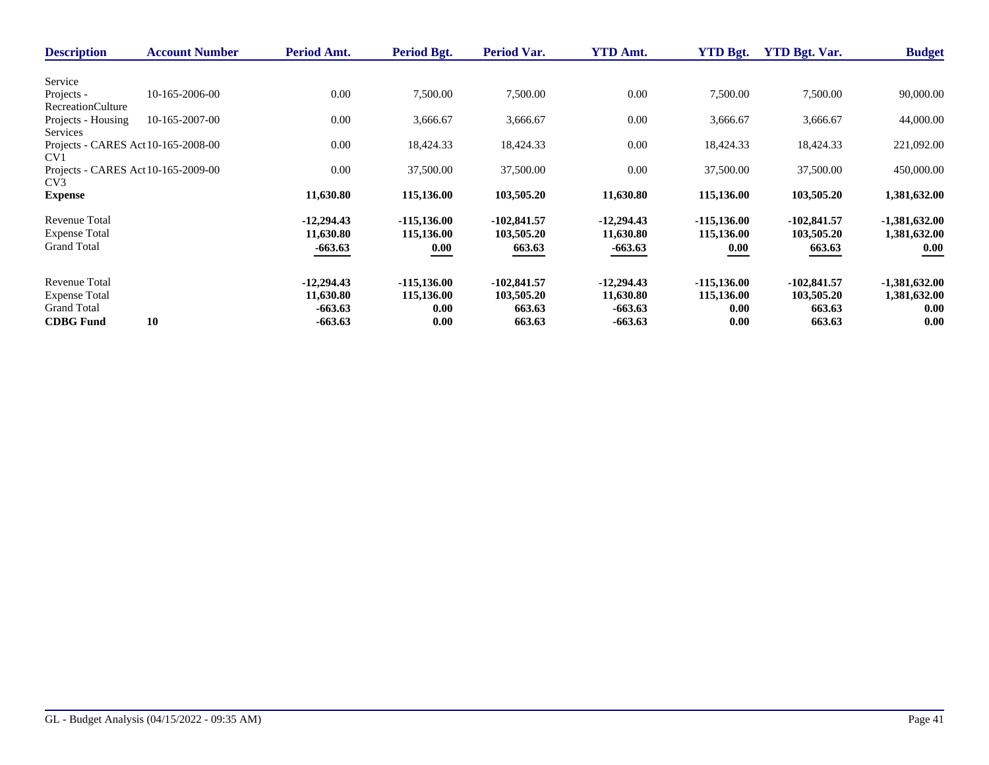| 90,000.00       |
|-----------------|
|                 |
|                 |
|                 |
|                 |
| 44,000.00       |
|                 |
| 221,092.00      |
|                 |
| 450,000.00      |
|                 |
| 1,381,632.00    |
| $-1,381,632.00$ |
| 1,381,632.00    |
| 0.00            |
|                 |
| $-1,381,632.00$ |
| 1,381,632.00    |
| 0.00            |
| 0.00            |
|                 |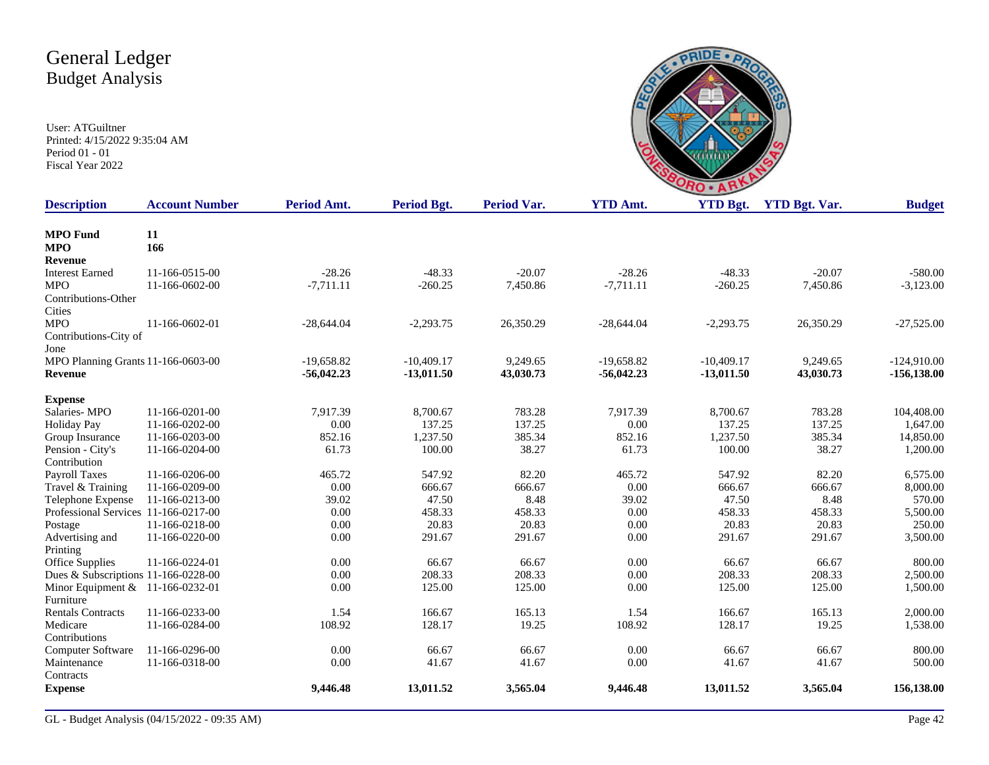

| <b>Description</b>                   | <b>Account Number</b> | Period Amt.  | Period Bgt.  | <b>Period Var.</b> | <b>YTD Amt.</b> | <b>YTD Bgt.</b> | <b>YTD Bgt. Var.</b> | <b>Budget</b>  |
|--------------------------------------|-----------------------|--------------|--------------|--------------------|-----------------|-----------------|----------------------|----------------|
| <b>MPO</b> Fund                      | 11                    |              |              |                    |                 |                 |                      |                |
| <b>MPO</b>                           | 166                   |              |              |                    |                 |                 |                      |                |
| Revenue                              |                       |              |              |                    |                 |                 |                      |                |
| <b>Interest Earned</b>               | 11-166-0515-00        | $-28.26$     | $-48.33$     | $-20.07$           | $-28.26$        | $-48.33$        | $-20.07$             | $-580.00$      |
| <b>MPO</b>                           | 11-166-0602-00        | $-7,711.11$  | $-260.25$    | 7,450.86           | $-7,711.11$     | $-260.25$       | 7,450.86             | $-3,123.00$    |
| Contributions-Other                  |                       |              |              |                    |                 |                 |                      |                |
| Cities                               |                       |              |              |                    |                 |                 |                      |                |
| <b>MPO</b>                           | 11-166-0602-01        | $-28,644.04$ | $-2,293.75$  | 26,350.29          | $-28,644.04$    | $-2,293.75$     | 26,350.29            | $-27,525.00$   |
| Contributions-City of                |                       |              |              |                    |                 |                 |                      |                |
| Jone                                 |                       |              |              |                    |                 |                 |                      |                |
| MPO Planning Grants 11-166-0603-00   |                       | $-19,658.82$ | $-10,409.17$ | 9.249.65           | $-19.658.82$    | $-10,409.17$    | 9,249.65             | $-124,910.00$  |
| Revenue                              |                       | $-56,042.23$ | $-13,011.50$ | 43,030.73          | $-56,042.23$    | $-13,011.50$    | 43,030.73            | $-156, 138.00$ |
| <b>Expense</b>                       |                       |              |              |                    |                 |                 |                      |                |
| Salaries-MPO                         | 11-166-0201-00        | 7.917.39     | 8.700.67     | 783.28             | 7.917.39        | 8,700.67        | 783.28               | 104,408.00     |
| <b>Holiday Pay</b>                   | 11-166-0202-00        | 0.00         | 137.25       | 137.25             | 0.00            | 137.25          | 137.25               | 1,647.00       |
| Group Insurance                      | 11-166-0203-00        | 852.16       | 1,237.50     | 385.34             | 852.16          | 1,237.50        | 385.34               | 14,850.00      |
| Pension - City's                     | 11-166-0204-00        | 61.73        | 100.00       | 38.27              | 61.73           | 100.00          | 38.27                | 1,200.00       |
| Contribution                         |                       |              |              |                    |                 |                 |                      |                |
| <b>Payroll Taxes</b>                 | 11-166-0206-00        | 465.72       | 547.92       | 82.20              | 465.72          | 547.92          | 82.20                | 6,575.00       |
| Travel & Training                    | 11-166-0209-00        | 0.00         | 666.67       | 666.67             | 0.00            | 666.67          | 666.67               | 8,000.00       |
| Telephone Expense                    | 11-166-0213-00        | 39.02        | 47.50        | 8.48               | 39.02           | 47.50           | 8.48                 | 570.00         |
| Professional Services 11-166-0217-00 |                       | 0.00         | 458.33       | 458.33             | 0.00            | 458.33          | 458.33               | 5,500.00       |
| Postage                              | 11-166-0218-00        | 0.00         | 20.83        | 20.83              | 0.00            | 20.83           | 20.83                | 250.00         |
| Advertising and                      | 11-166-0220-00        | 0.00         | 291.67       | 291.67             | 0.00            | 291.67          | 291.67               | 3,500.00       |
| Printing                             |                       |              |              |                    |                 |                 |                      |                |
| Office Supplies                      | 11-166-0224-01        | 0.00         | 66.67        | 66.67              | 0.00            | 66.67           | 66.67                | 800.00         |
| Dues & Subscriptions 11-166-0228-00  |                       | 0.00         | 208.33       | 208.33             | 0.00            | 208.33          | 208.33               | 2,500.00       |
| Minor Equipment & 11-166-0232-01     |                       | 0.00         | 125.00       | 125.00             | 0.00            | 125.00          | 125.00               | 1,500.00       |
| Furniture                            |                       |              |              |                    |                 |                 |                      |                |
| <b>Rentals Contracts</b>             | 11-166-0233-00        | 1.54         | 166.67       | 165.13             | 1.54            | 166.67          | 165.13               | 2,000.00       |
| Medicare                             | 11-166-0284-00        | 108.92       | 128.17       | 19.25              | 108.92          | 128.17          | 19.25                | 1,538.00       |
| Contributions                        |                       |              |              |                    |                 |                 |                      |                |
| Computer Software                    | 11-166-0296-00        | 0.00         | 66.67        | 66.67              | 0.00            | 66.67           | 66.67                | 800.00         |
| Maintenance                          | 11-166-0318-00        | 0.00         | 41.67        | 41.67              | 0.00            | 41.67           | 41.67                | 500.00         |
| Contracts                            |                       |              |              |                    |                 |                 |                      |                |
| <b>Expense</b>                       |                       | 9,446.48     | 13,011.52    | 3,565.04           | 9,446.48        | 13,011.52       | 3,565.04             | 156,138.00     |
|                                      |                       |              |              |                    |                 |                 |                      |                |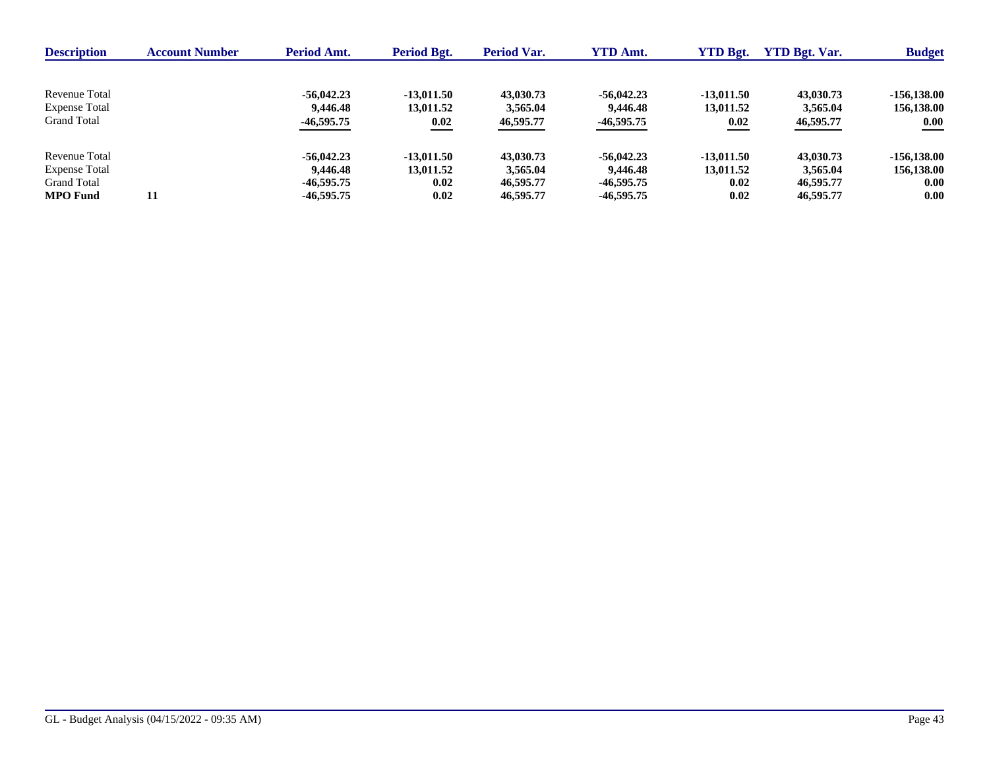| <b>Description</b>   | <b>Account Number</b> | Period Amt.  | <b>Period Bgt.</b> | Period Var. | <b>YTD Amt.</b> | <b>YTD Bgt.</b> | <b>YTD Bgt. Var.</b> | <b>Budget</b> |
|----------------------|-----------------------|--------------|--------------------|-------------|-----------------|-----------------|----------------------|---------------|
|                      |                       |              |                    |             |                 |                 |                      |               |
| Revenue Total        |                       | $-56.042.23$ | $-13.011.50$       | 43,030.73   | $-56,042.23$    | $-13.011.50$    | 43,030.73            | $-156.138.00$ |
| <b>Expense Total</b> |                       | 9,446.48     | 13,011.52          | 3,565.04    | 9,446.48        | 13,011.52       | 3,565.04             | 156,138.00    |
| <b>Grand Total</b>   |                       | $-46,595.75$ | 0.02               | 46,595.77   | $-46,595.75$    | 0.02            | 46,595.77            | 0.00          |
| Revenue Total        |                       | $-56.042.23$ | $-13.011.50$       | 43,030.73   | $-56,042.23$    | $-13.011.50$    | 43,030.73            | $-156.138.00$ |
| <b>Expense Total</b> |                       | 9,446.48     | 13,011.52          | 3,565.04    | 9,446.48        | 13.011.52       | 3,565,04             | 156,138.00    |
| <b>Grand Total</b>   |                       | -46.595.75   | 0.02               | 46,595.77   | $-46,595.75$    | 0.02            | 46,595.77            | 0.00          |
| <b>MPO</b> Fund      | 11                    | $-46.595.75$ | 0.02               | 46,595.77   | $-46,595.75$    | 0.02            | 46,595.77            | 0.00          |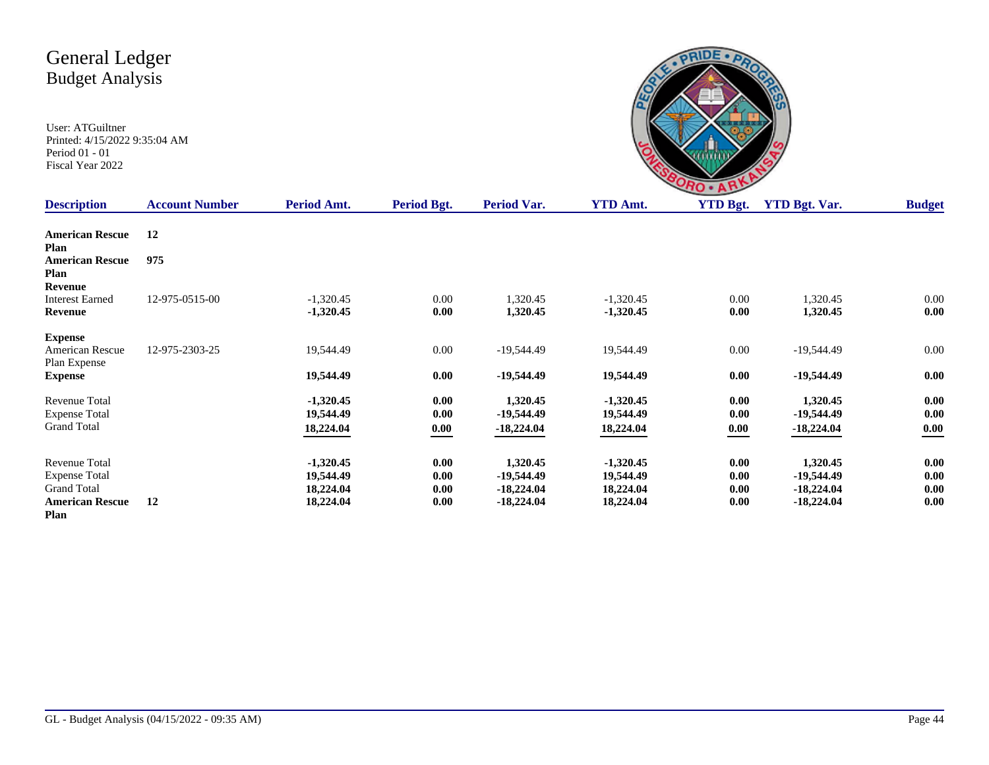| <b>NO</b>                                    |  |
|----------------------------------------------|--|
| <b>VTD Rot</b><br>VTD Rot<br>A <sub>mt</sub> |  |

| <b>Description</b>                                                                            | <b>Account Number</b> | Period Amt.                                        | Period Bgt.                  | Period Var.                                              | <b>YTD Amt.</b>                                    | <b>YTD Bgt.</b>              | <b>YTD Bgt. Var.</b>                                   | <b>Budget</b>                |
|-----------------------------------------------------------------------------------------------|-----------------------|----------------------------------------------------|------------------------------|----------------------------------------------------------|----------------------------------------------------|------------------------------|--------------------------------------------------------|------------------------------|
| <b>American Rescue</b><br>Plan                                                                | 12                    |                                                    |                              |                                                          |                                                    |                              |                                                        |                              |
| <b>American Rescue</b><br>Plan                                                                | 975                   |                                                    |                              |                                                          |                                                    |                              |                                                        |                              |
| <b>Revenue</b><br><b>Interest Earned</b><br>Revenue                                           | 12-975-0515-00        | $-1,320.45$<br>$-1,320.45$                         | $0.00\,$<br>0.00             | 1,320.45<br>1,320.45                                     | $-1,320.45$<br>$-1,320.45$                         | 0.00<br>0.00                 | 1,320.45<br>1,320.45                                   | 0.00<br>0.00                 |
| <b>Expense</b><br>American Rescue<br>Plan Expense                                             | 12-975-2303-25        | 19,544.49                                          | $0.00\,$                     | $-19,544.49$                                             | 19,544.49                                          | 0.00                         | $-19,544.49$                                           | 0.00                         |
| <b>Expense</b>                                                                                |                       | 19,544.49                                          | 0.00                         | $-19,544.49$                                             | 19,544.49                                          | 0.00                         | $-19,544.49$                                           | 0.00                         |
| Revenue Total<br><b>Expense Total</b><br><b>Grand Total</b>                                   |                       | $-1,320.45$<br>19,544.49<br>18,224.04              | 0.00<br>0.00<br>0.00         | 1,320.45<br>$-19,544.49$<br>$-18,224.04$                 | $-1,320.45$<br>19,544.49<br>18,224.04              | 0.00<br>0.00<br>0.00         | 1,320.45<br>-19,544.49<br>$-18,224.04$                 | 0.00<br>0.00<br>$0.00\,$     |
| Revenue Total<br><b>Expense Total</b><br><b>Grand Total</b><br><b>American Rescue</b><br>Plan | 12                    | $-1,320.45$<br>19,544.49<br>18,224.04<br>18,224.04 | 0.00<br>0.00<br>0.00<br>0.00 | 1,320.45<br>$-19,544.49$<br>$-18,224.04$<br>$-18,224.04$ | $-1,320.45$<br>19,544.49<br>18,224.04<br>18,224.04 | 0.00<br>0.00<br>0.00<br>0.00 | 1,320.45<br>-19,544.49<br>$-18,224.04$<br>$-18,224.04$ | 0.00<br>0.00<br>0.00<br>0.00 |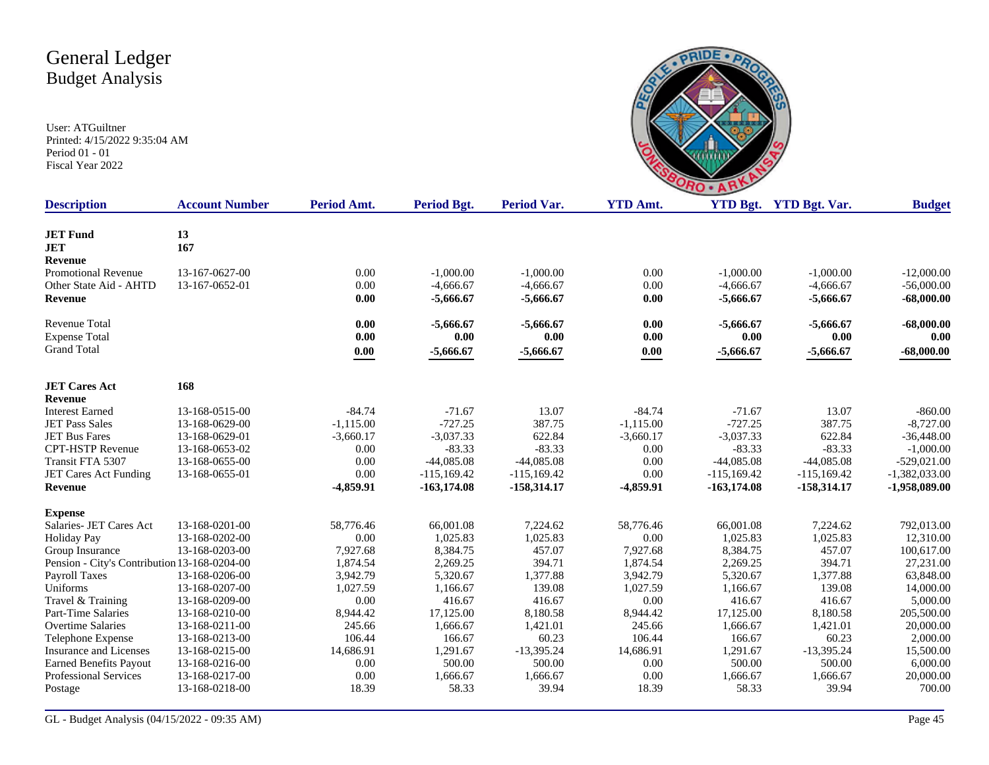

| <b>Description</b>                           | <b>Account Number</b> | Period Amt. | <b>Period Bgt.</b> | <b>Period Var.</b> | <b>YTD Amt.</b> |               | YTD Bgt. YTD Bgt. Var. | <b>Budget</b>   |
|----------------------------------------------|-----------------------|-------------|--------------------|--------------------|-----------------|---------------|------------------------|-----------------|
|                                              |                       |             |                    |                    |                 |               |                        |                 |
| <b>JET Fund</b>                              | 13                    |             |                    |                    |                 |               |                        |                 |
| <b>JET</b>                                   | 167                   |             |                    |                    |                 |               |                        |                 |
| <b>Revenue</b>                               |                       |             |                    |                    |                 |               |                        |                 |
| <b>Promotional Revenue</b>                   | 13-167-0627-00        | 0.00        | $-1,000.00$        | $-1,000.00$        | 0.00            | $-1.000.00$   | $-1,000.00$            | $-12,000.00$    |
| Other State Aid - AHTD                       | 13-167-0652-01        | 0.00        | $-4,666.67$        | $-4,666.67$        | 0.00            | $-4,666.67$   | $-4,666.67$            | $-56,000.00$    |
| <b>Revenue</b>                               |                       | 0.00        | $-5,666.67$        | $-5,666.67$        | 0.00            | $-5,666.67$   | $-5,666.67$            | $-68,000.00$    |
| <b>Revenue Total</b>                         |                       | 0.00        | $-5,666.67$        | $-5,666.67$        | 0.00            | $-5,666.67$   | $-5,666.67$            | $-68,000.00$    |
| <b>Expense Total</b>                         |                       | 0.00        | 0.00               | 0.00               | 0.00            | 0.00          | 0.00                   | 0.00            |
| <b>Grand Total</b>                           |                       | 0.00        | $-5,666.67$        | $-5,666.67$        | 0.00            | $-5,666.67$   | $-5,666.67$            | $-68,000.00$    |
| <b>JET Cares Act</b>                         | 168                   |             |                    |                    |                 |               |                        |                 |
| <b>Revenue</b>                               |                       |             |                    |                    |                 |               |                        |                 |
| <b>Interest Earned</b>                       | 13-168-0515-00        | $-84.74$    | $-71.67$           | 13.07              | $-84.74$        | $-71.67$      | 13.07                  | $-860.00$       |
| <b>JET Pass Sales</b>                        | 13-168-0629-00        | $-1,115.00$ | $-727.25$          | 387.75             | $-1,115.00$     | $-727.25$     | 387.75                 | $-8,727.00$     |
| <b>JET Bus Fares</b>                         | 13-168-0629-01        | $-3,660.17$ | $-3,037.33$        | 622.84             | $-3,660.17$     | $-3,037.33$   | 622.84                 | $-36,448.00$    |
| <b>CPT-HSTP Revenue</b>                      | 13-168-0653-02        | 0.00        | $-83.33$           | $-83.33$           | 0.00            | $-83.33$      | $-83.33$               | $-1,000.00$     |
| Transit FTA 5307                             | 13-168-0655-00        | 0.00        | $-44,085.08$       | $-44,085.08$       | 0.00            | $-44,085.08$  | $-44,085.08$           | $-529,021.00$   |
| JET Cares Act Funding                        | 13-168-0655-01        | 0.00        | $-115,169.42$      | $-115,169.42$      | 0.00            | $-115,169.42$ | $-115,169.42$          | $-1,382,033.00$ |
| Revenue                                      |                       | -4,859.91   | $-163,174.08$      | $-158,314,17$      | $-4,859.91$     | $-163,174.08$ | $-158,314.17$          | $-1,958,089.00$ |
| <b>Expense</b>                               |                       |             |                    |                    |                 |               |                        |                 |
| Salaries- JET Cares Act                      | 13-168-0201-00        | 58,776.46   | 66,001.08          | 7,224.62           | 58,776.46       | 66,001.08     | 7,224.62               | 792,013.00      |
| <b>Holiday Pay</b>                           | 13-168-0202-00        | 0.00        | 1,025.83           | 1,025.83           | 0.00            | 1,025.83      | 1,025.83               | 12,310.00       |
| Group Insurance                              | 13-168-0203-00        | 7,927.68    | 8,384.75           | 457.07             | 7,927.68        | 8,384.75      | 457.07                 | 100,617.00      |
| Pension - City's Contribution 13-168-0204-00 |                       | 1,874.54    | 2,269.25           | 394.71             | 1,874.54        | 2,269.25      | 394.71                 | 27,231.00       |
| <b>Payroll Taxes</b>                         | 13-168-0206-00        | 3,942.79    | 5,320.67           | 1,377.88           | 3,942.79        | 5,320.67      | 1,377.88               | 63,848.00       |
| Uniforms                                     | 13-168-0207-00        | 1,027.59    | 1,166.67           | 139.08             | 1,027.59        | 1,166.67      | 139.08                 | 14,000.00       |
| Travel & Training                            | 13-168-0209-00        | 0.00        | 416.67             | 416.67             | 0.00            | 416.67        | 416.67                 | 5,000.00        |
| Part-Time Salaries                           | 13-168-0210-00        | 8,944.42    | 17,125.00          | 8,180.58           | 8,944.42        | 17,125.00     | 8,180.58               | 205,500.00      |
| <b>Overtime Salaries</b>                     | 13-168-0211-00        | 245.66      | 1,666.67           | 1,421.01           | 245.66          | 1,666.67      | 1,421.01               | 20,000.00       |
| Telephone Expense                            | 13-168-0213-00        | 106.44      | 166.67             | 60.23              | 106.44          | 166.67        | 60.23                  | 2,000.00        |
| Insurance and Licenses                       | 13-168-0215-00        | 14,686.91   | 1,291.67           | $-13,395.24$       | 14,686.91       | 1,291.67      | $-13,395.24$           | 15,500.00       |
| Earned Benefits Payout                       | 13-168-0216-00        | 0.00        | 500.00             | 500.00             | 0.00            | 500.00        | 500.00                 | 6,000.00        |
| Professional Services                        | 13-168-0217-00        | 0.00        | 1,666.67           | 1,666.67           | 0.00            | 1,666.67      | 1,666.67               | 20,000.00       |
| Postage                                      | 13-168-0218-00        | 18.39       | 58.33              | 39.94              | 18.39           | 58.33         | 39.94                  | 700.00          |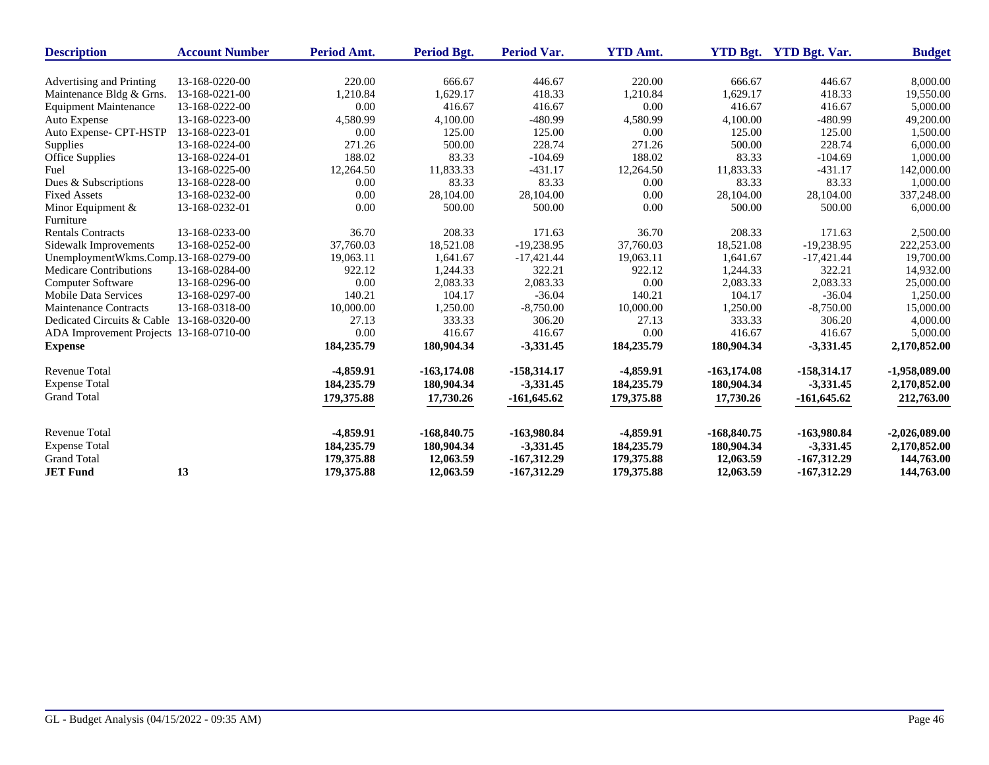| <b>Description</b>                        | <b>Account Number</b> | Period Amt. | Period Bgt.    | <b>Period Var.</b> | <b>YTD Amt.</b> | <b>YTD Bgt.</b> | <b>YTD Bgt. Var.</b> | <b>Budget</b>   |
|-------------------------------------------|-----------------------|-------------|----------------|--------------------|-----------------|-----------------|----------------------|-----------------|
|                                           |                       |             |                |                    |                 |                 |                      |                 |
| Advertising and Printing                  | 13-168-0220-00        | 220.00      | 666.67         | 446.67             | 220.00          | 666.67          | 446.67               | 8,000.00        |
| Maintenance Bldg & Grns.                  | 13-168-0221-00        | 1,210.84    | 1,629.17       | 418.33             | 1,210.84        | 1,629.17        | 418.33               | 19,550.00       |
| <b>Equipment Maintenance</b>              | 13-168-0222-00        | 0.00        | 416.67         | 416.67             | 0.00            | 416.67          | 416.67               | 5,000.00        |
| Auto Expense                              | 13-168-0223-00        | 4,580.99    | 4,100.00       | $-480.99$          | 4,580.99        | 4,100.00        | $-480.99$            | 49,200.00       |
| Auto Expense- CPT-HSTP                    | 13-168-0223-01        | 0.00        | 125.00         | 125.00             | 0.00            | 125.00          | 125.00               | 1,500.00        |
| Supplies                                  | 13-168-0224-00        | 271.26      | 500.00         | 228.74             | 271.26          | 500.00          | 228.74               | 6,000.00        |
| Office Supplies                           | 13-168-0224-01        | 188.02      | 83.33          | $-104.69$          | 188.02          | 83.33           | $-104.69$            | 1,000.00        |
| Fuel                                      | 13-168-0225-00        | 12,264.50   | 11,833.33      | $-431.17$          | 12,264.50       | 11,833.33       | $-431.17$            | 142,000.00      |
| Dues & Subscriptions                      | 13-168-0228-00        | 0.00        | 83.33          | 83.33              | 0.00            | 83.33           | 83.33                | 1,000.00        |
| <b>Fixed Assets</b>                       | 13-168-0232-00        | 0.00        | 28,104.00      | 28,104.00          | 0.00            | 28,104.00       | 28,104.00            | 337,248.00      |
| Minor Equipment &                         | 13-168-0232-01        | 0.00        | 500.00         | 500.00             | 0.00            | 500.00          | 500.00               | 6,000.00        |
| Furniture                                 |                       |             |                |                    |                 |                 |                      |                 |
| <b>Rentals Contracts</b>                  | 13-168-0233-00        | 36.70       | 208.33         | 171.63             | 36.70           | 208.33          | 171.63               | 2,500.00        |
| Sidewalk Improvements                     | 13-168-0252-00        | 37,760.03   | 18,521.08      | $-19,238.95$       | 37,760.03       | 18,521.08       | $-19,238.95$         | 222,253.00      |
| UnemploymentWkms.Comp.13-168-0279-00      |                       | 19,063.11   | 1,641.67       | $-17,421.44$       | 19,063.11       | 1,641.67        | $-17,421.44$         | 19,700.00       |
| <b>Medicare Contributions</b>             | 13-168-0284-00        | 922.12      | 1,244.33       | 322.21             | 922.12          | 1,244.33        | 322.21               | 14,932.00       |
| <b>Computer Software</b>                  | 13-168-0296-00        | 0.00        | 2,083.33       | 2,083.33           | 0.00            | 2,083.33        | 2,083.33             | 25,000.00       |
| <b>Mobile Data Services</b>               | 13-168-0297-00        | 140.21      | 104.17         | $-36.04$           | 140.21          | 104.17          | $-36.04$             | 1,250.00        |
| <b>Maintenance Contracts</b>              | 13-168-0318-00        | 10,000.00   | 1,250.00       | $-8,750.00$        | 10,000.00       | 1,250.00        | $-8,750.00$          | 15,000.00       |
| Dedicated Circuits & Cable 13-168-0320-00 |                       | 27.13       | 333.33         | 306.20             | 27.13           | 333.33          | 306.20               | 4,000.00        |
| ADA Improvement Projects 13-168-0710-00   |                       | 0.00        | 416.67         | 416.67             | 0.00            | 416.67          | 416.67               | 5,000.00        |
| <b>Expense</b>                            |                       | 184,235.79  | 180,904.34     | $-3,331.45$        | 184,235.79      | 180,904.34      | $-3,331.45$          | 2,170,852.00    |
| <b>Revenue Total</b>                      |                       | -4,859.91   | $-163, 174.08$ | $-158,314.17$      | $-4,859.91$     | $-163,174.08$   | $-158,314.17$        | $-1,958,089.00$ |
| <b>Expense Total</b>                      |                       | 184,235.79  | 180,904.34     | $-3,331.45$        | 184,235.79      | 180,904.34      | $-3,331.45$          | 2,170,852.00    |
| <b>Grand Total</b>                        |                       | 179,375.88  | 17,730.26      | $-161,645.62$      | 179,375.88      | 17,730.26       | $-161,645.62$        | 212,763.00      |
| <b>Revenue Total</b>                      |                       | $-4,859.91$ | $-168,840.75$  | -163,980.84        | $-4,859.91$     | $-168,840.75$   | -163,980.84          | $-2,026,089.00$ |
| <b>Expense Total</b>                      |                       | 184,235.79  | 180,904.34     | $-3,331.45$        | 184,235.79      | 180,904.34      | $-3,331.45$          | 2,170,852.00    |
| <b>Grand Total</b>                        |                       | 179,375.88  | 12,063.59      | $-167,312.29$      | 179,375.88      | 12,063.59       | $-167,312.29$        | 144,763.00      |
| <b>JET Fund</b>                           | 13                    | 179,375.88  | 12,063.59      | $-167,312.29$      | 179,375.88      | 12,063.59       | $-167,312.29$        | 144,763.00      |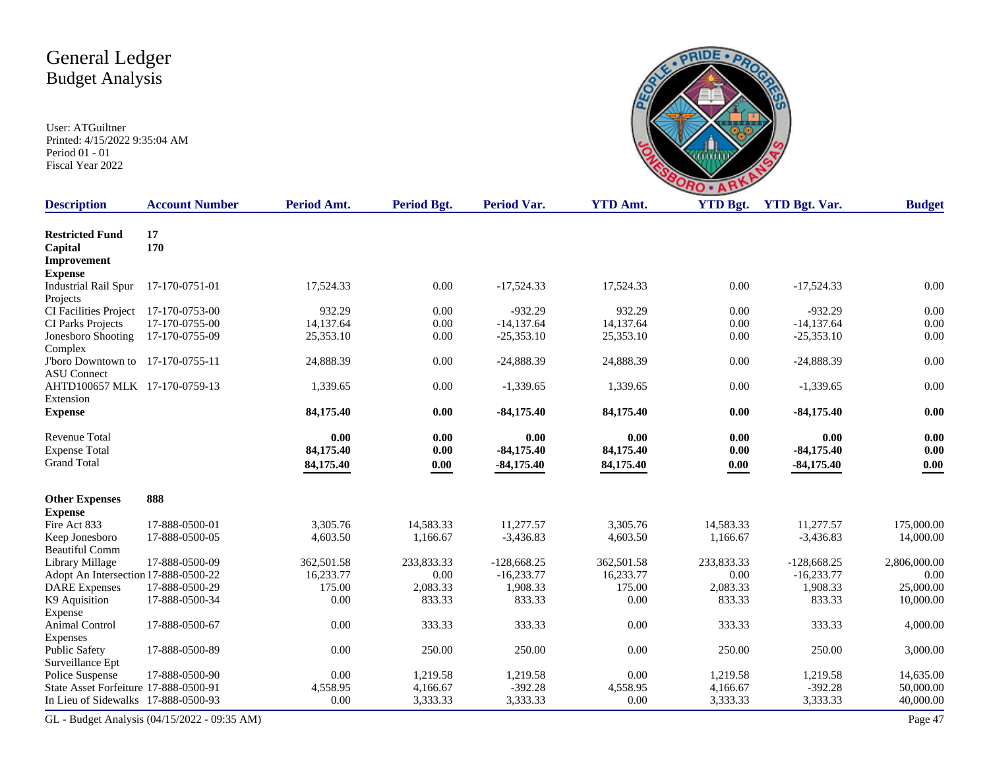| G<br>RO                                                  |  |
|----------------------------------------------------------|--|
| $\mathbf{D}$ Amt<br><b>YTD Rot</b> Var<br><b>VTD Rot</b> |  |

| <b>Description</b>                                      | <b>Account Number</b>                        | Period Amt. | <b>Period Bgt.</b> | <b>Period Var.</b> | <b>YTD Amt.</b> | <b>YTD Bgt.</b> | <b>YTD Bgt. Var.</b> | <b>Budget</b> |
|---------------------------------------------------------|----------------------------------------------|-------------|--------------------|--------------------|-----------------|-----------------|----------------------|---------------|
| <b>Restricted Fund</b><br>Capital                       | 17<br>170                                    |             |                    |                    |                 |                 |                      |               |
| Improvement                                             |                                              |             |                    |                    |                 |                 |                      |               |
| <b>Expense</b>                                          |                                              |             |                    |                    |                 |                 |                      |               |
| <b>Industrial Rail Spur</b><br>Projects                 | 17-170-0751-01                               | 17,524.33   | 0.00               | $-17,524.33$       | 17,524.33       | 0.00            | $-17,524.33$         | 0.00          |
| CI Facilities Project                                   | 17-170-0753-00                               | 932.29      | 0.00               | $-932.29$          | 932.29          | 0.00            | $-932.29$            | 0.00          |
| CI Parks Projects                                       | 17-170-0755-00                               | 14,137.64   | 0.00               | $-14,137.64$       | 14,137.64       | 0.00            | $-14,137.64$         | 0.00          |
| Jonesboro Shooting<br>Complex                           | 17-170-0755-09                               | 25,353.10   | 0.00               | $-25,353.10$       | 25,353.10       | 0.00            | $-25,353.10$         | 0.00          |
| J'boro Downtown to 17-170-0755-11<br><b>ASU</b> Connect |                                              | 24,888.39   | 0.00               | $-24,888.39$       | 24,888.39       | 0.00            | $-24,888.39$         | 0.00          |
| AHTD100657 MLK 17-170-0759-13<br>Extension              |                                              | 1,339.65    | 0.00               | $-1,339.65$        | 1,339.65        | 0.00            | $-1,339.65$          | 0.00          |
| <b>Expense</b>                                          |                                              | 84,175.40   | 0.00               | $-84,175.40$       | 84,175.40       | 0.00            | $-84,175.40$         | 0.00          |
| <b>Revenue Total</b>                                    |                                              | 0.00        | 0.00               | 0.00               | 0.00            | 0.00            | 0.00                 | 0.00          |
| <b>Expense Total</b>                                    |                                              | 84,175.40   | 0.00               | $-84,175.40$       | 84,175.40       | 0.00            | $-84,175.40$         | 0.00          |
| <b>Grand Total</b>                                      |                                              | 84,175.40   | $0.00\,$           | $-84,175.40$       | 84,175.40       | 0.00            | $-84,175.40$         | 0.00          |
| <b>Other Expenses</b>                                   | 888                                          |             |                    |                    |                 |                 |                      |               |
| <b>Expense</b>                                          |                                              |             |                    |                    |                 |                 |                      |               |
| Fire Act 833                                            | 17-888-0500-01                               | 3,305.76    | 14,583.33          | 11,277.57          | 3,305.76        | 14,583.33       | 11,277.57            | 175,000.00    |
| Keep Jonesboro<br><b>Beautiful Comm</b>                 | 17-888-0500-05                               | 4,603.50    | 1,166.67           | $-3,436.83$        | 4,603.50        | 1,166.67        | $-3,436.83$          | 14,000.00     |
| Library Millage                                         | 17-888-0500-09                               | 362,501.58  | 233,833.33         | $-128,668.25$      | 362,501.58      | 233,833.33      | $-128,668.25$        | 2,806,000.00  |
| Adopt An Intersection 17-888-0500-22                    |                                              | 16,233.77   | 0.00               | $-16.233.77$       | 16,233.77       | 0.00            | $-16.233.77$         | 0.00          |
| <b>DARE</b> Expenses                                    | 17-888-0500-29                               | 175.00      | 2,083.33           | 1,908.33           | 175.00          | 2,083.33        | 1,908.33             | 25,000.00     |
| K9 Aquisition                                           | 17-888-0500-34                               | 0.00        | 833.33             | 833.33             | 0.00            | 833.33          | 833.33               | 10,000.00     |
| Expense<br>Animal Control                               | 17-888-0500-67                               | 0.00        | 333.33             | 333.33             | 0.00            | 333.33          | 333.33               | 4,000.00      |
| Expenses<br><b>Public Safety</b><br>Surveillance Ept    | 17-888-0500-89                               | 0.00        | 250.00             | 250.00             | 0.00            | 250.00          | 250.00               | 3,000.00      |
| Police Suspense                                         | 17-888-0500-90                               | 0.00        | 1,219.58           | 1,219.58           | 0.00            | 1,219.58        | 1,219.58             | 14,635.00     |
| State Asset Forfeiture 17-888-0500-91                   |                                              | 4,558.95    | 4.166.67           | $-392.28$          | 4.558.95        | 4,166.67        | $-392.28$            | 50,000.00     |
| In Lieu of Sidewalks 17-888-0500-93                     |                                              | 0.00        | 3,333.33           | 3,333.33           | 0.00            | 3,333.33        | 3,333.33             | 40,000.00     |
|                                                         | GL - Budget Analysis (04/15/2022 - 09:35 AM) |             |                    |                    |                 |                 |                      | Page 47       |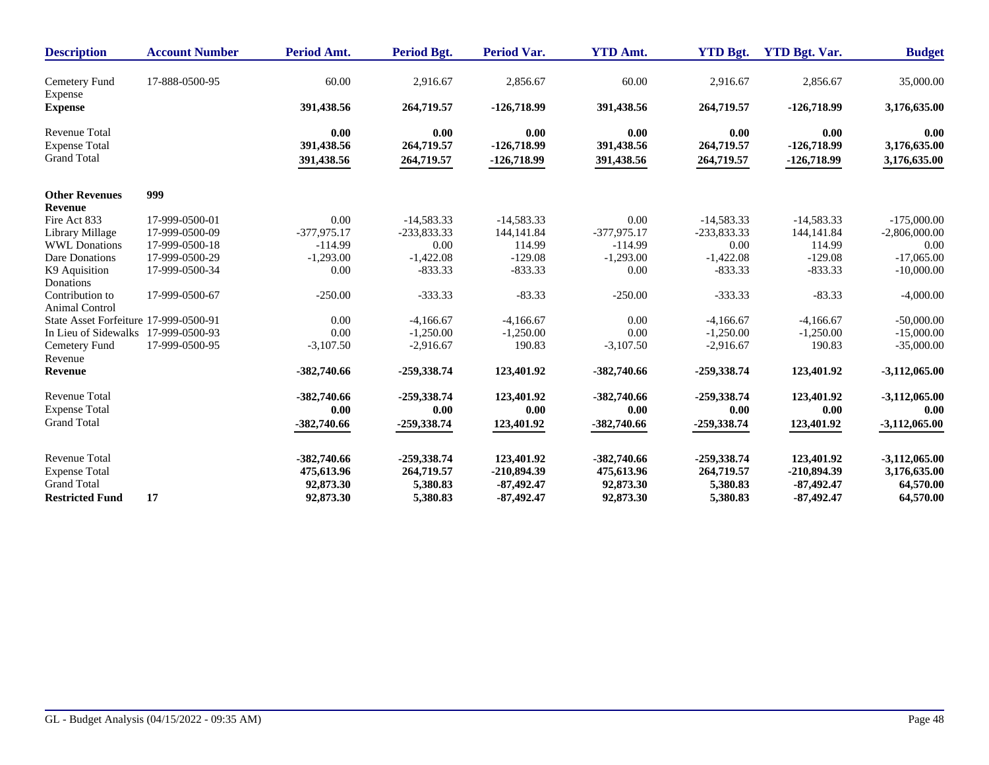| <b>Description</b>                       | <b>Account Number</b> | Period Amt.   | <b>Period Bgt.</b> | <b>Period Var.</b> | <b>YTD Amt.</b> | <b>YTD Bgt.</b> | <b>YTD Bgt. Var.</b> | <b>Budget</b>   |
|------------------------------------------|-----------------------|---------------|--------------------|--------------------|-----------------|-----------------|----------------------|-----------------|
| Cemetery Fund<br>Expense                 | 17-888-0500-95        | 60.00         | 2,916.67           | 2,856.67           | 60.00           | 2,916.67        | 2,856.67             | 35,000.00       |
| <b>Expense</b>                           |                       | 391,438.56    | 264,719.57         | $-126,718.99$      | 391,438.56      | 264,719.57      | $-126,718.99$        | 3,176,635.00    |
| <b>Revenue Total</b>                     |                       | 0.00          | 0.00               | 0.00               | 0.00            | 0.00            | 0.00                 | 0.00            |
| <b>Expense Total</b>                     |                       | 391,438.56    | 264,719.57         | $-126,718.99$      | 391,438.56      | 264,719.57      | $-126,718.99$        | 3,176,635.00    |
| <b>Grand Total</b>                       |                       | 391,438.56    | 264,719.57         | $-126,718.99$      | 391,438.56      | 264,719.57      | $-126,718.99$        | 3,176,635.00    |
| <b>Other Revenues</b>                    | 999                   |               |                    |                    |                 |                 |                      |                 |
| <b>Revenue</b>                           |                       |               |                    |                    |                 |                 |                      |                 |
| Fire Act 833                             | 17-999-0500-01        | 0.00          | $-14,583.33$       | $-14,583.33$       | 0.00            | $-14,583.33$    | $-14,583.33$         | $-175,000.00$   |
| Library Millage                          | 17-999-0500-09        | $-377,975.17$ | -233,833.33        | 144, 141.84        | $-377,975.17$   | -233,833.33     | 144,141.84           | $-2,806,000.00$ |
| <b>WWL Donations</b>                     | 17-999-0500-18        | $-114.99$     | 0.00               | 114.99             | $-114.99$       | 0.00            | 114.99               | 0.00            |
| Dare Donations                           | 17-999-0500-29        | $-1,293.00$   | $-1,422.08$        | $-129.08$          | $-1,293.00$     | $-1,422.08$     | $-129.08$            | $-17,065,00$    |
| K9 Aquisition                            | 17-999-0500-34        | 0.00          | $-833.33$          | $-833.33$          | 0.00            | $-833.33$       | $-833.33$            | $-10,000.00$    |
| Donations                                |                       |               |                    |                    |                 |                 |                      |                 |
| Contribution to<br><b>Animal Control</b> | 17-999-0500-67        | $-250.00$     | $-333.33$          | $-83.33$           | $-250.00$       | $-333.33$       | $-83.33$             | $-4,000.00$     |
| State Asset Forfeiture 17-999-0500-91    |                       | 0.00          | $-4,166.67$        | $-4,166.67$        | 0.00            | $-4,166.67$     | $-4,166.67$          | $-50,000.00$    |
| In Lieu of Sidewalks 17-999-0500-93      |                       | 0.00          | $-1,250.00$        | $-1,250.00$        | 0.00            | $-1,250.00$     | $-1,250.00$          | $-15,000.00$    |
| Cemetery Fund                            | 17-999-0500-95        | $-3,107.50$   | $-2,916.67$        | 190.83             | $-3,107.50$     | $-2,916.67$     | 190.83               | $-35,000.00$    |
| Revenue                                  |                       |               |                    |                    |                 |                 |                      |                 |
| Revenue                                  |                       | -382,740.66   | -259,338.74        | 123,401.92         | $-382,740.66$   | $-259,338.74$   | 123,401.92           | $-3,112,065.00$ |
| <b>Revenue Total</b>                     |                       | -382,740.66   | -259,338.74        | 123,401.92         | $-382,740.66$   | -259,338.74     | 123,401.92           | $-3,112,065.00$ |
| <b>Expense Total</b>                     |                       | 0.00          | 0.00               | 0.00               | 0.00            | 0.00            | 0.00                 | 0.00            |
| <b>Grand Total</b>                       |                       | $-382,740.66$ | $-259,338.74$      | 123,401.92         | $-382,740.66$   | $-259,338.74$   | 123,401.92           | $-3,112,065.00$ |
| <b>Revenue Total</b>                     |                       | -382,740.66   | -259,338.74        | 123,401.92         | $-382,740.66$   | -259,338.74     | 123,401.92           | $-3,112,065.00$ |
| <b>Expense Total</b>                     |                       | 475,613.96    | 264,719.57         | $-210,894.39$      | 475,613.96      | 264,719.57      | $-210,894.39$        | 3,176,635.00    |
| <b>Grand Total</b>                       |                       | 92,873.30     | 5,380.83           | $-87,492,47$       | 92,873.30       | 5,380.83        | $-87,492,47$         | 64,570.00       |
| <b>Restricted Fund</b>                   | 17                    | 92,873.30     | 5,380.83           | $-87,492.47$       | 92,873.30       | 5,380.83        | $-87,492.47$         | 64,570.00       |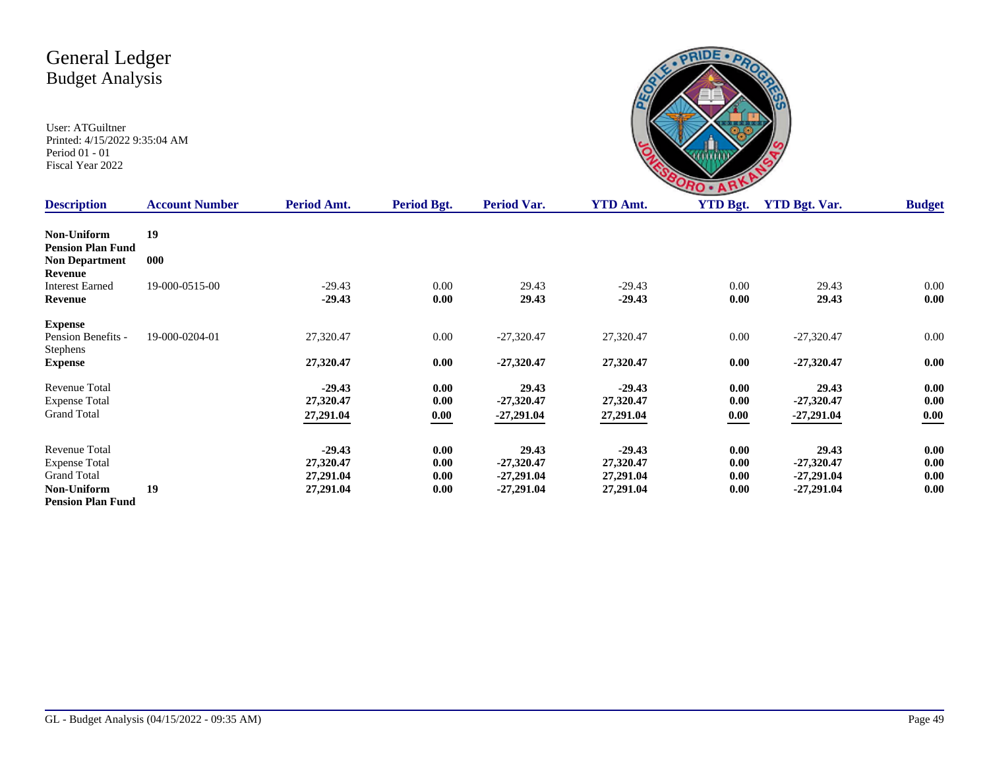

| <b>Description</b>                                      | <b>Account Number</b> | Period Amt.            | Period Bgt.  | Period Var.                  | <b>YTD Amt.</b>        | <b>YTD Bgt.</b> | <b>YTD Bgt. Var.</b>         | <b>Budget</b> |
|---------------------------------------------------------|-----------------------|------------------------|--------------|------------------------------|------------------------|-----------------|------------------------------|---------------|
| Non-Uniform                                             | 19                    |                        |              |                              |                        |                 |                              |               |
| <b>Pension Plan Fund</b><br><b>Non Department</b>       | 000                   |                        |              |                              |                        |                 |                              |               |
| Revenue<br><b>Interest Earned</b>                       | 19-000-0515-00        | $-29.43$               | 0.00         | 29.43                        | $-29.43$               | 0.00            | 29.43                        | 0.00          |
| Revenue                                                 |                       | $-29.43$               | 0.00         | 29.43                        | $-29.43$               | 0.00            | 29.43                        | 0.00          |
| <b>Expense</b><br>Pension Benefits -<br><b>Stephens</b> | 19-000-0204-01        | 27,320.47              | $0.00\,$     | $-27,320.47$                 | 27,320.47              | 0.00            | $-27,320.47$                 | 0.00          |
| <b>Expense</b>                                          |                       | 27,320.47              | 0.00         | $-27,320.47$                 | 27,320.47              | 0.00            | $-27,320.47$                 | 0.00          |
| Revenue Total<br><b>Expense Total</b>                   |                       | $-29.43$<br>27,320.47  | 0.00<br>0.00 | 29.43<br>$-27,320.47$        | $-29.43$<br>27,320.47  | 0.00<br>0.00    | 29.43<br>$-27,320.47$        | 0.00<br>0.00  |
| <b>Grand Total</b>                                      |                       | 27,291.04              | 0.00         | $-27,291.04$                 | 27,291.04              | 0.00            | $-27,291.04$                 | 0.00          |
| Revenue Total                                           |                       | $-29.43$               | 0.00         | 29.43                        | $-29.43$               | 0.00            | 29.43                        | 0.00          |
| <b>Expense Total</b>                                    |                       | 27,320.47              | 0.00         | $-27,320.47$                 | 27,320.47              | 0.00            | $-27,320.47$                 | 0.00          |
| <b>Grand Total</b><br><b>Non-Uniform</b>                | 19                    | 27,291.04<br>27,291.04 | 0.00<br>0.00 | $-27,291.04$<br>$-27,291.04$ | 27,291.04<br>27,291.04 | 0.00<br>0.00    | $-27,291.04$<br>$-27,291.04$ | 0.00<br>0.00  |
| <b>Pension Plan Fund</b>                                |                       |                        |              |                              |                        |                 |                              |               |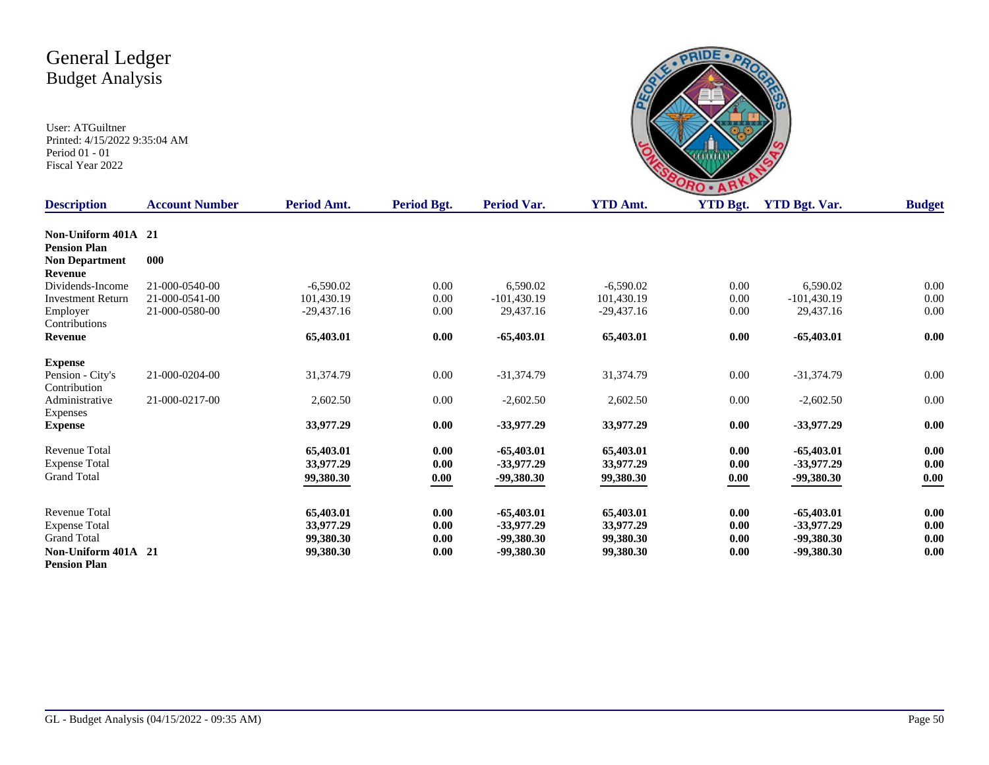

| <b>Description</b>       | <b>Account Number</b> | Period Amt.  | Period Bgt. | <b>Period Var.</b> | <b>YTD Amt.</b> | <b>YTD Bgt.</b>             | <b>YTD Bgt. Var.</b> | <b>Budget</b> |
|--------------------------|-----------------------|--------------|-------------|--------------------|-----------------|-----------------------------|----------------------|---------------|
|                          |                       |              |             |                    |                 |                             |                      |               |
| Non-Uniform 401A 21      |                       |              |             |                    |                 |                             |                      |               |
| <b>Pension Plan</b>      |                       |              |             |                    |                 |                             |                      |               |
| <b>Non Department</b>    | 000                   |              |             |                    |                 |                             |                      |               |
| Revenue                  |                       |              |             |                    |                 |                             |                      |               |
| Dividends-Income         | 21-000-0540-00        | $-6.590.02$  | 0.00        | 6,590.02           | $-6,590.02$     | 0.00                        | 6,590.02             | 0.00          |
| <b>Investment Return</b> | 21-000-0541-00        | 101,430.19   | $0.00\,$    | $-101,430.19$      | 101,430.19      | 0.00                        | $-101,430.19$        | 0.00          |
| Employer                 | 21-000-0580-00        | $-29,437.16$ | $0.00\,$    | 29,437.16          | $-29,437.16$    | 0.00                        | 29,437.16            | 0.00          |
| Contributions            |                       |              |             |                    |                 |                             |                      |               |
| Revenue                  |                       | 65,403.01    | 0.00        | $-65,403.01$       | 65,403.01       | 0.00                        | $-65,403.01$         | 0.00          |
| <b>Expense</b>           |                       |              |             |                    |                 |                             |                      |               |
| Pension - City's         | 21-000-0204-00        | 31,374.79    | $0.00\,$    | $-31,374.79$       | 31,374.79       | 0.00                        | $-31,374.79$         | 0.00          |
| Contribution             |                       |              |             |                    |                 |                             |                      |               |
| Administrative           | 21-000-0217-00        | 2,602.50     | 0.00        | $-2,602.50$        | 2,602.50        | 0.00                        | $-2,602.50$          | 0.00          |
| Expenses                 |                       |              |             |                    |                 |                             |                      |               |
| <b>Expense</b>           |                       | 33,977.29    | 0.00        | $-33,977.29$       | 33,977.29       | 0.00                        | $-33,977.29$         | 0.00          |
|                          |                       |              |             |                    |                 |                             |                      |               |
| <b>Revenue Total</b>     |                       | 65,403.01    | 0.00        | $-65,403.01$       | 65,403.01       | 0.00                        | $-65,403.01$         | 0.00          |
| <b>Expense Total</b>     |                       | 33,977.29    | 0.00        | $-33,977.29$       | 33,977.29       | 0.00                        | $-33,977,29$         | 0.00          |
| <b>Grand Total</b>       |                       | 99,380.30    | 0.00        | $-99,380.30$       | 99,380.30       | $\underline{\mathbf{0.00}}$ | $-99,380.30$         | 0.00          |
|                          |                       |              |             |                    |                 |                             |                      |               |
| <b>Revenue Total</b>     |                       | 65,403.01    | 0.00        | $-65,403.01$       | 65,403.01       | 0.00                        | $-65,403.01$         | 0.00          |
| <b>Expense Total</b>     |                       | 33,977.29    | 0.00        | $-33,977.29$       | 33,977.29       | 0.00                        | $-33.977.29$         | $0.00\,$      |
| <b>Grand Total</b>       |                       |              | 0.00        | -99,380.30         | 99,380.30       | 0.00                        | -99,380.30           | 0.00          |
|                          |                       | 99,380.30    |             |                    |                 |                             |                      |               |
| Non-Uniform 401A 21      |                       | 99,380.30    | 0.00        | -99,380.30         | 99,380.30       | 0.00                        | -99,380.30           | 0.00          |
| <b>Pension Plan</b>      |                       |              |             |                    |                 |                             |                      |               |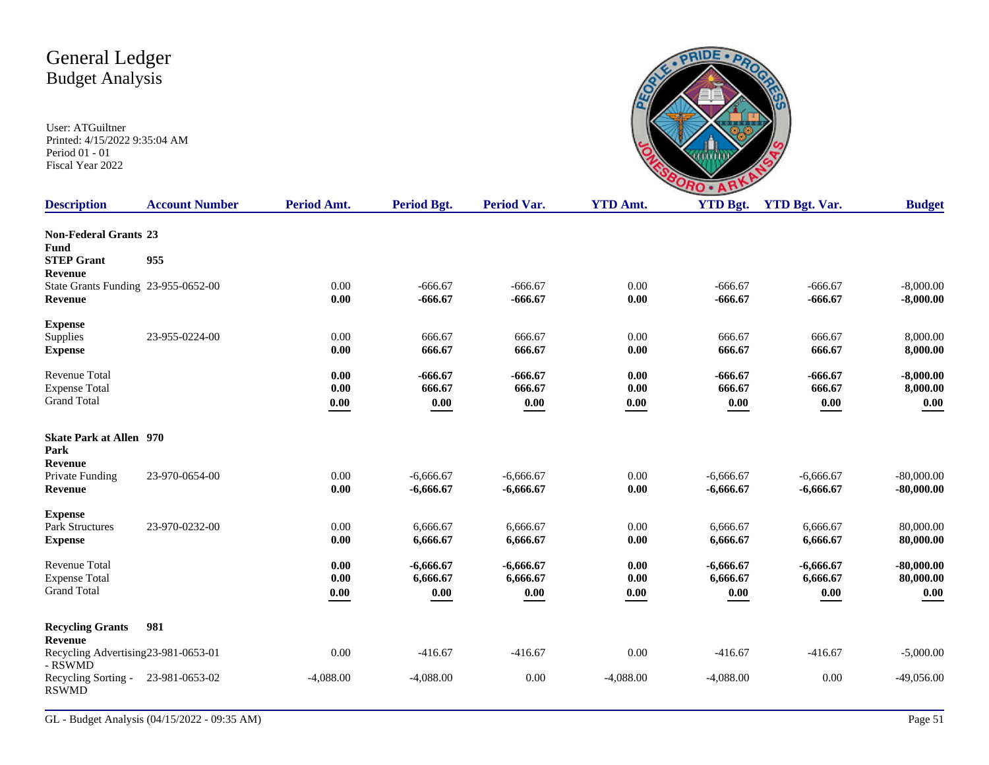| <b>TIME</b><br>n | <b>TIME</b><br>۰. |
|------------------|-------------------|

| <b>Description</b>                                                 | <b>Account Number</b> | Period Amt.          | Period Bgt.                         | <b>Period Var.</b>              | <b>YTD Amt.</b>                     | <b>YTD Bgt.</b>                 | <b>YTD Bgt. Var.</b>            | <b>Budget</b>                     |
|--------------------------------------------------------------------|-----------------------|----------------------|-------------------------------------|---------------------------------|-------------------------------------|---------------------------------|---------------------------------|-----------------------------------|
| <b>Non-Federal Grants 23</b><br>Fund<br><b>STEP Grant</b>          | 955                   |                      |                                     |                                 |                                     |                                 |                                 |                                   |
| Revenue<br>State Grants Funding 23-955-0652-00<br><b>Revenue</b>   |                       | 0.00<br>0.00         | $-666.67$<br>$-666.67$              | $-666.67$<br>$-666.67$          | 0.00<br>0.00                        | $-666.67$<br>$-666.67$          | $-666.67$<br>$-666.67$          | $-8,000.00$<br>$-8,000.00$        |
| <b>Expense</b><br>Supplies<br><b>Expense</b>                       | 23-955-0224-00        | 0.00<br>0.00         | 666.67<br>666.67                    | 666.67<br>666.67                | 0.00<br>0.00                        | 666.67<br>666.67                | 666.67<br>666.67                | 8,000.00<br>8,000.00              |
| Revenue Total<br><b>Expense Total</b><br><b>Grand Total</b>        |                       | 0.00<br>0.00<br>0.00 | $-666.67$<br>666.67<br>$0.00\,$     | $-666.67$<br>666.67<br>$0.00\,$ | 0.00<br>0.00<br>$\boldsymbol{0.00}$ | $-666.67$<br>666.67<br>0.00     | $-666.67$<br>666.67<br>$0.00\,$ | $-8,000.00$<br>8,000.00<br>0.00   |
| <b>Skate Park at Allen</b> 970<br>Park<br><b>Revenue</b>           |                       |                      |                                     |                                 |                                     |                                 |                                 |                                   |
| Private Funding<br><b>Revenue</b>                                  | 23-970-0654-00        | 0.00<br>0.00         | $-6,666.67$<br>$-6,666.67$          | $-6,666.67$<br>$-6,666.67$      | 0.00<br>0.00                        | $-6,666.67$<br>$-6,666.67$      | $-6.666.67$<br>$-6,666.67$      | $-80,000.00$<br>$-80,000.00$      |
| <b>Expense</b><br><b>Park Structures</b><br><b>Expense</b>         | 23-970-0232-00        | 0.00<br>0.00         | 6,666.67<br>6,666.67                | 6,666.67<br>6,666.67            | 0.00<br>0.00                        | 6,666.67<br>6,666.67            | 6,666.67<br>6,666.67            | 80,000.00<br>80,000.00            |
| <b>Revenue Total</b><br><b>Expense Total</b><br><b>Grand Total</b> |                       | 0.00<br>0.00<br>0.00 | $-6,666.67$<br>6,666.67<br>$0.00\,$ | $-6,666.67$<br>6,666.67<br>0.00 | 0.00<br>0.00<br>0.00                | $-6,666.67$<br>6,666.67<br>0.00 | $-6,666.67$<br>6,666.67<br>0.00 | $-80,000.00$<br>80,000.00<br>0.00 |
| <b>Recycling Grants</b><br><b>Revenue</b>                          | 981                   |                      |                                     |                                 |                                     |                                 |                                 |                                   |
| Recycling Advertising 23-981-0653-01<br>- RSWMD                    |                       | 0.00                 | $-416.67$                           | $-416.67$                       | 0.00                                | $-416.67$                       | $-416.67$                       | $-5,000.00$                       |
| Recycling Sorting -<br><b>RSWMD</b>                                | 23-981-0653-02        | $-4,088.00$          | $-4,088.00$                         | 0.00                            | $-4,088.00$                         | $-4,088.00$                     | 0.00                            | $-49,056.00$                      |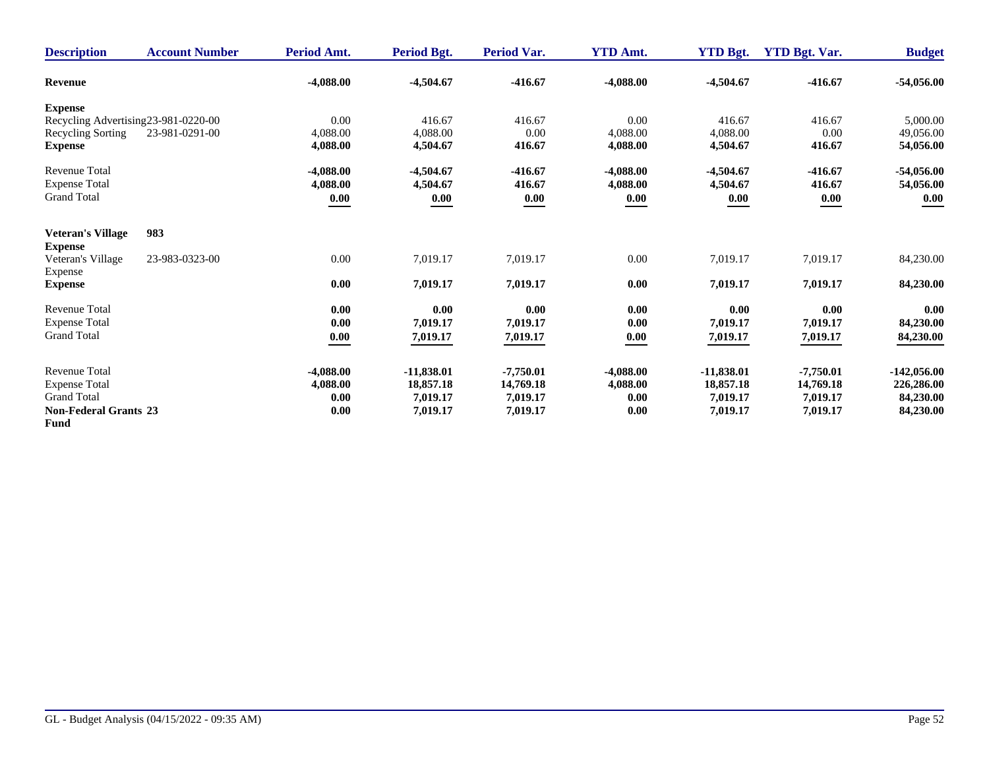| <b>Description</b>           | <b>Account Number</b>                | Period Amt. | <b>Period Bgt.</b> | <b>Period Var.</b> | <b>YTD Amt.</b> | <b>YTD Bgt.</b> | <b>YTD Bgt. Var.</b> | <b>Budget</b> |
|------------------------------|--------------------------------------|-------------|--------------------|--------------------|-----------------|-----------------|----------------------|---------------|
| <b>Revenue</b>               |                                      | $-4,088.00$ | $-4,504.67$        | $-416.67$          | $-4,088.00$     | $-4,504.67$     | $-416.67$            | $-54,056.00$  |
| <b>Expense</b>               |                                      |             |                    |                    |                 |                 |                      |               |
|                              | Recycling Advertising 23-981-0220-00 | 0.00        | 416.67             | 416.67             | 0.00            | 416.67          | 416.67               | 5,000.00      |
| Recycling Sorting            | 23-981-0291-00                       | 4,088.00    | 4,088.00           | 0.00               | 4,088.00        | 4,088.00        | 0.00                 | 49,056.00     |
| <b>Expense</b>               |                                      | 4,088.00    | 4,504.67           | 416.67             | 4,088.00        | 4,504.67        | 416.67               | 54,056.00     |
| <b>Revenue Total</b>         |                                      | $-4,088.00$ | $-4,504.67$        | $-416.67$          | $-4,088.00$     | $-4,504.67$     | $-416.67$            | $-54,056.00$  |
| <b>Expense Total</b>         |                                      | 4,088.00    | 4,504.67           | 416.67             | 4,088.00        | 4,504.67        | 416.67               | 54,056.00     |
| <b>Grand Total</b>           |                                      | 0.00        | 0.00               | 0.00               | 0.00            | 0.00            | 0.00                 | 0.00          |
| <b>Veteran's Village</b>     | 983                                  |             |                    |                    |                 |                 |                      |               |
| <b>Expense</b>               |                                      |             |                    |                    |                 |                 |                      |               |
| Veteran's Village            | 23-983-0323-00                       | 0.00        | 7,019.17           | 7,019.17           | 0.00            | 7,019.17        | 7,019.17             | 84,230.00     |
| Expense                      |                                      |             |                    |                    |                 |                 |                      |               |
| <b>Expense</b>               |                                      | 0.00        | 7,019.17           | 7,019.17           | 0.00            | 7,019.17        | 7,019.17             | 84,230.00     |
| <b>Revenue Total</b>         |                                      | 0.00        | 0.00               | 0.00               | 0.00            | 0.00            | 0.00                 | 0.00          |
| <b>Expense Total</b>         |                                      | 0.00        | 7,019.17           | 7,019.17           | 0.00            | 7,019.17        | 7,019.17             | 84,230.00     |
| <b>Grand Total</b>           |                                      | 0.00        | 7,019.17           | 7,019.17           | 0.00            | 7,019.17        | 7,019.17             | 84,230.00     |
| <b>Revenue Total</b>         |                                      | $-4,088.00$ | $-11,838.01$       | $-7,750.01$        | $-4.088.00$     | $-11,838.01$    | $-7,750.01$          | $-142,056.00$ |
| <b>Expense Total</b>         |                                      | 4,088.00    | 18,857.18          | 14,769.18          | 4,088.00        | 18,857.18       | 14,769.18            | 226,286.00    |
| <b>Grand Total</b>           |                                      | 0.00        | 7,019.17           | 7,019.17           | 0.00            | 7,019.17        | 7,019.17             | 84,230.00     |
| <b>Non-Federal Grants 23</b> |                                      | 0.00        | 7,019.17           | 7,019.17           | 0.00            | 7,019.17        | 7,019.17             | 84,230.00     |
| <b>Fund</b>                  |                                      |             |                    |                    |                 |                 |                      |               |